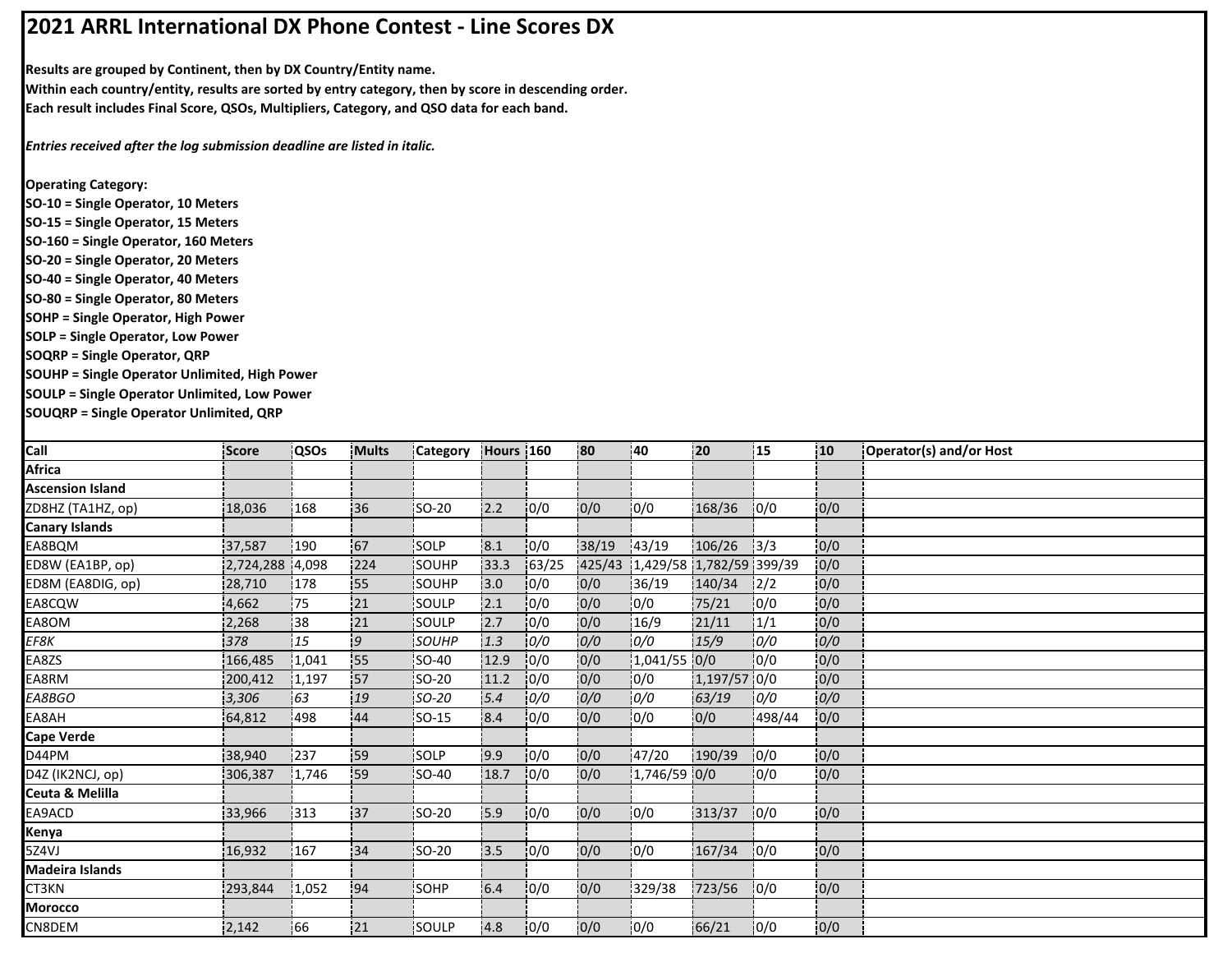## **2021 ARRL International DX Phone Contest ‐ Line Scores DX**

**Results are grouped by Continent, then by DX Country/Entity name.**

**Within each country/entity, results are sorted by entry category, then by score in descending order. Each result includes Final Score, QSOs, Multipliers, Category, and QSO data for each band.**

*Entries received after the log submission deadline are listed in italic.*

**Operating Category:**

- **SO‐10 = Single Operator, 10 Meters**
- **SO‐15 = Single Operator, 15 Meters**
- **SO‐160 = Single Operator, 160 Meters**
- **SO‐20 = Single Operator, 20 Meters**
- **SO‐40 = Single Operator, 40 Meters**
- **SO‐80 = Single Operator, 80 Meters**
- **SOHP = Single Operator, High Power**
- **SOLP = Single Operator, Low Power**

**SOQRP = Single Operator, QRP**

**SOUHP = Single Operator Unlimited, High Power**

**SOULP = Single Operator Unlimited, Low Power**

**SOUQRP = Single Operator Unlimited, QRP**

| Call                    | Score           | QSOs  | <b>Mults</b> | Category      | Hours 160 |       | 80     | :40                      | 20           | 15     | 10 <sub>10</sub> | Operator(s) and/or Host |
|-------------------------|-----------------|-------|--------------|---------------|-----------|-------|--------|--------------------------|--------------|--------|------------------|-------------------------|
| <b>Africa</b>           |                 |       |              |               |           |       |        |                          |              |        |                  |                         |
| <b>Ascension Island</b> |                 |       |              |               |           |       |        |                          |              |        |                  |                         |
| ZD8HZ (TA1HZ, op)       | 18,036          | 168   | :36          | <b>SO-20</b>  | 12.2      | 10/0  | 0/0    | 10/0                     | 168/36       | 10/0   | 0/0              |                         |
| <b>Canary Islands</b>   |                 |       |              |               |           |       |        |                          |              |        |                  |                         |
| EA8BQM                  | 37,587          | 190   | 67           | SOLP          | 8.1       | 0/0   | 38/19  | 143/19                   | 106/26       | 3/3    | 0/0              |                         |
| ED8W (EA1BP, op)        | 2,724,288 4,098 |       | 224          | SOUHP         | 33.3      | 63/25 | 425/43 | 1,429/58 1,782/59 399/39 |              |        | 0/0              |                         |
| ED8M (EA8DIG, op)       | 28,710          | 178   | 55           | SOUHP         | 3.0       | 0/0   | 0/0    | 36/19                    | 140/34       | 12/2   | 0/0              |                         |
| EA8CQW                  | 4,662           | 75    | 121          | SOULP         | 2.1       | 0/0   | 0/0    | 0/0                      | 75/21        | 10/0   | 0/0              |                         |
| EA8OM                   | 2,268           | 38    | 121          | <b>SOULP</b>  | 2.7       | 0/0   | 0/0    | 16/9                     | 21/11        | !1/1   | 0/0              |                         |
| EF8K                    | 378             | 15    | 9.           | <b>SOUHP</b>  | 1.3       | 0/0   | 0/0    | 0/0                      | 15/9         | 0/0    | 0/0              |                         |
| EA8ZS                   | 166,485         | 1,041 | 55           | SO-40         | 12.9      | 0/0   | 0/0    | 1,041/55 0/0             |              | 10/0   | 0/0              |                         |
| EA8RM                   | 200,412         | 1,197 | 157          | <b>ISO-20</b> | 11.2      | 10/0  | 0/0    | 0/0                      | 1,197/57 0/0 |        | 0/0              |                         |
| EA8BGO                  | 3,306           | 63    | 19           | $SO-20$       | 5.4       | 0/0   | 0/0    | 0/0                      | 63/19        | 0/0    | 0/0              |                         |
| EA8AH                   | 64,812          | 498   | 44           | $SO-15$       | 8.4       | 0/0   | 0/0    | 0/0                      | 0/0          | 498/44 | 0/0              |                         |
| <b>Cape Verde</b>       |                 |       |              |               |           |       |        |                          |              |        |                  |                         |
| D44PM                   | 38,940          | 237   | 59           | SOLP          | 9.9       | 0/0   | 0/0    | 47/20                    | 190/39       | 0/0    | 0/0              |                         |
| D4Z (IK2NCJ, op)        | 306,387         | 1,746 | 59           | <b>SO-40</b>  | 18.7      | 0/0   | 0/0    | 1,746/59 0/0             |              | 10/0   | 0/0              |                         |
| Ceuta & Melilla         |                 |       |              |               |           |       |        |                          |              |        |                  |                         |
| EA9ACD                  | 33,966          | 1313  | 137          | SO-20         | 15.9      | 0/0   | 0/0    | 0/0                      | 313/37       | 10/0   | 0/0              |                         |
| Kenya                   |                 |       |              |               |           |       |        |                          |              |        |                  |                         |
| 5Z4VJ                   | 16,932          | 167   | 34           | SO-20         | 3.5       | 0/0   | 0/0    | 0/0                      | 167/34       | 10/0   | 0/0              |                         |
| Madeira Islands         |                 |       |              |               |           |       |        |                          |              |        |                  |                         |
| CT3KN                   | 293,844         | 1,052 | 94           | SOHP          | 6.4       | 0/0   | 0/0    | 329/38                   | 723/56       | 10/0   | 0/0              |                         |
| Morocco                 |                 |       |              |               |           |       |        |                          |              |        |                  |                         |
| CN8DEM                  | 2,142           | 66    | 21           | SOULP         | 4.8       | 0/0   | 0/0    | 10/0                     | 66/21        | 10/0   | 0/0              |                         |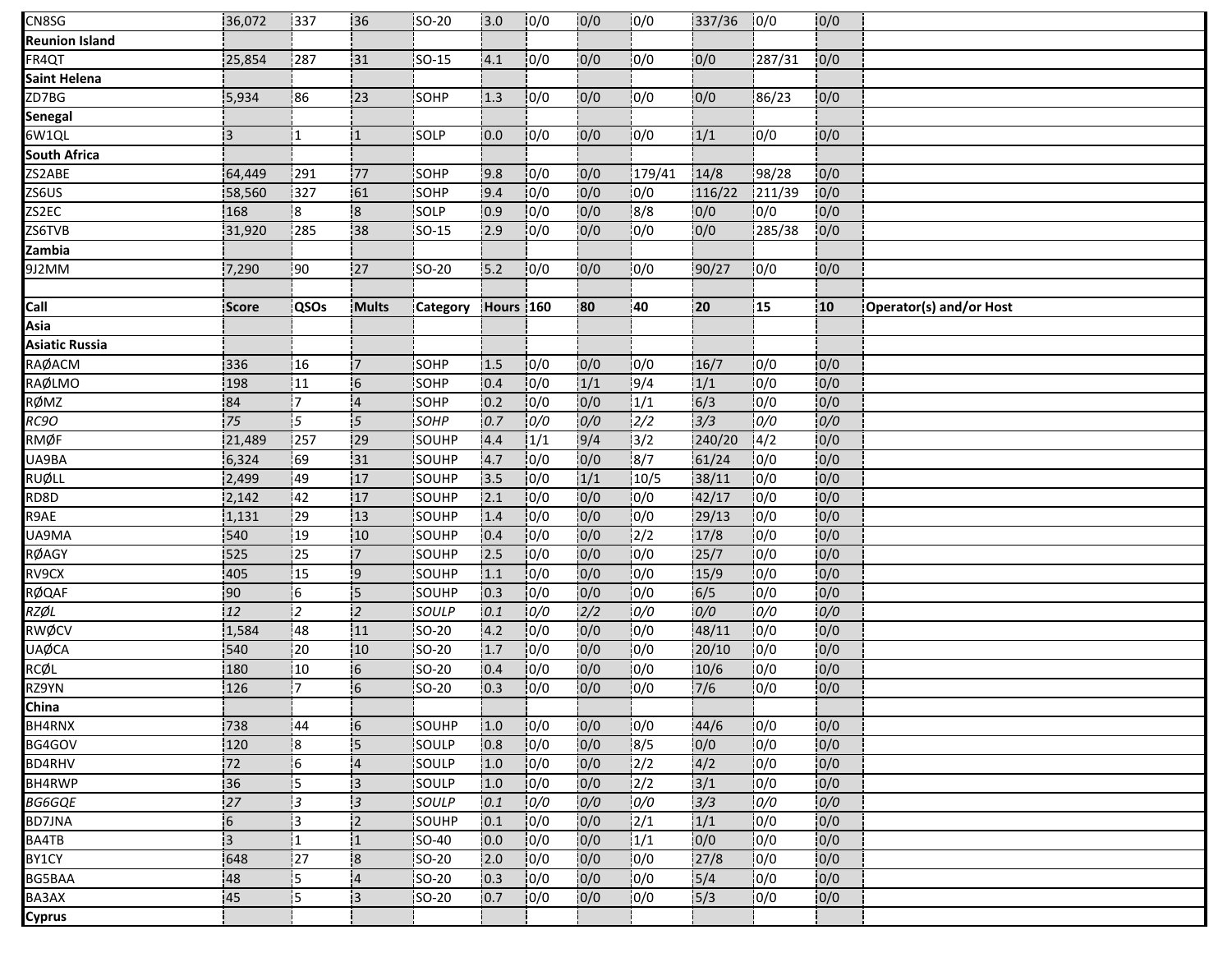| CN8SG                 | 36,072          | 337             | 136                     | SO-20        | 3.0       | 0/0  | 0/0           | 10/0          | 337/36           | 10/0   | 0/0 |                         |
|-----------------------|-----------------|-----------------|-------------------------|--------------|-----------|------|---------------|---------------|------------------|--------|-----|-------------------------|
| <b>Reunion Island</b> |                 |                 |                         |              |           |      |               |               |                  |        |     |                         |
| FR4QT                 | 25,854          | 287             | 31                      | SO-15        | 4.1       | 0/0  | 0/0           | 0/0           | 0/0              | 287/31 | 0/0 |                         |
| Saint Helena          |                 |                 |                         |              |           |      |               |               |                  |        |     |                         |
| ZD7BG                 | 5,934           | 86              | 123                     | SOHP         | 1.3       | 0/0  | 0/0           | 0/0           | 0/0              | 86/23  | 0/0 |                         |
| Senegal               |                 |                 |                         |              |           |      |               |               |                  |        |     |                         |
| 6W1QL                 | 13              | 11              | 11                      | <b>SOLP</b>  | 0.0       | 10/0 | 0/0           | 0/0           | 1/1              | 10/0   | 0/0 |                         |
| <b>South Africa</b>   |                 |                 |                         |              |           |      |               |               |                  |        |     |                         |
| ZS2ABE                | 64,449          | 291             | 77                      | SOHP         | 9.8       | 0/0  | 0/0           | 179/41        | 14/8             | 98/28  | 0/0 |                         |
| ZS6US                 | 58,560          | 327             | 61                      | <b>SOHP</b>  | 9.4       | 0/0  | 0/0           | 0/0           | 116/22           | 211/39 | 0/0 |                         |
| ZS2EC                 | 168             | :8              | $\overline{\mathbf{8}}$ | SOLP         | 0.9       | 0/0  | 0/0           | 8/8           | 0/0              | 0/0    | 0/0 |                         |
| ZS6TVB                | 31,920          | 285             | 38                      | SO-15        | 2.9       | 10/0 | 0/0           | 0/0           | 0/0              | 285/38 | 0/0 |                         |
| Zambia                |                 |                 |                         |              |           |      |               |               |                  |        |     |                         |
| 9J2MM                 | 7,290           | $\frac{1}{2}90$ | 27                      | SO-20        | 5.2       | 0/0  | 0/0           | 0/0           | 90/27            | 0/0    | 0/0 |                         |
|                       |                 |                 |                         |              |           |      |               |               |                  |        |     |                         |
| Call                  | Score           | <b>QSOs</b>     | <b>Mults</b>            | Category     | Hours 160 |      | 80            | 40            | 20               | 15     | 10  | Operator(s) and/or Host |
| Asia                  |                 |                 |                         |              |           |      |               |               |                  |        |     |                         |
| <b>Asiatic Russia</b> |                 |                 |                         |              |           |      |               |               |                  |        |     |                         |
| RAØACM                | 336             | 16              | 17.                     | SOHP         | 1.5       | 0/0  | 0/0           | 0/0           | 16/7             | 0/0    | 0/0 |                         |
| RAØLMO                | 198             | 11              | -6                      | SOHP         | 0.4       | 0/0  | 1/1           | 9/4           | 1/1              | 0/0    | 0/0 |                         |
| RØMZ                  | 84              | İ7.             | $\overline{4}$          | <b>SOHP</b>  | 0.2       | 10/0 | 10/0          | 1/1           | 6/3              | 10/0   | 0/0 |                         |
| RC9O                  | 75              | 15              | 5                       | SOHP         | 0.7       | 0/0  | 0/0           | $\frac{1}{2}$ | $\frac{1}{3}/3$  | 0/0    | 0/0 |                         |
| RMØF                  | 21,489          | !257            | 29                      | SOUHP        | 4.4       | 1/1  | 9/4           | 13/2          | 240/20           | 14/2   | 0/0 |                         |
| UA9BA                 | 6,324           | 69              | 31                      | SOUHP        | 4.7       | 10/0 | 0/0           | $\frac{1}{8}$ | 61/24            | 0/0    | 0/0 |                         |
| <b>RUØLL</b>          | 2,499           | 49              | 17                      | SOUHP        | 3.5       | 0/0  | 1/1           | 10/5          | 38/11            | 10/0   | 0/0 |                         |
| RD8D                  | 2,142           | 142             | 17                      | SOUHP        | 2.1       | 0/0  | 0/0           | 0/0           | 42/17            | 10/0   | 0/0 |                         |
| R9AE                  | 1,131           | 29              | 13                      | SOUHP        | 1.4       | 10/0 | 0/0           | 0/0           | 29/13            | 0/0    | 0/0 |                         |
| UA9MA                 | 540             | 19              | 10                      | SOUHP        | 0.4       | 0/0  | 10/0          | $\frac{1}{2}$ | 17/8             | 0/0    | 0/0 |                         |
| RØAGY                 | 525             | 25              | 17                      | SOUHP        | 2.5       | 10/0 | 0/0           | 0/0           | 25/7             | 0/0    | 0/0 |                         |
| RV9CX                 | 405             | $\overline{15}$ | 9                       | SOUHP        | 1.1       | 0/0  | 0/0           | 0/0           | 15/9             | 0/0    | 0/0 |                         |
| RØQAF                 | 90              | 16              | $\overline{5}$          | SOUHP        | 0.3       | 0/0  | 0/0           | 0/0           | 6/5              | 0/0    | 0/0 |                         |
| RZØL                  | 12              | 12              | $\overline{2}$          | SOULP        | 0.1       | 0/0  | $\frac{1}{2}$ | 0/0           | 0/0              | 0/0    | 0/0 |                         |
| RWØCV                 | 1,584           | 48              | 11                      | SO-20        | 4.2       | 0/0  | 0/0           | 0/0           | 48/11            | 0/0    | 0/0 |                         |
| <b>UAØCA</b>          | 540             | 20              | 10                      | SO-20        | 1.7       | 0/0  | 0/0           | 0/0           | 20/10            | 0/0    | 0/0 |                         |
| RCØL                  | 180             | 10              | 6                       | <b>SO-20</b> | 0.4       | 10/0 | 0/0           | 0/0           | 10/6             | 0/0    | 0/0 |                         |
| RZ9YN                 | 126             | !7              | $\overline{6}$          | SO-20        | 0.3       | 0/0  | 0/0           | 0/0           | 7/6              | 0/0    | 0/0 |                         |
| China                 |                 |                 |                         |              |           |      |               |               |                  |        |     |                         |
| BH4RNX                | 738             | 44              | <b>6</b>                | SOUHP        | 1.0       | 0/0  | 0/0           | 10/0          | 44/6             | 10/0   | 0/0 |                         |
| BG4GOV                | 120             | 18              | 15                      | SOULP        | 0.8       | 0/0  | 0/0           | 8/5           | 0/0              | 0/0    | 0/0 |                         |
| <b>BD4RHV</b>         | 72              | 16              | $\overline{4}$          | SOULP        | 1.0       | 0/0  | 0/0           | 2/2           | 4/2              | 0/0    | 0/0 |                         |
| BH4RWP                | 36              | i5              | iз                      | SOULP        | 1.0       | 0/0  | 0/0           | 2/2           | 3/1              | 0/0    | 0/0 |                         |
| <b>BG6GQE</b>         | 27              | 13              | $\overline{3}$          | SOULP        | 0.1       | 0/0  | 0/0           | 0/0           | 3/3              | 0/0    | 0/0 |                         |
| <b>BD7JNA</b>         | $6 \frac{1}{2}$ | IЗ              | i <sub>2</sub>          | SOUHP        | 0.1       | 10/0 | 0/0           | 12/1          | 1/1              | 0/0    | 0/0 |                         |
| BA4TB                 | 13              | i1.             | ί1                      | <b>SO-40</b> | 0.0       | 10/0 | 0/0           | 1/1           | 0/0              | 0/0    | 0/0 |                         |
| BY1CY                 | 648             | 27              | $\overline{\mathbf{8}}$ | <b>SO-20</b> | 2.0       | 0/0  | 0/0           | 10/0          | 27/8             | 10/0   | 0/0 |                         |
| <b>BG5BAA</b>         | 48              | 15              | $\overline{4}$          | <b>SO-20</b> | 0.3       | 10/0 | 0/0           | 0/0           | 5/4              | 0/0    | 0/0 |                         |
| BA3AX                 | 45              | 15              | $\mathsf{13}$           | SO-20        | 0.7       | 0/0  | 0/0           | 0/0           | $\frac{1}{5}{3}$ | 0/0    | 0/0 |                         |
| <b>Cyprus</b>         |                 |                 |                         |              |           |      |               |               |                  |        |     |                         |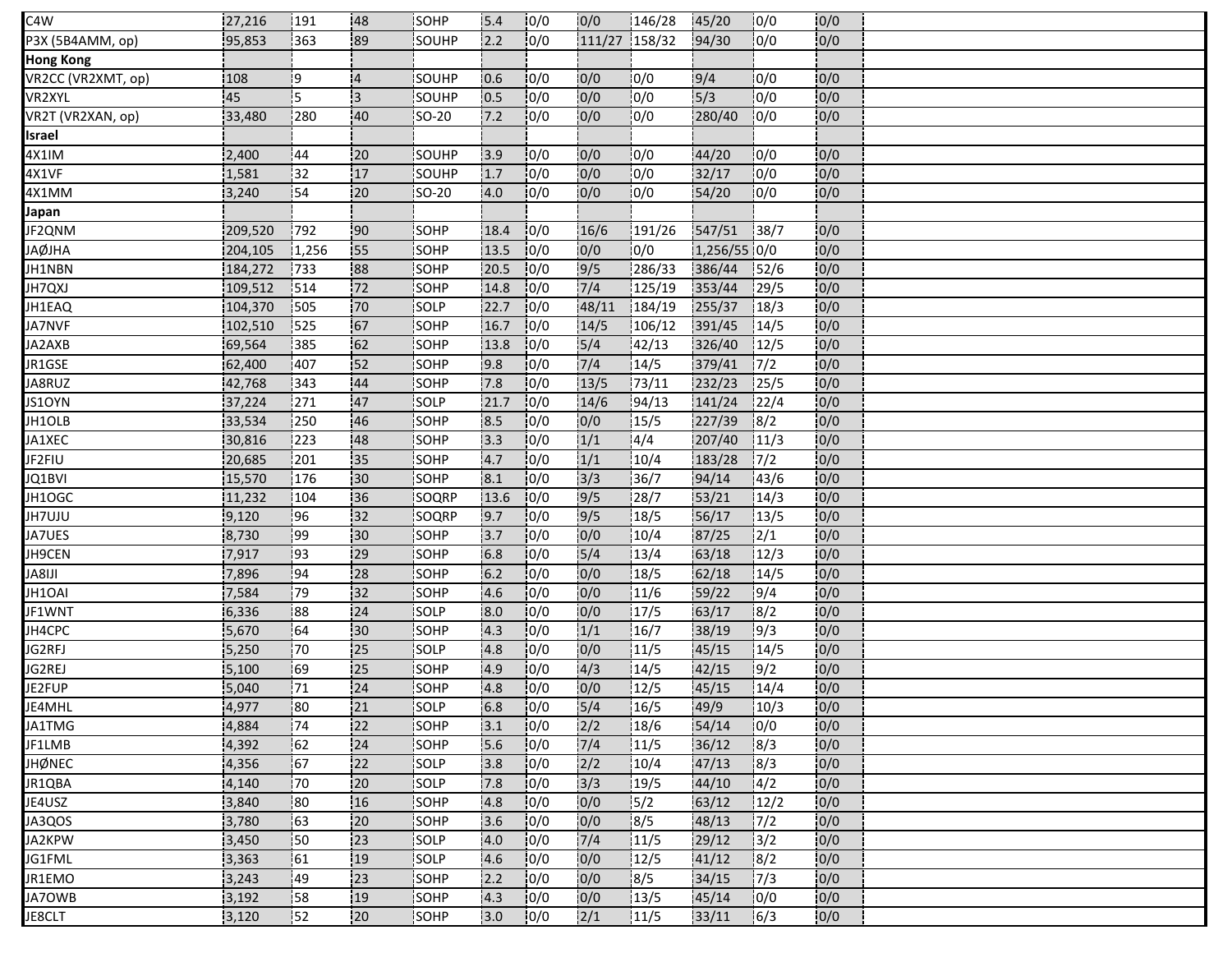| C4W                | 27,216  | 191   | 48              | SOHP         | 15.4 | 10/0 | 0/0              | 146/28 | 45/20        | 10/0  | 10/0 |  |
|--------------------|---------|-------|-----------------|--------------|------|------|------------------|--------|--------------|-------|------|--|
| P3X (5B4AMM, op)   | 95,853  | 363   | 89              | SOUHP        | 2.2  | 10/0 | 111/27 158/32    |        | 94/30        | 0/0   | 0/0  |  |
| <b>Hong Kong</b>   |         |       |                 |              |      |      |                  |        |              |       |      |  |
| VR2CC (VR2XMT, op) | 108     | 19    | $\overline{4}$  | SOUHP        | 0.6  | 10/0 | 0/0              | 10/0   | 9/4          | 10/0  | 0/0  |  |
| VR2XYL             | 45      |       | 3               | SOUHP        | 0.5  | 0/0  | 0/0              | 0/0    | 15/3         | 0/0   | 0/0  |  |
| VR2T (VR2XAN, op)  | 33,480  | 280   | 40              | <b>SO-20</b> | 7.2  | 0/0  | 0/0              | 10/0   | 280/40       | 0/0   | 0/0  |  |
| Israel             |         |       |                 |              |      |      |                  |        |              |       |      |  |
| 4X1IM              | 2,400   | 44    | $\overline{20}$ | SOUHP        | 13.9 | 0/0  | 0/0              | 0/0    | 44/20        | 10/0  | 0/0  |  |
| 4X1VF              | 1,581   | 132   | 17              | SOUHP        | 1.7  | 10/0 | 0/0              | 10/0   | 32/17        | 10/0  | 0/0  |  |
| 4X1MM              | 3,240   | 54    | :20             | SO-20        | 4.0  | 10/0 | 0/0              | 10/0   | 54/20        | 10/0  | 0/0  |  |
| Japan              |         |       |                 |              |      |      |                  |        |              |       |      |  |
| JF2QNM             | 209,520 | 792   | :90             | SOHP         | 18.4 | 10/0 | 16/6             | 191/26 | 547/51       | 38/7  | 0/0  |  |
| <b>JAØJHA</b>      | 204,105 | 1,256 | 55              | SOHP         | 13.5 | 0/0  | 0/0              | 0/0    | 1,256/55 0/0 |       | 0/0  |  |
| JH1NBN             | 184,272 | 733   | 88              | SOHP         | 20.5 | 0/0  | 9/5              | 286/33 | 386/44       | 152/6 | 0/0  |  |
| JH7QXJ             | 109,512 | 1514  | 72              | <b>SOHP</b>  | 14.8 | 10/0 | 7/4              | 125/19 | 353/44       | 129/5 | 0/0  |  |
| JH1EAQ             | 104,370 | 505   | 70              | SOLP         | 22.7 | 0/0  | 48/11            | 184/19 | 255/37       | 18/3  | 0/0  |  |
| JA7NVF             | 102,510 | 525   | 167             | SOHP         | 16.7 | 10/0 | 14/5             | 106/12 | 391/45       | 14/5  | 0/0  |  |
| JA2AXB             | 69,564  | 385   | 62              | SOHP         | 13.8 | 10/0 | 5/4              | 142/13 | 326/40       | 12/5  | 0/0  |  |
| JR1GSE             | 62,400  | 407   | 152             | SOHP         | 9.8  | 10/0 | 7/4              | 14/5   | 379/41       | 17/2  | 0/0  |  |
| JA8RUZ             | 42,768  | 343   | 44              | SOHP         | 7.8  | 10/0 | 13/5             | 73/11  | 232/23       | 125/5 | 0/0  |  |
| JS1OYN             | 37,224  | 271   | 47              | <b>SOLP</b>  | 21.7 | 0/0  | 14/6             | 194/13 | 141/24       | 122/4 | 0/0  |  |
| JH1OLB             | 33,534  | 250   | 46              | SOHP         | 8.5  | 0/0  | 0/0              | 15/5   | 227/39       | 8/2   | 0/0  |  |
| JA1XEC             | 30,816  | 223   | 48              | SOHP         | 13.3 | 10/0 | 1/1              | 4/4    | 207/40       | 11/3  | 0/0  |  |
| JF2FIU             | 20,685  | 201   | 135             | SOHP         | 4.7  | 10/0 | 1/1              | 10/4   | 183/28       | 17/2  | 0/0  |  |
| JQ1BVI             | 15,570  | 176   | 30              | SOHP         | 8.1  | 0/0  | 3/3              | 36/7   | 94/14        | 143/6 | 0/0  |  |
| JH1OGC             | 11,232  | 104   | 36              | SOQRP        | 13.6 | 0/0  | 9/5              | 28/7   | 53/21        | 14/3  | 0/0  |  |
| JH7UJU             | 9,120   | 96    | 32              | SOQRP        | 9.7  | 0/0  | $\frac{1}{9}{5}$ | 18/5   | 56/17        | 13/5  | 0/0  |  |
| JA7UES             | 8,730   | 99    | 30              | SOHP         | 3.7  | 0/0  | 0/0              | 10/4   | 87/25        | 12/1  | 0/0  |  |
| JH9CEN             | 7,917   | 193   | 29              | <b>SOHP</b>  | 6.8  | 0/0  | $\frac{1}{5}/4$  | 13/4   | 63/18        | 12/3  | 0/0  |  |
| <b>ILI8AL</b>      | 7,896   | 194   | 28              | SOHP         | 6.2  | 0/0  | 0/0              | 18/5   | 62/18        | 14/5  | 0/0  |  |
| JH1OAI             | 7,584   | 79    | 132             | SOHP         | 4.6  | 0/0  | 0/0              | 11/6   | 59/22        | 9/4   | 0/0  |  |
| JF1WNT             | 6,336   | 88    | 24              | SOLP         | 8.0  | 0/0  | 0/0              | 17/5   | 63/17        | 18/2  | 0/0  |  |
| JH4CPC             | 5,670   | 64    | 30              | SOHP         | 4.3  | 0/0  | 1/1              | 16/7   | 38/19        | 19/3  | 0/0  |  |
| JG2RFJ             | 5,250   | .70   | 25              | SOLP         | 4.8  | 0/0  | 0/0              | 11/5   | 45/15        | 14/5  | 0/0  |  |
| JG2REJ             | 5,100   | 69    | 125             | <b>SOHP</b>  | 4.9  | 10/0 | 4/3              | 14/5   | 142/15       | 19/2  | 0/0  |  |
| JE2FUP             | 5,040   | 71    | 24              | SOHP         | 4.8  | 0/0  | 0/0              | 12/5   | 45/15        | 14/4  | 0/0  |  |
| JE4MHL             | 4,977   | 80    | 21              | SOLP         | 6.8  | 0/0  | $5/4$            | 16/5   | 49/9         | 10/3  | 0/0  |  |
| JA1TMG             | 4,884   | 74    | 122             | SOHP         | 13.1 | 0/0  | 2/2              | 18/6   | 54/14        | 10/0  | 0/0  |  |
| JF1LMB             | 4,392   | 162   | 24              | SOHP         | 5.6  | 0/0  | 7/4              | 11/5   | 36/12        | 8/3   | 0/0  |  |
| <b>JHØNEC</b>      | 4,356   | 167   | 22              | SOLP         | 3.8  | 10/0 | 2/2              | 10/4   | 47/13        | 18/3  | 0/0  |  |
| JR1QBA             | 4,140   | 170   | <b>20</b>       | SOLP         | 7.8  | 10/0 | 3/3              | 19/5   | 44/10        | 14/2  | 0/0  |  |
| JE4USZ             | 3,840   | 80    | :16             | SOHP         | 4.8  | 0/0  | 0/0              | 15/2   | 63/12        | 12/2  | 0/0  |  |
| JA3QOS             | 3,780   | 163   | <b>20</b>       | <b>SOHP</b>  | 3.6  | 10/0 | 0/0              | 8/5    | 48/13        | 17/2  | 0/0  |  |
| JA2KPW             | 3,450   | 50    | 23              | SOLP         | 4.0  | 10/0 | 7/4              | 11/5   | 29/12        | 13/2  | 0/0  |  |
| JG1FML             | 3,363   | 61    | 19              | SOLP         | 4.6  | 0/0  | 0/0              | 12/5   | 41/12        | 8/2   | 0/0  |  |
| JR1EMO             | 3,243   | 149   | 23              | <b>ISOHP</b> | 2.2  | 10/0 | 10/0             | 18/5   | 34/15        | 17/3  | 0/0  |  |
| JA7OWB             | 3,192   | 58    | 19              | SOHP         | 4.3  | 0/0  | 0/0              | 13/5   | 45/14        | 10/0  | 0/0  |  |
| JE8CLT             | 3,120   | 52    | 20              | SOHP         | 3.0  | 10/0 | 2/1              | 11/5   | 33/11        | 16/3  | 0/0  |  |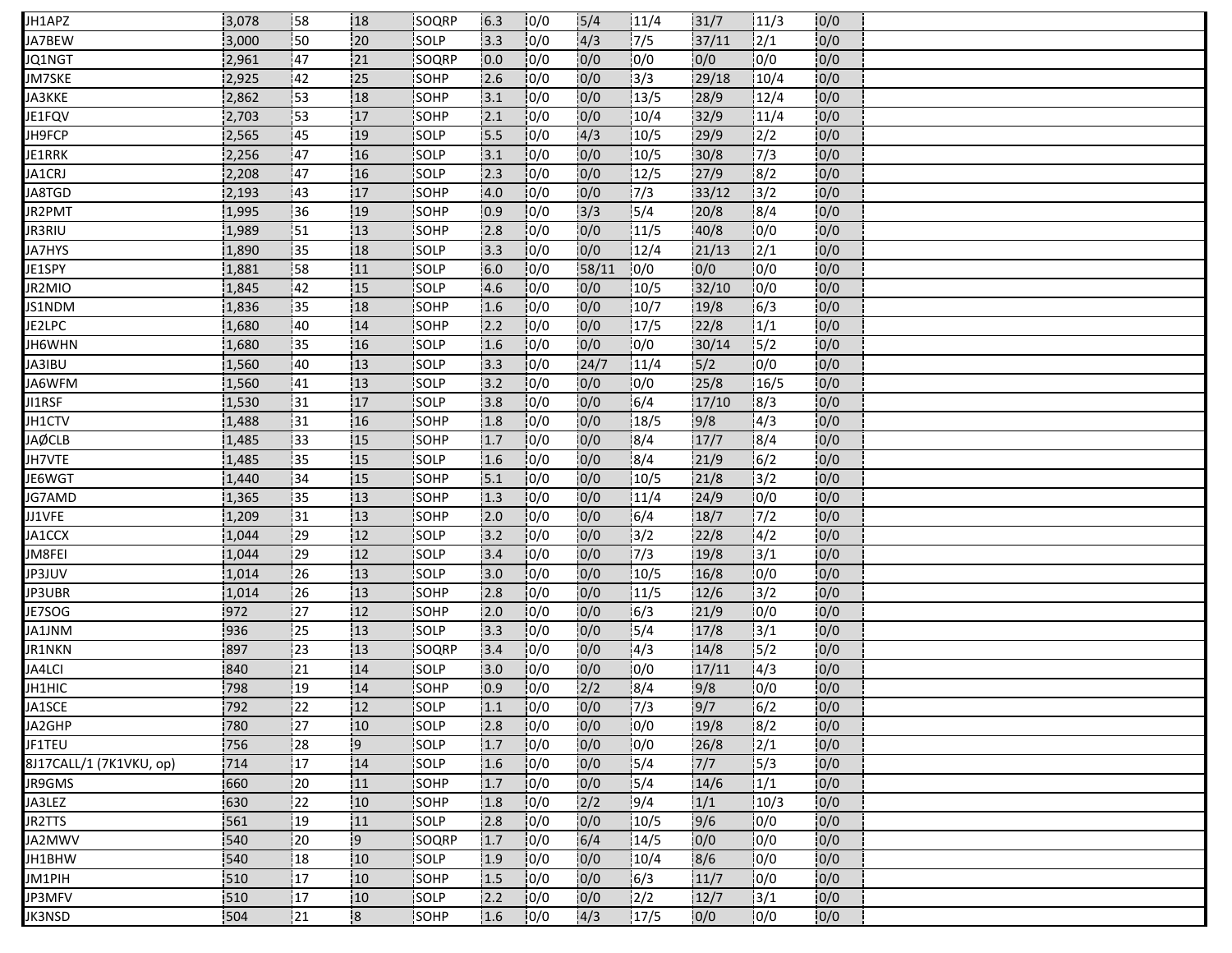| 20<br>0/0<br>4/3<br>17/5<br>0/0<br>50<br>SOLP<br>3.3<br>37/11<br>$\frac{1}{2}$<br>JA7BEW<br>3,000<br>0/0<br>0/0<br><b>47</b><br>21<br>0/0<br>0/0<br>0/0<br>0/0<br>2,961<br>SOQRP<br>JQ1NGT<br>0.0<br>0/0<br>3/3<br>42<br>25<br>10/0<br>29/18<br>10/4<br>0/0<br>JM7SKE<br>2,925<br>SOHP<br> 2.6 <br>0/0<br>13/5<br>0/0<br>53<br>0/0<br>28/9<br>12/4<br>2,862<br>18<br>SOHP<br>JA3KKE<br>3.1<br>0/0<br>53<br>17<br>32/9<br>0/0<br>2,703<br>SOHP<br>0/0<br>10/4<br>11/4<br>.2.1<br>4/3<br>0/0<br>i45<br>19<br>10/0<br>10/5<br>29/9<br>12/2<br>JH9FCP<br>2,565<br><b>SOLP</b><br>5.5<br>0/0<br>0/0<br>2,256<br>47<br>SOLP<br> 0/0 <br>10/5<br>30/8<br>7/3<br>16<br>3.1<br>JE1RRK<br>0/0<br>27/9<br>0/0<br>JA1CRJ<br>2,208<br>147<br>16<br><b>SOLP</b><br>12.3<br>10/0<br>12/5<br>8/2<br>0/0<br>0/0<br>17/3<br>13/2<br>0/0<br>143<br>17<br><b>SOHP</b><br>33/12<br>JA8TGD<br>2,193<br>4.0<br>0/0<br>5/4<br>SOHP<br>3/3<br>20/8<br>8/4<br>0/0<br>JR2PMT<br>36<br>:19<br>1,995<br>0.9<br>13<br>10/0<br>0/0<br>11/5<br>40/8<br>0/0<br>0/0<br><b>JR3RIU</b><br>1,989<br>!51<br><b>SOHP</b><br>2.8<br>0/0<br>0/0<br>JA7HYS<br>135<br>SOLP<br>12/4<br>21/13<br>12/1<br>0/0<br>:18<br>13.3<br>1,890<br>0/0<br>0/0<br>JE1SPY<br>58<br>11<br>SOLP<br>6.0<br>0/0<br>58/11<br>10/0<br>0/0<br>1,881<br>SOLP<br>0/0<br>0/0<br>10/5<br>32/10<br>10/0<br>0/0<br>JR2MIO<br>42<br>15<br>4.6<br>1,845<br>0/0<br>10/7<br>6/3<br>0/0<br>SOHP<br>0/0<br>19/8<br>135<br>18<br>1.6<br>JS1NDM<br>1,836 |
|---------------------------------------------------------------------------------------------------------------------------------------------------------------------------------------------------------------------------------------------------------------------------------------------------------------------------------------------------------------------------------------------------------------------------------------------------------------------------------------------------------------------------------------------------------------------------------------------------------------------------------------------------------------------------------------------------------------------------------------------------------------------------------------------------------------------------------------------------------------------------------------------------------------------------------------------------------------------------------------------------------------------------------------------------------------------------------------------------------------------------------------------------------------------------------------------------------------------------------------------------------------------------------------------------------------------------------------------------------------------------------------------------------------------------------------------------------------------------|
| JE1FQV                                                                                                                                                                                                                                                                                                                                                                                                                                                                                                                                                                                                                                                                                                                                                                                                                                                                                                                                                                                                                                                                                                                                                                                                                                                                                                                                                                                                                                                                    |
|                                                                                                                                                                                                                                                                                                                                                                                                                                                                                                                                                                                                                                                                                                                                                                                                                                                                                                                                                                                                                                                                                                                                                                                                                                                                                                                                                                                                                                                                           |
|                                                                                                                                                                                                                                                                                                                                                                                                                                                                                                                                                                                                                                                                                                                                                                                                                                                                                                                                                                                                                                                                                                                                                                                                                                                                                                                                                                                                                                                                           |
|                                                                                                                                                                                                                                                                                                                                                                                                                                                                                                                                                                                                                                                                                                                                                                                                                                                                                                                                                                                                                                                                                                                                                                                                                                                                                                                                                                                                                                                                           |
|                                                                                                                                                                                                                                                                                                                                                                                                                                                                                                                                                                                                                                                                                                                                                                                                                                                                                                                                                                                                                                                                                                                                                                                                                                                                                                                                                                                                                                                                           |
|                                                                                                                                                                                                                                                                                                                                                                                                                                                                                                                                                                                                                                                                                                                                                                                                                                                                                                                                                                                                                                                                                                                                                                                                                                                                                                                                                                                                                                                                           |
|                                                                                                                                                                                                                                                                                                                                                                                                                                                                                                                                                                                                                                                                                                                                                                                                                                                                                                                                                                                                                                                                                                                                                                                                                                                                                                                                                                                                                                                                           |
|                                                                                                                                                                                                                                                                                                                                                                                                                                                                                                                                                                                                                                                                                                                                                                                                                                                                                                                                                                                                                                                                                                                                                                                                                                                                                                                                                                                                                                                                           |
|                                                                                                                                                                                                                                                                                                                                                                                                                                                                                                                                                                                                                                                                                                                                                                                                                                                                                                                                                                                                                                                                                                                                                                                                                                                                                                                                                                                                                                                                           |
|                                                                                                                                                                                                                                                                                                                                                                                                                                                                                                                                                                                                                                                                                                                                                                                                                                                                                                                                                                                                                                                                                                                                                                                                                                                                                                                                                                                                                                                                           |
|                                                                                                                                                                                                                                                                                                                                                                                                                                                                                                                                                                                                                                                                                                                                                                                                                                                                                                                                                                                                                                                                                                                                                                                                                                                                                                                                                                                                                                                                           |
|                                                                                                                                                                                                                                                                                                                                                                                                                                                                                                                                                                                                                                                                                                                                                                                                                                                                                                                                                                                                                                                                                                                                                                                                                                                                                                                                                                                                                                                                           |
|                                                                                                                                                                                                                                                                                                                                                                                                                                                                                                                                                                                                                                                                                                                                                                                                                                                                                                                                                                                                                                                                                                                                                                                                                                                                                                                                                                                                                                                                           |
|                                                                                                                                                                                                                                                                                                                                                                                                                                                                                                                                                                                                                                                                                                                                                                                                                                                                                                                                                                                                                                                                                                                                                                                                                                                                                                                                                                                                                                                                           |
|                                                                                                                                                                                                                                                                                                                                                                                                                                                                                                                                                                                                                                                                                                                                                                                                                                                                                                                                                                                                                                                                                                                                                                                                                                                                                                                                                                                                                                                                           |
| 0/0<br>JE2LPC<br>SOHP<br>10/0<br>0/0<br>17/5<br>22/8<br>1/1<br>1,680<br>:40<br>14<br>2.2                                                                                                                                                                                                                                                                                                                                                                                                                                                                                                                                                                                                                                                                                                                                                                                                                                                                                                                                                                                                                                                                                                                                                                                                                                                                                                                                                                                  |
| 0/0<br>15/2<br>0/0<br>10/0<br>0/0<br>16<br>SOLP<br>30/14<br>JH6WHN<br>1,680<br>!35<br>11.6                                                                                                                                                                                                                                                                                                                                                                                                                                                                                                                                                                                                                                                                                                                                                                                                                                                                                                                                                                                                                                                                                                                                                                                                                                                                                                                                                                                |
| 0/0<br>24/7<br>11/4<br>5/2<br>0/0<br>13<br>SOLP<br>3.3<br> 0/0<br>1,560<br>40<br>JA3IBU                                                                                                                                                                                                                                                                                                                                                                                                                                                                                                                                                                                                                                                                                                                                                                                                                                                                                                                                                                                                                                                                                                                                                                                                                                                                                                                                                                                   |
| 0/0<br>13<br>0/0<br>25/8<br>SOLP<br>10/0<br>10/0<br>16/5<br>JA6WFM<br>1,560<br>.41<br>3.2                                                                                                                                                                                                                                                                                                                                                                                                                                                                                                                                                                                                                                                                                                                                                                                                                                                                                                                                                                                                                                                                                                                                                                                                                                                                                                                                                                                 |
| 0/0<br>16/4<br>0/0<br>131<br><b>SOLP</b><br>10/0<br>17/10<br>18/3<br>JI1RSF<br>1,530<br>17<br>13.8                                                                                                                                                                                                                                                                                                                                                                                                                                                                                                                                                                                                                                                                                                                                                                                                                                                                                                                                                                                                                                                                                                                                                                                                                                                                                                                                                                        |
| 0/0<br>SOHP<br>10/0<br>0/0<br>18/5<br>9/8<br>1,488<br>131<br>16<br>1.8<br>4/3<br>JH1CTV                                                                                                                                                                                                                                                                                                                                                                                                                                                                                                                                                                                                                                                                                                                                                                                                                                                                                                                                                                                                                                                                                                                                                                                                                                                                                                                                                                                   |
| 0/0<br>8/4<br>10/0<br><b>JAØCLB</b><br>15<br><b>SOHP</b><br>10/0<br>18/4<br>17/7<br>1,485<br>133<br>1.7                                                                                                                                                                                                                                                                                                                                                                                                                                                                                                                                                                                                                                                                                                                                                                                                                                                                                                                                                                                                                                                                                                                                                                                                                                                                                                                                                                   |
| 0/0<br>0/0<br>$\sqrt{18/4}$<br>$\frac{1}{6}$ /2<br>135<br>15<br>10/0<br><b>SOLP</b><br>21/9<br>JH7VTE<br>1,485<br>1.6                                                                                                                                                                                                                                                                                                                                                                                                                                                                                                                                                                                                                                                                                                                                                                                                                                                                                                                                                                                                                                                                                                                                                                                                                                                                                                                                                     |
| 10/0<br>0/0<br>10/5<br> 3/2<br>0/0<br> 34<br>15<br>SOHP<br>5.1<br>21/8<br>JE6WGT<br>1,440                                                                                                                                                                                                                                                                                                                                                                                                                                                                                                                                                                                                                                                                                                                                                                                                                                                                                                                                                                                                                                                                                                                                                                                                                                                                                                                                                                                 |
| 0/0<br>13<br>10/0<br>11/4<br>10/0<br>0/0<br>135<br>SOHP<br>1.3<br>24/9<br>JG7AMD<br>1,365                                                                                                                                                                                                                                                                                                                                                                                                                                                                                                                                                                                                                                                                                                                                                                                                                                                                                                                                                                                                                                                                                                                                                                                                                                                                                                                                                                                 |
| 0/0<br>7/2<br>0/0<br>131<br> 13<br>SOHP<br>0/0<br>6/4<br>18/7<br>1,209<br>2.0<br>JJ1VFE                                                                                                                                                                                                                                                                                                                                                                                                                                                                                                                                                                                                                                                                                                                                                                                                                                                                                                                                                                                                                                                                                                                                                                                                                                                                                                                                                                                   |
| 3/2<br>12<br>0/0<br>14/2<br>0/0<br>JA1CCX<br> 29<br>SOLP<br> 0/0 <br>22/8<br>1,044<br>3.2                                                                                                                                                                                                                                                                                                                                                                                                                                                                                                                                                                                                                                                                                                                                                                                                                                                                                                                                                                                                                                                                                                                                                                                                                                                                                                                                                                                 |
| 17/3<br>:29<br>0/0<br>19/8<br>13/1<br>0/0<br>JM8FEI<br> 12 <br><b>SOLP</b><br>10/0<br>1,044<br>3.4                                                                                                                                                                                                                                                                                                                                                                                                                                                                                                                                                                                                                                                                                                                                                                                                                                                                                                                                                                                                                                                                                                                                                                                                                                                                                                                                                                        |
| 0/0<br>0/0<br>0/0<br>26<br>13<br>0/0<br>10/5<br>16/8<br>SOLP<br><b>JP3JUV</b><br>1,014<br>3.0                                                                                                                                                                                                                                                                                                                                                                                                                                                                                                                                                                                                                                                                                                                                                                                                                                                                                                                                                                                                                                                                                                                                                                                                                                                                                                                                                                             |
| 0/0<br>0/0<br>13<br>11/5<br>12/6<br>$\frac{13}{2}$<br>SOHP<br> 0/0 <br><b>JP3UBR</b><br>1,014<br> 26<br>2.8                                                                                                                                                                                                                                                                                                                                                                                                                                                                                                                                                                                                                                                                                                                                                                                                                                                                                                                                                                                                                                                                                                                                                                                                                                                                                                                                                               |
| 972<br>127<br>0/0<br>10/0<br>12<br>16/3<br>10/0<br>SOHP<br>10/0<br>21/9<br>JE7SOG<br>12.0                                                                                                                                                                                                                                                                                                                                                                                                                                                                                                                                                                                                                                                                                                                                                                                                                                                                                                                                                                                                                                                                                                                                                                                                                                                                                                                                                                                 |
| 936<br>125<br>0/0<br>5/4<br>3/1<br>0/0<br>13<br>0/0<br>17/8<br>SOLP<br>3.3<br>JA1JNM                                                                                                                                                                                                                                                                                                                                                                                                                                                                                                                                                                                                                                                                                                                                                                                                                                                                                                                                                                                                                                                                                                                                                                                                                                                                                                                                                                                      |
| JR1NKN<br>897<br> 23<br>13<br>SOQRP<br>10/0<br>0/0<br>14/3<br>14/8<br>5/2<br>0/0<br>3.4                                                                                                                                                                                                                                                                                                                                                                                                                                                                                                                                                                                                                                                                                                                                                                                                                                                                                                                                                                                                                                                                                                                                                                                                                                                                                                                                                                                   |
| 121<br>10/0<br>0/0<br>0/0<br>JA4LCI<br>840<br>14<br><b>ISOLP</b><br>13.0<br>10/0<br>17/11<br>14/3                                                                                                                                                                                                                                                                                                                                                                                                                                                                                                                                                                                                                                                                                                                                                                                                                                                                                                                                                                                                                                                                                                                                                                                                                                                                                                                                                                         |
| 19<br>0/0<br>8/4<br>0/0<br>JH1HIC<br>798<br>14<br>SOHP<br>2/2<br>9/8<br>0/0<br>0.9                                                                                                                                                                                                                                                                                                                                                                                                                                                                                                                                                                                                                                                                                                                                                                                                                                                                                                                                                                                                                                                                                                                                                                                                                                                                                                                                                                                        |
| 0/0 <br>7/3<br>9/7<br>$\frac{1}{6}$ /2<br>0/0<br>792<br> 22<br>12<br>SOLP<br>0/0<br>JA1SCE<br> 1.1                                                                                                                                                                                                                                                                                                                                                                                                                                                                                                                                                                                                                                                                                                                                                                                                                                                                                                                                                                                                                                                                                                                                                                                                                                                                                                                                                                        |
| 780<br>127<br>10<br> 0/0<br>0/0<br>10/0<br>19/8<br>8/2<br>JA2GHP<br>SOLP<br>2.8<br>0/0                                                                                                                                                                                                                                                                                                                                                                                                                                                                                                                                                                                                                                                                                                                                                                                                                                                                                                                                                                                                                                                                                                                                                                                                                                                                                                                                                                                    |
| 756<br> 28<br>9.<br>1.7<br>JF1TEU<br>SOLP<br>0/0<br>0/0<br>10/0<br>26/8<br>2/1<br>0/0                                                                                                                                                                                                                                                                                                                                                                                                                                                                                                                                                                                                                                                                                                                                                                                                                                                                                                                                                                                                                                                                                                                                                                                                                                                                                                                                                                                     |
| 0/0<br>5/4<br>17<br>14<br>10/0<br>$7/7$<br>15/3<br>0/0<br>8J17CALL/1 (7K1VKU, op)<br>714<br><b>SOLP</b><br>1.6                                                                                                                                                                                                                                                                                                                                                                                                                                                                                                                                                                                                                                                                                                                                                                                                                                                                                                                                                                                                                                                                                                                                                                                                                                                                                                                                                            |
| 15/4<br>1/1<br>660<br>11<br>SOHP<br>0/0<br>0/0<br>14/6<br>0/0<br>20<br>1.7<br>JR9GMS                                                                                                                                                                                                                                                                                                                                                                                                                                                                                                                                                                                                                                                                                                                                                                                                                                                                                                                                                                                                                                                                                                                                                                                                                                                                                                                                                                                      |
| 19/4<br>630<br> 22<br>2/2<br>1/1<br>0/0<br>JA3LEZ<br>10<br>SOHP<br>1.8<br>0/0<br>10/3                                                                                                                                                                                                                                                                                                                                                                                                                                                                                                                                                                                                                                                                                                                                                                                                                                                                                                                                                                                                                                                                                                                                                                                                                                                                                                                                                                                     |
| 0/0<br>0/0<br><sup>19</sup><br>9/6<br>10/0<br> 11 <br><b>SOLP</b><br>2.8<br>10/0<br>10/5<br>JR2TTS<br>561                                                                                                                                                                                                                                                                                                                                                                                                                                                                                                                                                                                                                                                                                                                                                                                                                                                                                                                                                                                                                                                                                                                                                                                                                                                                                                                                                                 |
| 0/0<br>وا<br>6/4<br>0/0<br>10/0<br>14/5<br>0/0<br>540<br>20<br>SOQRP<br>1.7<br>JA2MWV                                                                                                                                                                                                                                                                                                                                                                                                                                                                                                                                                                                                                                                                                                                                                                                                                                                                                                                                                                                                                                                                                                                                                                                                                                                                                                                                                                                     |
| 0/0<br>8/6<br>0/0<br>540<br> 18<br>SOLP<br> 0/0<br>10/4<br>10/0<br>JH1BHW<br>10 <sub>1</sub><br>1.9                                                                                                                                                                                                                                                                                                                                                                                                                                                                                                                                                                                                                                                                                                                                                                                                                                                                                                                                                                                                                                                                                                                                                                                                                                                                                                                                                                       |
| 0/0<br> 17<br>0/0<br>6/3<br>10/0<br>10<br>SOHP<br>1.5<br>10/0<br>11/7<br>JM1PIH<br>1510                                                                                                                                                                                                                                                                                                                                                                                                                                                                                                                                                                                                                                                                                                                                                                                                                                                                                                                                                                                                                                                                                                                                                                                                                                                                                                                                                                                   |
| $\sqrt{3}/1$<br>0/0<br> 17<br>12/2<br>510<br>10<br>SOLP<br>2.2<br>0/0<br>12/7<br>JP3MFV<br>10/0                                                                                                                                                                                                                                                                                                                                                                                                                                                                                                                                                                                                                                                                                                                                                                                                                                                                                                                                                                                                                                                                                                                                                                                                                                                                                                                                                                           |
| 21<br>$\overline{\mathbf{8}}$<br>10/0<br>0/0<br>504<br>SOHP<br>1.6<br>10/0<br>4/3<br>17/5<br>0/0<br>JK3NSD                                                                                                                                                                                                                                                                                                                                                                                                                                                                                                                                                                                                                                                                                                                                                                                                                                                                                                                                                                                                                                                                                                                                                                                                                                                                                                                                                                |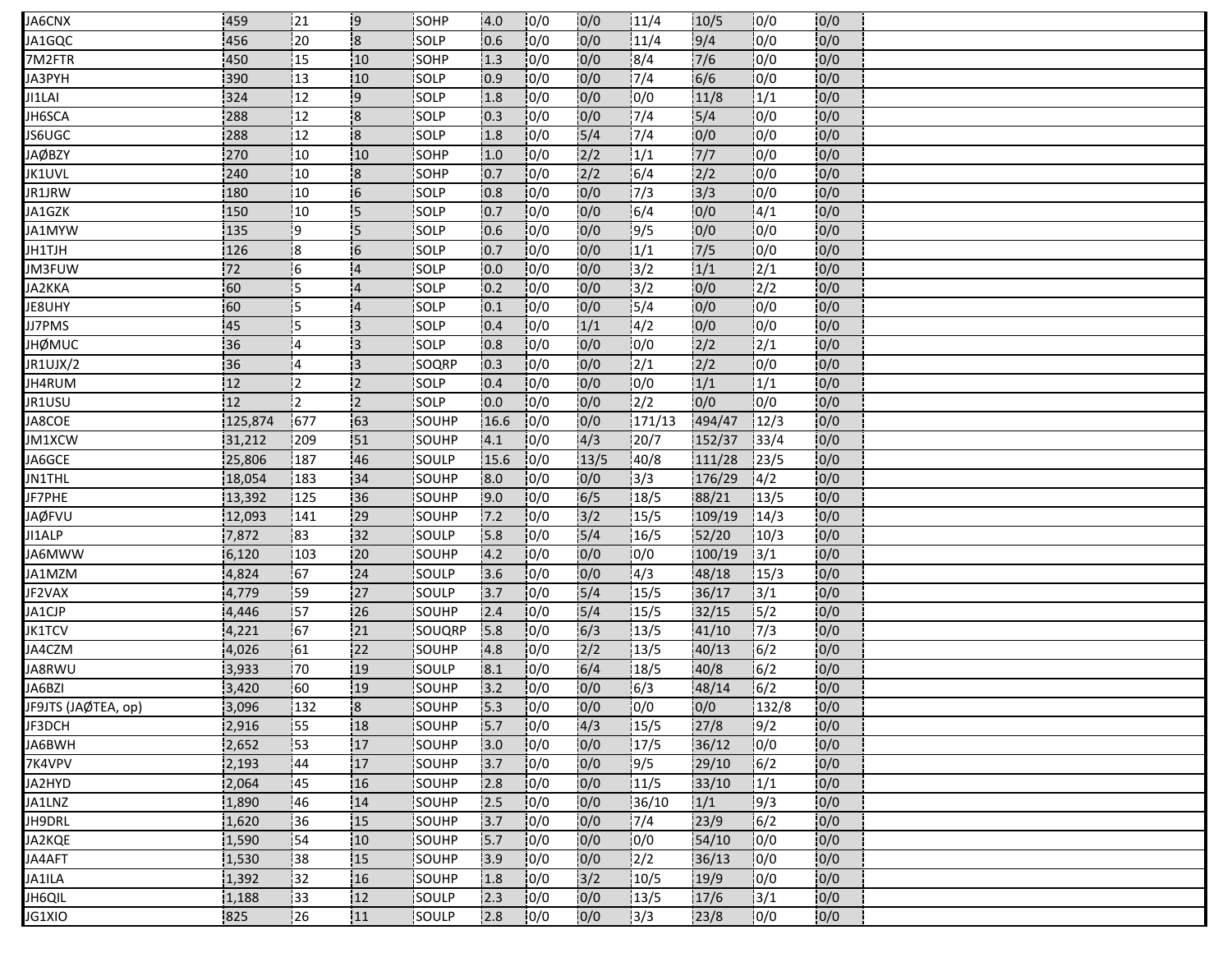| JA6CNX              | 459       | 121        | 19                      | <b>SOHP</b>  | 4.0  | 10/0 | 10/0             | 11/4             | 10/5   | 10/0  | 10/0 |  |
|---------------------|-----------|------------|-------------------------|--------------|------|------|------------------|------------------|--------|-------|------|--|
| JA1GQC              | 456       | 20         | $\overline{\mathbf{8}}$ | SOLP         | 0.6  | 0/0  | 0/0              | 11/4             | 9/4    | 0/0   | 0/0  |  |
| 7M2FTR              | 450       | 15         | 10                      | SOHP         | 1.3  | 0/0  | 0/0              | 8/4              | 7/6    | 0/0   | 0/0  |  |
| JA3PYH              | 390       | $\vert$ 13 | 10                      | SOLP         | 10.9 | 10/0 | $\overline{0/0}$ | 7/4              | 6/6    | 0/0   | 0/0  |  |
| JI1LAI              | 324       | 12         | l9                      | SOLP         | 1.8  | 0/0  | 0/0              | 0/0              | 11/8   | 1/1   | 0/0  |  |
| JH6SCA              | 288       | 12         | $\overline{\mathbf{8}}$ | SOLP         | 0.3  | 0/0  | 0/0              | 7/4              | 5/4    | 0/0   | 0/0  |  |
| JS6UGC              | 288       | 12         | $\mathsf{ls}$           | <b>SOLP</b>  | 1.8  | 10/0 | $\overline{5/4}$ | 7/4              | 10/0   | 0/0   | 0/0  |  |
| JAØBZY              | 270       | 10         | 10                      | SOHP         | 1.0  | 0/0  | 2/2              | 1/1              | $7/7$  | 0/0   | 0/0  |  |
| JK1UVL              | 240       | 10         | <b>8</b>                | SOHP         | 10.7 | 10/0 | 2/2              | 16/4             | 12/2   | 10/0  | 0/0  |  |
| JR1JRW              | 180       | 10         | 16                      | SOLP         | 0.8  | 10/0 | 0/0              | 17/3             | 3/3    | 0/0   | 0/0  |  |
| JA1GZK              | 150       | 10         | 15                      | SOLP         | 10.7 | 0/0  | 0/0              | 6/4              | 0/0    | 4/1   | 0/0  |  |
| JA1MYW              | 135       | و¦         | <b>S</b>                | SOLP         | 0.6  | 0/0  | 0/0              | 9/5              | 0/0    | 0/0   | 0/0  |  |
| JH1TJH              | 126       | 18         | 6                       | isolp        | 10.7 | 10/0 | 0/0              | 1/1              | 7/5    | 0/0   | 0/0  |  |
| JM3FUW              | 72        | -6         | $\overline{4}$          | SOLP         | 0.0  | 0/0  | 0/0              | 3/2              | 1/1    | 2/1   | 0/0  |  |
| JA2KKA              | <b>60</b> | 15         | $\overline{4}$          | SOLP         | 10.2 | 10/0 | 0/0              | 13/2             | 0/0    | 2/2   | 0/0  |  |
| JE8UHY              | 60        | i5         | $\overline{4}$          | SOLP         | 0.1  | 10/0 | 0/0              | 15/4             | 0/0    | 0/0   | 0/0  |  |
| JJ7PMS              | 45        | ļ5         | 13                      | SOLP         | 0.4  | 0/0  | 1/1              | 4/2              | 0/0    | 0/0   | 0/0  |  |
| <b>JHØMUC</b>       | 36        | 14         | 13                      | SOLP         | 0.8  | 10/0 | 0/0              | 0/0              | 2/2    | 12/1  | 0/0  |  |
| JR1UJX/2            | 36        | 14         | 13                      | SOQRP        | 0.3  | 10/0 | 0/0              | $\frac{1}{2}$ /1 | 2/2    | 0/0   | 0/0  |  |
| JH4RUM              | 12        | 12         | $\overline{2}$          | SOLP         | 0.4  | 0/0  | 0/0              | 0/0              | 1/1    | 1/1   | 0/0  |  |
| JR1USU              | 12        | i2         | i2.                     | <b>SOLP</b>  | 0.0  | 10/0 | 0/0              | 12/2             | 10/0   | 0/0   | 0/0  |  |
| JA8COE              | 125,874   | 677        | 63                      | SOUHP        | 16.6 | 0/0  | 0/0              | 171/13           | 494/47 | 12/3  | 0/0  |  |
| JM1XCW              | 31,212    | .209       | 51                      | SOUHP        | 4.1  | 0/0  | 4/3              | 120/7            | 152/37 | 33/4  | 0/0  |  |
| JA6GCE              | 25,806    | 187        | 46                      | SOULP        | 15.6 | 10/0 | 13/5             | 40/8             | 111/28 | 123/5 | 0/0  |  |
| <b>JN1THL</b>       | 18,054    | 183        | 34                      | SOUHP        | 8.0  | 0/0  | 0/0              | 3/3              | 176/29 | 14/2  | 0/0  |  |
| JF7PHE              | 13,392    | 125        | 36                      | SOUHP        | 9.0  | 10/0 | 6/5              | 18/5             | 88/21  | 13/5  | 0/0  |  |
| <b>JAØFVU</b>       | 12,093    | 141        | 29                      | SOUHP        | 7.2  | 0/0  | 3/2              | 15/5             | 109/19 | 14/3  | 0/0  |  |
| JI1ALP              | 7,872     | 83         | 132                     | SOULP        | 5.8  | 10/0 | 5/4              | 16/5             | 52/20  | 10/3  | 0/0  |  |
| JA6MWW              | 6,120     | 103        | 20                      | <b>SOUHP</b> | 4.2  | 10/0 | 0/0              | 0/0              | 100/19 | 13/1  | 0/0  |  |
| JA1MZM              | 4,824     | 67         | 24                      | SOULP        | 3.6  | 0/0  | 0/0              | 4/3              | 48/18  | 15/3  | 0/0  |  |
| JF2VAX              | 4,779     | :59        | 27                      | SOULP        | 3.7  | 0/0  | $\overline{5/4}$ | 15/5             | 36/17  | 3/1   | 0/0  |  |
| JA1CJP              | 4,446     | 57         | 26                      | <b>SOUHP</b> | 2.4  | 10/0 | $\frac{1}{5}/4$  | 15/5             | 32/15  | 15/2  | 0/0  |  |
| JK1TCV              | 4,221     | 67         | 21                      | SOUQRP       | 5.8  | 10/0 | 6/3              | 13/5             | 41/10  | 17/3  | 0/0  |  |
| JA4CZM              | 4,026     | 161        | 22                      | SOUHP        | 4.8  | 10/0 | 2/2              | 13/5             | 40/13  | 6/2   | 0/0  |  |
| JA8RWU              | 3,933     | 170        | 19                      | SOULP        | 8.1  | 10/0 | 6/4              | 18/5             | 40/8   | 6/2   | 0/0  |  |
| JA6BZI              | 3,420     | 60         | 19                      | SOUHP        | 3.2  | 0/0  | 0/0              | 6/3              | 48/14  | 6/2   | 0/0  |  |
| JF9JTS (JAØTEA, op) | 3,096     | 132        | $\overline{\mathbf{8}}$ | SOUHP        | 5.3  | 0/0  | 0/0              | 0/0              | 0/0    | 132/8 | 0/0  |  |
| JF3DCH              | 2,916     | 155        | 18                      | SOUHP        | 5.7  | 0/0  | 4/3              | 15/5             | 27/8   | 9/2   | 0/0  |  |
| JA6BWH              | 2,652     | 53         | 17                      | SOUHP        | 3.0  | 0/0  | 0/0              | 17/5             | 36/12  | 10/0  | 0/0  |  |
| 7K4VPV              | 2,193     | 44         | 17                      | SOUHP        | 3.7  | 10/0 | 0/0              | 9/5              | 29/10  | 16/2  | 0/0  |  |
| JA2HYD              | 2,064     | :45        | 16                      | SOUHP        | 2.8  | 0/0  | 0/0              | 11/5             | 33/10  | 1/1   | 0/0  |  |
| JA1LNZ              | 1,890     | 46         | 14                      | SOUHP        | 2.5  | 0/0  | 0/0              | 36/10            | 1/1    | 9/3   | 0/0  |  |
| JH9DRL              | 1,620     | 136        | 15                      | <b>SOUHP</b> | 3.7  | 0/0  | 0/0              | 7/4              | 23/9   | 6/2   | 0/0  |  |
| JA2KQE              | 1,590     | 54         | 10                      | <b>SOUHP</b> | 5.7  | 0/0  | 0/0              | 0/0              | 54/10  | 10/0  | 0/0  |  |
| JA4AFT              | 1,530     | 38         | 15                      | SOUHP        | 3.9  | 0/0  | 0/0              | 2/2              | 36/13  | 0/0   | 0/0  |  |
| JA1ILA              | 1,392     | 32         | 16                      | SOUHP        | 1.8  | 0/0  | 3/2              | 10/5             | 19/9   | 10/0  | 0/0  |  |
| JH6QIL              | 1,188     | 33         | 12                      | SOULP        | 2.3  | 0/0  | 0/0              | 13/5             | 17/6   | 3/1   | 0/0  |  |
| JG1XIO              | 825       | 126        | 111                     | SOULP        | 2.8  | 10/0 | 0/0              | 13/3             | 23/8   | 10/0  | 0/0  |  |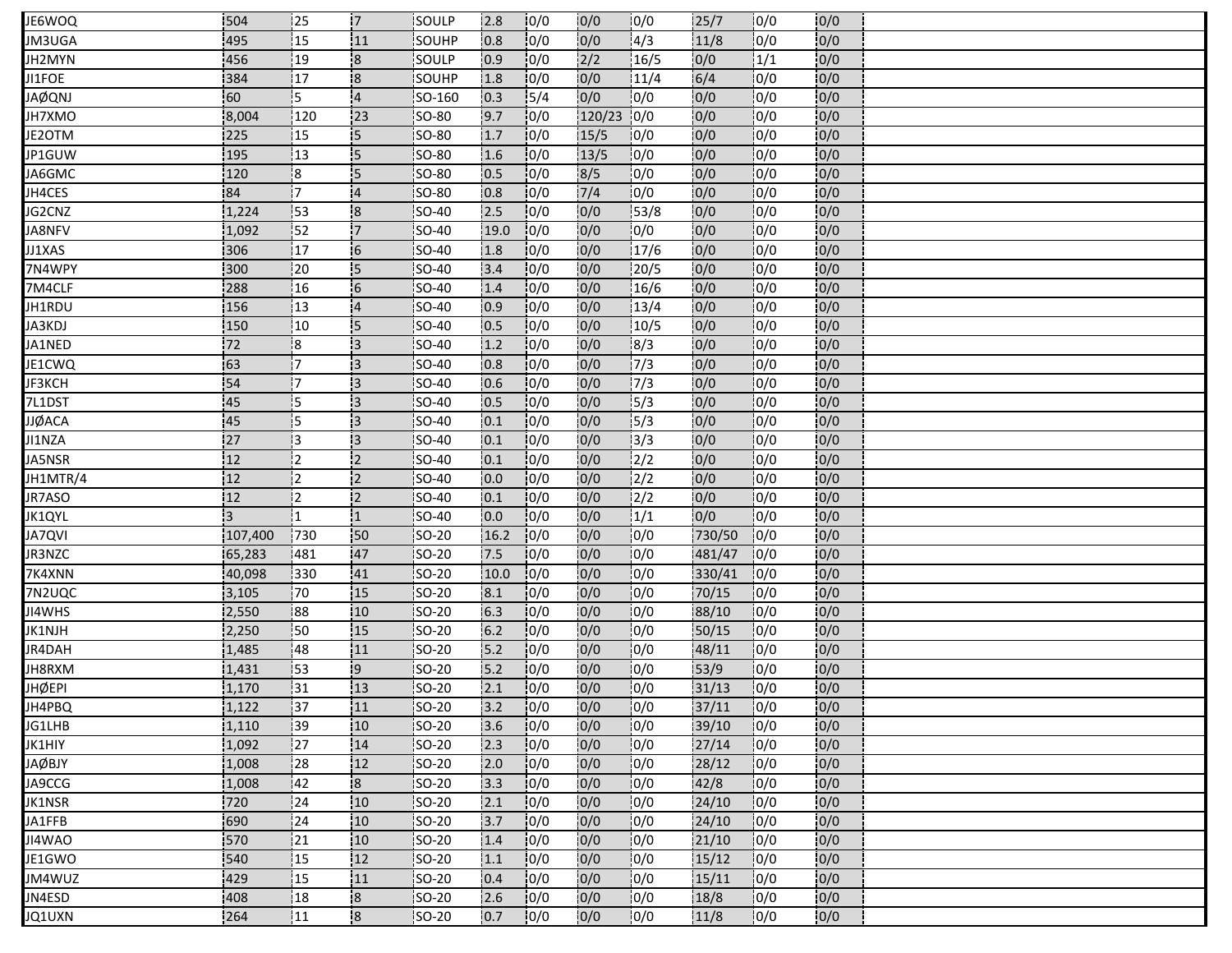| JE6WOQ        | 504     | 25              | 17                      | SOULP         | 12.8 | 10/0 | 0/0              | 10/0          | 25/7   | 10/0 | 0/0 |  |
|---------------|---------|-----------------|-------------------------|---------------|------|------|------------------|---------------|--------|------|-----|--|
| JM3UGA        | 495     | $\overline{15}$ | 11                      | SOUHP         | 0.8  | 0/0  | 0/0              | 4/3           | 11/8   | 0/0  | 0/0 |  |
| JH2MYN        | 456     | 19              | $\overline{\mathbf{8}}$ | SOULP         | 0.9  | 0/0  | 2/2              | 16/5          | 0/0    | 1/1  | 0/0 |  |
| JI1FOE        | 384     | 17              | $\overline{\mathbf{8}}$ | SOUHP         | 1.8  | 10/0 | $\overline{0/0}$ | 11/4          | 6/4    | 0/0  | 0/0 |  |
| <b>JAØQNJ</b> | 60      | 15              | $\overline{4}$          | SO-160        | 0.3  | 15/4 | 0/0              | 0/0           | 0/0    | 0/0  | 0/0 |  |
| JH7XMO        | 8,004   | 120             | 23                      | <b>SO-80</b>  | 9.7  | 0/0  | 120/23           | 10/0          | 0/0    | 0/0  | 0/0 |  |
| JE2OTM        | 225     | <b>115</b>      | 15                      | <b>SO-80</b>  | 1.7  | 10/0 | 15/5             | 10/0          | 10/0   | 0/0  | 0/0 |  |
| JP1GUW        | 195     | 13              | 15                      | SO-80         | 1.6  | 0/0  | 13/5             | 0/0           | 0/0    | 0/0  | 0/0 |  |
| JA6GMC        | 120     | !8              | 15                      | <b>SO-80</b>  | 10.5 | 10/0 | 8/5              | 10/0          | 10/0   | 10/0 | 0/0 |  |
| JH4CES        | 84      | 17              | $\overline{4}$          | <b>SO-80</b>  | 0.8  | 10/0 | 7/4              | 10/0          | 10/0   | 10/0 | 0/0 |  |
| JG2CNZ        | 1,224   | 53              | $\overline{\mathbf{8}}$ | SO-40         | 2.5  | 0/0  | 0/0              | 153/8         | 0/0    | 0/0  | 0/0 |  |
| JA8NFV        | 1,092   | 52              | 17                      | <b>SO-40</b>  | 19.0 | 0/0  | 0/0              | 0/0           | 0/0    | 0/0  | 0/0 |  |
| JJ1XAS        | 306     | 17              | $\overline{6}$          | <b>SO-40</b>  | 1.8  | 10/0 | 0/0              | 17/6          | 0/0    | 0/0  | 0/0 |  |
| 7N4WPY        | 300     | 20              | 15                      | SO-40         | 3.4  | 0/0  | 0/0              | 20/5          | 0/0    | 0/0  | 0/0 |  |
| 7M4CLF        | 288     | 16              | 6                       | <b>SO-40</b>  | 1.4  | 10/0 | 0/0              | 16/6          | 0/0    | 0/0  | 0/0 |  |
| JH1RDU        | 156     | 13              | $\overline{4}$          | SO-40         | 0.9  | 10/0 | 0/0              | 13/4          | 0/0    | 0/0  | 0/0 |  |
| JA3KDJ        | 150     | 10              | 15                      | SO-40         | 10.5 | 0/0  | 0/0              | 10/5          | 0/0    | 0/0  | 0/0 |  |
| JA1NED        | 72      | 18              | 13                      | SO-40         | 1.2  | 10/0 | 0/0              | 8/3           | 10/0   | 0/0  | 0/0 |  |
| JE1CWQ        | 163     | !7              | <sup>1</sup> 3          | SO-40         | 0.8  | 10/0 | 0/0              | $\frac{1}{7}$ | 0/0    | 0/0  | 0/0 |  |
| JF3KCH        | 54      | 17              | Ι3                      | SO-40         | 0.6  | 0/0  | 0/0              | 7/3           | 10/0   | 0/0  | 0/0 |  |
| 7L1DST        | 45      | 15              | 13                      | <b>SO-40</b>  | 0.5  | 10/0 | 0/0              | 15/3          | 10/0   | 0/0  | 0/0 |  |
| <b>JJØACA</b> | 45      | 15              | <sup>:</sup> 3          | SO-40         | 10.1 | 10/0 | 0/0              | 15/3          | 0/0    | 0/0  | 0/0 |  |
| JI1NZA        | 127     | 13              | 13                      | <b>SO-40</b>  | 10.1 | 0/0  | 0/0              | 13/3          | 10/0   | 10/0 | 0/0 |  |
| JA5NSR        | 12      | l2              | i2                      | <b>SO-40</b>  | 0.1  | 10/0 | 0/0              | $\frac{1}{2}$ | 0/0    | 10/0 | 0/0 |  |
| JH1MTR/4      | 12      | l2              | $\overline{2}$          | SO-40         | 10.0 | 0/0  | 0/0              | 2/2           | 10/0   | 0/0  | 0/0 |  |
| JR7ASO        | 12      | 12              | $\overline{2}$          | <b>SO-40</b>  | 0.1  | 10/0 | 0/0              | 2/2           | 0/0    | 0/0  | 0/0 |  |
| JK1QYL        | 3       |                 | 11                      | SO-40         | 0.0  | 0/0  | 0/0              | 1/1           | 0/0    | 0/0  | 0/0 |  |
| <b>JA7QVI</b> | 107,400 | 730             | 50                      | SO-20         | 16.2 | 10/0 | 0/0              | 0/0           | 730/50 | 0/0  | 0/0 |  |
| <b>JR3NZC</b> | 65,283  | 481             | 47                      | <b>SO-20</b>  | 7.5  | 10/0 | 0/0              | 0/0           | 481/47 | 10/0 | 0/0 |  |
| 7K4XNN        | 40,098  | 330             | 41                      | SO-20         | 10.0 | 0/0  | 0/0              | 0/0           | 330/41 | 10/0 | 0/0 |  |
| 7N2UQC        | 3,105   | 70              | 15                      | SO-20         | 8.1  | 0/0  | 0/0              | 0/0           | 70/15  | 10/0 | 0/0 |  |
| JI4WHS        | 2,550   | 88              | 10                      | SO-20         | 6.3  | 10/0 | 0/0              | 10/0          | 88/10  | 10/0 | 0/0 |  |
| JK1NJH        | 2,250   | 50              | 15                      | SO-20         | 6.2  | 10/0 | 0/0              | 0/0           | 50/15  | 0/0  | 0/0 |  |
| JR4DAH        | 1,485   | 48              | 111                     | SO-20         | 5.2  | 10/0 | 0/0              | 10/0          | 48/11  | 10/0 | 0/0 |  |
| JH8RXM        | 1,431   | 153             | 19                      | <b>SO-20</b>  | 15.2 | 10/0 | 0/0              | 10/0          | 153/9  | 0/0  | 0/0 |  |
| <b>JHØEPI</b> | 1,170   | 31              | 13                      | SO-20         | 2.1  | 0/0  | 0/0              | 0/0           | 31/13  | 0/0  | 0/0 |  |
| JH4PBQ        | 1,122   | $\overline{37}$ | 11                      | SO-20         | 3.2  | 0/0  | 0/0              | 0/0           | 37/11  | 0/0  | 0/0 |  |
| JG1LHB        | 1,110   | 139             | 10                      | SO-20         | 3.6  | 0/0  | 0/0              | 0/0           | 39/10  | 10/0 | 0/0 |  |
| JK1HIY        | 1,092   | 27              | 14                      | SO-20         | 2.3  | 0/0  | 0/0              | 0/0           | 27/14  | 10/0 | 0/0 |  |
| JAØBJY        | 1,008   | 28              | 12                      | <b>SO-20</b>  | 2.0  | 10/0 | 0/0              | 10/0          | 28/12  | 10/0 | 0/0 |  |
| JA9CCG        | 1,008   | 42              | $\overline{\mathbf{8}}$ | <b>SO-20</b>  | 3.3  | 0/0  | 0/0              | 10/0          | 42/8   | 10/0 | 0/0 |  |
| JK1NSR        | 720     | 24              | 10                      | $SO-20$       | 2.1  | 0/0  | 0/0              | 0/0           | 24/10  | 0/0  | 0/0 |  |
| JA1FFB        | :690    | 24              | 10                      | <b>ISO-20</b> | 13.7 | 0/0  | 0/0              | 10/0          | 24/10  | 10/0 | 0/0 |  |
| JI4WAO        | 570     | 21              | 10                      | SO-20         | 1.4  | 0/0  | 0/0              | 0/0           | 21/10  | 10/0 | 0/0 |  |
| JE1GWO        | 540     | 15              | 12                      | $SO-20$       | 1.1  | 0/0  | 0/0              | 0/0           | 15/12  | 0/0  | 0/0 |  |
| JM4WUZ        | 429     | 15              | 11                      | <b>SO-20</b>  | 0.4  | 0/0  | 0/0              | 0/0           | 15/11  | 10/0 | 0/0 |  |
| JN4ESD        | 408     | 18              | $\mathsf{R}$            | SO-20         | 2.6  | 0/0  | 0/0              | 0/0           | 18/8   | 0/0  | 0/0 |  |
| JQ1UXN        | 264     | 11              | $\overline{8}$          | SO-20         | 0.7  | 10/0 | 0/0              | 10/0          | 11/8   | 10/0 | 0/0 |  |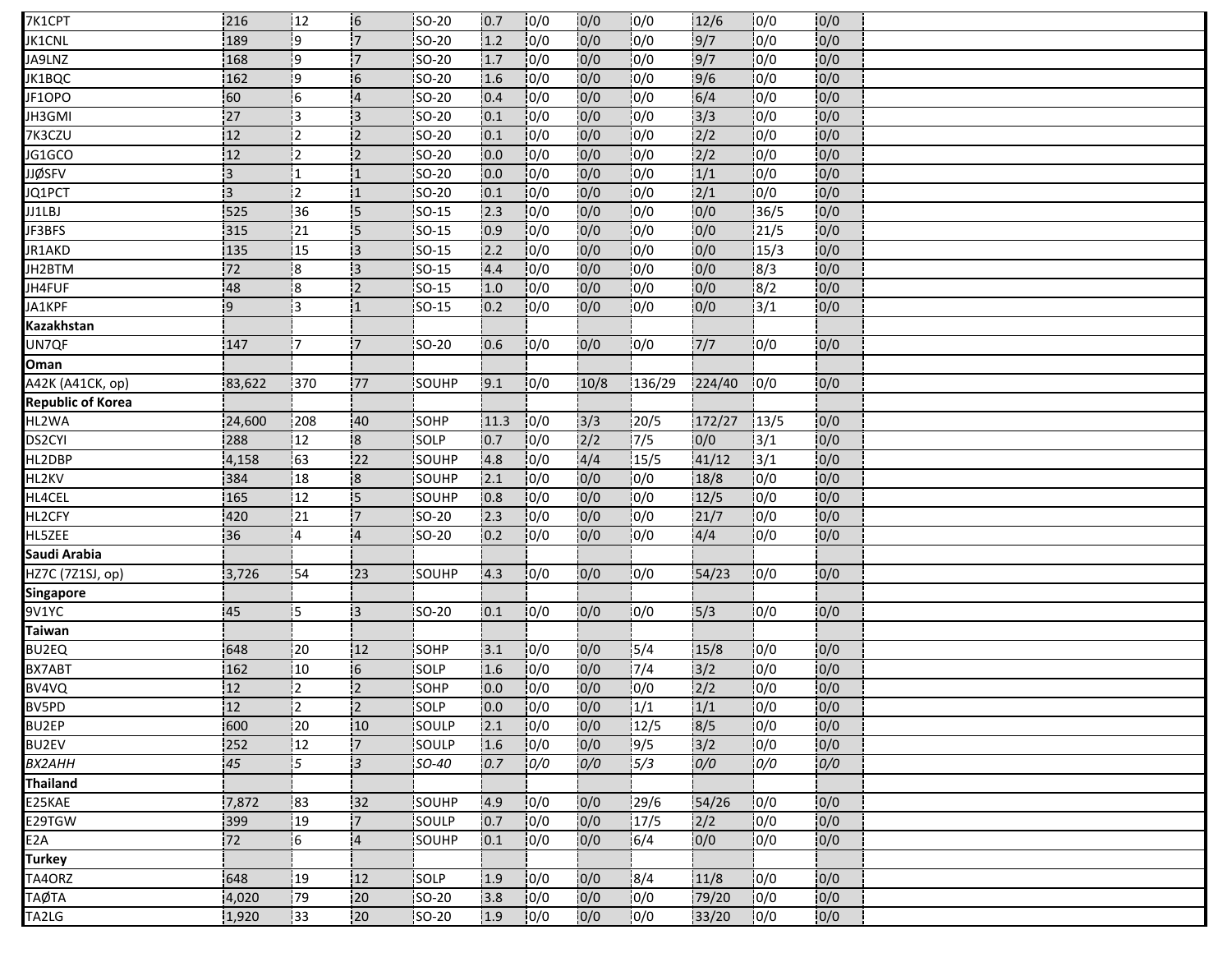| 7K1CPT                   | 216    | 12              | 6                       | SO-20        | 10.7 | 10/0 | 10/0             | 10/0   | 12/6   | 10/0             | 10/0 |  |
|--------------------------|--------|-----------------|-------------------------|--------------|------|------|------------------|--------|--------|------------------|------|--|
| JK1CNL                   | 189    | l9              | $\overline{7}$          | SO-20        | 1.2  | 10/0 | 10/0             | 0/0    | 9/7    | 0/0              | 0/0  |  |
| JA9LNZ                   | 168    | $\mathbf{19}$   | '7                      | SO-20        | 1.7  | 10/0 | 0/0              | 10/0   | 9/7    | 0/0              | 0/0  |  |
| JK1BQC                   | 162    | ļ9              | 6                       | SO-20        | 1.6  | 10/0 | 10/0             | 10/0   | 9/6    | 10/0             | 0/0  |  |
| JF1OPO                   | 60     | -6              | $\overline{4}$          | SO-20        | 0.4  | 10/0 | 0/0              | 0/0    | 6/4    | 0/0              | 0/0  |  |
| JH3GMI                   | 27     | 13              | 3                       | SO-20        | 0.1  | 0/0  | 0/0              | 10/0   | 3/3    | 10/0             | 0/0  |  |
| 7K3CZU                   | 12     | 12              | <b>2</b>                | SO-20        | 0.1  | 10/0 | 0/0              | 10/0   | 2/2    | 10/0             | 0/0  |  |
| JG1GCO                   | 12     | 12              | $\overline{2}$          | SO-20        | 0.0  | 0/0  | 0/0              | 0/0    | 2/2    | 0/0              | 0/0  |  |
| <b>JJØSFV</b>            | 13     | 11              | !1                      | <b>SO-20</b> | 0.0  | 0/0  | 10/0             | 0/0    | 1/1    | 10/0             | 0/0  |  |
| JQ1PCT                   | l3     | i2              | 11                      | SO-20        | 0.1  | 10/0 | 0/0              | 10/0   | 2/1    | 0/0              | 0/0  |  |
| JJ1LBJ                   | 525    | 36              | 15                      | $SO-15$      | 2.3  | 0/0  | 0/0              | 10/0   | 0/0    | 36/5             | 0/0  |  |
| JF3BFS                   | 315    | 21              | 5                       | SO-15        | 0.9  | 0/0  | 0/0              | 0/0    | 0/0    | 121/5            | 0/0  |  |
| JR1AKD                   | 135    | 15              | iз                      | SO-15        | 2.2  | 10/0 | 0/0              | 0/0    | 0/0    | 15/3             | 0/0  |  |
| JH2BTM                   | 172    | 8               | 3                       | SO-15        | 4.4  | 0/0  | 0/0              | 0/0    | 10/0   | 8/3              | 0/0  |  |
| JH4FUF                   | 48     | 18              | $\overline{2}$          | <b>SO-15</b> | 1.0  | 10/0 | 0/0              | 10/0   | 0/0    | 18/2             | 0/0  |  |
| JA1KPF                   | 9      | 3               | $\overline{1}$          | SO-15        | 0.2  | 0/0  | 0/0              | 0/0    | 0/0    | 3/1              | 0/0  |  |
| Kazakhstan               |        |                 |                         |              |      |      |                  |        |        |                  |      |  |
| UN7QF                    | 147    | 17.             | 17                      | SO-20        | 0.6  | 0/0  | 0/0              | 0/0    | 7/7    | 10/0             | 0/0  |  |
| Oman                     |        |                 |                         |              |      |      |                  |        |        |                  |      |  |
| A42K (A41CK, op)         | 83,622 | 370             | .77                     | SOUHP        | 9.1  | 0/0  | 10/8             | 136/29 | 224/40 | 10/0             | 0/0  |  |
| <b>Republic of Korea</b> |        |                 |                         |              |      |      |                  |        |        |                  |      |  |
| HL2WA                    | 24,600 | 208             | 40                      | SOHP         | 11.3 | 0/0  | 3/3              | 20/5   | 172/27 | 13/5             | 0/0  |  |
| DS2CYI                   | 288    | 12              | 8                       | <b>SOLP</b>  | 10.7 | 0/0  | $\overline{2}/2$ | 17/5   | 0/0    | 3/1              | 0/0  |  |
| HL2DBP                   | 4,158  | $\overline{63}$ | 122                     | SOUHP        | 4.8  | 10/0 | 4/4              | 15/5   | 41/12  | $\frac{1}{3}$ /1 | 0/0  |  |
| HL2KV                    | 384    | 18              | $\overline{\mathbf{8}}$ | SOUHP        | 2.1  | 0/0  | 0/0              | 0/0    | 18/8   | 0/0              | 0/0  |  |
| HL4CEL                   | 165    | 12              | 5                       | SOUHP        | 0.8  | 0/0  | 0/0              | 0/0    | 12/5   | 0/0              | 0/0  |  |
| HL2CFY                   | 420    | 21              | 7                       | SO-20        | 2.3  | 10/0 | 0/0              | 0/0    | 21/7   | 0/0              | 0/0  |  |
| HL5ZEE                   | 36     | :4              | $\overline{4}$          | <b>SO-20</b> | 0.2  | 10/0 | 0/0              | 0/0    | 4/4    | 10/0             | 0/0  |  |
| Saudi Arabia             |        |                 |                         |              |      |      |                  |        |        |                  |      |  |
| HZ7C (7Z1SJ, op)         | 3,726  | 54              | 123                     | SOUHP        | 4.3  | 0/0  | 0/0              | 0/0    | 54/23  | 0/0              | 0/0  |  |
| <b>Singapore</b>         |        |                 |                         |              |      |      |                  |        |        |                  |      |  |
| 9V1YC                    | 45     | 15              | ΙЗ                      | SO-20        | 0.1  | 0/0  | 0/0              | 10/0   | 15/3   | 10/0             | 0/0  |  |
| <b>Taiwan</b>            |        |                 |                         |              |      |      |                  |        |        |                  |      |  |
| BU2EQ                    | 648    | 20              | 12                      | SOHP         | 3.1  | 0/0  | 0/0              | 15/4   | 15/8   | 0/0              | 0/0  |  |
| BX7ABT                   | 162    | 10              | 6                       | <b>SOLP</b>  | 1.6  | 10/0 | 0/0              | 17/4   | 3/2    | 10/0             | 0/0  |  |
| BV4VQ                    | 12     | 12              | $\overline{2}$          | SOHP         | 0.0  | 0/0  | 0/0              | 0/0    | 2/2    | 0/0              | 0/0  |  |
| BV5PD                    | 12     | İ2              | $\overline{2}$          | SOLP         | 0.0  | 0/0  | 0/0              | 1/1    | 1/1    | 10/0             | 0/0  |  |
| <b>BU2EP</b>             | 600    | 20              | 10                      | SOULP        | 2.1  | 10/0 | 0/0              | 12/5   | 8/5    | 10/0             | 0/0  |  |
| <b>BU2EV</b>             | 252    | 12              | $\overline{7}$          | SOULP        | 1.6  | 0/0  | 0/0              | 9/5    | 3/2    | 0/0              | 0/0  |  |
| <b>BX2AHH</b>            | 45     | 15.             | $\overline{\mathbf{3}}$ | SO-40        | 0.7  | 0/0  | 0/0              | 5/3    | 0/0    | 0/0              | 0/0  |  |
| <b>Thailand</b>          |        |                 |                         |              |      |      |                  |        |        |                  |      |  |
| E25KAE                   | 7,872  | 83              | 132                     | SOUHP        | 4.9  | 0/0  | 0/0              | 29/6   | 54/26  | 0/0              | 0/0  |  |
| E29TGW                   | 399    | 19              | 17                      | SOULP        | 0.7  | 0/0  | 0/0              | 17/5   | 2/2    | 0/0              | 0/0  |  |
| E <sub>2</sub> A         | 72     | 16              | $\overline{\mathbf{4}}$ | SOUHP        | 0.1  | 0/0  | 0/0              | 6/4    | 0/0    | 0/0              | 0/0  |  |
| <b>Turkey</b>            |        |                 |                         |              |      |      |                  |        |        |                  |      |  |
| TA4ORZ                   | 648    | 19              | 12                      | SOLP         | 1.9  | 10/0 | 0/0              | 18/4   | 11/8   | 0/0              | 0/0  |  |
| <b>TAØTA</b>             | 4,020  | 79              | 20                      | SO-20        | 3.8  | 0/0  | 0/0              | 10/0   | 79/20  | 0/0              | 0/0  |  |
| TA2LG                    | 1,920  | 133             | 20                      | SO-20        | 1.9  | 0/0  | 0/0              | 10/0   | 33/20  | 10/0             | 0/0  |  |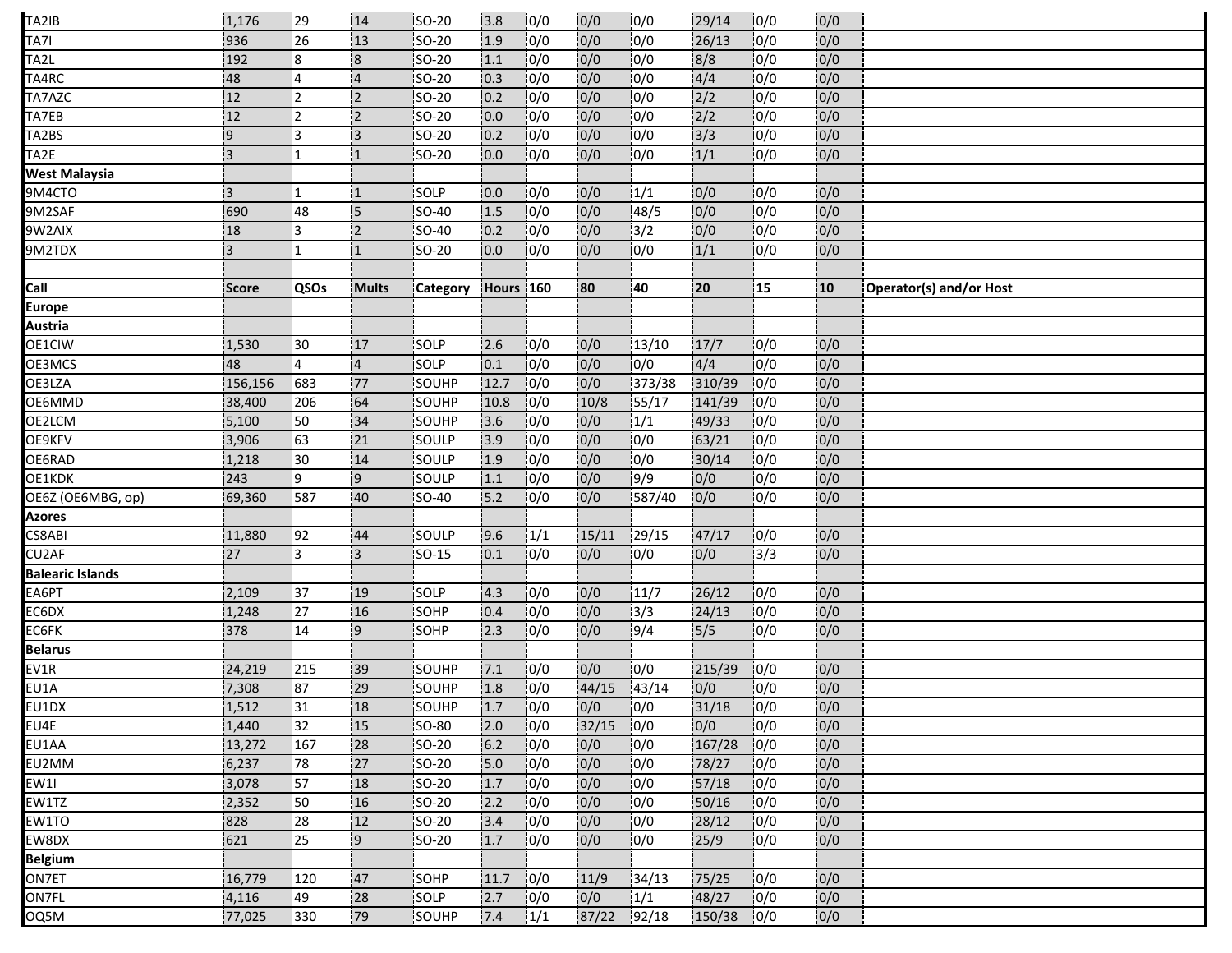| TA2IB                   | 1,176          | 129              | 14              | <b>SO-20</b>  | 13.8      | 10/0           | 0/0   | 10/0               | 29/14            | 10/0 | 0/0 |                         |
|-------------------------|----------------|------------------|-----------------|---------------|-----------|----------------|-------|--------------------|------------------|------|-----|-------------------------|
| TA7I                    | 936            | $\overline{26}$  | $\overline{13}$ | <b>SO-20</b>  | 1.9       | 10/0           | 0/0   | 0/0                | 26/13            | 10/0 | 0/0 |                         |
| TA2L                    | 192            | 18               | 8               | SO-20         | 1.1       | 0/0            | 0/0   | 0/0                | 8/8              | 10/0 | 0/0 |                         |
| TA4RC                   | 48             | 14               | $\overline{4}$  | <b>SO-20</b>  | 0.3       | 10/0           | 0/0   | 0/0                | 4/4              | 10/0 | 0/0 |                         |
| TA7AZC                  | 12             | l2               | $\overline{2}$  | SO-20         | 0.2       | 10/0           | 0/0   | 0/0                | $\frac{2}{2}$    | 0/0  | 0/0 |                         |
| TA7EB                   | 12             | 2                | $\overline{2}$  | <b>SO-20</b>  | 10.0      | 0/0            | 0/0   | 0/0                | 2/2              | 0/0  | 0/0 |                         |
| TA2BS                   | 9!             | İ3               | ١З              | <b>ISO-20</b> | 10.2      | 0/0            | 0/0   | 10/0               | $\frac{1}{3}$    | 10/0 | 0/0 |                         |
| TA2E                    | 3              | i1               | :1              | <b>SO-20</b>  | 0.0       | 0/0            | 0/0   | 0/0                | 1/1              | 10/0 | 0/0 |                         |
| West Malaysia           |                |                  |                 |               |           |                |       |                    |                  |      |     |                         |
| 9M4CTO                  | $\overline{3}$ |                  |                 | SOLP          | 10.0      | 0/0            | 0/0   | 1/1                | 0/0              | 10/0 | 0/0 |                         |
| 9M2SAF                  | 690            | 48               | 15              | SO-40         | 1.5       | 0/0            | 0/0   | 148/5              | 0/0              | 10/0 | 0/0 |                         |
| 9W2AIX                  | 18             | 13               | $\overline{2}$  | SO-40         | 0.2       | 0/0            | 0/0   | 3/2                | 10/0             | 0/0  | 0/0 |                         |
| 9M2TDX                  | i3.            |                  |                 | SO-20         | 0.0       | 0/0            | 0/0   | 0/0                | 1/1              | 0/0  | 0/0 |                         |
|                         |                |                  |                 |               |           |                |       |                    |                  |      |     |                         |
| Call                    | <b>Score</b>   | <b>QSOs</b>      | <b>Mults</b>    | Category      | Hours 160 |                | 80    | 40                 | 20               | ļ15  | 10  | Operator(s) and/or Host |
| <b>Europe</b>           |                |                  |                 |               |           |                |       |                    |                  |      |     |                         |
| Austria                 |                |                  |                 |               |           |                |       |                    |                  |      |     |                         |
| OE1CIW                  | 1,530          | 30               | 17              | SOLP          | 12.6      | 10/0           | 0/0   | 13/10              | 17/7             | 10/0 | 0/0 |                         |
| OE3MCS                  | 48             | :4               | $\overline{4}$  | SOLP          | 0.1       | 10/0           | 0/0   | 0/0                | 4/4              | 0/0  | 0/0 |                         |
| OE3LZA                  | 156,156        | 683              | 77              | SOUHP         | 12.7      | 0/0            | 0/0   | $\frac{1}{373/38}$ | 310/39           | 10/0 | 0/0 |                         |
| OE6MMD                  | 38,400         | 1206             | 64              | <b>SOUHP</b>  | 10.8      | 10/0           | 10/8  | 155/17             | 141/39           | 10/0 | 0/0 |                         |
| OE2LCM                  | 5,100          | $\frac{1}{2}50$  | 34              | SOUHP         | 3.6       | 0/0            | 0/0   | 1/1                | 49/33            | 10/0 | 0/0 |                         |
| OE9KFV                  | 3,906          | 163              | 21              | <b>SOULP</b>  | 13.9      | 10/0           | 0/0   | 10/0               | 63/21            | 10/0 | 0/0 |                         |
| OE6RAD                  | 1,218          | i30              | 14              | SOULP         | 1.9       | 10/0           | 0/0   | 10/0               | 30/14            | 10/0 | 0/0 |                         |
| OE1KDK                  | 243            | -9               | 9               | SOULP         | 1.1       | 0/0            | 0/0   | 9/9                | 0/0              | 10/0 | 0/0 |                         |
| OE6Z (OE6MBG, op)       | 69,360         | 587              | 40              | <b>SO-40</b>  | 5.2       | 0/0            | 0/0   | 587/40             | 0/0              | 0/0  | 0/0 |                         |
| Azores                  |                |                  |                 |               |           |                |       |                    |                  |      |     |                         |
| CS8ABI                  | 11,880         | 92               | 44              | SOULP         | 9.6       | 1/1            | 15/11 | 29/15              | 47/17            | 10/0 | 0/0 |                         |
| CU2AF                   | 27             | l3.              | 3               | <b>SO-15</b>  | 0.1       | 0/0            | 0/0   | 10/0               | 0/0              | 13/3 | 0/0 |                         |
| <b>Balearic Islands</b> |                |                  |                 |               |           |                |       |                    |                  |      |     |                         |
| EA6PT                   | 2,109          | 37               | 19              | SOLP          | 4.3       | 0/0            | 0/0   | 11/7               | 26/12            | 0/0  | 0/0 |                         |
| EC6DX                   | 1,248          | 127              | 16              | SOHP          | 0.4       | 0/0            | 0/0   | 13/3               | 24/13            | 10/0 | 0/0 |                         |
| EC6FK                   | 378            | 14               | و¦              | SOHP          | 2.3       | $\frac{1}{10}$ | 0/0   | 19/4               | $\frac{1}{5}{5}$ | 0/0  | 0/0 |                         |
| <b>Belarus</b>          |                |                  |                 |               |           |                |       |                    |                  |      |     |                         |
| EV1R                    | 24,219         | 215              | 39              | <b>SOUHP</b>  | 7.1       | 10/0           | 0/0   | 10/0               | 215/39           | 10/0 | 0/0 |                         |
| EU1A                    | 7,308          | 87               | 29              | SOUHP         | 1.8       | 0/0            | 44/15 | 43/14              | 0/0              | 0/0  | 0/0 |                         |
| EU1DX                   | 1,512          | $\overline{131}$ | 18              | SOUHP         | 1.7       | 0/0            | 0/0   | 0/0                | 31/18            | 0/0  | 0/0 |                         |
| EU4E                    | 1,440          | 32               | 15              | $50-80$       | 12.0      | 0/0            | 32/15 | 10/0               | 0/0              | 10/0 | 0/0 |                         |
| EU1AA                   | 13,272         | 167              | 28              | SO-20         | 6.2       | 0/0            | 0/0   | 10/0               | 167/28           | 10/0 | 0/0 |                         |
| EU2MM                   | 6,237          | 78               | 27              | SO-20         | 5.0       | 10/0           | 0/0   | 10/0               | 78/27            | 10/0 | 0/0 |                         |
| EW1I                    | 3,078          | 157              | 18              | SO-20         | 1.7       | 10/0           | 0/0   | 10/0               | 57/18            | 10/0 | 0/0 |                         |
| EW1TZ                   | 2,352          | 50               | 16              | <b>SO-20</b>  | 2.2       | 0/0            | 0/0   | 10/0               | 50/16            | 10/0 | 0/0 |                         |
| EW1TO                   | 828            | 128              | 12              | <b>ISO-20</b> | 3.4       | 10/0           | 0/0   | 10/0               | 28/12            | 10/0 | 0/0 |                         |
| EW8DX                   | 621            | 25               | وا              | <b>SO-20</b>  | 1.7       | 10/0           | 0/0   | 10/0               | 25/9             | 10/0 | 0/0 |                         |
| <b>Belgium</b>          |                |                  |                 |               |           |                |       |                    |                  |      |     |                         |
| ON7ET                   | 16,779         | 120              | 47              | <b>SOHP</b>   | 11.7      | 10/0           | 11/9  | 134/13             | 75/25            | 10/0 | 0/0 |                         |
| ON7FL                   | 4,116          | 49               | 28              | SOLP          | 2.7       | 0/0            | 0/0   | 1/1                | 48/27            | 10/0 | 0/0 |                         |
| OQ5M                    | 77,025         | 1330             | :79             | SOUHP         | 7.4       | 1/1            | 87/22 | 192/18             | 150/38           | 10/0 | 0/0 |                         |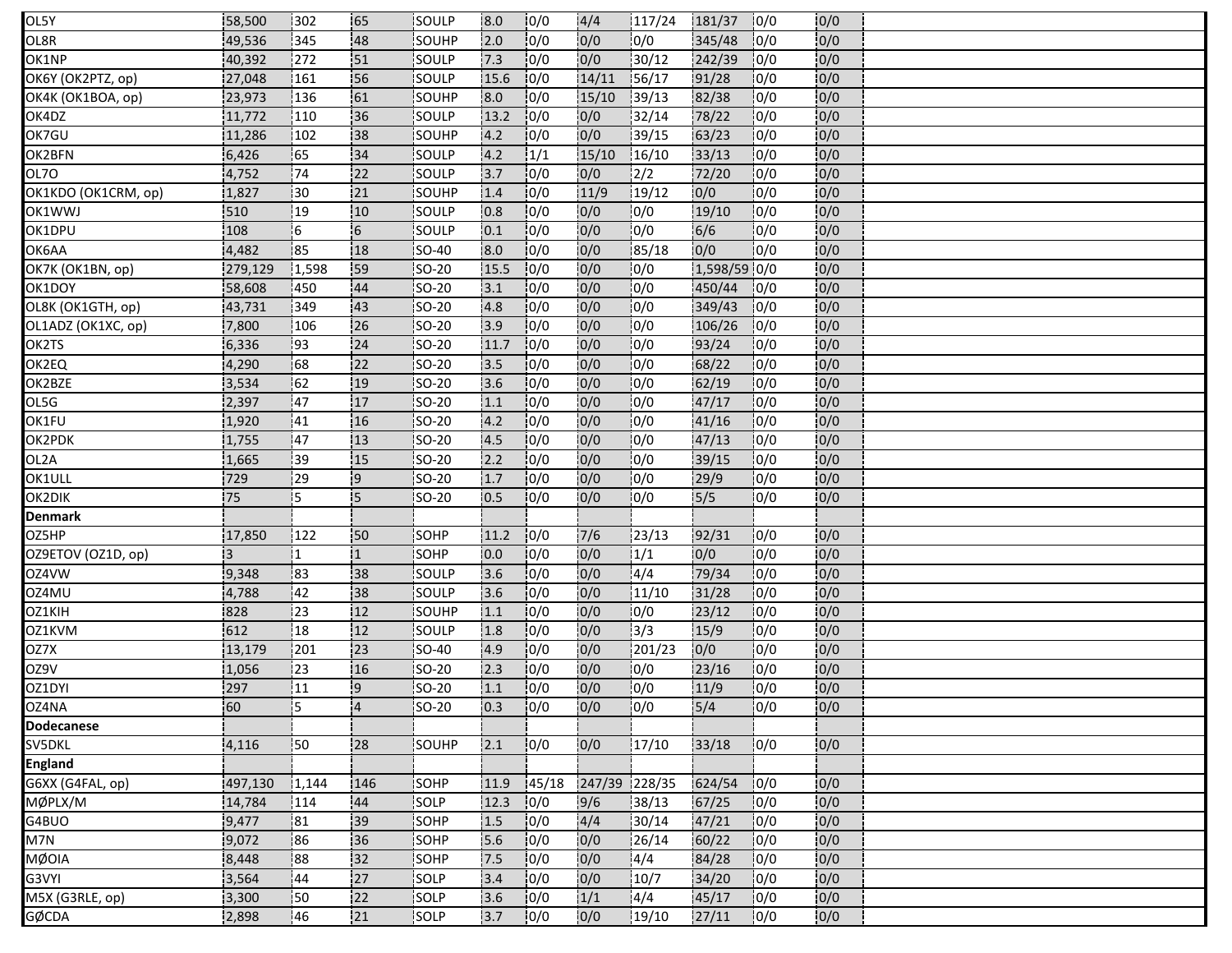| OL5Y                | 58,500  | 302       | 65             | <b>ISOULP</b> | 8.0  | 10/0  | 4/4           | 117/24         | 181/37       | 10/0 | 0/0 |  |
|---------------------|---------|-----------|----------------|---------------|------|-------|---------------|----------------|--------------|------|-----|--|
| OL8R                | 49,536  | 345       | 48             | SOUHP         | 2.0  | 0/0   | 0/0           | 0/0            | 345/48       | 0/0  | 0/0 |  |
| OK1NP               | 40,392  | 272       | 151            | SOULP         | 7.3  | 0/0   | 0/0           | 130/12         | 242/39       | 0/0  | 0/0 |  |
| OK6Y (OK2PTZ, op)   | 27,048  | 161       | 56             | <b>ISOULP</b> | 15.6 | 10/0  | 14/11         | 156/17         | 91/28        | 0/0  | 0/0 |  |
| OK4K (OK1BOA, op)   | 23,973  | 136       | 61             | <b>SOUHP</b>  | 8.0  | 0/0   | 15/10         | 139/13         | 82/38        | 0/0  | 0/0 |  |
| OK4DZ               | 11,772  | 110       | 36             | SOULP         | 13.2 | 0/0   | 0/0           | 132/14         | 78/22        | 10/0 | 0/0 |  |
| OK7GU               | 11,286  | 102       | 38             | <b>SOUHP</b>  | 4.2  | 10/0  | 0/0           | 39/15          | 63/23        | 10/0 | 0/0 |  |
| OK2BFN              | 6,426   | 65        | 34             | SOULP         | 4.2  | 1/1   | 15/10         | 16/10          | 33/13        | 10/0 | 0/0 |  |
| OL7O                | 4,752   | 74        | 22             | <b>SOULP</b>  | 13.7 | 10/0  | 0/0           | $\frac{12}{2}$ | 72/20        | 10/0 | 0/0 |  |
| OK1KDO (OK1CRM, op) | 1,827   | 30        | 21             | SOUHP         | 1.4  | 10/0  | 11/9          | 19/12          | 0/0          | 10/0 | 0/0 |  |
| OK1WWJ              | 510     | 19        | 10             | SOULP         | 0.8  | 0/0   | 0/0           | 10/0           | 19/10        | 10/0 | 0/0 |  |
| OK1DPU              | 108     | 16        | 6              | SOULP         | 0.1  | 0/0   | 0/0           | 10/0           | 6/6          | 0/0  | 0/0 |  |
| OK6AA               | 4,482   | 85        | 18             | <b>SO-40</b>  | 8.0  | 0/0   | 0/0           | 85/18          | 0/0          | 10/0 | 0/0 |  |
| OK7K (OK1BN, op)    | 279,129 | 1,598     | 59             | $SO-20$       | 15.5 | 0/0   | 0/0           | 0/0            | 1,598/59 0/0 |      | 0/0 |  |
| OK1DOY              | 58,608  | 450       | 44             | <b>ISO-20</b> | 13.1 | 10/0  | 0/0           | 10/0           | 450/44       | 10/0 | 0/0 |  |
| OL8K (OK1GTH, op)   | 43,731  | 349       | 43             | <b>SO-20</b>  | 4.8  | 10/0  | 0/0           | 10/0           | 349/43       | 10/0 | 0/0 |  |
| OL1ADZ (OK1XC, op)  | 7,800   | 106       | 26             | $SO-20$       | 13.9 | 0/0   | 0/0           | 0/0            | 106/26       | 10/0 | 0/0 |  |
| OK2TS               | 6,336   | 193       | 24             | <b>SO-20</b>  | 11.7 | 10/0  | 0/0           | 10/0           | 93/24        | 10/0 | 0/0 |  |
| OK2EQ               | 4,290   | .68       | 22             | SO-20         | 3.5  | 10/0  | 0/0           | 10/0           | 68/22        | 10/0 | 0/0 |  |
| OK2BZE              | 3,534   | 162       | 19             | SO-20         | 13.6 | 10/0  | 0/0           | 10/0           | 62/19        | 10/0 | 0/0 |  |
| OL5G                | 2,397   | 47        | 17             | <b>ISO-20</b> | 1.1  | 10/0  | 0/0           | 10/0           | 47/17        | 10/0 | 0/0 |  |
| OK1FU               | 1,920   | 41        | 16             | SO-20         | 4.2  | 0/0   | 0/0           | 10/0           | 41/16        | 10/0 | 0/0 |  |
| OK2PDK              | 1,755   | 147       | 113            | <b>SO-20</b>  | 4.5  | 10/0  | 0/0           | 10/0           | 47/13        | 10/0 | 0/0 |  |
| OL2A                | 1,665   | 39        | 15             | <b>SO-20</b>  | 2.2  | 10/0  | 0/0           | 10/0           | 39/15        | 10/0 | 0/0 |  |
| OK1ULL              | 729     | 29        | و¦             | SO-20         | 1.7  | 0/0   | 0/0           | 10/0           | 29/9         | 0/0  | 0/0 |  |
| OK2DIK              | 75      | 15        | 5              | <b>SO-20</b>  | 10.5 | 0/0   | 0/0           | 0/0            | 5/5          | 0/0  | 0/0 |  |
| <b>Denmark</b>      |         |           |                |               |      |       |               |                |              |      |     |  |
| OZ5HP               | 17,850  | 122       | 50             | SOHP          | 11.2 | 0/0   | 7/6           | 23/13          | 92/31        | 0/0  | 0/0 |  |
| OZ9ETOV (OZ1D, op)  | 13      |           | $\mathbf{1}$   | <b>SOHP</b>   | 10.0 | 10/0  | 10/0          | 1/1            | 0/0          | 0/0  | 0/0 |  |
| OZ4VW               | 9,348   | 83        | 38             | SOULP         | 3.6  | 0/0   | 0/0           | 4/4            | 79/34        | 10/0 | 0/0 |  |
| OZ4MU               | 4,788   | 42        | 38             | SOULP         | 3.6  | 10/0  | 0/0           | 11/10          | 31/28        | 0/0  | 0/0 |  |
| OZ1KIH              | 828     | 23        | 12             | <b>ISOUHP</b> | 1.1  | 10/0  | 0/0           | 10/0           | 23/12        | 10/0 | 0/0 |  |
| OZ1KVM              | 612     | 18        | 12             | SOULP         | 1.8  | 0/0   | 0/0           | 13/3           | 15/9         | 10/0 | 0/0 |  |
| OZ7X                | 13,179  | 201       | 23             | SO-40         | 4.9  | 10/0  | 0/0           | 201/23         | 0/0          | 10/0 | 0/0 |  |
| OZ9V                | 1,056   | 23        | 16             | <b>ISO-20</b> | 12.3 | 10/0  | 0/0           | 10/0           | 23/16        | 10/0 | 0/0 |  |
| OZ1DYI              | 297     | 11        | و¦             | SO-20         | 1.1  | 10/0  | 0/0           | 0/0            | 11/9         | 10/0 | 0/0 |  |
| OZ4NA               | 60      | 15        | $\overline{A}$ | SO-20         | 0.3  | 0/0   | 0/0           | 0/0            | $5/4$        | 0/0  | 0/0 |  |
| <b>Dodecanese</b>   |         |           |                |               |      |       |               |                |              |      |     |  |
| SV5DKL              | 4,116   | :50       | 28             | SOUHP         | 2.1  | 0/0   | 0/0           | 17/10          | 33/18        | 0/0  | 0/0 |  |
| <b>England</b>      |         |           |                |               |      |       |               |                |              |      |     |  |
| G6XX (G4FAL, op)    | 497,130 | 1,144     | 146            | SOHP          | 11.9 | 45/18 | 247/39 228/35 |                | 624/54       | 10/0 | 0/0 |  |
| MØPLX/M             | 14,784  | 114       | 44             | <b>SOLP</b>   | 12.3 | 0/0   | 9/6           | 38/13          | 67/25        | 10/0 | 0/0 |  |
| G4BUO               | 9,477   | <b>81</b> | 39             | SOHP          | 1.5  | 10/0  | 4/4           | 30/14          | 47/21        | 10/0 | 0/0 |  |
| M7N                 | 9,072   | 86        | 36             | SOHP          | 5.6  | 0/0   | 0/0           | 26/14          | 60/22        | 0/0  | 0/0 |  |
| <b>MØOIA</b>        | 8,448   | 88        | 32             | SOHP          | 7.5  | 10/0  | 0/0           | 14/4           | 84/28        | 10/0 | 0/0 |  |
| G3VYI               | 3,564   | 144       | 27             | <b>SOLP</b>   | 3.4  | 10/0  | 0/0           | 10/7           | 34/20        | 10/0 | 0/0 |  |
| M5X (G3RLE, op)     | 3,300   | 50        | 22             | SOLP          | 3.6  | 0/0   | 1/1           | 14/4           | 45/17        | 10/0 | 0/0 |  |
| GØCDA               | 2,898   | 46        | 21             | SOLP          | 13.7 | 0/0   | 0/0           | 19/10          | 27/11        | 10/0 | 0/0 |  |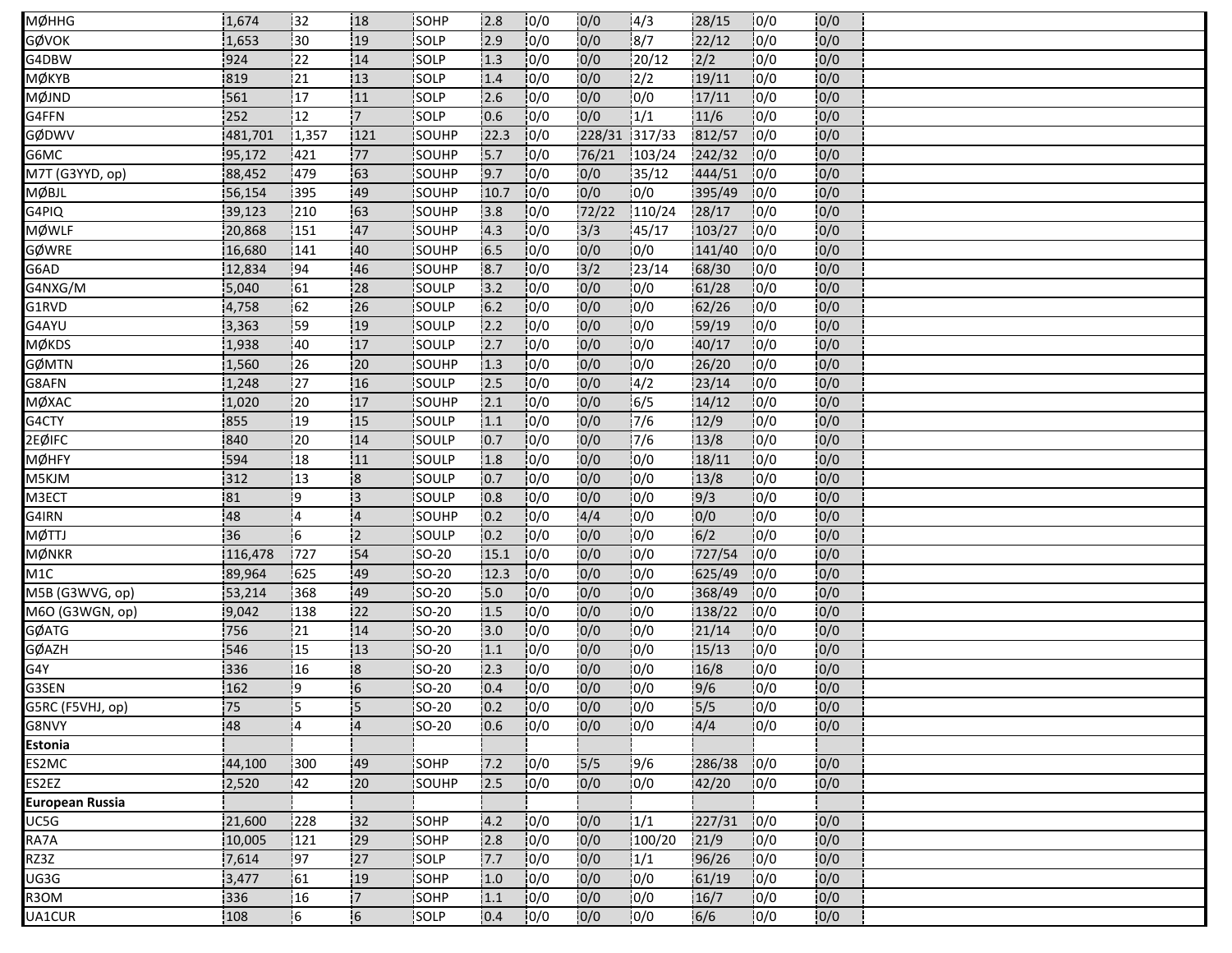| MØHHG                  | 1,674   | 132            | <b>18</b>               | <b>ISOHP</b>  | 2.8   | 10/0 | 0/0    | 14/3    | 28/15      | 10/0             | 0/0 |  |
|------------------------|---------|----------------|-------------------------|---------------|-------|------|--------|---------|------------|------------------|-----|--|
| GØVOK                  | 1,653   | 30             | :19                     | SOLP          | 2.9   | 0/0  | 0/0    | 8/7     | 22/12      | 0/0              | 0/0 |  |
| G4DBW                  | 924     | 22             | 14                      | SOLP          | 1.3   | 0/0  | 0/0    | 120/12  | 2/2        | 0/0              | 0/0 |  |
| ӍѺ҆ҜҮВ                 | 1819    | 121            | 13                      | SOLP          | 1.4   | 10/0 | 0/0    | 2/2     | 19/11      | 0/0              | 0/0 |  |
| MØJND                  | 561     | 17             | 11                      | SOLP          | 2.6   | 0/0  | 0/0    | 0/0     | 17/11      | 0/0              | 0/0 |  |
| G4FFN                  | 252     | 12             | 17                      | <b>SOLP</b>   | 10.6  | 10/0 | 0/0    | 1/1     | 11/6       | 10/0             | 0/0 |  |
| GØDWV                  | 481,701 | 1,357          | 121                     | <b>SOUHP</b>  | 122.3 | 10/0 | 228/31 | 1317/33 | 812/57     | 10/0             | 0/0 |  |
| G6MC                   | 95,172  | 421            | 77                      | SOUHP         | 5.7   | 0/0  | 76/21  | 103/24  | 242/32     | 10/0             | 0/0 |  |
| M7T (G3YYD, op)        | 88,452  | 1479           | 163                     | <b>SOUHP</b>  | 19.7  | 10/0 | 0/0    | 135/12  | 444/51     | 10/0             | 0/0 |  |
| MØBJL                  | 56,154  | 395            | 49                      | SOUHP         | 10.7  | 10/0 | 0/0    | 10/0    | 395/49     | 10/0             | 0/0 |  |
| G4PIQ                  | 39,123  | 210            | 63                      | SOUHP         | 3.8   | 10/0 | 72/22  | 110/24  | 28/17      | 0/0              | 0/0 |  |
| <b>MØWLF</b>           | 20,868  | 151            | 47                      | SOUHP         | 4.3   | 0/0  | 3/3    | 45/17   | 103/27     | 10/0             | 0/0 |  |
| GØWRE                  | 16,680  | 141            | 40                      | SOUHP         | 6.5   | 10/0 | 0/0    | 0/0     | 141/40     | 10/0             | 0/0 |  |
| G6AD                   | 12,834  | 194            | .46                     | SOUHP         | 8.7   | 10/0 | 3/2    | 23/14   | 68/30      | 0/0              | 0/0 |  |
| G4NXG/M                | 5,040   | 161            | 28                      | <b>SOULP</b>  | 13.2  | 10/0 | 0/0    | 0/0     | 61/28      | 10/0             | 0/0 |  |
| G1RVD                  | 4,758   | 62             | 26                      | SOULP         | $6.2$ | 10/0 | 0/0    | 10/0    | 62/26      | 0/0              | 0/0 |  |
| G4AYU                  | 3,363   | 59             | 19                      | SOULP         | 2.2   | 0/0  | 0/0    | 10/0    | 59/19      | 10/0             | 0/0 |  |
| MØKDS                  | 1,938   | :40            | 17                      | <b>SOULP</b>  | 2.7   | 10/0 | 0/0    | 0/0     | 40/17      | 0/0              | 0/0 |  |
| GØMTN                  | 1,560   | 26             | 20                      | SOUHP         | 1.3   | 10/0 | 0/0    | 10/0    | 26/20      | 0/0              | 0/0 |  |
| G8AFN                  | 1,248   | 27             | 16                      | SOULP         | 2.5   | 10/0 | 0/0    | 14/2    | 23/14      | 10/0             | 0/0 |  |
| MØXAC                  | 1,020   | 120            | 17                      | SOUHP         | 12.1  | 10/0 | 10/0   | 16/5    | 14/12      | 10/0             | 0/0 |  |
| G4CTY                  | 855     | 19             | 15                      | SOULP         | 1.1   | 10/0 | 0/0    | 7/6     | 12/9       | 10/0             | 0/0 |  |
| 2EØIFC                 | 840     | !20            | 14                      | <b>ISOULP</b> | 0.7   | 0/0  | 0/0    | 7/6     | 13/8       | 10/0             | 0/0 |  |
| MØHFY                  | 594     | 18             | 11                      | SOULP         | 1.8   | 10/0 | 0/0    | 10/0    | 18/11      | $\overline{0/0}$ | 0/0 |  |
| M5KJM                  | 312     | 13             | $\overline{\mathbf{8}}$ | SOULP         | 0.7   | 0/0  | 0/0    | 0/0     | 13/8       | 10/0             | 0/0 |  |
| M3ECT                  | 81      | ļ9             | 13                      | SOULP         | 0.8   | 10/0 | 0/0    | 0/0     | 9/3        | 10/0             | 0/0 |  |
| G4IRN                  | 48      | 14             | $\overline{4}$          | SOUHP         | 0.2   | 10/0 | 4/4    | 10/0    | 0/0        | 0/0              | 0/0 |  |
| MØTTJ                  | 36      | $\overline{6}$ | $\overline{2}$          | SOULP         | 0.2   | 10/0 | 0/0    | 0/0     | 6/2        | 0/0              | 0/0 |  |
| MØNKR                  | 116,478 | 727            | 54                      | <b>ISO-20</b> | 15.1  | 10/0 | 0/0    | 10/0    | 727/54     | 0/0              | 0/0 |  |
| M1C                    | 89,964  | 625            | 49                      | SO-20         | 12.3  | 10/0 | 0/0    | 0/0     | 625/49     | 10/0             | 0/0 |  |
| M5B (G3WVG, op)        | 53,214  | 368            | 49                      | $SO-20$       | 5.0   | 0/0  | 0/0    | 0/0     | 368/49     | 10/0             | 0/0 |  |
| M6O (G3WGN, op)        | 9,042   | 138            | 22                      | <b>SO-20</b>  | 1.5   | 10/0 | 0/0    | 10/0    | 138/22     | 10/0             | 0/0 |  |
| GØATG                  | 756     | 21             | 14                      | <b>SO-20</b>  | 3.0   | 10/0 | 0/0    | 10/0    | 21/14      | 10/0             | 0/0 |  |
| GØAZH                  | 546     | 15             | :13                     | <b>SO-20</b>  | 1.1   | 10/0 | 10/0   | 10/0    | 15/13      | 10/0             | 0/0 |  |
| G4Y                    | 336     | 116            | 8                       | SO-20         | 12.3  | 10/0 | 10/0   | 10/0    | 16/8       | 10/0             | 0/0 |  |
| G3SEN                  | 162     | 19             | 6                       | SO-20         | 0.4   | 0/0  | 0/0    | 0/0     | 9/6        | 0/0              | 0/0 |  |
| G5RC (F5VHJ, op)       | 75      | İ5             | 5                       | SO-20         | 0.2   | 0/0  | 0/0    | 0/0     | 5/5        | 0/0              | 0/0 |  |
| G8NVY                  | 48      | 14             | $\overline{14}$         | <b>SO-20</b>  | 10.6  | 10/0 | 0/0    | 0/0     | 4/4        | 10/0             | 0/0 |  |
| <b>Estonia</b>         |         |                |                         |               |       |      |        |         |            |                  |     |  |
| ES2MC                  | 44,100  | 300            | 49                      | <b>SOHP</b>   | $7.2$ | 10/0 | 5/5    | 9/6     | 286/38     | 10/0             | 0/0 |  |
| ES2EZ                  | 2,520   | 42             | 20                      | SOUHP         | 2.5   | 10/0 | 0/0    | 0/0     | 42/20      | 10/0             | 0/0 |  |
| <b>European Russia</b> |         |                |                         |               |       |      |        |         |            |                  |     |  |
| UC5G                   | 21,600  | 228            | 32                      | <b>SOHP</b>   | 4.2   | 10/0 | 0/0    | 1/1     | 227/31 0/0 |                  | 0/0 |  |
| RA7A                   | 10,005  | 121            | 29                      | SOHP          | 2.8   | 10/0 | 0/0    | 100/20  | 21/9       | 0/0              | 0/0 |  |
| RZ3Z                   | 7,614   | 97             | 127                     | SOLP          | 7.7   | 10/0 | 0/0    | 1/1     | 96/26      | 10/0             | 0/0 |  |
| UG3G                   | 3,477   | 161            | 19                      | SOHP          | 1.0   | 10/0 | 0/0    | 10/0    | 61/19      | 10/0             | 0/0 |  |
| R3OM                   | 336     | 16             | $\overline{7}$          | SOHP          | 1.1   | 0/0  | 0/0    | 0/0     | 16/7       | 0/0              | 0/0 |  |
| UA1CUR                 | 108     | 16             | 6                       | SOLP          | 0.4   | 0/0  | 0/0    | 0/0     | 6/6        | 0/0              | 0/0 |  |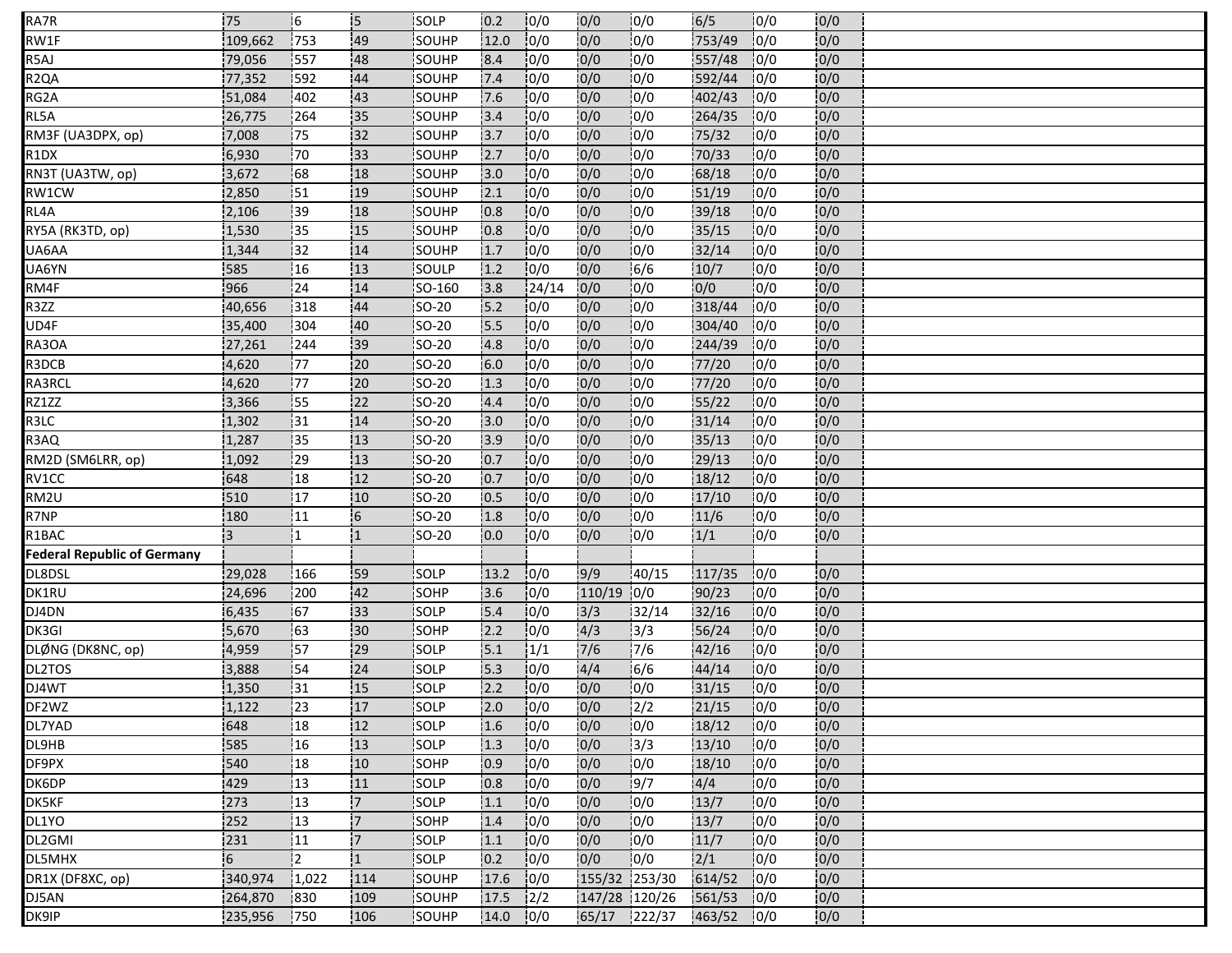| RA7R                               | 75               | 16              | <b>5</b> | SOLP         | 0.2  | 0/0              | 0/0           | 10/0          | 6/5    | 10/0 | 0/0 |  |
|------------------------------------|------------------|-----------------|----------|--------------|------|------------------|---------------|---------------|--------|------|-----|--|
| RW1F                               | 109,662          | 753             | 49       | SOUHP        | 12.0 | 10/0             | 0/0           | 0/0           | 753/49 | 0/0  | 0/0 |  |
| R5AJ                               | 79,056           | 557             | 48       | SOUHP        | 8.4  | 0/0              | 0/0           | 0/0           | 557/48 | 0/0  | 0/0 |  |
| R <sub>2Q</sub> A                  | 77,352           | 592             | 44       | SOUHP        | 7.4  | 10/0             | 0/0           | 10/0          | 592/44 | 10/0 | 0/0 |  |
| RG2A                               | 51,084           | 402             | 43       | SOUHP        | 7.6  | $\overline{0/0}$ | 0/0           | 0/0           | 402/43 | 0/0  | 0/0 |  |
| RL5A                               | 26,775           | .264            | 35       | SOUHP        | 13.4 | 0/0              | 0/0           | 0/0           | 264/35 | 10/0 | 0/0 |  |
| RM3F (UA3DPX, op)                  | 7,008            | 175             | 132      | <b>SOUHP</b> | 13.7 | 10/0             | 0/0           | 0/0           | 75/32  | 10/0 | 0/0 |  |
| R1DX                               | 6,930            | 70              | 133      | SOUHP        | 2.7  | 0/0              | 0/0           | 0/0           | 70/33  | 0/0  | 0/0 |  |
| RN3T (UA3TW, op)                   | 3,672            | 68              | 18       | SOUHP        | 13.0 | 10/0             | 0/0           | 10/0          | 68/18  | 10/0 | 0/0 |  |
| RW1CW                              | 2,850            | 151             | 19       | SOUHP        | 2.1  | 10/0             | 0/0           | 10/0          | 51/19  | 10/0 | 0/0 |  |
| RL4A                               | 2,106            | 39              | 18       | SOUHP        | 0.8  | 0/0              | 0/0           | 0/0           | 39/18  | 0/0  | 0/0 |  |
| RY5A (RK3TD, op)                   | 1,530            | 35              | 15       | SOUHP        | 0.8  | 0/0              | 0/0           | 10/0          | 35/15  | 10/0 | 0/0 |  |
| UA6AA                              | 1,344            | 32              | 14       | SOUHP        | 1.7  | 10/0             | 0/0           | 0/0           | 32/14  | 0/0  | 0/0 |  |
| UA6YN                              | 585              | 116             | 13       | SOULP        | 1.2  | 10/0             | 0/0           | 6/6           | 10/7   | 0/0  | 0/0 |  |
| RM4F                               | 966              | 24              | 14       | SO-160       | 3.8  | 24/14            | 0/0           | 0/0           | 0/0    | 0/0  | 0/0 |  |
| R3ZZ                               | 40,656           | 318             | 44       | SO-20        | 15.2 | 10/0             | 0/0           | 0/0           | 318/44 | 10/0 | 0/0 |  |
| UD4F                               | 35,400           | 304             | 40       | SO-20        | 5.5  | 0/0              | 0/0           | 10/0          | 304/40 | 0/0  | 0/0 |  |
| RA3OA                              | 27,261           | 244             | 39       | SO-20        | 4.8  | 10/0             | 0/0           | 10/0          | 244/39 | 10/0 | 0/0 |  |
| R3DCB                              | 4,620            | 177             | 20       | SO-20        | 6.0  | 0/0              | 0/0           | 0/0           | 77/20  | 0/0  | 0/0 |  |
| RA3RCL                             | 4,620            | 77              | 20       | SO-20        | 1.3  | 0/0              | 0/0           | 10/0          | 77/20  | 10/0 | 0/0 |  |
| RZ1ZZ                              | 3,366            | 155             | 122      | <b>SO-20</b> | 4.4  | 10/0             | 0/0           | 10/0          | 55/22  | 10/0 | 0/0 |  |
| R3LC                               | 1,302            | 31              | 14       | SO-20        | 3.0  | 0/0              | 0/0           | 0/0           | 31/14  | 0/0  | 0/0 |  |
| R3AQ                               | 1,287            | 35              | !13      | <b>SO-20</b> | 13.9 | 10/0             | 0/0           | 0/0           | 35/13  | 10/0 | 0/0 |  |
| RM2D (SM6LRR, op)                  | 1,092            | :29             | 13       | SO-20        | 0.7  | 10/0             | 0/0           | 10/0          | 29/13  | 10/0 | 0/0 |  |
| RV1CC                              | 648              | 18              | 12       | SO-20        | 0.7  | 10/0             | 0/0           | 0/0           | 18/12  | 10/0 | 0/0 |  |
| RM2U                               | 510              | 17              | 10       | SO-20        | 0.5  | 10/0             | 0/0           | 10/0          | 17/10  | 10/0 | 0/0 |  |
| R7NP                               | 180              | 11              | 6        | SO-20        | 1.8  | 0/0              | 0/0           | 0/0           | 11/6   | 0/0  | 0/0 |  |
| R1BAC                              | :3               | I1              | 11       | SO-20        | 0.0  | 0/0              | 0/0           | 0/0           | 1/1    | 10/0 | 0/0 |  |
| <b>Federal Republic of Germany</b> |                  |                 |          |              |      |                  |               |               |        |      |     |  |
| DL8DSL                             | 29,028           | 166             | 59       | SOLP         | 13.2 | 0/0              | 9/9           | 40/15         | 117/35 | 10/0 | 0/0 |  |
| DK1RU                              | 24,696           | 200             | 42       | SOHP         | 3.6  | 10/0             | 110/19 0/0    |               | 90/23  | 10/0 | 0/0 |  |
| DJ4DN                              | 6,435            | 67              | 33       | SOLP         | 15.4 | 0/0              | 3/3           | 32/14         | 32/16  | 10/0 | 0/0 |  |
| DK3GI                              | 5,670            | 63              | 130      | SOHP         | 2.2  | 0/0              | 4/3           | 3/3           | 56/24  | 0/0  | 0/0 |  |
| DLØNG (DK8NC, op)                  | 4,959            | 157             | 29       | SOLP         | 15.1 | 1/1              | $7/6$         | 17/6          | 42/16  | 0/0  | 0/0 |  |
| DL2TOS                             | 3,888            | 54              | 124      | <b>SOLP</b>  | 15.3 | 10/0             | 4/4           | 6/6           | 44/14  | 10/0 | 0/0 |  |
| DJ4WT                              | 1,350            | 31              | 15       | SOLP         | 2.2  | 0/0              | 0/0           | 0/0           | 31/15  | 0/0  | 0/0 |  |
| DF2WZ                              | 1,122            | $\overline{23}$ | 17       | SOLP         | 2.0  | 0/0              | 0/0           | $\frac{1}{2}$ | 21/15  | 0/0  | 0/0 |  |
| DL7YAD                             | 648              | 18              | 12       | SOLP         | 1.6  | 0/0              | 0/0           | 0/0           | 18/12  | 10/0 | 0/0 |  |
| DL9HB                              | 585              | 16              | 13       | SOLP         | 1.3  | 0/0              | 0/0           | 3/3           | 13/10  | 0/0  | 0/0 |  |
| DF9PX                              | 540              | 18              | 10       | SOHP         | 0.9  | 10/0             | 0/0           | 10/0          | 18/10  | 10/0 | 0/0 |  |
| DK6DP                              | 429              | 13              | 11       | SOLP         | 0.8  | 0/0              | 0/0           | 19/7          | 4/4    | 0/0  | 0/0 |  |
| DK5KF                              | 273              | 13              | 17       | SOLP         | 1.1  | 0/0              | 0/0           | 0/0           | 13/7   | 10/0 | 0/0 |  |
| DL1YO                              | 252              | 13              | 17.      | SOHP         | 1.4  | 0/0              | 0/0           | 10/0          | 13/7   | 10/0 | 0/0 |  |
| DL2GMI                             | 231              | 11              | 17       | SOLP         | 1.1  | 0/0              | 0/0           | 10/0          | 11/7   | 0/0  | 0/0 |  |
| DL5MHX                             | $6 \overline{6}$ | :2              | 1        | SOLP         | 0.2  | 0/0              | 0/0           | 0/0           | 2/1    | 10/0 | 0/0 |  |
| DR1X (DF8XC, op)                   | 340,974          | 1,022           | 114      | SOUHP        | 17.6 | 10/0             | 155/32 253/30 |               | 614/52 | 10/0 | 0/0 |  |
| DJ5AN                              | 264,870          | 830             | 109      | SOUHP        | 17.5 | $\frac{1}{2}$    | 147/28 120/26 |               | 561/53 | 10/0 | 0/0 |  |
|                                    |                  |                 |          |              |      |                  |               |               |        |      |     |  |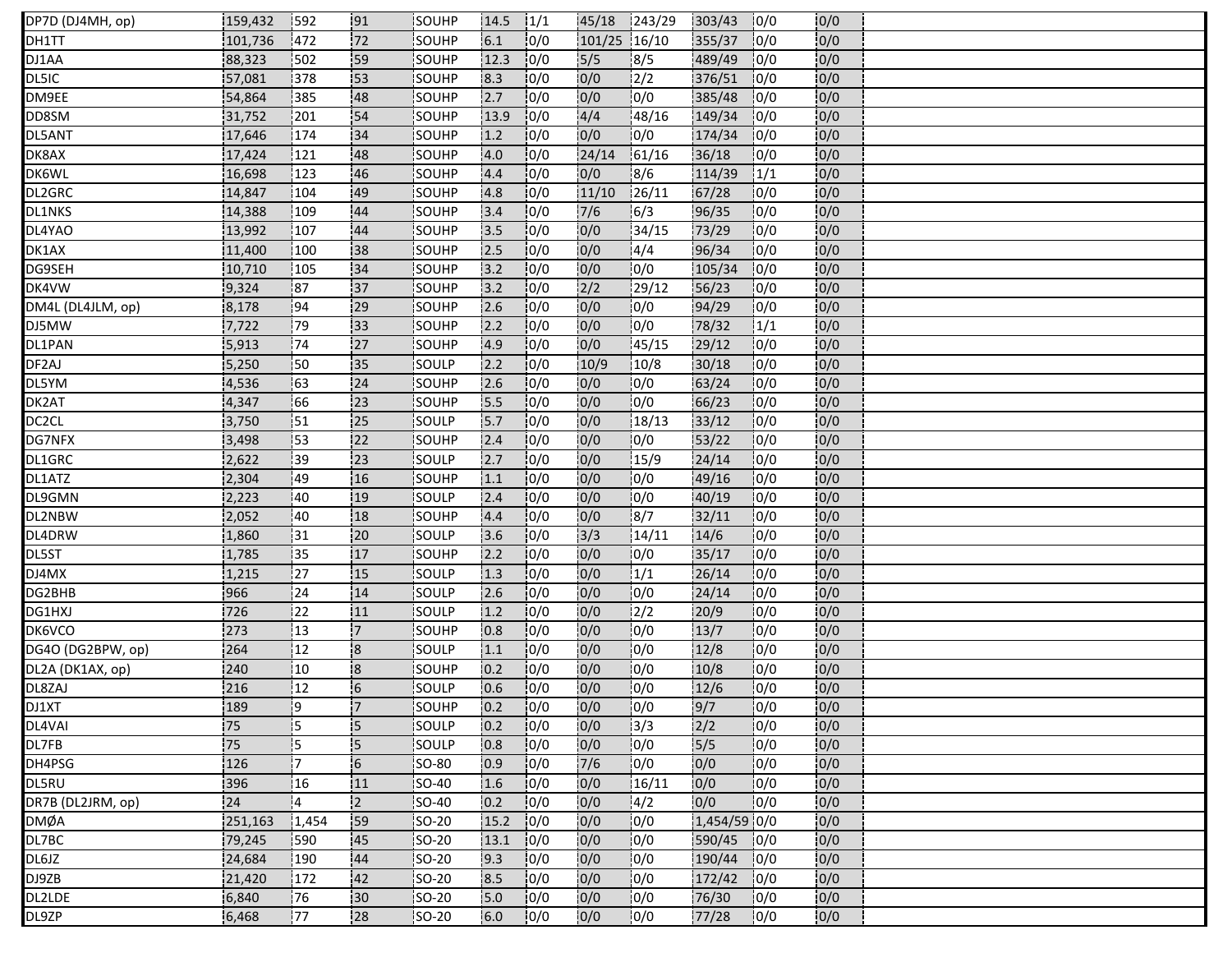| DP7D (DJ4MH, op)   | 159,432         | 592        | 91             | SOUHP         | 14.5 | 1/1  | 45/18        | 1243/29 | 303/43       | 10/0 | 0/0  |  |
|--------------------|-----------------|------------|----------------|---------------|------|------|--------------|---------|--------------|------|------|--|
| DH1TT              | 101,736         | 472        | 72             | SOUHP         | 6.1  | 10/0 | 101/25 16/10 |         | 355/37       | 10/0 | 0/0  |  |
| DJ1AA              | 88,323          | 502        | 59             | SOUHP         | 12.3 | 0/0  | 5/5          | 8/5     | 489/49       | 10/0 | 0/0  |  |
| DL5IC              | 57,081          | 378        | 53             | SOUHP         | 8.3  | 10/0 | 0/0          | 2/2     | 376/51       | 10/0 | 0/0  |  |
| DM9EE              | 54,864          | 385        | 48             | SOUHP         | 2.7  | 0/0  | 0/0          | 0/0     | 385/48       | 0/0  | 0/0  |  |
| DD8SM              | 31,752          | 201        | 54             | SOUHP         | 13.9 | 0/0  | 4/4          | 48/16   | 149/34       | 10/0 | 0/0  |  |
| DL5ANT             | 17,646          | 174        | 34             | <b>SOUHP</b>  | 1.2  | 10/0 | 0/0          | 10/0    | 174/34       | 10/0 | 0/0  |  |
| DK8AX              | 17,424          | 121        | 48             | SOUHP         | 4.0  | 10/0 | 24/14        | 61/16   | 36/18        | 0/0  | 0/0  |  |
| <b>DK6WL</b>       | 16,698          | 123        | :46            | <b>SOUHP</b>  | 4.4  | 10/0 | 10/0         | 8/6     | 114/39       | 1/1  | 0/0  |  |
| DL2GRC             | 14,847          | 104        | 149            | SOUHP         | 4.8  | 10/0 | 11/10        | 26/11   | 67/28        | 10/0 | 10/0 |  |
| <b>DL1NKS</b>      | 14,388          | 109        | 44             | SOUHP         | 3.4  | 10/0 | 7/6          | 6/3     | 96/35        | 10/0 | 0/0  |  |
| DL4YAO             | 13,992          | 107        | 44             | SOUHP         | 13.5 | 0/0  | 0/0          | 34/15   | 73/29        | 10/0 | 0/0  |  |
| DK1AX              | 11,400          | 100        | 38             | SOUHP         | 2.5  | 10/0 | 0/0          | 4/4     | 96/34        | 10/0 | 0/0  |  |
| DG9SEH             | 10,710          | 105        | 34             | SOUHP         | 3.2  | 10/0 | 0/0          | 0/0     | 105/34       | 0/0  | 0/0  |  |
| DK4VW              | 9,324           | 187        | 137            | SOUHP         | 3.2  | 10/0 | 2/2          | 129/12  | 56/23        | 10/0 | 0/0  |  |
| DM4L (DL4JLM, op)  | 8,178           | 194        | 29             | SOUHP         | 2.6  | 10/0 | 0/0          | 0/0     | 94/29        | 0/0  | 0/0  |  |
| DJ5MW              | 7,722           | 79         | 33             | SOUHP         | 2.2  | 0/0  | 0/0          | 0/0     | 78/32        | 1/1  | 0/0  |  |
| DL1PAN             | 5,913           | 174        | 27             | <b>SOUHP</b>  | 4.9  | 10/0 | 0/0          | 145/15  | 29/12        | 10/0 | 0/0  |  |
| DF <sub>2</sub> AJ | 5,250           | 50         | 35             | SOULP         | 2.2  | 0/0  | 10/9         | 10/8    | 30/18        | 10/0 | 0/0  |  |
| DL5YM              | 4,536           | :63        | 24             | SOUHP         | 2.6  | 10/0 | 10/0         | 10/0    | 63/24        | 10/0 | 0/0  |  |
| DK2AT              | 4,347           | 166        | 123            | SOUHP         | 5.5  | 10/0 | 10/0         | 10/0    | 66/23        | 10/0 | 0/0  |  |
| DC <sub>2</sub> CL | 3,750           | 151        | 25             | SOULP         | 15.7 | 10/0 | 0/0          | 18/13   | 33/12        | 10/0 | 0/0  |  |
| <b>DG7NFX</b>      | 3,498           | <b>153</b> | 22             | SOUHP         | 2.4  | 0/0  | 10/0         | 10/0    | 53/22        | 10/0 | 0/0  |  |
| DL1GRC             | 2,622           | :39        | 123            | SOULP         | 2.7  | 10/0 | 0/0          | 15/9    | 24/14        | 10/0 | 0/0  |  |
| DL1ATZ             | 2,304           | 149        | 16             | SOUHP         | 1.1  | 0/0  | 0/0          | 0/0     | 49/16        | 10/0 | 0/0  |  |
| DL9GMN             | 2,223           | 40         | 19             | SOULP         | 2.4  | 10/0 | 0/0          | 0/0     | 40/19        | 0/0  | 0/0  |  |
| DL2NBW             | 2,052           | 140        | 18             | SOUHP         | 4.4  | 10/0 | 0/0          | 8/7     | 32/11        | 0/0  | 0/0  |  |
| DL4DRW             | 1,860           | 31         | 20             | SOULP         | 3.6  | 0/0  | 3/3          | 14/11   | 14/6         | 10/0 | 0/0  |  |
| DL5ST              | 1,785           | i35        | 17             | <b>SOUHP</b>  | 2.2  | 10/0 | 0/0          | 0/0     | 35/17        | 10/0 | 0/0  |  |
| DJ4MX              | 1,215           | 127        | 15             | SOULP         | 1.3  | 10/0 | 0/0          | 1/1     | 26/14        | 10/0 | 0/0  |  |
| DG2BHB             | 966             | 24         | 14             | SOULP         | 2.6  | 0/0  | 0/0          | 0/0     | 24/14        | 0/0  | 0/0  |  |
| DG1HXJ             | 726             | 22         | 11             | <b>ISOULP</b> | 1.2  | 10/0 | 0/0          | 12/2    | 20/9         | 0/0  | 0/0  |  |
| DK6VCO             | 273             | 13         | $\overline{7}$ | SOUHP         | 0.8  | 10/0 | 0/0          | 10/0    | 13/7         | 10/0 | 0/0  |  |
| DG4O (DG2BPW, op)  | 264             | 12         | 8              | SOULP         | 1.1  | 10/0 | 10/0         | 10/0    | 12/8         | 10/0 | 0/0  |  |
| DL2A (DK1AX, op)   | 240             | 110        | 18             | <b>SOUHP</b>  | 10.2 | 10/0 | 10/0         | 10/0    | 10/8         | 10/0 | 0/0  |  |
| DL8ZAJ             | 216             | 12         | 6              | SOULP         | 0.6  | 0/0  | 0/0          | 0/0     | 12/6         | 0/0  | 0/0  |  |
| DJ1XT              | 189             | 19         | $\overline{7}$ | SOUHP         | 0.2  | 0/0  | 0/0          | 0/0     | 9/7          | 0/0  | 0/0  |  |
| DL4VAI             | $\overline{75}$ | i5         | İ5             | SOULP         | 0.2  | 0/0  | 0/0          | 3/3     | 2/2          | 0/0  | 0/0  |  |
| DL7FB              | 75              | 15         | $\overline{5}$ | SOULP         | 0.8  | 0/0  | 0/0          | 0/0     | 5/5          | 0/0  | 0/0  |  |
| DH4PSG             | 126             | 17         | $\overline{6}$ | SO-80         | 0.9  | 10/0 | 7/6          | 0/0     | 0/0          | 10/0 | 0/0  |  |
| DL5RU              | 396             | 16         | 111            | SO-40         | 1.6  | 10/0 | 0/0          | 16/11   | 0/0          | 10/0 | 0/0  |  |
| DR7B (DL2JRM, op)  | 24              | 14         | 2              | SO-40         | 0.2  | 0/0  | 0/0          | 14/2    | 0/0          | 10/0 | 0/0  |  |
| <b>DMØA</b>        | 251,163         | 1,454      | 159            | <b>SO-20</b>  | 15.2 | 10/0 | 0/0          | 0/0     | 1,454/59 0/0 |      | 0/0  |  |
| DL7BC              | 79,245          | 590        | 45             | SO-20         | 13.1 | 10/0 | 0/0          | 0/0     | 590/45       | 10/0 | 0/0  |  |
| DL6JZ              | 24,684          | 190        | 44             | SO-20         | 9.3  | 0/0  | 0/0          | 0/0     | 190/44       | 10/0 | 0/0  |  |
| DJ9ZB              | 21,420          | 172        | 42             | <b>SO-20</b>  | 8.5  | 10/0 | 0/0          | 10/0    | 172/42       | 10/0 | 0/0  |  |
| DL2LDE             | 6,840           | 76         | 30             | <b>SO-20</b>  | 5.0  | 0/0  | 0/0          | 0/0     | 76/30        | 10/0 | 0/0  |  |
| DL9ZP              | 6,468           | 177        | 28             | <b>SO-20</b>  | 6.0  | 10/0 | 0/0          | 10/0    | 77/28        | 10/0 | 0/0  |  |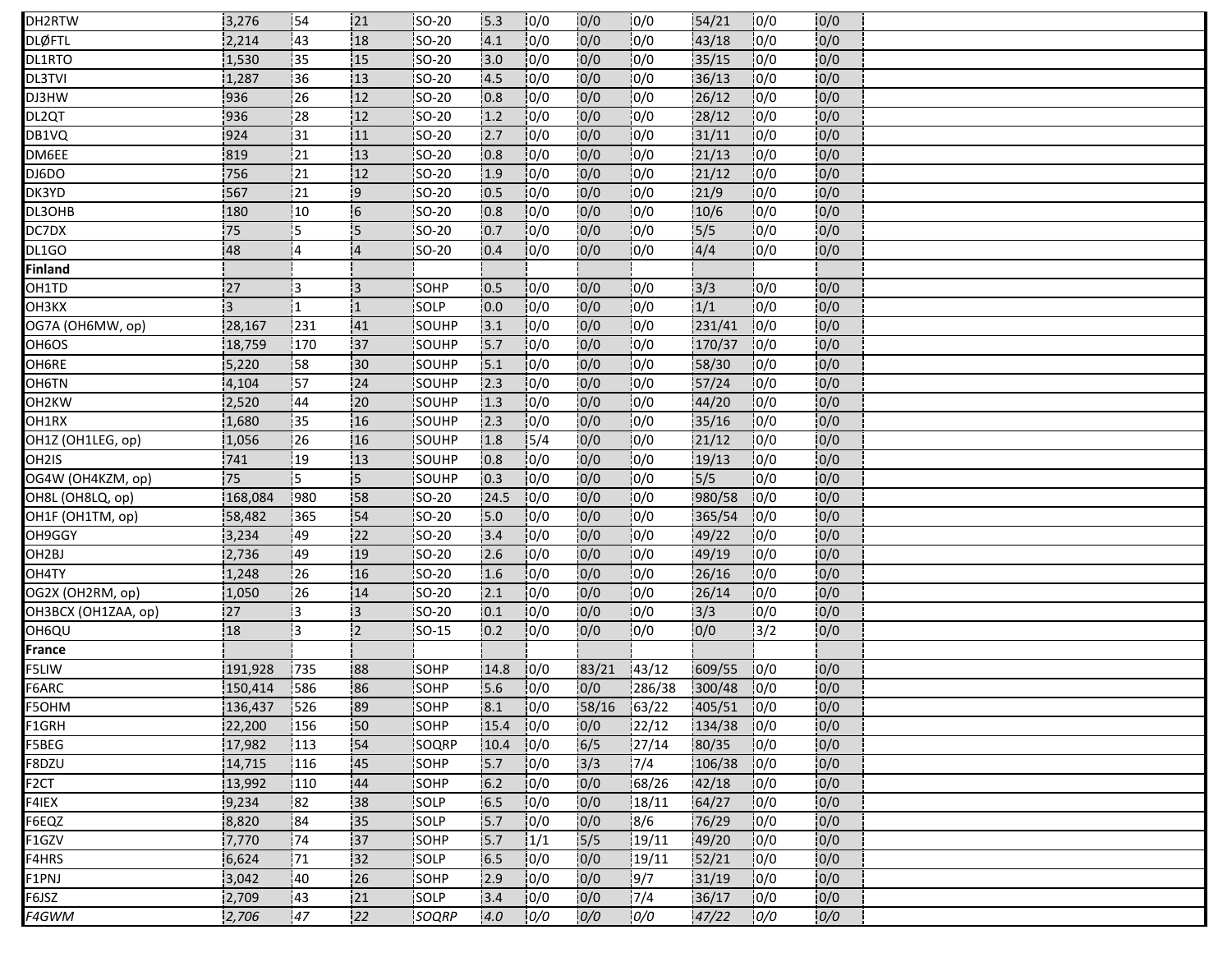| DH2RTW              | 3,276   | 154        | 21             | <b>SO-20</b>  | 15.3  | 10/0           | 0/0   | 10/0   | 54/21        | 10/0 | 10/0 |  |
|---------------------|---------|------------|----------------|---------------|-------|----------------|-------|--------|--------------|------|------|--|
| <b>DLØFTL</b>       | 2,214   | 43         | 18             | SO-20         | 4.1   | 0/0            | 0/0   | 0/0    | 43/18        | 0/0  | 0/0  |  |
| DL1RTO              | 1,530   | 35         | 15             | SO-20         | 3.0   | 0/0            | 0/0   | 0/0    | 35/15        | 0/0  | 0/0  |  |
| DL3TVI              | 1,287   | 36         | 13             | <b>SO-20</b>  | 4.5   | 10/0           | 0/0   | 0/0    | 36/13        | 10/0 | 0/0  |  |
| DJ3HW               | 936     | 26         | 12             | SO-20         | 0.8   | 0/0            | 0/0   | 0/0    | 26/12        | 10/0 | 0/0  |  |
| DL2QT               | 936     | 28         | 12             | SO-20         | 1.2   | 0/0            | 0/0   | 0/0    | 28/12        | 0/0  | 0/0  |  |
| DB1VQ               | 924     | 31         | 11             | <b>SO-20</b>  | 2.7   | 10/0           | 0/0   | 0/0    | 31/11        | 10/0 | 10/0 |  |
| DM6EE               | 819     | 21         | 13             | SO-20         | 0.8   | 0/0            | 0/0   | 0/0    | 21/13        | 10/0 | 0/0  |  |
| DJ6DO               | 756     | 21         | 12             | <b>SO-20</b>  | 1.9   | 10/0           | 0/0   | 10/0   | 21/12        | 10/0 | 0/0  |  |
| DK3YD               | 567     | 121        | و!             | <b>SO-20</b>  | 0.5   | 10/0           | 0/0   | 10/0   | 21/9         | 10/0 | 0/0  |  |
| DL3OHB              | 180     | 10         | $\overline{6}$ | SO-20         | 0.8   | 10/0           | 0/0   | 0/0    | 10/6         | 0/0  | 0/0  |  |
| DC7DX               | 75      | 15         | <b>S</b>       | <b>SO-20</b>  | 0.7   | 0/0            | 0/0   | 0/0    | 5/5          | 10/0 | 0/0  |  |
| DL1GO               | 48      | 14         | $\overline{4}$ | SO-20         | 0.4   | 10/0           | 0/0   | 0/0    | 4/4          | 0/0  | 0/0  |  |
| <b>Finland</b>      |         |            |                |               |       |                |       |        |              |      |      |  |
| OH1TD               | 27      | 13         | $\overline{3}$ | <b>SOHP</b>   | 10.5  | 0/0            | 0/0   | 10/0   | 3/3          | 10/0 | 0/0  |  |
| <b>ОНЗКХ</b>        | IЗ.     | !1         | $\mathbf{1}$   | SOLP          | 0.0   | 10/0           | 0/0   | 0/0    | 1/1          | 0/0  | 0/0  |  |
| OG7A (OH6MW, op)    | 28,167  | 231        | 41             | SOUHP         | 3.1   | 10/0           | 0/0   | 10/0   | 231/41       | 10/0 | 0/0  |  |
| OH6OS               | 18,759  | 170        | 137            | <b>SOUHP</b>  | 5.7   | 10/0           | 0/0   | 10/0   | 170/37       | 10/0 | 0/0  |  |
| OH6RE               | 5,220   | 58         | 30             | SOUHP         | $5.1$ | 0/0            | 0/0   | 0/0    | 58/30        | 10/0 | 0/0  |  |
| OH6TN               | 4,104   | 157        | 24             | SOUHP         | 2.3   | 10/0           | 0/0   | 0/0    | 57/24        | 10/0 | 0/0  |  |
| OH2KW               | 2,520   | 144        | 120            | SOUHP         | 1.3   | 10/0           | 10/0  | 10/0   | 44/20        | 10/0 | 0/0  |  |
| OH1RX               | 1,680   | 35         | 16             | SOUHP         | 2.3   | 10/0           | 0/0   | 0/0    | 35/16        | 10/0 | 0/0  |  |
| OH1Z (OH1LEG, op)   | 1,056   | 126        | 16             | SOUHP         | 1.8   | $\frac{15}{4}$ | 0/0   | 10/0   | 21/12        | 10/0 | 10/0 |  |
| OH <sub>2</sub> IS  | 741     | <b>19</b>  | 13             | SOUHP         | 0.8   | 10/0           | 0/0   | 10/0   | 19/13        | 10/0 | 0/0  |  |
| OG4W (OH4KZM, op)   | 75      | 15         | $\overline{5}$ | SOUHP         | 0.3   | 0/0            | 0/0   | 0/0    | 15/5         | 0/0  | 0/0  |  |
| OH8L (OH8LQ, op)    | 168,084 | 980        | 58             | SO-20         | 24.5  | 0/0            | 0/0   | 10/0   | 980/58       | 10/0 | 0/0  |  |
| OH1F (OH1TM, op)    | 58,482  | 365        | 54             | SO-20         | 5.0   | 10/0           | 0/0   | 0/0    | 365/54       | 10/0 | 0/0  |  |
| OH9GGY              | 3,234   | 49         | 22             | SO-20         | 3.4   | 10/0           | 0/0   | 0/0    | 49/22        | 10/0 | 0/0  |  |
| OH2BJ               | 2,736   | <b>149</b> | 19             | <b>SO-20</b>  | 2.6   | 10/0           | 0/0   | 0/0    | 49/19        | 10/0 | 0/0  |  |
| OH4TY               | 1,248   | 26         | 16             | <b>SO-20</b>  | 1.6   | 10/0           | 0/0   | 0/0    | 26/16        | 0/0  | 0/0  |  |
| OG2X (OH2RM, op)    | 1,050   | 26         | 14             | <b>SO-20</b>  | 2.1   | 10/0           | 0/0   | 0/0    | 26/14        | 10/0 | 0/0  |  |
| OH3BCX (OH1ZAA, op) | 27      | 13         | 13             | <b>ISO-20</b> | 10.1  | 10/0           | 0/0   | 10/0   | 3/3          | 10/0 | 0/0  |  |
| OH6QU               | 18      | İЗ.        | $\overline{2}$ | <b>SO-15</b>  | 0.2   | 10/0           | 0/0   | 10/0   | 0/0          | 3/2  | 0/0  |  |
| France              |         |            |                |               |       |                |       |        |              |      |      |  |
| F5LIW               | 191,928 | 1735       | 188            | <b>SOHP</b>   | 14.8  | 10/0           | 83/21 | 143/12 | 609/55       | 10/0 | 10/0 |  |
| F6ARC               | 150,414 | 586        | 86             | SOHP          | 5.6   | 0/0            | 0/0   | 286/38 | 300/48       | 0/0  | 0/0  |  |
| F5OHM               | 136,437 | 526        | 89             | SOHP          | 8.1   | 0/0            | 58/16 | 63/22  | 405/51 0/0   |      | 0/0  |  |
| F1GRH               | 22,200  | 156        | 50             | SOHP          | 15.4  | 10/0           | 0/0   | 122/12 | $134/38$ 0/0 |      | 10/0 |  |
| F5BEG               | 17,982  | 113        | 54             | SOQRP         | 10.4  | 0/0            | 6/5   | 27/14  | 80/35        | 0/0  | 0/0  |  |
| F8DZU               | 14,715  | 116        | 45             | SOHP          | 5.7   | 10/0           | 3/3   | 7/4    | 106/38       | 0/0  | 0/0  |  |
| F2CT                | 13,992  | 110        | 44             | SOHP          | $6.2$ | 0/0            | 0/0   | 168/26 | 42/18        | 10/0 | 0/0  |  |
| F4IEX               | 9,234   | 82         | 38             | SOLP          | 6.5   | 0/0            | 0/0   | 18/11  | 64/27        | 0/0  | 0/0  |  |
| F6EQZ               | 8,820   | 184        | 135            | SOLP          | 5.7   | 0/0            | 0/0   | 8/6    | 76/29        | 10/0 | 0/0  |  |
| F1GZV               | 7,770   | 74         | 37             | SOHP          | 5.7   | 1/1            | 5/5   | 19/11  | 49/20        | 0/0  | 0/0  |  |
| F4HRS               | 6,624   | 71         | 132            | SOLP          | 6.5   | 0/0            | 0/0   | 19/11  | 52/21        | 10/0 | 0/0  |  |
| F1PNJ               | 3,042   | 140        | 126            | <b>SOHP</b>   | .2.9  | 0/0            | 0/0   | 9/7    | 31/19        | 10/0 | 0/0  |  |
| F6JSZ               | 2,709   | 43         | 21             | SOLP          | 3.4   | 0/0            | 0/0   | 7/4    | 36/17        | 10/0 | 0/0  |  |
| F4GWM               | 2,706   | 147        | 122            | SOQRP         | 4.0   | 0/0            | 0/0   | 0/0    | 47/22        | 0/0  | 0/0  |  |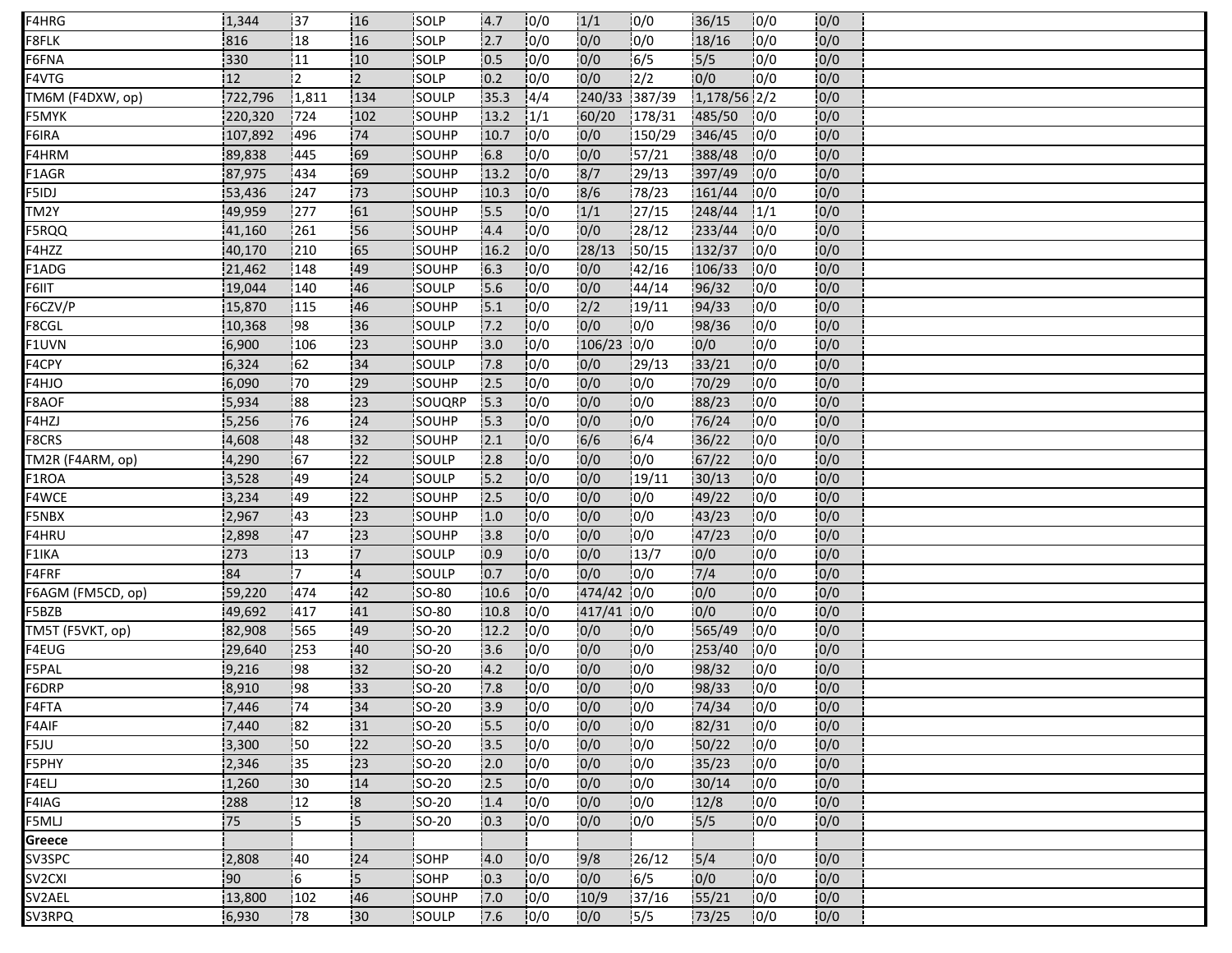| F4HRG             | 1,344   | 137             | 116                     | <b>ISOLP</b>  | 4.7             | 10/0 | 1/1          | 10/0   | 36/15        | 10/0 | 0/0 |  |
|-------------------|---------|-----------------|-------------------------|---------------|-----------------|------|--------------|--------|--------------|------|-----|--|
| F8FLK             | 816     | 18              | 16                      | SOLP          | 2.7             | 0/0  | 0/0          | 0/0    | 18/16        | 0/0  | 0/0 |  |
| F6FNA             | 330     | 11              | 10                      | SOLP          | 0.5             | 0/0  | 0/0          | 6/5    | 5/5          | 0/0  | 0/0 |  |
| F4VTG             | 12      | 2               | 2                       | <b>SOLP</b>   | 0.2             | 10/0 | 0/0          | 12/2   | 0/0          | 0/0  | 0/0 |  |
| TM6M (F4DXW, op)  | 722,796 | 1,811           | 134                     | <b>SOULP</b>  | 35.3            | 14/4 | 240/33       | 387/39 | 1,178/56 2/2 |      | 0/0 |  |
| F5MYK             | 220,320 | 724             | 102                     | SOUHP         | 13.2            | 1/1  | 60/20        | 178/31 | 485/50       | 10/0 | 0/0 |  |
| F6IRA             | 107,892 | 496             | 74                      | <b>SOUHP</b>  | 10.7            | 10/0 | 0/0          | 150/29 | 346/45       | 10/0 | 0/0 |  |
| F4HRM             | 89,838  | 445             | 69                      | <b>SOUHP</b>  | 6.8             | 0/0  | 0/0          | 57/21  | 388/48       | 10/0 | 0/0 |  |
| F1AGR             | 87,975  | 434             | 169                     | <b>SOUHP</b>  | 13.2            | 10/0 | 8/7          | 129/13 | 397/49       | 10/0 | 0/0 |  |
| F5IDJ             | 53,436  | 247             | 73                      | SOUHP         | 10.3            | 0/0  | 8/6          | 78/23  | 161/44       | 10/0 | 0/0 |  |
| TM2Y              | 49,959  | 277             | 61                      | SOUHP         | 5.5             | 0/0  | 1/1          | 27/15  | 248/44       | 1/1  | 0/0 |  |
| F5RQQ             | 41,160  | 261             | 56                      | SOUHP         | 4.4             | 10/0 | 0/0          | 28/12  | 233/44       | 10/0 | 0/0 |  |
| F4HZZ             | 40,170  | 210             | 65                      | SOUHP         | 16.2            | 10/0 | 28/13        | 150/15 | 132/37       | 10/0 | 0/0 |  |
| F1ADG             | 21,462  | 148             | .49                     | SOUHP         | 6.3             | 0/0  | 0/0          | 142/16 | 106/33       | 0/0  | 0/0 |  |
| F6IIT             | 19,044  | 140             | 46                      | <b>SOULP</b>  | 5.6             | 10/0 | 0/0          | 44/14  | 96/32        | 10/0 | 0/0 |  |
| F6CZV/P           | 15,870  | 115             | 46                      | SOUHP         | 5.1             | 10/0 | 2/2          | 19/11  | 94/33        | 0/0  | 0/0 |  |
| F8CGL             | 10,368  | 98              | 36                      | SOULP         | 7.2             | 0/0  | 0/0          | 0/0    | 98/36        | 0/0  | 0/0 |  |
| F1UVN             | 6,900   | 106             | 23                      | <b>ISOUHP</b> | 13.0            | 10/0 | $106/23$ 0/0 |        | 0/0          | 0/0  | 0/0 |  |
| F4CPY             | 6,324   | 162             | 34                      | SOULP         | 7.8             | 10/0 | 0/0          | 29/13  | 33/21        | 0/0  | 0/0 |  |
| F4HJO             | 6,090   | .70             | 29                      | SOUHP         | 2.5             | 10/0 | 0/0          | 0/0    | 70/29        | 10/0 | 0/0 |  |
| F8AOF             | 5,934   | 188             | 123                     | <b>SOUQRP</b> | $\mathbf{15.3}$ | 10/0 | 10/0         | 10/0   | 88/23        | 10/0 | 0/0 |  |
| F4HZJ             | 5,256   | 76              | 24                      | SOUHP         | 15.3            | 10/0 | 0/0          | 0/0    | 76/24        | 10/0 | 0/0 |  |
| F8CRS             | 4,608   | 148             | 132                     | SOUHP         | 2.1             | 10/0 | 6/6          | 16/4   | 36/22        | 10/0 | 0/0 |  |
| TM2R (F4ARM, op)  | 4,290   | 167             | 122                     | <b>SOULP</b>  | 2.8             | 10/0 | 0/0          | 10/0   | 67/22        | 0/0  | 0/0 |  |
| F1ROA             | 3,528   | 49              | 24                      | SOULP         | 5.2             | 0/0  | 0/0          | 19/11  | 30/13        | 10/0 | 0/0 |  |
| F4WCE             | 3,234   | 149             | 22                      | SOUHP         | 2.5             | 10/0 | 0/0          | 0/0    | 49/22        | 0/0  | 0/0 |  |
| F5NBX             | 2,967   | 43              | 123                     | SOUHP         | 1.0             | 10/0 | 0/0          | 0/0    | 43/23        | 0/0  | 0/0 |  |
| F4HRU             | 2,898   | 47              | 23                      | SOUHP         | 3.8             | 10/0 | 0/0          | 0/0    | 47/23        | 10/0 | 0/0 |  |
| F1IKA             | 273     | 13              | 17.                     | <b>SOULP</b>  | 10.9            | 10/0 | 0/0          | 13/7   | 0/0          | 10/0 | 0/0 |  |
| F4FRF             | 84      | !7              | $\overline{4}$          | SOULP         | 0.7             | 10/0 | 0/0          | 0/0    | 7/4          | 10/0 | 0/0 |  |
| F6AGM (FM5CD, op) | 59,220  | 474             | .42                     | <b>SO-80</b>  | 10.6            | 0/0  | 474/42 0/0   |        | 0/0          | 0/0  | 0/0 |  |
| F5BZB             | 49,692  | 417             | 41                      | <b>ISO-80</b> | 10.8            | 10/0 | 417/41       | 10/0   | 0/0          | 10/0 | 0/0 |  |
| TM5T (F5VKT, op)  | 82,908  | 565             | 49                      | <b>SO-20</b>  | 12.2            | 10/0 | 0/0          | 10/0   | 565/49       | 0/0  | 0/0 |  |
| F4EUG             | 29,640  | 253             | 40                      | <b>SO-20</b>  | 3.6             | 10/0 | 10/0         | 10/0   | 253/40       | 0/0  | 0/0 |  |
| F5PAL             | 9,216   | 198             | 32                      | SO-20         | 4.2             | 10/0 | 0/0          | 10/0   | 98/32        | 10/0 | 0/0 |  |
| F6DRP             | 8,910   | 98              | 133                     | SO-20         | 7.8             | 0/0  | 0/0          | 0/0    | 98/33        | 10/0 | 0/0 |  |
| F4FTA             | 7,446   | 74              | 34                      | SO-20         | 3.9             | 0/0  | 0/0          | 0/0    | 74/34        | 0/0  | 0/0 |  |
| F4AIF             | 7,440   | 182             | 31                      | <b>SO-20</b>  | 15.5            | 10/0 | 0/0          | 10/0   | 82/31        | 10/0 | 0/0 |  |
| F5JU              | 3,300   | $\frac{1}{2}50$ | 22                      | SO-20         | 3.5             | 0/0  | 0/0          | 0/0    | 50/22        | 10/0 | 0/0 |  |
| F5PHY             | 2,346   | 35              | 23                      | <b>SO-20</b>  | 2.0             | 10/0 | 0/0          | 0/0    | 35/23        | 10/0 | 0/0 |  |
| F4ELJ             | 1,260   | 130             | 14                      | SO-20         | 2.5             | 10/0 | 0/0          | 0/0    | 30/14        | 10/0 | 0/0 |  |
| F4IAG             | 288     | 12              | $\overline{\mathbf{8}}$ | $SO-20$       | 1.4             | 0/0  | 0/0          | 0/0    | 12/8         | 10/0 | 0/0 |  |
| F5MLJ             | 75      | l5              | 5                       | <b>ISO-20</b> | 0.3             | 10/0 | 0/0          | 10/0   | 5/5          | 0/0  | 0/0 |  |
| Greece            |         |                 |                         |               |                 |      |              |        |              |      |     |  |
| SV3SPC            | 2,808   | :40             | 24                      | SOHP          | 4.0             | 0/0  | 9/8          | 26/12  | $5/4$        | 0/0  | 0/0 |  |
| SV2CXI            | 90      | 16              | 15                      | SOHP          | 0.3             | 10/0 | 0/0          | 16/5   | 0/0          | 0/0  | 0/0 |  |
| SV2AEL            | 13,800  | 102             | 46                      | SOUHP         | 7.0             | 0/0  | 10/9         | 37/16  | 55/21        | 10/0 | 0/0 |  |
| SV3RPQ            | 6,930   | 178             | 130                     | SOULP         | 7.6             | 10/0 | 0/0          | 15/5   | 73/25        | 10/0 | 0/0 |  |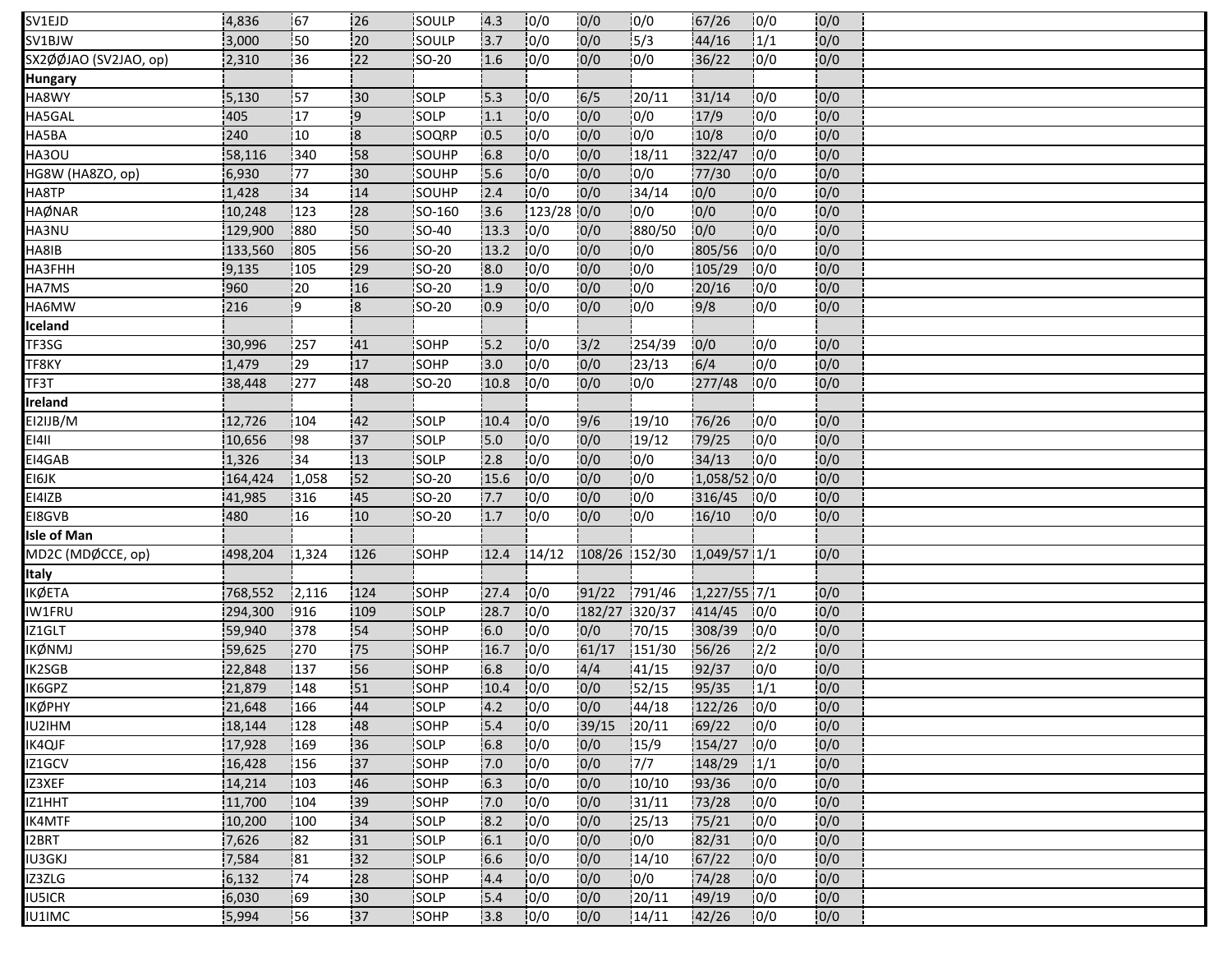| SV1EJD                | 4,836   | 167    | 26             | SOULP         | 4.3  | 10/0         | 0/0           | 10/0    | 67/26          | 10/0 | 10/0 |  |
|-----------------------|---------|--------|----------------|---------------|------|--------------|---------------|---------|----------------|------|------|--|
| SV1BJW                | 3,000   | 50     | 20             | SOULP         | 3.7  | 0/0          | 0/0           | 5/3     | 44/16          | 1/1  | 0/0  |  |
| SX2ØØJAO (SV2JAO, op) | 2,310   | 36     | 22             | SO-20         | 1.6  | 0/0          | 0/0           | 0/0     | 36/22          | 0/0  | 0/0  |  |
| <b>Hungary</b>        |         |        |                |               |      |              |               |         |                |      |      |  |
| HA8WY                 | 5,130   | 157    | 30             | SOLP          | 15.3 | 10/0         | 6/5           | 20/11   | 31/14          | 0/0  | 0/0  |  |
| HA5GAL                | 405     | 17     | 9              | SOLP          | 1.1  | 0/0          | 0/0           | 0/0     | 17/9           | 0/0  | 0/0  |  |
| HA5BA                 | 240     | 10     | $\overline{8}$ | SOQRP         | 0.5  | 10/0         | 0/0           | 10/0    | 10/8           | 0/0  | 0/0  |  |
| HA3OU                 | 58,116  | 340    | 58             | SOUHP         | 6.8  | 0/0          | 0/0           | 18/11   | 322/47         | 10/0 | 0/0  |  |
| HG8W (HA8ZO, op)      | 6,930   | 177    | 130            | SOUHP         | 5.6  | 0/0          | 0/0           | 10/0    | 77/30          | 10/0 | 0/0  |  |
| HA8TP                 | 1,428   | 34     | 14             | <b>SOUHP</b>  | 2.4  | 10/0         | 0/0           | 34/14   | 0/0            | 10/0 | 0/0  |  |
| HAØNAR                | 10,248  | 123    | 28             | SO-160        | 3.6  | $123/28$ 0/0 |               | 0/0     | 0/0            | 0/0  | 0/0  |  |
| HA3NU                 | 129,900 | 880    | 50             | <b>SO-40</b>  | 13.3 | 10/0         | 0/0           | 880/50  | 0/0            | 10/0 | 0/0  |  |
| HA8IB                 | 133,560 | 805    | 56             | SO-20         | 13.2 | 10/0         | 0/0           | 0/0     | 805/56         | 10/0 | 0/0  |  |
| HA3FHH                | 9,135   | 105    | 29             | SO-20         | 8.0  | 0/0          | 0/0           | 0/0     | 105/29         | 10/0 | 0/0  |  |
| HA7MS                 | 1960    | 120    | 16             | <b>ISO-20</b> | 1.9  | 10/0         | 0/0           | 10/0    | 20/16          | 10/0 | 0/0  |  |
| HA6MW                 | 216     | i9.    | $\overline{8}$ | SO-20         | 0.9  | 10/0         | 0/0           | 0/0     | 9/8            | 0/0  | 0/0  |  |
| Iceland               |         |        |                |               |      |              |               |         |                |      |      |  |
| TF3SG                 | 30,996  | !257   | 41             | SOHP          | 15.2 | 10/0         | 3/2           | 254/39  | 0/0            | 10/0 | 0/0  |  |
| TF8KY                 | 1,479   | 29     | 17             | SOHP          | 3.0  | 0/0          | 0/0           | 23/13   | 6/4            | 0/0  | 0/0  |  |
| TF3T                  | 38,448  | 277    | 48             | SO-20         | 10.8 | 0/0          | 0/0           | 10/0    | 277/48         | 10/0 | 0/0  |  |
| Ireland               |         |        |                |               |      |              |               |         |                |      |      |  |
| EI2IJB/M              | 12,726  | 104    | 42             | SOLP          | 10.4 | 0/0          | 9/6           | 19/10   | 76/26          | 0/0  | 0/0  |  |
| <b>EI4II</b>          | 10,656  | 198    | 37             | <b>SOLP</b>   | 5.0  | 0/0          | 0/0           | 19/12   | 79/25          | 10/0 | 0/0  |  |
| EI4GAB                | 1,326   | 34     | 13             | SOLP          | 2.8  | 10/0         | 0/0           | 0/0     | 34/13          | 10/0 | 0/0  |  |
| EI6JK                 | 164,424 | 1,058  | 152            | SO-20         | 15.6 | 0/0          | 0/0           | 0/0     | 1,058/52 0/0   |      | 0/0  |  |
| EI4IZB                | 41,985  | 316    | 45             | SO-20         | 7.7  | 10/0         | 0/0           | 0/0     | 316/45         | 10/0 | 0/0  |  |
| EI8GVB                | 480     | 16     | 10             | SO-20         | 1.7  | 0/0          | 0/0           | 0/0     | 16/10          | 0/0  | 0/0  |  |
| <b>Isle of Man</b>    |         |        |                |               |      |              |               |         |                |      |      |  |
| MD2C (MDØCCE, op)     | 498,204 | 1,324  | 126            | <b>SOHP</b>   | 12.4 | 14/12        | 108/26 152/30 |         | 1,049/57 1/1   |      | 0/0  |  |
| Italy                 |         |        |                |               |      |              |               |         |                |      |      |  |
| ӀҜѺ҆ӖҬӒ               | 768,552 | 12,116 | 124            | SOHP          | 27.4 | 0/0          | 91/22         | 791/46  | $1,227/55$ 7/1 |      | 0/0  |  |
| IW1FRU                | 294,300 | 916    | 109            | SOLP          | 28.7 | 10/0         | 182/27        | 1320/37 | 414/45         | 10/0 | 0/0  |  |
| IZ1GLT                | 59,940  | 378    | 54             | SOHP          | 6.0  | 0/0          | 0/0           | 70/15   | 308/39         | 10/0 | 0/0  |  |
| IKØNMJ                | 59,625  | 270    | 75             | SOHP          | 16.7 | 0/0          | 61/17         | 151/30  | 56/26          | 12/2 | 0/0  |  |
| IK2SGB                | 22,848  | 137    | 56             | <b>SOHP</b>   | 6.8  | 10/0         | 4/4           | 141/15  | 92/37          | 10/0 | 0/0  |  |
| IK6GPZ                | 21,879  | 148    | 51             | SOHP          | 10.4 | 0/0          | 0/0           | 52/15   | 95/35          | 1/1  | 0/0  |  |
| ΙΚØΡΗΥ                | 21,648  | 166    | 44             | SOLP          | 4.2  | 0/0          | 0/0           | 44/18   | $122/26$ 0/0   |      | 0/0  |  |
| IU2IHM                | 18,144  | 128    | 148            | SOHP          | 15.4 | 10/0         | 39/15         | 120/11  | 69/22          | 10/0 | 0/0  |  |
| IK4QJF                | 17,928  | 169    | 36             | SOLP          | 6.8  | 0/0          | 0/0           | 15/9    | 154/27         | 10/0 | 0/0  |  |
| IZ1GCV                | 16,428  | 156    | 37             | SOHP          | 7.0  | 10/0         | 0/0           | 7/7     | $148/29$ $1/1$ |      | 0/0  |  |
| IZ3XEF                | 14,214  | 103    | 46             | SOHP          | 6.3  | 0/0          | 0/0           | 10/10   | 93/36          | 0/0  | 0/0  |  |
| IZ1HHT                | 11,700  | :104   | 39             | <b>SOHP</b>   | 7.0  | 0/0          | 0/0           | 31/11   | 73/28          | 10/0 | 0/0  |  |
| IK4MTF                | 10,200  | 100    | 34             | <b>SOLP</b>   | 8.2  | 0/0          | 0/0           | 125/13  | 75/21          | 10/0 | 0/0  |  |
| 12BRT                 | 7,626   | 182    | 31             | SOLP          | 6.1  | 10/0         | 0/0           | 0/0     | 82/31          | 10/0 | 0/0  |  |
| IU3GKJ                | 7,584   | 81     | 132            | SOLP          | 6.6  | 0/0          | 0/0           | 14/10   | 67/22          | 10/0 | 0/0  |  |
| IZ3ZLG                | 6,132   | 174    | 28             | <b>ISOHP</b>  | 4.4  | 10/0         | 0/0           | 10/0    | 74/28          | 10/0 | 0/0  |  |
| IU5ICR                | 6,030   | 69     | 30             | SOLP          | 5.4  | 0/0          | 0/0           | 20/11   | 49/19          | 0/0  | 0/0  |  |
| IU1IMC                | 5,994   | 156    | 37             | SOHP          | 3.8  | 10/0         | 0/0           | 14/11   | 42/26          | 10/0 | 0/0  |  |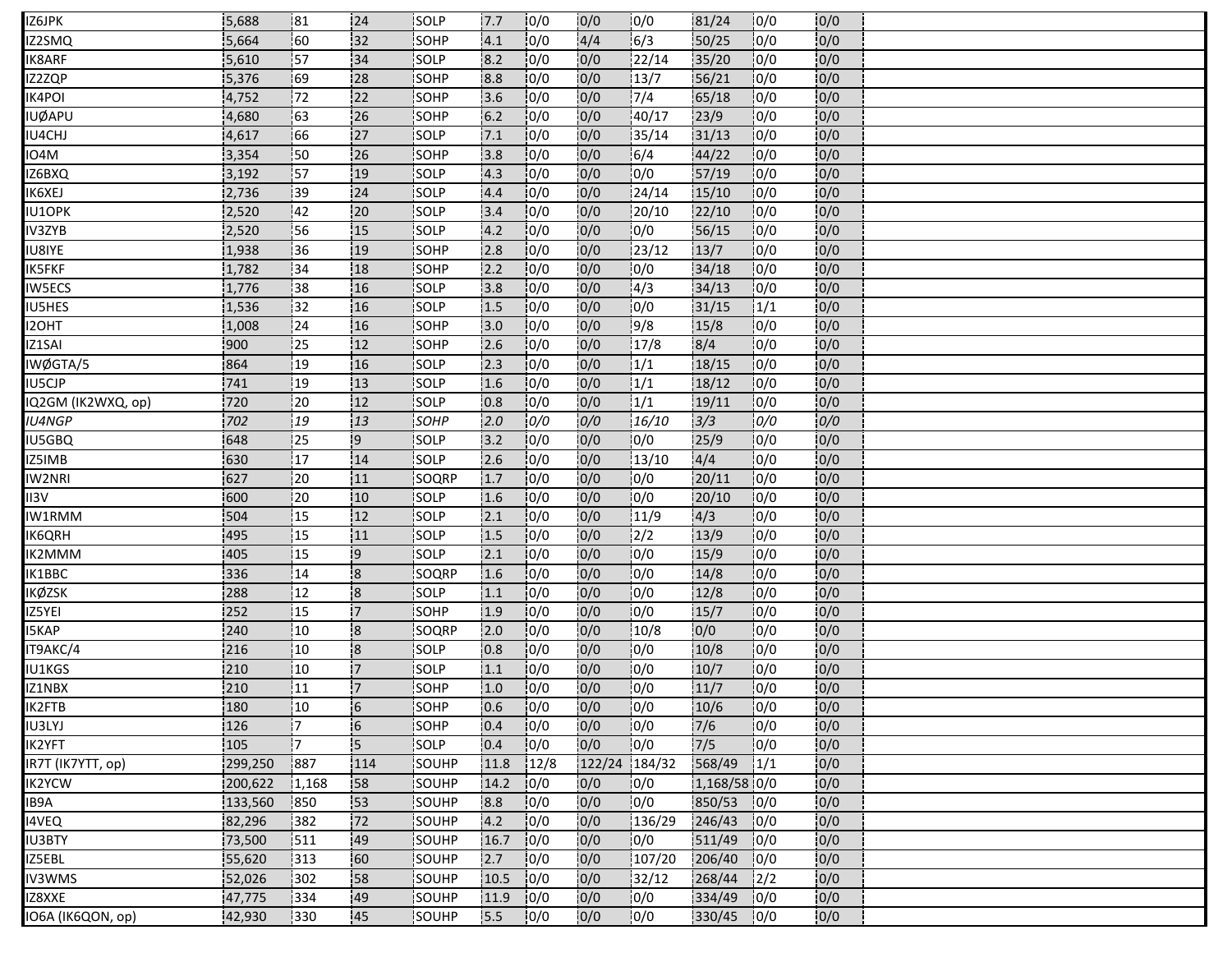| 32<br>0/0<br>4/4<br>0/0<br> 60 <br>SOHP<br>6/3<br>0/0<br>Z2SMQ<br>5,664<br>4.1<br>50/25<br>0/0<br>34<br> 0/0<br>22/14<br>0/0<br>5,610<br>157<br>SOLP<br>8.2<br>35/20<br>0/0<br>K8ARF<br>10/0<br>0/0<br>69<br>28<br>0/0<br>IZ2ZQP<br>5,376<br>SOHP<br>8.8<br>13/7<br>56/21<br>0/0<br>172<br>0/0<br>0/0<br>22<br>7/4<br>0/0<br>4,752<br>SOHP<br>3.6<br>65/18<br>0/0<br>IK4POI<br>0/0<br>26<br>10/0<br>23/9<br><b>UØAPU</b><br>163<br>6.2<br>40/17<br>0/0<br>4,680<br><b>SOHP</b><br> 0/0<br>0/0<br>166<br>27<br>10/0<br><b>SOLP</b><br>7.1<br>35/14<br>31/13<br>0/0<br>0/0<br>IU4CHJ<br>4,617<br>10/0<br>0/0<br>3,354<br>150<br>26<br>SOHP<br>3.8<br>6/4<br>44/22<br>0/0<br>0/0<br>IO4M<br>10/0<br>10/0<br>IZ6BXQ<br>3,192<br>157<br>!19<br><b>SOLP</b><br>4.3<br>10/0<br>57/19<br>10/0<br>0/0<br>10/0<br>0/0<br>124/14<br>15/10<br>10/0<br>0/0<br>IK6XEJ<br>2,736<br>139<br>124<br><b>SOLP</b><br>4.4<br>0/0<br>0/0<br>22/10<br>IU1OPK<br>2,520<br>:42<br>20<br>SOLP<br>3.4<br>20/10<br>0/0<br>0/0<br>0/0<br>IV3ZYB<br>0/0<br>0/0<br>56/15<br>2,520<br>56<br>15<br><b>SOLP</b><br>4.2<br>10/0<br>0/0<br>10/0<br>0/0<br>23/12<br>13/7<br>0/0<br>0/0<br><b>IU8IYE</b><br>136<br><b>SOHP</b><br>2.8<br>1,938<br>:19<br>10/0<br>0/0<br>0/0<br><b>IK5FKF</b><br>:34<br>SOHP<br>2.2<br>34/18<br>0/0<br>0/0<br>1,782<br>18<br>10/0<br>0/0<br>4/3<br>34/13<br>10/0<br><b>IW5ECS</b><br>38<br>SOLP<br>13.8<br>0/0<br>1,776<br>116<br>1/1<br>10/0<br>0/0<br>10/0<br>31/15<br>0/0<br>32<br>16<br>SOLP<br>1.5<br>IU5HES<br>1,536<br>9/8<br>SOHP<br>0/0<br>0/0<br>0/0<br>0/0<br>I2OHT<br>1,008<br> 24<br>16<br>3.0<br>15/8<br>17/8<br>8/4<br>0/0<br>10/0<br>0/0<br>0/0<br>$\frac{1}{2}$<br>12 <sub>12</sub><br>2.6<br>IZ1SAI<br>900<br><b>ISOHP</b><br>0/0<br>1/1<br>0/0<br>10/0<br>0/0<br>864<br> 19<br>16<br>SOLP<br>2.3<br>18/15<br>IWØGTA/5<br>0/0<br>1/1<br>0/0<br>741<br> 19<br>13<br>SOLP<br>1.6<br>10/0<br>18/12<br>10/0<br>IU5CJP |
|------------------------------------------------------------------------------------------------------------------------------------------------------------------------------------------------------------------------------------------------------------------------------------------------------------------------------------------------------------------------------------------------------------------------------------------------------------------------------------------------------------------------------------------------------------------------------------------------------------------------------------------------------------------------------------------------------------------------------------------------------------------------------------------------------------------------------------------------------------------------------------------------------------------------------------------------------------------------------------------------------------------------------------------------------------------------------------------------------------------------------------------------------------------------------------------------------------------------------------------------------------------------------------------------------------------------------------------------------------------------------------------------------------------------------------------------------------------------------------------------------------------------------------------------------------------------------------------------------------------------------------------------------------------------------------------------------------------------------------------------------------------------------------------------------------------------------------------------------------------------------------------------------------------------------|
|                                                                                                                                                                                                                                                                                                                                                                                                                                                                                                                                                                                                                                                                                                                                                                                                                                                                                                                                                                                                                                                                                                                                                                                                                                                                                                                                                                                                                                                                                                                                                                                                                                                                                                                                                                                                                                                                                                                              |
|                                                                                                                                                                                                                                                                                                                                                                                                                                                                                                                                                                                                                                                                                                                                                                                                                                                                                                                                                                                                                                                                                                                                                                                                                                                                                                                                                                                                                                                                                                                                                                                                                                                                                                                                                                                                                                                                                                                              |
|                                                                                                                                                                                                                                                                                                                                                                                                                                                                                                                                                                                                                                                                                                                                                                                                                                                                                                                                                                                                                                                                                                                                                                                                                                                                                                                                                                                                                                                                                                                                                                                                                                                                                                                                                                                                                                                                                                                              |
|                                                                                                                                                                                                                                                                                                                                                                                                                                                                                                                                                                                                                                                                                                                                                                                                                                                                                                                                                                                                                                                                                                                                                                                                                                                                                                                                                                                                                                                                                                                                                                                                                                                                                                                                                                                                                                                                                                                              |
|                                                                                                                                                                                                                                                                                                                                                                                                                                                                                                                                                                                                                                                                                                                                                                                                                                                                                                                                                                                                                                                                                                                                                                                                                                                                                                                                                                                                                                                                                                                                                                                                                                                                                                                                                                                                                                                                                                                              |
|                                                                                                                                                                                                                                                                                                                                                                                                                                                                                                                                                                                                                                                                                                                                                                                                                                                                                                                                                                                                                                                                                                                                                                                                                                                                                                                                                                                                                                                                                                                                                                                                                                                                                                                                                                                                                                                                                                                              |
|                                                                                                                                                                                                                                                                                                                                                                                                                                                                                                                                                                                                                                                                                                                                                                                                                                                                                                                                                                                                                                                                                                                                                                                                                                                                                                                                                                                                                                                                                                                                                                                                                                                                                                                                                                                                                                                                                                                              |
|                                                                                                                                                                                                                                                                                                                                                                                                                                                                                                                                                                                                                                                                                                                                                                                                                                                                                                                                                                                                                                                                                                                                                                                                                                                                                                                                                                                                                                                                                                                                                                                                                                                                                                                                                                                                                                                                                                                              |
|                                                                                                                                                                                                                                                                                                                                                                                                                                                                                                                                                                                                                                                                                                                                                                                                                                                                                                                                                                                                                                                                                                                                                                                                                                                                                                                                                                                                                                                                                                                                                                                                                                                                                                                                                                                                                                                                                                                              |
|                                                                                                                                                                                                                                                                                                                                                                                                                                                                                                                                                                                                                                                                                                                                                                                                                                                                                                                                                                                                                                                                                                                                                                                                                                                                                                                                                                                                                                                                                                                                                                                                                                                                                                                                                                                                                                                                                                                              |
|                                                                                                                                                                                                                                                                                                                                                                                                                                                                                                                                                                                                                                                                                                                                                                                                                                                                                                                                                                                                                                                                                                                                                                                                                                                                                                                                                                                                                                                                                                                                                                                                                                                                                                                                                                                                                                                                                                                              |
|                                                                                                                                                                                                                                                                                                                                                                                                                                                                                                                                                                                                                                                                                                                                                                                                                                                                                                                                                                                                                                                                                                                                                                                                                                                                                                                                                                                                                                                                                                                                                                                                                                                                                                                                                                                                                                                                                                                              |
|                                                                                                                                                                                                                                                                                                                                                                                                                                                                                                                                                                                                                                                                                                                                                                                                                                                                                                                                                                                                                                                                                                                                                                                                                                                                                                                                                                                                                                                                                                                                                                                                                                                                                                                                                                                                                                                                                                                              |
|                                                                                                                                                                                                                                                                                                                                                                                                                                                                                                                                                                                                                                                                                                                                                                                                                                                                                                                                                                                                                                                                                                                                                                                                                                                                                                                                                                                                                                                                                                                                                                                                                                                                                                                                                                                                                                                                                                                              |
|                                                                                                                                                                                                                                                                                                                                                                                                                                                                                                                                                                                                                                                                                                                                                                                                                                                                                                                                                                                                                                                                                                                                                                                                                                                                                                                                                                                                                                                                                                                                                                                                                                                                                                                                                                                                                                                                                                                              |
|                                                                                                                                                                                                                                                                                                                                                                                                                                                                                                                                                                                                                                                                                                                                                                                                                                                                                                                                                                                                                                                                                                                                                                                                                                                                                                                                                                                                                                                                                                                                                                                                                                                                                                                                                                                                                                                                                                                              |
|                                                                                                                                                                                                                                                                                                                                                                                                                                                                                                                                                                                                                                                                                                                                                                                                                                                                                                                                                                                                                                                                                                                                                                                                                                                                                                                                                                                                                                                                                                                                                                                                                                                                                                                                                                                                                                                                                                                              |
|                                                                                                                                                                                                                                                                                                                                                                                                                                                                                                                                                                                                                                                                                                                                                                                                                                                                                                                                                                                                                                                                                                                                                                                                                                                                                                                                                                                                                                                                                                                                                                                                                                                                                                                                                                                                                                                                                                                              |
|                                                                                                                                                                                                                                                                                                                                                                                                                                                                                                                                                                                                                                                                                                                                                                                                                                                                                                                                                                                                                                                                                                                                                                                                                                                                                                                                                                                                                                                                                                                                                                                                                                                                                                                                                                                                                                                                                                                              |
| 1/1<br>10/0<br>10/0<br>19/11<br>10/0<br>0/0<br>720<br>120<br>12 <sub>12</sub><br><b>SOLP</b><br>IQ2GM (IK2WXQ, op)<br>10.8                                                                                                                                                                                                                                                                                                                                                                                                                                                                                                                                                                                                                                                                                                                                                                                                                                                                                                                                                                                                                                                                                                                                                                                                                                                                                                                                                                                                                                                                                                                                                                                                                                                                                                                                                                                                   |
| 0/0<br>0/0<br>16/10<br>3/3<br>0/0<br>0/0<br>702<br> 19<br>13<br>SOHP<br>2.0<br>IU4NGP                                                                                                                                                                                                                                                                                                                                                                                                                                                                                                                                                                                                                                                                                                                                                                                                                                                                                                                                                                                                                                                                                                                                                                                                                                                                                                                                                                                                                                                                                                                                                                                                                                                                                                                                                                                                                                        |
| 0/0<br>10/0<br>10/0<br>0/0<br>648<br><b>125</b><br>19<br><b>SOLP</b><br>3.2<br>10/0<br>25/9<br>IU5GBQ                                                                                                                                                                                                                                                                                                                                                                                                                                                                                                                                                                                                                                                                                                                                                                                                                                                                                                                                                                                                                                                                                                                                                                                                                                                                                                                                                                                                                                                                                                                                                                                                                                                                                                                                                                                                                        |
| $\overline{17}$<br>10/0<br>10/0<br>10/0<br>0/0<br>2.6<br>4/4<br>630<br>14<br><b>SOLP</b><br>13/10<br>IZ5IMB                                                                                                                                                                                                                                                                                                                                                                                                                                                                                                                                                                                                                                                                                                                                                                                                                                                                                                                                                                                                                                                                                                                                                                                                                                                                                                                                                                                                                                                                                                                                                                                                                                                                                                                                                                                                                  |
| 0/0<br>0/0<br>0/0<br>0/0<br>627<br> 20<br>11<br>1.7<br>0/0<br>20/11<br>SOQRP<br>IW2NRI                                                                                                                                                                                                                                                                                                                                                                                                                                                                                                                                                                                                                                                                                                                                                                                                                                                                                                                                                                                                                                                                                                                                                                                                                                                                                                                                                                                                                                                                                                                                                                                                                                                                                                                                                                                                                                       |
| 0/0<br>120<br>10/0<br>0/0<br>0/0<br>0/0<br>600<br>:10<br>20/10<br>II3V<br><b>SOLP</b><br>1.6                                                                                                                                                                                                                                                                                                                                                                                                                                                                                                                                                                                                                                                                                                                                                                                                                                                                                                                                                                                                                                                                                                                                                                                                                                                                                                                                                                                                                                                                                                                                                                                                                                                                                                                                                                                                                                 |
| 10/0<br>0/0<br>15<br>12<br>11/9<br>4/3<br>0/0<br>0/0<br>504<br>SOLP<br>2.1<br>W1RMM                                                                                                                                                                                                                                                                                                                                                                                                                                                                                                                                                                                                                                                                                                                                                                                                                                                                                                                                                                                                                                                                                                                                                                                                                                                                                                                                                                                                                                                                                                                                                                                                                                                                                                                                                                                                                                          |
| 15<br> 0/0<br>0/0<br>$\frac{1}{2}$<br> 0/0<br>0/0<br>495<br>11<br>SOLP<br>1.5<br>13/9<br>IK6QRH                                                                                                                                                                                                                                                                                                                                                                                                                                                                                                                                                                                                                                                                                                                                                                                                                                                                                                                                                                                                                                                                                                                                                                                                                                                                                                                                                                                                                                                                                                                                                                                                                                                                                                                                                                                                                              |
| 0/0<br><b>15</b><br>10/0<br>0/0<br>19<br> 2.1<br>15/9<br>10/0<br>0/0<br>405<br><b>ISOLP</b><br>IK2MMM                                                                                                                                                                                                                                                                                                                                                                                                                                                                                                                                                                                                                                                                                                                                                                                                                                                                                                                                                                                                                                                                                                                                                                                                                                                                                                                                                                                                                                                                                                                                                                                                                                                                                                                                                                                                                        |
| 14<br>$\overline{\mathbf{8}}$<br>10/0<br>0/0<br>0/0<br>0/0<br>336<br>1.6<br>14/8<br>0/0<br>SOQRP<br>IK1BBC                                                                                                                                                                                                                                                                                                                                                                                                                                                                                                                                                                                                                                                                                                                                                                                                                                                                                                                                                                                                                                                                                                                                                                                                                                                                                                                                                                                                                                                                                                                                                                                                                                                                                                                                                                                                                   |
| 0/0<br> 12<br>$\overline{\mathbf{8}}$<br>0/0<br><b>KØZSK</b><br>288<br>1.1<br>0/0<br>12/8<br> 0/0 <br>0/0<br>SOLP                                                                                                                                                                                                                                                                                                                                                                                                                                                                                                                                                                                                                                                                                                                                                                                                                                                                                                                                                                                                                                                                                                                                                                                                                                                                                                                                                                                                                                                                                                                                                                                                                                                                                                                                                                                                            |
| 15<br>0/0<br>252<br>17<br>10/0<br>0/0<br>15/7<br>0/0<br>0/0<br>IZ5YEI<br><b>ISOHP</b><br>11.9                                                                                                                                                                                                                                                                                                                                                                                                                                                                                                                                                                                                                                                                                                                                                                                                                                                                                                                                                                                                                                                                                                                                                                                                                                                                                                                                                                                                                                                                                                                                                                                                                                                                                                                                                                                                                                |
| 0/0<br>240<br> 10<br>$\overline{\mathbf{8}}$<br>10/0<br>2.0<br>10/8<br>0/0<br>10/0<br>0/0<br>I5KAP<br><b>SOQRP</b>                                                                                                                                                                                                                                                                                                                                                                                                                                                                                                                                                                                                                                                                                                                                                                                                                                                                                                                                                                                                                                                                                                                                                                                                                                                                                                                                                                                                                                                                                                                                                                                                                                                                                                                                                                                                           |
| 216<br>10<br>8<br>10/0<br>10/0<br>10/0<br>10/8<br>10/0<br>0/0<br>IT9AKC/4<br><b>SOLP</b><br>0.8                                                                                                                                                                                                                                                                                                                                                                                                                                                                                                                                                                                                                                                                                                                                                                                                                                                                                                                                                                                                                                                                                                                                                                                                                                                                                                                                                                                                                                                                                                                                                                                                                                                                                                                                                                                                                              |
| 10/0<br>10/0<br>IU1KGS<br>210<br>110<br>17<br><b>SOLP</b><br>1.1<br>10/0<br>10/7<br>10/0<br>0/0                                                                                                                                                                                                                                                                                                                                                                                                                                                                                                                                                                                                                                                                                                                                                                                                                                                                                                                                                                                                                                                                                                                                                                                                                                                                                                                                                                                                                                                                                                                                                                                                                                                                                                                                                                                                                              |
| 0/0<br>IZ1NBX<br>210<br>11<br>'7<br>SOHP<br>0/0<br> 0/0<br> 0/0<br>0/0<br>1.0<br>11/7                                                                                                                                                                                                                                                                                                                                                                                                                                                                                                                                                                                                                                                                                                                                                                                                                                                                                                                                                                                                                                                                                                                                                                                                                                                                                                                                                                                                                                                                                                                                                                                                                                                                                                                                                                                                                                        |
| 0/0<br> 10<br>$-6$<br>0/0<br>0/0<br>0/0<br>0/0<br>IK2FTB<br>180<br>SOHP<br>0.6<br>10/6                                                                                                                                                                                                                                                                                                                                                                                                                                                                                                                                                                                                                                                                                                                                                                                                                                                                                                                                                                                                                                                                                                                                                                                                                                                                                                                                                                                                                                                                                                                                                                                                                                                                                                                                                                                                                                       |
| 126<br>17<br>6<br> 0/0<br>0/0<br>7/6<br>IU3LYJ<br><b>SOHP</b><br>10.4<br>10/0<br>10/0<br>0/0                                                                                                                                                                                                                                                                                                                                                                                                                                                                                                                                                                                                                                                                                                                                                                                                                                                                                                                                                                                                                                                                                                                                                                                                                                                                                                                                                                                                                                                                                                                                                                                                                                                                                                                                                                                                                                 |
| !7<br>15<br>7/5<br><b>IK2YFT</b><br>105<br>SOLP<br>0.4<br>0/0<br>0/0<br>0/0<br>0/0<br>0/0                                                                                                                                                                                                                                                                                                                                                                                                                                                                                                                                                                                                                                                                                                                                                                                                                                                                                                                                                                                                                                                                                                                                                                                                                                                                                                                                                                                                                                                                                                                                                                                                                                                                                                                                                                                                                                    |
| 12/8<br>122/24 184/32<br>0/0<br>IR7T (IK7YTT, op)<br>299,250<br>1887<br>114<br>568/49<br>1/1<br>SOUHP<br>11.8                                                                                                                                                                                                                                                                                                                                                                                                                                                                                                                                                                                                                                                                                                                                                                                                                                                                                                                                                                                                                                                                                                                                                                                                                                                                                                                                                                                                                                                                                                                                                                                                                                                                                                                                                                                                                |
| 0/0<br>0/0<br>0/0<br>200,622<br>58<br>SOUHP<br>14.2<br>0/0<br>1,168/58 0/0<br>IK2YCW<br>1,168                                                                                                                                                                                                                                                                                                                                                                                                                                                                                                                                                                                                                                                                                                                                                                                                                                                                                                                                                                                                                                                                                                                                                                                                                                                                                                                                                                                                                                                                                                                                                                                                                                                                                                                                                                                                                                |
| IB9A<br>0/0<br>10/0<br>850/53<br>0/0<br>133,560<br>850<br>153<br>SOUHP<br>0/0<br> 0/0<br>8.8                                                                                                                                                                                                                                                                                                                                                                                                                                                                                                                                                                                                                                                                                                                                                                                                                                                                                                                                                                                                                                                                                                                                                                                                                                                                                                                                                                                                                                                                                                                                                                                                                                                                                                                                                                                                                                 |
| 0/0<br>0/0<br>382<br>72<br>4.2<br>10/0<br>136/29<br>246/43<br>14VEQ<br>82,296<br><b>ISOUHP</b><br>10/0                                                                                                                                                                                                                                                                                                                                                                                                                                                                                                                                                                                                                                                                                                                                                                                                                                                                                                                                                                                                                                                                                                                                                                                                                                                                                                                                                                                                                                                                                                                                                                                                                                                                                                                                                                                                                       |
| 0/0<br>10/0<br>10/0<br>0/0<br> 511<br>49<br>16.7<br>511/49<br>10/0<br><b>IU3BTY</b><br>73,500<br><b>SOUHP</b>                                                                                                                                                                                                                                                                                                                                                                                                                                                                                                                                                                                                                                                                                                                                                                                                                                                                                                                                                                                                                                                                                                                                                                                                                                                                                                                                                                                                                                                                                                                                                                                                                                                                                                                                                                                                                |
| 0/0<br>60<br>2.7<br>0/0<br>IZ5EBL<br>55,620<br>313<br>SOUHP<br>0/0<br>107/20<br>206/40<br>10/0                                                                                                                                                                                                                                                                                                                                                                                                                                                                                                                                                                                                                                                                                                                                                                                                                                                                                                                                                                                                                                                                                                                                                                                                                                                                                                                                                                                                                                                                                                                                                                                                                                                                                                                                                                                                                               |
| 0/0<br>0/0<br>158<br>10/0<br>132/12<br>268/44<br>12/2<br>IV3WMS<br>52,026<br>1302<br><b>SOUHP</b><br>10.5                                                                                                                                                                                                                                                                                                                                                                                                                                                                                                                                                                                                                                                                                                                                                                                                                                                                                                                                                                                                                                                                                                                                                                                                                                                                                                                                                                                                                                                                                                                                                                                                                                                                                                                                                                                                                    |
| 0/0<br>0/0<br>334<br>49<br>SOUHP<br>11.9<br>0/0<br>0/0<br>334/49<br>10/0<br>IZ8XXE<br>47,775                                                                                                                                                                                                                                                                                                                                                                                                                                                                                                                                                                                                                                                                                                                                                                                                                                                                                                                                                                                                                                                                                                                                                                                                                                                                                                                                                                                                                                                                                                                                                                                                                                                                                                                                                                                                                                 |
| 45<br>15.5<br>10/0<br>0/0<br>10/0<br>330/45<br>0/0<br>42,930<br>330<br>SOUHP<br>10/0<br>IO6A (IK6QON, op)                                                                                                                                                                                                                                                                                                                                                                                                                                                                                                                                                                                                                                                                                                                                                                                                                                                                                                                                                                                                                                                                                                                                                                                                                                                                                                                                                                                                                                                                                                                                                                                                                                                                                                                                                                                                                    |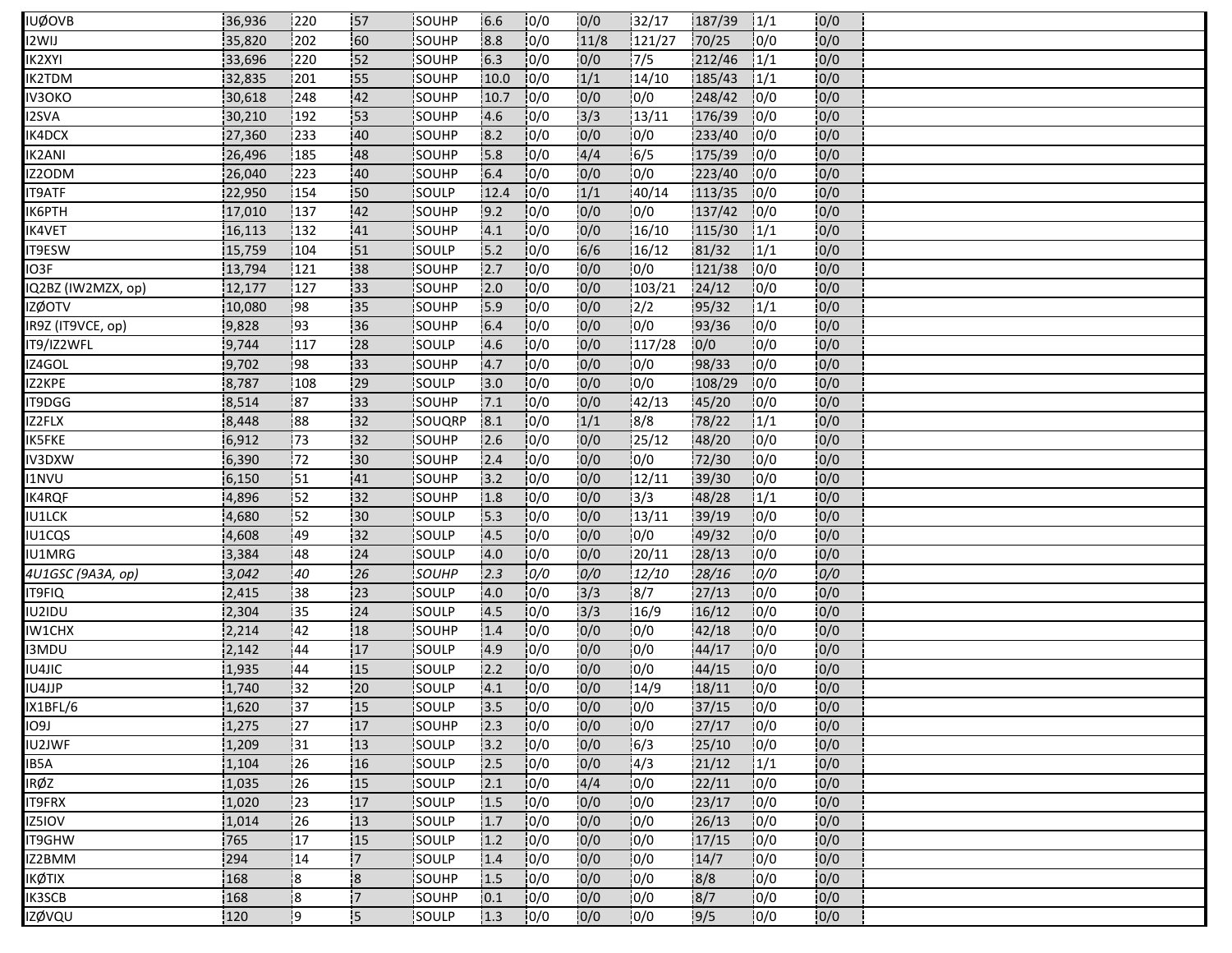| IUØOVB             | 36,936 | 220  | 57                      | <b>ISOUHP</b>  | 6.6  | 10/0 | 10/0            | 132/17 | 187/39 | 1/1  | 10/0 |  |
|--------------------|--------|------|-------------------------|----------------|------|------|-----------------|--------|--------|------|------|--|
| I2WIJ              | 35,820 | 202  | 60                      | SOUHP          | 8.8  | 10/0 | 11/8            | 121/27 | 70/25  | 10/0 | 0/0  |  |
| <b>IK2XYI</b>      | 33,696 | 220  | 152                     | SOUHP          | 6.3  | 0/0  | 0/0             | 7/5    | 212/46 | 1/1  | 0/0  |  |
| IK2TDM             | 32,835 | 201  | 55                      | SOUHP          | 10.0 | 10/0 | 1/1             | 14/10  | 185/43 | 1/1  | 0/0  |  |
| IV3OKO             | 30,618 | 248  | 42                      | SOUHP          | 10.7 | 10/0 | 0/0             | 0/0    | 248/42 | 10/0 | 0/0  |  |
| <b>I2SVA</b>       | 30,210 | 192  | 53                      | SOUHP          | 4.6  | 0/0  | 3/3             | 13/11  | 176/39 | 10/0 | 0/0  |  |
| IK4DCX             | 27,360 | 233] | 40                      | <b>SOUHP</b>   | 8.2  | 10/0 | 10/0            | 0/0    | 233/40 | 10/0 | 0/0  |  |
| IK2ANI             | 26,496 | 185  | 48                      | SOUHP          | 15.8 | 0/0  | 4/4             | 6/5    | 175/39 | 10/0 | 0/0  |  |
| IZ2ODM             | 26,040 | 223  | 40                      | SOUHP          | 6.4  | 10/0 | 0/0             | 10/0   | 223/40 | 10/0 | 0/0  |  |
| <b>IT9ATF</b>      | 22,950 | 154  | 150                     | SOULP          | 12.4 | 0/0  | 1/1             | 40/14  | 113/35 | 10/0 | 0/0  |  |
| ІК6РТН             | 17,010 | 137  | 42                      | SOUHP          | 9.2  | 0/0  | 0/0             | 0/0    | 137/42 | 10/0 | 0/0  |  |
| <b>IK4VET</b>      | 16,113 | 132  | 41                      | SOUHP          | 4.1  | 10/0 | 0/0             | 16/10  | 115/30 | 1/1  | 0/0  |  |
| <b>IT9ESW</b>      | 15,759 | 104  | 51                      | SOULP          | 15.2 | 10/0 | 6/6             | 16/12  | 81/32  | 1/1  | 0/0  |  |
| IO3F               | 13,794 | 121  | 38                      | SOUHP          | 2.7  | 10/0 | 0/0             | 0/0    | 121/38 | 10/0 | 0/0  |  |
| IQ2BZ (IW2MZX, op) | 12,177 | 127  | 33                      | SOUHP          | 12.0 | 10/0 | 0/0             | 103/21 | 24/12  | 10/0 | 0/0  |  |
| <b>IZØOTV</b>      | 10,080 | 98   | 35                      | SOUHP          | 15.9 | 0/0  | 0/0             | 12/2   | 95/32  | 1/1  | 0/0  |  |
| IR9Z (IT9VCE, op)  | 9,828  | 93   | 36                      | SOUHP          | 6.4  | 10/0 | 0/0             | 0/0    | 93/36  | 10/0 | 0/0  |  |
| IT9/IZ2WFL         | 9,744  | 117  | 28                      | <b>SOULP</b>   | 4.6  | 10/0 | 0/0             | 117/28 | 0/0    | 10/0 | 0/0  |  |
| IZ4GOL             | 9,702  | 98   | 33                      | SOUHP          | 4.7  | 10/0 | 0/0             | 0/0    | 98/33  | 10/0 | 0/0  |  |
| IZ2KPE             | 8,787  | 108  | 29                      | SOULP          | 3.0  | 10/0 | 0/0             | 0/0    | 108/29 | 10/0 | 0/0  |  |
| IT9DGG             | 8,514  | 187  | 133                     | <b>SOUHP</b>   | 7.1  | 10/0 | 0/0             | 142/13 | 45/20  | 10/0 | 0/0  |  |
| IZ2FLX             | 8,448  | 88   | 32                      | SOUQRP         | 8.1  | 0/0  | 1/1             | 8/8    | 78/22  | 1/1  | 0/0  |  |
| <b>IK5FKE</b>      | 6,912  | 173  | 132                     | SOUHP          | 2.6  | 10/0 | 0/0             | 125/12 | 48/20  | 10/0 | 10/0 |  |
| IV3DXW             | 6,390  | 172  | i30                     | SOUHP          | 2.4  | 0/0  | 0/0             | 10/0   | 72/30  | 10/0 | 0/0  |  |
| <b>I1NVU</b>       | 6,150  | 151  | 41                      | SOUHP          | 3.2  | 10/0 | 0/0             | 12/11  | 39/30  | 0/0  | 0/0  |  |
| IK4RQF             | 4,896  | 52   | 32                      | SOUHP          | 1.8  | 0/0  | 0/0             | 3/3    | 48/28  | 1/1  | 0/0  |  |
| IU1LCK             | 4,680  | 152  | 130                     | SOULP          | 15.3 | 10/0 | 0/0             | 13/11  | 39/19  | 0/0  | 0/0  |  |
| IU1CQS             | 4,608  | 49   | 132                     | SOULP          | 4.5  | 10/0 | 0/0             | 0/0    | 49/32  | 0/0  | 0/0  |  |
| IU1MRG             | 3,384  | 48   | 24                      | <b>ISOULP</b>  | 4.0  | 10/0 | 0/0             | 20/11  | 28/13  | 0/0  | 0/0  |  |
| 4U1GSC (9A3A, op)  | 3,042  | 40   | 26                      | <b>SOUHP</b>   | 2.3  | 0/0  | 0/0             | 12/10  | 28/16  | 0/0  | 0/0  |  |
| IT9FIQ             | 2,415  | 38   | 23                      | SOULP          | 4.0  | 0/0  | 3/3             | 8/7    | 27/13  | 10/0 | 0/0  |  |
| IU2IDU             | 2,304  | 135  | 24                      | <b>SOULP</b>   | 4.5  | 10/0 | $\frac{1}{3}/3$ | 16/9   | 16/12  | 10/0 | 0/0  |  |
| IW1CHX             | 2,214  | 42   | 18                      | SOUHP          | 1.4  | 10/0 | 0/0             | 0/0    | 42/18  | 0/0  | 0/0  |  |
| I3MDU              | 2,142  | 44   | 17                      | SOULP          | 4.9  | 10/0 | 0/0             | 0/0    | 44/17  | 0/0  | 0/0  |  |
| IU4JIC             | 1,935  | 44   | :15                     | <b>I</b> SOULP | 12.2 | 10/0 | 0/0             | 0/0    | 44/15  | 10/0 | 0/0  |  |
| IU4JJP             | 1,740  | 32   | 20                      | SOULP          | 4.1  | 10/0 | 0/0             | 14/9   | 18/11  | 0/0  | 0/0  |  |
| IX1BFL/6           | 1,620  | 137  | :15                     | SOULP          | 3.5  | 0/0  | 0/0             | 0/0    | 37/15  | 0/0  | 0/0  |  |
| 109J               | 1,275  | 127  | 17                      | SOUHP          | 2.3  | 0/0  | 0/0             | 0/0    | 27/17  | 10/0 | 0/0  |  |
| IU2JWF             | 1,209  | 31   | 13                      | SOULP          | 3.2  | 0/0  | 0/0             | 6/3    | 25/10  | 0/0  | 0/0  |  |
| IB5A               | 1,104  | 26   | 16                      | SOULP          | 2.5  | 10/0 | 0/0             | 14/3   | 21/12  | 1/1  | 0/0  |  |
| IRØZ               | 1,035  | 126  | 15                      | SOULP          | 2.1  | 10/0 | 4/4             | 0/0    | 22/11  | 0/0  | 0/0  |  |
| IT9FRX             | 1,020  | 23   | 17                      | SOULP          | 1.5  | 0/0  | 0/0             | 0/0    | 23/17  | 10/0 | 0/0  |  |
| IZ5IOV             | 1,014  | 26   | 13                      | <b>SOULP</b>   | 1.7  | 0/0  | 0/0             | 10/0   | 26/13  | 10/0 | 0/0  |  |
| <b>IT9GHW</b>      | 765    | 17   | 15                      | SOULP          | 1.2  | 0/0  | 0/0             | 0/0    | 17/15  | 10/0 | 0/0  |  |
| IZ2BMM             | 294    | 14   | 17                      | SOULP          | 1.4  | 0/0  | 0/0             | 10/0   | 14/7   | 10/0 | 0/0  |  |
| IKØTIX             | 168    | :8   | $\overline{\mathbf{8}}$ | <b>SOUHP</b>   | 1.5  | 0/0  | 0/0             | 10/0   | 8/8    | 10/0 | 0/0  |  |
| IK3SCB             | 168    | :8   | 17                      | SOUHP          | 0.1  | 0/0  | 0/0             | 0/0    | 8/7    | 0/0  | 0/0  |  |
| izøvqu             | 120    | و!   | <b>5</b>                | SOULP          | 1.3  | 10/0 | 0/0             | 10/0   | 19/5   | 10/0 | 0/0  |  |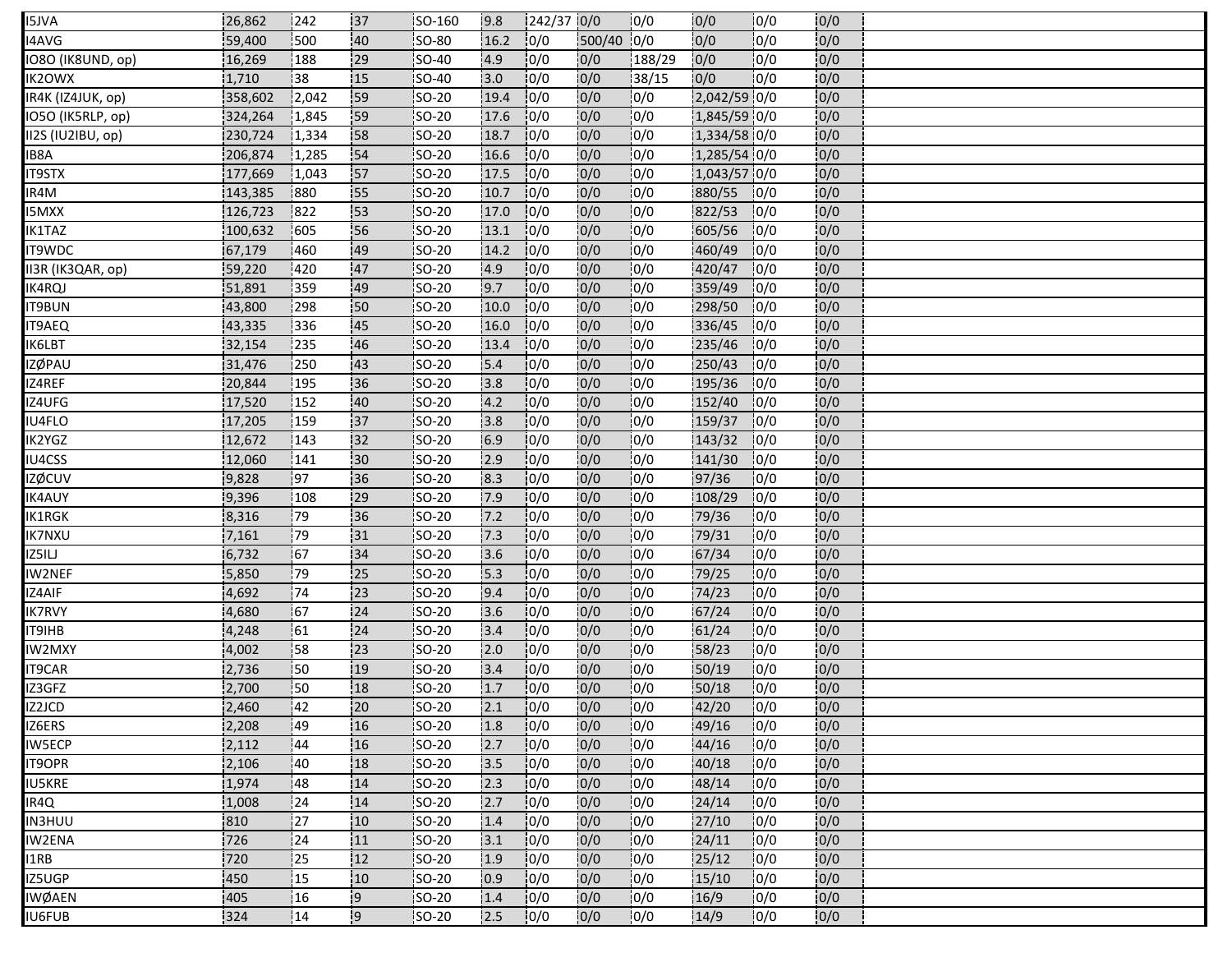| <b>I5JVA</b>      | 26,862  | 242             | 37  | SO-160        | 19.8 | $1242/37$ 0/0 |            | 10/0   | 10/0           | 10/0 | 10/0 |  |
|-------------------|---------|-----------------|-----|---------------|------|---------------|------------|--------|----------------|------|------|--|
| I4AVG             | 59,400  | 500             | 40  | SO-80         | 16.2 | 0/0           | 500/40 0/0 |        | 0/0            | 0/0  | 0/0  |  |
| IO8O (IK8UND, op) | 16,269  | 188             | 29  | SO-40         | 4.9  | 0/0           | 0/0        | 188/29 | 0/0            | 0/0  | 0/0  |  |
| IK2OWX            | 1,710   | 38              | 15  | <b>SO-40</b>  | 3.0  | 10/0          | 0/0        | 38/15  | 0/0            | 10/0 | 0/0  |  |
| IR4K (IZ4JUK, op) | 358,602 | 2,042           | 59  | <b>SO-20</b>  | 19.4 | 0/0           | 0/0        | 0/0    | 2,042/59 0/0   |      | 0/0  |  |
| IO5O (IK5RLP, op) | 324,264 | 1,845           | 59  | SO-20         | 17.6 | 0/0           | 0/0        | 0/0    | 1,845/59 0/0   |      | 0/0  |  |
| II2S (IU2IBU, op) | 230,724 | 1,334           | 58  | <b>ISO-20</b> | 18.7 | 10/0          | 0/0        | 0/0    | 1,334/58 0/0   |      | 0/0  |  |
| IB8A              | 206,874 | 1,285           | 54  | SO-20         | 16.6 | 0/0           | 0/0        | 0/0    | 1,285/54 0/0   |      | 0/0  |  |
| <b>IT9STX</b>     | 177,669 | 1,043           | 57  | <b>SO-20</b>  | 17.5 | 10/0          | 0/0        | 10/0   | $1,043/57$ 0/0 |      | 0/0  |  |
| IR4M              | 143,385 | 880             | 55  | SO-20         | 10.7 | 0/0           | 0/0        | 10/0   | 880/55         | 10/0 | 0/0  |  |
| <b>I5MXX</b>      | 126,723 | 822             | 53  | SO-20         | 17.0 | 10/0          | 0/0        | 0/0    | 822/53         | 10/0 | 0/0  |  |
| IK1TAZ            | 100,632 | 605             | 56  | <b>SO-20</b>  | 13.1 | 10/0          | 0/0        | 10/0   | 605/56         | 10/0 | 0/0  |  |
| IT9WDC            | 67,179  | 460             | 49  | <b>SO-20</b>  | 14.2 | 10/0          | 0/0        | 0/0    | 460/49         | 10/0 | 0/0  |  |
| II3R (IK3QAR, op) | 59,220  | 420             | 47  | SO-20         | 4.9  | 10/0          | 0/0        | 0/0    | 420/47         | 0/0  | 0/0  |  |
| IK4RQJ            | 51,891  | 359             | 49  | SO-20         | 9.7  | 10/0          | 0/0        | 10/0   | 359/49         | 10/0 | 0/0  |  |
| <b>IT9BUN</b>     | 43,800  | 298             | 50  | SO-20         | 10.0 | 10/0          | 0/0        | 10/0   | 298/50         | 10/0 | 0/0  |  |
| IT9AEQ            | 43,335  | 336             | 45  | $SO-20$       | 16.0 | 0/0           | 0/0        | 10/0   | 336/45         | 10/0 | 0/0  |  |
| IK6LBT            | 32,154  | 235             | 46  | <b>ISO-20</b> | 13.4 | 10/0          | 0/0        | 0/0    | 235/46         | 10/0 | 0/0  |  |
| <b>IZØPAU</b>     | 31,476  | 250             | 43  | SO-20         | 5.4  | 0/0           | 0/0        | 10/0   | 250/43         | 10/0 | 0/0  |  |
| IZ4REF            | 20,844  | 195             | 36  | SO-20         | 3.8  | 10/0          | 0/0        | 10/0   | 195/36         | 10/0 | 0/0  |  |
| IZ4UFG            | 17,520  | 152             | 40  | <b>ISO-20</b> | 4.2  | 10/0          | 0/0        | 10/0   | 152/40         | 10/0 | 0/0  |  |
| IU4FLO            | 17,205  | 159             | 137 | SO-20         | 3.8  | 10/0          | 0/0        | 0/0    | 159/37         | 10/0 | 0/0  |  |
| IK2YGZ            | 12,672  | 143             | 132 | <b>SO-20</b>  | 6.9  | 10/0          | 0/0        | 10/0   | 143/32         | 10/0 | 0/0  |  |
| IU4CSS            | 12,060  | 141             | 130 | <b>SO-20</b>  | 12.9 | 10/0          | 0/0        | 10/0   | 141/30         | 10/0 | 0/0  |  |
| <b>IZØCUV</b>     | 9,828   | 197             | 36  | SO-20         | 8.3  | 10/0          | 0/0        | 0/0    | 97/36          | 10/0 | 0/0  |  |
| IK4AUY            | 9,396   | 108             | 29  | <b>SO-20</b>  | 7.9  | 10/0          | 0/0        | 10/0   | 108/29         | 10/0 | 0/0  |  |
| IK1RGK            | 8,316   | 179             | 36  | SO-20         | 7.2  | 0/0           | 0/0        | 0/0    | 79/36          | 0/0  | 0/0  |  |
| <b>IK7NXU</b>     | 7,161   | 79              | 131 | SO-20         | 7.3  | 10/0          | 0/0        | 0/0    | 79/31          | 0/0  | 0/0  |  |
| IZ5ILJ            | 6,732   | 167             | 34  | <b>ISO-20</b> | 13.6 | 10/0          | 0/0        | 0/0    | 67/34          | 10/0 | 0/0  |  |
| <b>IW2NEF</b>     | 5,850   | 79              | 25  | <b>SO-20</b>  | 15.3 | 10/0          | 0/0        | 0/0    | 79/25          | 0/0  | 0/0  |  |
| IZ4AIF            | 4,692   | 174             | 23  | $SO-20$       | 9.4  | 0/0           | 0/0        | 0/0    | 74/23          | 10/0 | 0/0  |  |
| IK7RVY            | 4,680   | 167             | 24  | <b>ISO-20</b> | 3.6  | 10/0          | 0/0        | 10/0   | 67/24          | 10/0 | 0/0  |  |
| IT9IHB            | 4,248   | 61              | 24  | SO-20         | 3.4  | 10/0          | 0/0        | 0/0    | 61/24          | 0/0  | 0/0  |  |
| IW2MXY            | 4,002   | 158             | 23  | SO-20         | 12.0 | 10/0          | 0/0        | 10/0   | 58/23          | 10/0 | 0/0  |  |
| IT9CAR            | 2,736   | 150             | 19  | <b>SO-20</b>  | 3.4  | 10/0          | 0/0        | 0/0    | 50/19          | 10/0 | 0/0  |  |
| IZ3GFZ            | 2,700   | 150             | 18  | SO-20         | 1.7  | 0/0           | 0/0        | 0/0    | 50/18          | 0/0  | 0/0  |  |
| IZ2JCD            | 2,460   | $\overline{42}$ | 20  | SO-20         | 2.1  | 0/0           | 0/0        | 0/0    | 42/20          | 0/0  | 0/0  |  |
| IZ6ERS            | 2,208   | 49              | 16  | SO-20         | 1.8  | 0/0           | 0/0        | 0/0    | 49/16          | 10/0 | 0/0  |  |
| <b>IW5ECP</b>     | 2,112   | 44              | :16 | SO-20         | 2.7  | 0/0           | 0/0        | 0/0    | 44/16          | 0/0  | 0/0  |  |
| <b>IT9OPR</b>     | 2,106   | 40              | 18  | <b>SO-20</b>  | 3.5  | 10/0          | 0/0        | 10/0   | 40/18          | 10/0 | 0/0  |  |
| <b>IU5KRE</b>     | 1,974   | 48              | 14  | SO-20         | 2.3  | 0/0           | 0/0        | 10/0   | 48/14          | 10/0 | 0/0  |  |
| IR4Q              | 1,008   | 24              | 14  | $SO-20$       | 2.7  | 0/0           | 0/0        | 0/0    | 24/14          | 0/0  | 0/0  |  |
| IN3HUU            | 810     | 27              | 10  | <b>SO-20</b>  | 1.4  | 0/0           | 0/0        | 10/0   | 27/10          | 10/0 | 0/0  |  |
| <b>IW2ENA</b>     | 726     | 24              | 11  | SO-20         | 3.1  | 0/0           | 0/0        | 0/0    | 24/11          | 10/0 | 0/0  |  |
| I1RB              | 720     | 25              | 12  | $SO-20$       | 1.9  | 0/0           | 0/0        | 0/0    | 25/12          | 0/0  | 0/0  |  |
| IZ5UGP            | 450     | <sup>1</sup> 15 | 10  | <b>SO-20</b>  | 0.9  | 0/0           | 0/0        | 10/0   | 15/10          | 10/0 | 0/0  |  |
| <b>IWØAEN</b>     | 405     | 16              | -9  | SO-20         | 1.4  | 0/0           | 0/0        | 0/0    | 16/9           | 0/0  | 0/0  |  |
| <b>IU6FUB</b>     | 324     | 114             | و!  | SO-20         | 2.5  | 10/0          | 0/0        | 10/0   | 14/9           | 10/0 | 0/0  |  |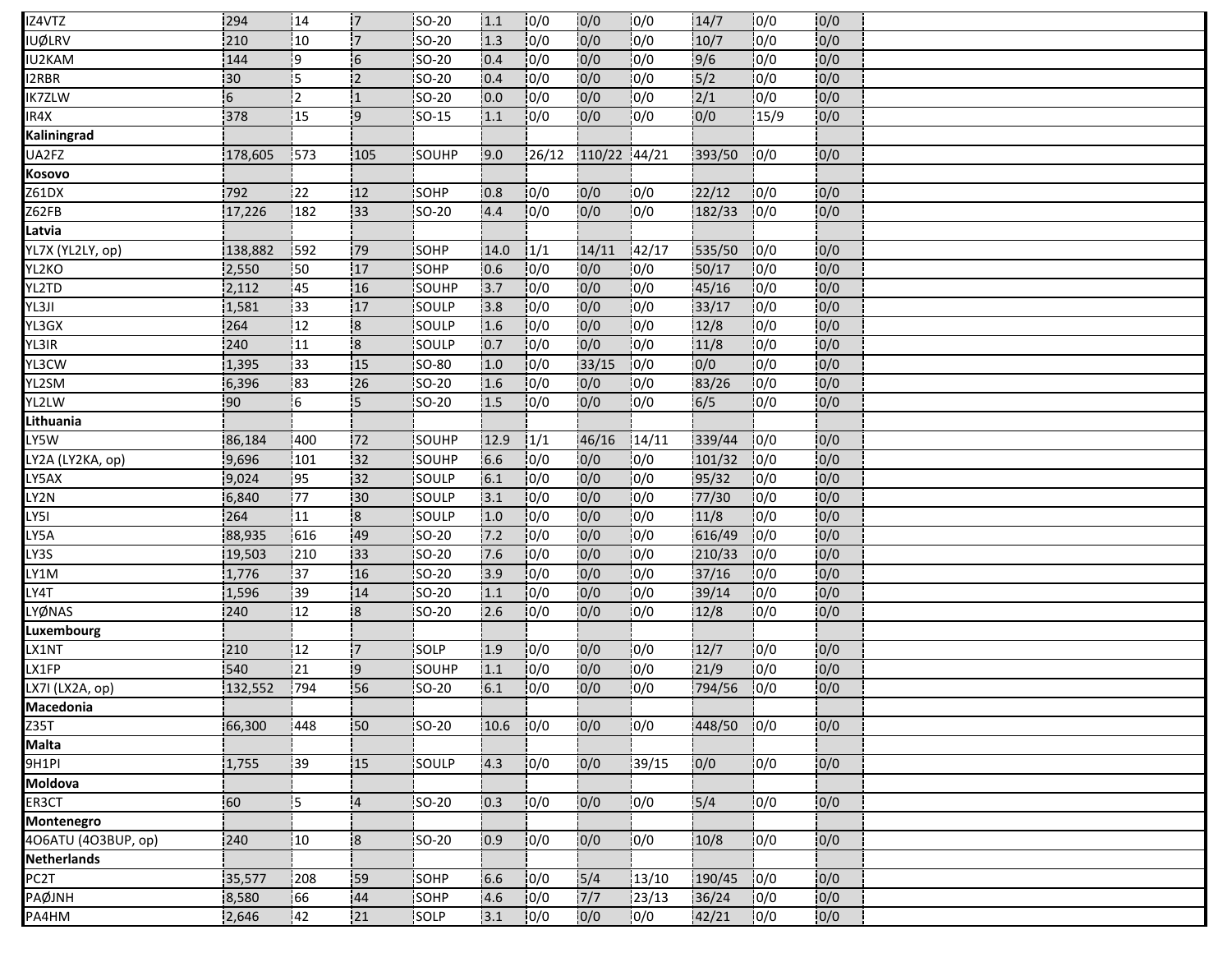| IZ4VTZ              | 294     | 14               | 17                       | <b>SO-20</b> | 1.1  | 10/0   | 0/0          | 10/0   | 14/7          | 10/0 | 0/0 |  |
|---------------------|---------|------------------|--------------------------|--------------|------|--------|--------------|--------|---------------|------|-----|--|
| <b>UØLRV</b>        | 210     | 10               | $\overline{7}$           | SO-20        | 1.3  | 10/0   | 0/0          | 10/0   | 10/7          | 10/0 | 0/0 |  |
| IU2KAM              | 144     | 19               | $\overline{\phantom{0}}$ | SO-20        | 0.4  | 0/0    | 0/0          | 0/0    | 9/6           | 0/0  | 0/0 |  |
| 2RBR                | 30      | İ5               | $\overline{2}$           | <b>SO-20</b> | 0.4  | 10/0   | 0/0          | 0/0    | 5/2           | 0/0  | 0/0 |  |
| <b>IK7ZLW</b>       | 6       | 12               |                          | SO-20        | 0.0  | 10/0   | 0/0          | 0/0    | $\frac{2}{1}$ | 0/0  | 0/0 |  |
| IR4X                | 378     | 15               | 9                        | <b>SO-15</b> | 1.1  | 0/0    | 0/0          | 0/0    | 0/0           | 15/9 | 0/0 |  |
| Kaliningrad         |         |                  |                          |              |      |        |              |        |               |      |     |  |
| UA2FZ               | 178,605 | 1573             | 105                      | SOUHP        | 9.0  | 126/12 | 110/22 44/21 |        | 393/50        | 0/0  | 0/0 |  |
| Kosovo              |         |                  |                          |              |      |        |              |        |               |      |     |  |
| Z61DX               | 792     | 22               | 12 <sub>12</sub>         | <b>SOHP</b>  | 10.8 | 0/0    | 0/0          | 10/0   | 22/12         | 10/0 | 0/0 |  |
| Z62FB               | 17,226  | 182              | 133                      | SO-20        | 4.4  | 0/0    | 0/0          | 10/0   | 182/33        | 0/0  | 0/0 |  |
| Latvia              |         |                  |                          |              |      |        |              |        |               |      |     |  |
| YL7X (YL2LY, op)    | 138,882 | 592              | 79                       | SOHP         | 14.0 | 1/1    | 14/11        | 142/17 | 535/50        | 10/0 | 0/0 |  |
| YL2KO               | 2,550   | $\frac{1}{2}50$  | 17                       | SOHP         | 0.6  | 0/0    | 0/0          | 0/0    | 50/17         | 10/0 | 0/0 |  |
| YL2TD               | 2,112   | :45              | 16                       | SOUHP        | 3.7  | 10/0   | 0/0          | 10/0   | 45/16         | 10/0 | 0/0 |  |
| YL3JI               | 1,581   | 33               | 17                       | SOULP        | 3.8  | 0/0    | 0/0          | 0/0    | 33/17         | 0/0  | 0/0 |  |
| YL3GX               | 264     | 12               | $\overline{\mathbf{8}}$  | SOULP        | 1.6  | 0/0    | 0/0          | 10/0   | 12/8          | 10/0 | 0/0 |  |
| YL3IR               | 240     | 11               | 18                       | SOULP        | 0.7  | 10/0   | 0/0          | 10/0   | 11/8          | 10/0 | 0/0 |  |
| YL3CW               | 1,395   | 33               | 15                       | SO-80        | 1.0  | 0/0    | 33/15        | 0/0    | 0/0           | 0/0  | 0/0 |  |
| YL2SM               | 6,396   | 183              | 26                       | <b>SO-20</b> | 1.6  | 0/0    | 0/0          | 0/0    | 83/26         | 10/0 | 0/0 |  |
| YL2LW               | 90      | 16               | 5                        | <b>SO-20</b> | 1.5  | 0/0    | 0/0          | 10/0   | 6/5           | 10/0 | 0/0 |  |
| Lithuania           |         |                  |                          |              |      |        |              |        |               |      |     |  |
| LY5W                | 86,184  | 1400             | 172                      | SOUHP        | 12.9 | 1/1    | 46/16        | 14/11  | 339/44        | 0/0  | 0/0 |  |
| LY2A (LY2KA, op)    | 9,696   | 101              | $\overline{32}$          | SOUHP        | 6.6  | 10/0   | 0/0          | 10/0   | 101/32        | 10/0 | 0/0 |  |
| LY5AX               | 9,024   | 195              | 132                      | SOULP        | 6.1  | 10/0   | 0/0          | 10/0   | 95/32         | 0/0  | 0/0 |  |
| LY2N                | 6,840   | 177              | 30                       | SOULP        | 3.1  | 0/0    | 0/0          | 0/0    | 77/30         | 0/0  | 0/0 |  |
| LY5I                | 264     | 11               | $\overline{\mathbf{8}}$  | SOULP        | 1.0  | 10/0   | 0/0          | 0/0    | 11/8          | 0/0  | 0/0 |  |
| LY5A                | 88,935  | 616              | 49                       | SO-20        | 7.2  | 10/0   | 0/0          | 0/0    | 616/49        | 0/0  | 0/0 |  |
| LY3S                | 19,503  | 210              | 33                       | <b>SO-20</b> | 7.6  | 10/0   | 0/0          | 0/0    | 210/33        | 10/0 | 0/0 |  |
| LY1M                | 1,776   | 137              | 16                       | SO-20        | 3.9  | 0/0    | 0/0          | 0/0    | 37/16         | 10/0 | 0/0 |  |
| LY4T                | 1,596   | 39               | 14                       | SO-20        | 1.1  | 0/0    | 0/0          | 10/0   | 39/14         | 0/0  | 0/0 |  |
| LYØNAS              | 240     | 12               | $\overline{\mathbf{8}}$  | SO-20        | 2.6  | 10/0   | 0/0          | 10/0   | 12/8          | 10/0 | 0/0 |  |
| Luxembourg          |         |                  |                          |              |      |        |              |        |               |      |     |  |
| LX1NT               | 210     | 12               | '7                       | SOLP         | 1.9  | 0/0    | 0/0          | 10/0   | 12/7          | 10/0 | 0/0 |  |
| LX1FP               | 540     | $\overline{121}$ | 9                        | <b>SOUHP</b> | 11.1 | 10/0   | 0/0          | 10/0   | 21/9          | 10/0 | 0/0 |  |
| LX7I (LX2A, op)     | 132,552 | 794              | 56                       | SO-20        | 6.1  | 0/0    | 0/0          | 10/0   | 794/56        | 10/0 | 0/0 |  |
| Macedonia           |         |                  |                          |              |      |        |              |        |               |      |     |  |
| $\overline{235T}$   | 66,300  | 448              | 50                       | SO-20        | 10.6 | 10/0   | 0/0          | 10/0   | 448/50        | 10/0 | 0/0 |  |
| Malta               |         |                  |                          |              |      |        |              |        |               |      |     |  |
| 9H1PI               | 1,755   | 39               | 15                       | SOULP        | 4.3  | 0/0    | 0/0          | 39/15  | 0/0           | 0/0  | 0/0 |  |
| Moldova             |         |                  |                          |              |      |        |              |        |               |      |     |  |
| ER3CT               | 60      | I5               | $\overline{4}$           | <b>SO-20</b> | 0.3  | 0/0    | 0/0          | 0/0    | 5/4           | 0/0  | 0/0 |  |
| Montenegro          |         |                  |                          |              |      |        |              |        |               |      |     |  |
| 4O6ATU (4O3BUP, op) | 240     | $ 10\rangle$     | 8                        | SO-20        | 0.9  | 0/0    | 0/0          | 0/0    | 10/8          | 0/0  | 0/0 |  |
| <b>Netherlands</b>  |         |                  |                          |              |      |        |              |        |               |      |     |  |
| PC2T                | 35,577  | 208              | 59                       | SOHP         | 16.6 | 10/0   | 5/4          | 13/10  | 190/45        | 0/0  | 0/0 |  |
| PAØJNH              | 8,580   | 66               | 44                       | SOHP         | 4.6  | 10/0   | 7/7          | 23/13  | 36/24         | 0/0  | 0/0 |  |
| PA4HM               | 2,646   | 42               | 21                       | SOLP         | 3.1  | 0/0    | 0/0          | 0/0    | 42/21         | 0/0  | 0/0 |  |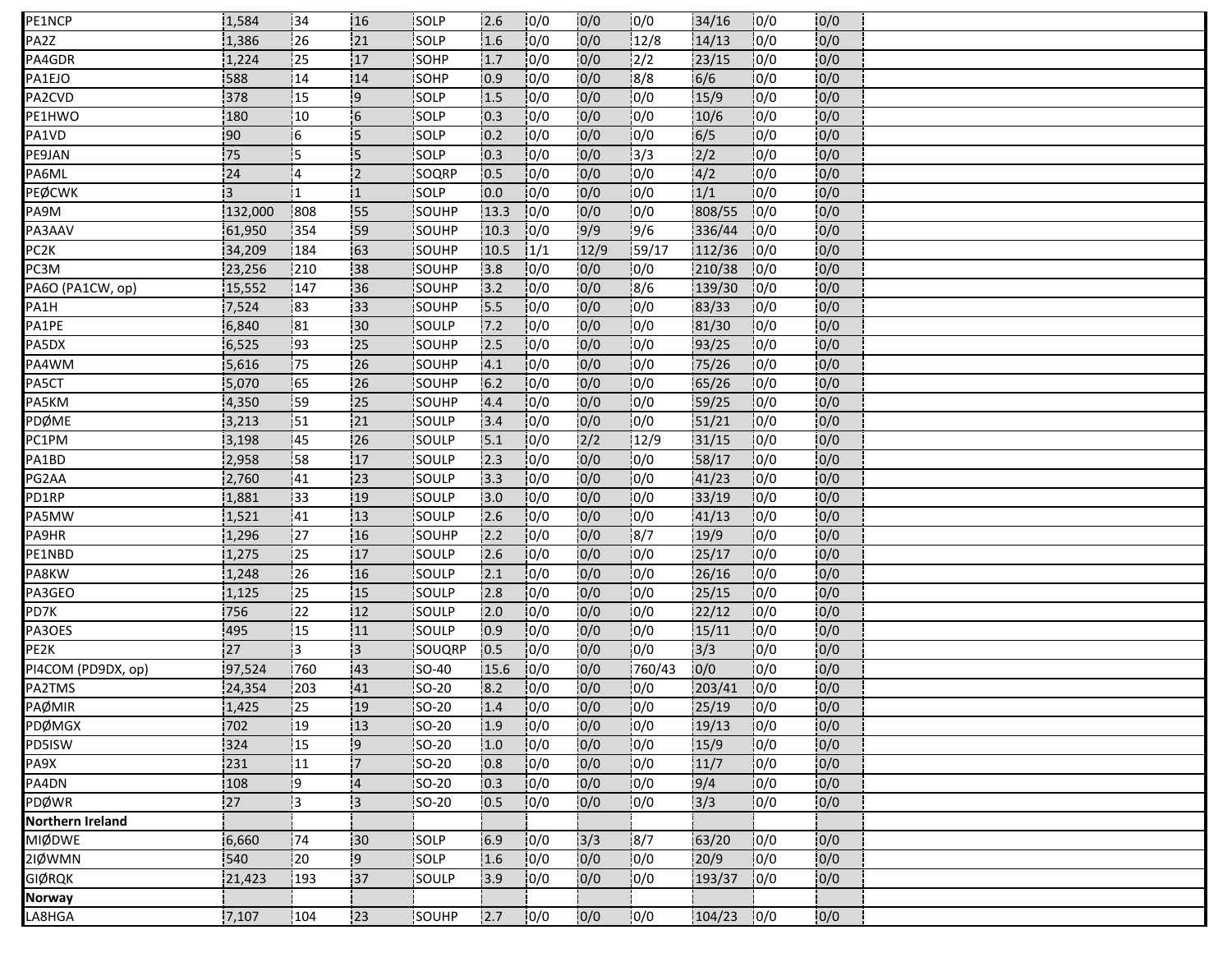| PE1NCP             | 1,584   | 134            | 116            | <b>SOLP</b>   | 2.6   | 10/0 | 10/0 | 10/0   | 34/16        | 10/0 | 0/0  |  |
|--------------------|---------|----------------|----------------|---------------|-------|------|------|--------|--------------|------|------|--|
| PA2Z               | 1,386   | 26             | 21             | SOLP          | 1.6   | 10/0 | 0/0  | 12/8   | 14/13        | 0/0  | 0/0  |  |
| PA4GDR             | 1,224   | 25             | 17             | SOHP          | 1.7   | 0/0  | 0/0  | 2/2    | 23/15        | 0/0  | 0/0  |  |
| PA1EJO             | 588     | 14             | 14             | SOHP          | 0.9   | 10/0 | 0/0  | 8/8    | 6/6          | 0/0  | 0/0  |  |
| PA2CVD             | 378     | 15             | -9             | SOLP          | 1.5   | 0/0  | 0/0  | 0/0    | 15/9         | 0/0  | 0/0  |  |
| PE1HWO             | 180     | 10             | 6              | <b>SOLP</b>   | 10.3  | 0/0  | 0/0  | 0/0    | 10/6         | 0/0  | 0/0  |  |
| PA1VD              | 90      | 16             | 15             | <b>ISOLP</b>  | 0.2   | 10/0 | 0/0  | 10/0   | 6/5          | 0/0  | 0/0  |  |
| PE9JAN             | 75      | $\overline{5}$ | 15             | SOLP          | 10.3  | 0/0  | 0/0  | 3/3    | 2/2          | 0/0  | 0/0  |  |
| PA6ML              | 24      | 14             | 12             | SOQRP         | 10.5  | 0/0  | 0/0  | 10/0   | 4/2          | 10/0 | 0/0  |  |
| PEØCWK             | İЗ.     |                | 11             | SOLP          | 0.0   | 0/0  | 0/0  | 0/0    | 1/1          | 10/0 | 0/0  |  |
| PA9M               | 132,000 | 808            | 55             | SOUHP         | 13.3  | 0/0  | 0/0  | 0/0    | 808/55       | 0/0  | 0/0  |  |
| PA3AAV             | 61,950  | 354            | 59             | SOUHP         | 10.3  | 10/0 | 9/9  | 9/6    | 336/44       | 10/0 | 0/0  |  |
| PC <sub>2</sub> K  | 34,209  | 184            | 163            | SOUHP         | 10.5  | 1/1  | 12/9 | 59/17  | 112/36       | 10/0 | 0/0  |  |
| PC3M               | 23,256  | 210            | 38             | SOUHP         | 3.8   | 0/0  | 0/0  | 0/0    | 210/38       | 10/0 | 0/0  |  |
| PA6O (PA1CW, op)   | 15,552  | 147            | 36             | SOUHP         | 13.2  | 10/0 | 0/0  | 8/6    | 139/30       | 10/0 | 0/0  |  |
| PA1H               | 7,524   | 83             | 133            | SOUHP         | 15.5  | 0/0  | 0/0  | 10/0   | 83/33        | 0/0  | 0/0  |  |
| PA1PE              | 6,840   | 81             | 30             | SOULP         | 7.2   | 10/0 | 0/0  | 0/0    | 81/30        | 10/0 | 0/0  |  |
| PA5DX              | 6,525   | 193            | 25             | <b>ISOUHP</b> | 2.5   | 10/0 | 0/0  | 10/0   | 93/25        | 10/0 | 0/0  |  |
| PA4WM              | 5,616   | 75             | 26             | SOUHP         | 4.1   | 0/0  | 0/0  | 0/0    | 75/26        | 0/0  | 0/0  |  |
| PA5CT              | 5,070   | 165            | 26             | SOUHP         | $6.2$ | 10/0 | 0/0  | 0/0    | 65/26        | 10/0 | 0/0  |  |
| PA5KM              | 4,350   | 59             | 125            | <b>SOUHP</b>  | 4.4   | 10/0 | 0/0  | 10/0   | 59/25        | 10/0 | 0/0  |  |
| PDØME              | 3,213   | 151            | 21             | SOULP         | 3.4   | 0/0  | 0/0  | 0/0    | 51/21        | 10/0 | 0/0  |  |
| PC1PM              | 3,198   | 145            | 26             | SOULP         | 15.1  | 10/0 | 2/2  | 12/9   | 31/15        | 10/0 | 10/0 |  |
| PA1BD              | 2,958   | 58             | 17             | SOULP         | 12.3  | 0/0  | 0/0  | 10/0   | 58/17        | 10/0 | 0/0  |  |
| PG2AA              | 2,760   | 41             | 23             | SOULP         | 3.3   | 10/0 | 0/0  | 0/0    | 41/23        | 0/0  | 0/0  |  |
| PD1RP              | 1,881   | 133            | 19             | SOULP         | 3.0   | 0/0  | 0/0  | 10/0   | 33/19        | 10/0 | 0/0  |  |
| PA5MW              | 1,521   | 41             | 13             | SOULP         | 2.6   | 10/0 | 0/0  | 10/0   | 41/13        | 0/0  | 0/0  |  |
| PA9HR              | 1,296   | 27             | 16             | SOUHP         | 2.2   | 0/0  | 0/0  | 8/7    | 19/9         | 0/0  | 0/0  |  |
| PE1NBD             | 1,275   | :25            | 17             | <b>ISOULP</b> | 2.6   | 10/0 | 0/0  | 0/0    | 25/17        | 0/0  | 0/0  |  |
| PA8KW              | 1,248   | 26             | 16             | SOULP         | 2.1   | 0/0  | 0/0  | 0/0    | 26/16        | 0/0  | 0/0  |  |
| PA3GEO             | 1,125   | 25             | 15             | SOULP         | 2.8   | 0/0  | 0/0  | 0/0    | 25/15        | 10/0 | 0/0  |  |
| PD7K               | 756     | 22             | 12             | <b>SOULP</b>  | 2.0   | 10/0 | 0/0  | 10/0   | 22/12        | 10/0 | 0/0  |  |
| PA3OES             | 495     | 15             | 11             | SOULP         | 0.9   | 10/0 | 0/0  | 0/0    | 15/11        | 0/0  | 0/0  |  |
| PE2K               | 27      | ļЗ             | $\mathbf{13}$  | SOUQRP        | 0.5   | 10/0 | 0/0  | 10/0   | 3/3          | 0/0  | 0/0  |  |
| PI4COM (PD9DX, op) | 97,524  | 760            | 143            | <b>SO-40</b>  | 15.6  | 10/0 | 0/0  | 760/43 | 10/0         | 0/0  | 0/0  |  |
| PA2TMS             | 24,354  | 203            | 41             | SO-20         | 8.2   | 10/0 | 0/0  | 0/0    | 203/41       | 0/0  | 0/0  |  |
| PAØMIR             | 1,425   | 125            | :19            | <b>SO-20</b>  | 1.4   | 0/0  | 0/0  | 0/0    | 25/19        | 0/0  | 0/0  |  |
| PDØMGX             | 702     | $ 19\rangle$   | 13             | $50-20$       | 1.9   | 10/0 | 0/0  | 10/0   | 19/13        | 0/0  | 0/0  |  |
| PD5ISW             | 324     | 15             | 9              | <b>SO-20</b>  | 1.0   | 0/0  | 0/0  | 0/0    | 15/9         | 0/0  | 0/0  |  |
| PA9X               | 231     | 11             | 17             | SO-20         | 0.8   | 10/0 | 0/0  | 10/0   | 11/7         | 0/0  | 0/0  |  |
| PA4DN              | 108     | i9             | $\overline{4}$ | SO-20         | 0.3   | 10/0 | 0/0  | 0/0    | 9/4          | 0/0  | 0/0  |  |
| PDØWR              | 27      | Ιз             | $\mathsf{13}$  | <b>SO-20</b>  | 0.5   | 0/0  | 0/0  | 0/0    | 3/3          | 0/0  | 0/0  |  |
| Northern Ireland   |         |                |                |               |       |      |      |        |              |      |      |  |
| <b>MIØDWE</b>      | 6,660   | 74             | 30             | SOLP          | 6.9   | 0/0  | 3/3  | 8/7    | 63/20        | 10/0 | 0/0  |  |
| 2IØWMN             | 540     | 20             | $\overline{9}$ | SOLP          | 1.6   | 0/0  | 0/0  | 0/0    | 20/9         | 10/0 | 0/0  |  |
| GIØRQK             | 21,423  | 193            | 37             | SOULP         | 3.9   | 10/0 | 0/0  | 10/0   | 193/37       | 0/0  | 0/0  |  |
| <b>Norway</b>      |         |                |                |               |       |      |      |        |              |      |      |  |
| LA8HGA             | 7,107   | 104            | 23             | SOUHP         | 2.7   | 10/0 | 0/0  | 10/0   | $104/23$ 0/0 |      | 0/0  |  |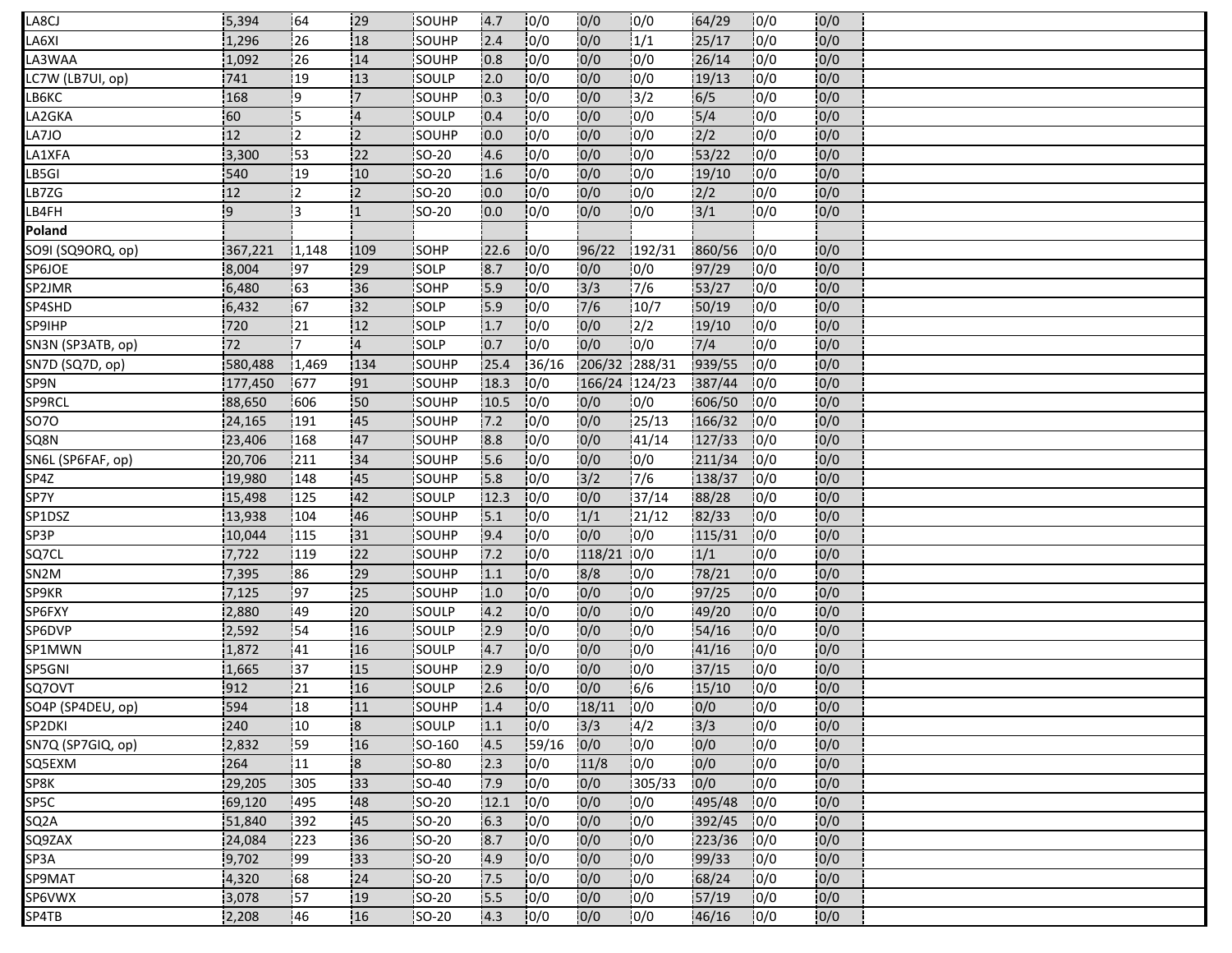| LA8CJ             | 5,394            | 64    | .29                     | <b>SOUHP</b> | 4.7  | 10/0  | 0/0             | 10/0          | 64/29        | 10/0 | 10/0 |  |
|-------------------|------------------|-------|-------------------------|--------------|------|-------|-----------------|---------------|--------------|------|------|--|
| LA6XI             | 1,296            | 26    | 18                      | SOUHP        | 2.4  | 0/0   | 0/0             | 1/1           | 25/17        | 0/0  | 0/0  |  |
| LA3WAA            | 1,092            | 26    | 14                      | SOUHP        | 0.8  | 0/0   | 0/0             | 10/0          | 26/14        | 10/0 | 0/0  |  |
| LC7W (LB7UI, op)  | 741              | 19    | 13                      | <b>SOULP</b> | 2.0  | 10/0  | 0/0             | 10/0          | 19/13        | 10/0 | 0/0  |  |
| LB6KC             | 168              | ¦9    | '7                      | SOUHP        | 0.3  | 0/0   | 0/0             | 13/2          | 6/5          | 10/0 | 0/0  |  |
| LA2GKA            | 60               | 15    | <b>4</b>                | SOULP        | 0.4  | 10/0  | 0/0             | 10/0          | 15/4         | 10/0 | 0/0  |  |
| LA7JO             | 12 <sub>12</sub> | İ2    | 12                      | <b>SOUHP</b> | 0.0  | 10/0  | 0/0             | 10/0          | 2/2          | 10/0 | 0/0  |  |
| LA1XFA            | 3,300            | 53    | 122                     | SO-20        | 4.6  | 10/0  | 0/0             | 10/0          | 53/22        | 0/0  | 0/0  |  |
| LB5GI             | 540              | 19    | 10                      | <b>SO-20</b> | 1.6  | 10/0  | 0/0             | 10/0          | 19/10        | 10/0 | 0/0  |  |
| LB7ZG             | 12               | İ2    | 12                      | <b>SO-20</b> | 0.0  | 10/0  | 0/0             | 10/0          | 2/2          | 10/0 | 0/0  |  |
| LB4FH             | وا               | 13    | :1                      | SO-20        | 0.0  | 0/0   | 0/0             | 10/0          | $3/1$        | 0/0  | 0/0  |  |
| Poland            |                  |       |                         |              |      |       |                 |               |              |      |      |  |
| SO9I (SQ9ORQ, op) | 367,221          | 1,148 | 109                     | SOHP         | 22.6 | 10/0  | 96/22           | 192/31        | 860/56       | 10/0 | 0/0  |  |
| SP6JOE            | 8,004            | 97    | 29                      | SOLP         | 8.7  | 0/0   | 0/0             | 0/0           | 97/29        | 0/0  | 0/0  |  |
| SP2JMR            | 6,480            | 63    | 36                      | <b>ISOHP</b> | 15.9 | 10/0  | $\frac{1}{3}/3$ | 17/6          | 53/27        | 0/0  | 0/0  |  |
| SP4SHD            | 6,432            | 67    | 32                      | SOLP         | 5.9  | 0/0   | 7/6             | 10/7          | 50/19        | 0/0  | 0/0  |  |
| <b>SP9IHP</b>     | 720              | 21    | 12                      | SOLP         | 1.7  | 0/0   | 0/0             | $\frac{1}{2}$ | 19/10        | 10/0 | 0/0  |  |
| SN3N (SP3ATB, op) | 72               | İ7    | $\overline{4}$          | SOLP         | 0.7  | 10/0  | 0/0             | 10/0          | 7/4          | 10/0 | 0/0  |  |
| SN7D (SQ7D, op)   | 580,488          | 1,469 | 134                     | SOUHP        | 25.4 | 36/16 | 206/32 288/31   |               | 939/55       | 10/0 | 0/0  |  |
| SP9N              | 177,450          | 677   | 91                      | SOUHP        | 18.3 | 0/0   | 166/24 124/23   |               | 387/44       | 10/0 | 0/0  |  |
| SP9RCL            | 88,650           | 606   | i50                     | <b>SOUHP</b> | 10.5 | 10/0  | 0/0             | 10/0          | 606/50       | 10/0 | 0/0  |  |
| 5070              | 24,165           | 191   | 45                      | SOUHP        | 7.2  | 10/0  | 0/0             | 25/13         | 166/32       | 10/0 | 0/0  |  |
| SQ8N              | 23,406           | 168   | 47                      | SOUHP        | 8.8  | 0/0   | 0/0             | 41/14         | 127/33       | 10/0 | 0/0  |  |
| SN6L (SP6FAF, op) | 20,706           | 211   | 34                      | SOUHP        | 5.6  | 0/0   | 0/0             | 10/0          | 211/34       | 10/0 | 0/0  |  |
| SP4Z              | 19,980           | 148   | 45                      | SOUHP        | 5.8  | 0/0   | 3/2             | 7/6           | 138/37       | 10/0 | 0/0  |  |
| SP7Y              | 15,498           | 125   | 42                      | SOULP        | 12.3 | 10/0  | 0/0             | 37/14         | 88/28        | 10/0 | 0/0  |  |
| SP1DSZ            | 13,938           | 104   | 46                      | SOUHP        | 5.1  | 0/0   | 1/1             | 121/12        | 82/33        | 10/0 | 0/0  |  |
| SP3P              | 10,044           | 115   | 31                      | SOUHP        | 9.4  | 0/0   | 0/0             | 0/0           | 115/31       | 10/0 | 0/0  |  |
| SQ7CL             | 7,722            | 119   | 22                      | <b>SOUHP</b> | 7.2  | 10/0  | 118/21 0/0      |               | 1/1          | 10/0 | 0/0  |  |
| SN <sub>2</sub> M | 7,395            | 86    | 29                      | SOUHP        | 1.1  | 0/0   | 8/8             | 10/0          | 78/21        | 10/0 | 0/0  |  |
| SP9KR             | 7,125            | 97    | 25                      | SOUHP        | 1.0  | 0/0   | 0/0             | 10/0          | 97/25        | 10/0 | 0/0  |  |
| SP6FXY            | 12,880           | :49   | 20                      | SOULP        | 4.2  | 0/0   | 0/0             | 10/0          | 49/20        | 10/0 | 0/0  |  |
| SP6DVP            | 2,592            | 54    | 16                      | SOULP        | 2.9  | 0/0   | 0/0             | 0/0           | 54/16        | 0/0  | 0/0  |  |
| SP1MWN            | 1,872            | 41    | 16                      | SOULP        | 4.7  | 0/0   | 0/0             | 10/0          | 41/16        | 10/0 | 0/0  |  |
| SP5GNI            | 1,665            | 37    | :15                     | SOUHP        | 12.9 | 10/0  | 0/0             | 10/0          | 37/15        | 10/0 | 0/0  |  |
| SQ70VT            | 912              | 21    | 16                      | SOULP        | 2.6  | 0/0   | 0/0             | 6/6           | 15/10        | 0/0  | 0/0  |  |
| SO4P (SP4DEU, op) | 594              | 18    | 11                      | SOUHP        | 1.4  | 0/0   | 18/11           | 0/0           | 0/0          | 0/0  | 0/0  |  |
| SP2DKI            | 240              | 10    | 18                      | SOULP        | 1.1  | 10/0  | 3/3             | 14/2          | 3/3          | 10/0 | 0/0  |  |
| SN7Q (SP7GIQ, op) | 2,832            | 159   | 16                      | SO-160       | 14.5 | 59/16 | 0/0             | 10/0          | 0/0          | 0/0  | 0/0  |  |
| SQ5EXM            | 264              | 11    | $\overline{\mathbf{8}}$ | <b>SO-80</b> | 2.3  | 10/0  | 11/8            | 10/0          | 0/0          | 0/0  | 0/0  |  |
| SP8K              | 29,205           | 305   | 33                      | <b>SO-40</b> | 7.9  | 0/0   | 0/0             | 1305/33       | 0/0          | 0/0  | 0/0  |  |
| SP5C              | 69,120           | 495   | 48                      | SO-20        | 12.1 | 10/0  | 0/0             | 10/0          | 495/48       | 10/0 | 0/0  |  |
| SQ <sub>2</sub> A | 51,840           | 392   | 45                      | SO-20        | 6.3  | 10/0  | 0/0             | 10/0          | 392/45       | 10/0 | 0/0  |  |
| SQ9ZAX            | 24,084           | 223   | 36                      | SO-20        | 8.7  | 0/0   | 0/0             | 10/0          | $223/36$ 0/0 |      | 0/0  |  |
| SP3A              | 9,702            | 99    | 33                      | <b>SO-20</b> | 4.9  | 0/0   | 0/0             | 10/0          | 99/33        | 10/0 | 0/0  |  |
| SP9MAT            | 4,320            | 68    | 24                      | <b>SO-20</b> | 7.5  | 10/0  | 10/0            | 10/0          | 68/24        | 10/0 | 0/0  |  |
| SP6VWX            | 3,078            | 157   | 19                      | SO-20        | 5.5  | 0/0   | 0/0             | 10/0          | 57/19        | 0/0  | 0/0  |  |
| SP4TB             | 2,208            | 46    | 16                      | SO-20        | 4.3  | 10/0  | 0/0             | 10/0          | 46/16        | 10/0 | 0/0  |  |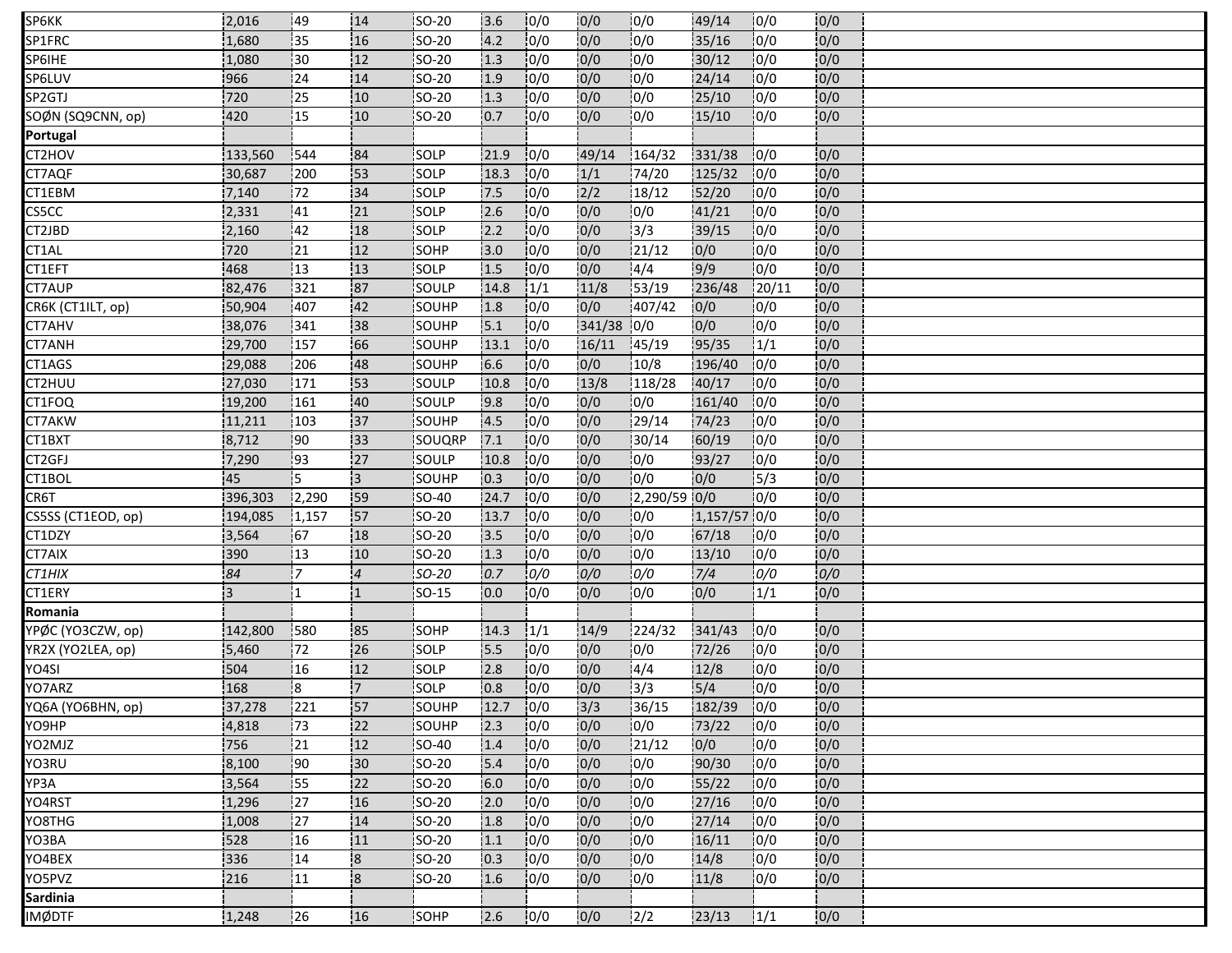| SP6KK              | 2,016          | 149             | 114                     | SO-20         | 3.6  | 10/0 | 0/0        | 10/0         | 149/14       | 10/0   | 0/0 |  |
|--------------------|----------------|-----------------|-------------------------|---------------|------|------|------------|--------------|--------------|--------|-----|--|
| SP1FRC             | 1,680          | 135             | 16                      | <b>SO-20</b>  | 4.2  | 0/0  | 0/0        | 0/0          | 35/16        | 0/0    | 0/0 |  |
| SP6IHE             | 1,080          | 30              | 12                      | <b>SO-20</b>  | 1.3  | 0/0  | 0/0        | 0/0          | 30/12        | 0/0    | 0/0 |  |
| SP6LUV             | 966            | 124             | 14                      | <b>SO-20</b>  | 1.9  | 10/0 | 0/0        | 0/0          | 24/14        | 0/0    | 0/0 |  |
| SP2GTJ             | 720            | $\frac{1}{25}$  | 10                      | <b>SO-20</b>  | 1.3  | 0/0  | 0/0        | 0/0          | 25/10        | 0/0    | 0/0 |  |
| SOØN (SQ9CNN, op)  | 420            | 15              | 10 <sub>10</sub>        | <b>SO-20</b>  | 10.7 | 10/0 | 0/0        | 10/0         | 15/10        | 0/0    | 0/0 |  |
| Portugal           |                |                 |                         |               |      |      |            |              |              |        |     |  |
| CT2HOV             | 133,560        | 544             | 84                      | SOLP          | 21.9 | 0/0  | 49/14      | 164/32       | 331/38       | 0/0    | 0/0 |  |
| CT7AQF             | 30,687         | 1200            | 153                     | <b>SOLP</b>   | 18.3 | 10/0 | 1/1        | 74/20        | 125/32       | 10/0   | 0/0 |  |
| CT1EBM             | 7,140          | 172             | 34                      | <b>SOLP</b>   | 17.5 | 0/0  | 2/2        | 18/12        | 52/20        | 10/0   | 0/0 |  |
| CS5CC              | 2,331          | 41              | 21                      | SOLP          | 2.6  | 0/0  | 0/0        | 0/0          | 41/21        | 0/0    | 0/0 |  |
| CT2JBD             | 2,160          | 42              | 18                      | SOLP          | 2.2  | 0/0  | 0/0        | 13/3         | 39/15        | 10/0   | 0/0 |  |
| CT1AL              | 720            | 21              | 12                      | <b>ISOHP</b>  | 3.0  | 10/0 | 0/0        | 121/12       | 0/0          | 0/0    | 0/0 |  |
| CT1EFT             | 468            | 13              | 13                      | SOLP          | 1.5  | 10/0 | 0/0        | 4/4          | 9/9          | 0/0    | 0/0 |  |
| CT7AUP             | 82,476         | 321             | 87                      | <b>ISOULP</b> | 14.8 | 1/1  | 11/8       | 53/19        | 236/48       | 120/11 | 0/0 |  |
| CR6K (CT1ILT, op)  | 50,904         | 407             | 42                      | SOUHP         | 1.8  | 10/0 | 0/0        | 407/42       | 0/0          | 10/0   | 0/0 |  |
| CT7AHV             | 38,076         | 341             | 38                      | SOUHP         | 5.1  | 0/0  | 341/38 0/0 |              | 0/0          | 0/0    | 0/0 |  |
| CT7ANH             | 29,700         | 157             | 66                      | <b>ISOUHP</b> | 13.1 | 10/0 | 16/11      | 145/19       | 95/35        | 1/1    | 0/0 |  |
| CT1AGS             | 29,088         | 206             | 48                      | <b>SOUHP</b>  | 6.6  | 0/0  | 0/0        | 10/8         | 196/40       | 10/0   | 0/0 |  |
| CT2HUU             | 27,030         | 171             | 53                      | <b>SOULP</b>  | 10.8 | 10/0 | 13/8       | 118/28       | 40/17        | 10/0   | 0/0 |  |
| CT1FOQ             | 19,200         | 161             | 40                      | <b>SOULP</b>  | 9.8  | 10/0 | 10/0       | 10/0         | 161/40       | 10/0   | 0/0 |  |
| CT7AKW             | 11,211         | 103             | 37                      | SOUHP         | 4.5  | 10/0 | 0/0        | 129/14       | 74/23        | 10/0   | 0/0 |  |
| CT1BXT             | 8,712          | 190             | 33                      | SOUQRP        | 7.1  | 10/0 | 0/0        | 30/14        | 60/19        | 10/0   | 0/0 |  |
| CT2GFJ             | 7,290          | 193             | 127                     | <b>SOULP</b>  | 10.8 | 10/0 | 0/0        | 0/0          | 93/27        | 10/0   | 0/0 |  |
| CT1BOL             | 45             | 15              | 3                       | SOUHP         | 0.3  | 0/0  | 0/0        | 0/0          | 0/0          | 15/3   | 0/0 |  |
| CR6T               | 396,303        | 2,290           | 59                      | <b>SO-40</b>  | 24.7 | 0/0  | 0/0        | 2,290/59 0/0 |              | 10/0   | 0/0 |  |
| CS5SS (CT1EOD, op) | 194,085        | 1,157           | 57                      | SO-20         | 13.7 | 10/0 | 0/0        | 0/0          | 1,157/57 0/0 |        | 0/0 |  |
| CT1DZY             | 3,564          | 67              | .18                     | SO-20         | 3.5  | 10/0 | 0/0        | 0/0          | 67/18        | 0/0    | 0/0 |  |
| CT7AIX             | 390            | !13             | 110                     | <b>ISO-20</b> | 1.3  | 10/0 | 0/0        | 10/0         | 13/10        | 10/0   | 0/0 |  |
| CT1HIX             | 84             | '7              | 4                       | SO-20         | 0.7  | 0/0  | 0/0        | 0/0          | 7/4          | 0/0    | 0/0 |  |
| CT1ERY             | $\overline{3}$ | I1              | !1                      | <b>SO-15</b>  | 0.0  | 0/0  | 0/0        | 0/0          | 0/0          | 1/1    | 0/0 |  |
| Romania            |                |                 |                         |               |      |      |            |              |              |        |     |  |
| YPØC (YO3CZW, op)  | 142,800        | 580             | 85                      | SOHP          | 14.3 | 1/1  | 14/9       | 224/32       | 341/43       | 10/0   | 0/0 |  |
| YR2X (YO2LEA, op)  | 5,460          | .72             | 26                      | SOLP          | .5.5 | 10/0 | 10/0       | 0/0          | 72/26        | 0/0    | 0/0 |  |
| YO4SI              | 504            | 116             | 112                     | <b>SOLP</b>   | 12.8 | 10/0 | 0/0        | 14/4         | 12/8         | 10/0   | 0/0 |  |
| YO7ARZ             | 168            | 8               | .7                      | SOLP          | 0.8  | 0/0  | 0/0        | 3/3          | 5/4          | 0/0    | 0/0 |  |
| YQ6A (YO6BHN, op)  | 37,278         | 221             | 57                      | SOUHP         | 12.7 | 0/0  | 3/3        | 36/15        | 182/39       | 0/0    | 0/0 |  |
| YO9HP              | 4,818          | 173             | 22                      | SOUHP         | 2.3  | 10/0 | 0/0        | 10/0         | 73/22        | 10/0   | 0/0 |  |
| YO2MJZ             | 756            | 21              | 12                      | <b>SO-40</b>  | 1.4  | 0/0  | 0/0        | 21/12        | 0/0          | 0/0    | 0/0 |  |
| YO3RU              | 8,100          | $\overline{90}$ | 30                      | <b>SO-20</b>  | 5.4  | 10/0 | 0/0        | 0/0          | 90/30        | 10/0   | 0/0 |  |
| YP3A               | 3,564          | 155             | 22                      | SO-20         | 6.0  | 10/0 | 0/0        | 10/0         | 55/22        | 10/0   | 0/0 |  |
| YO4RST             | 1,296          | 27              | 16                      | $SO-20$       | 2.0  | 0/0  | 0/0        | 0/0          | 27/16        | 0/0    | 0/0 |  |
| YO8THG             | 1,008          | 27              | 14                      | <b>ISO-20</b> | 1.8  | 10/0 | 0/0        | 10/0         | 27/14        | 10/0   | 0/0 |  |
| YO3BA              | 528            | 16              | 11                      | <b>SO-20</b>  | 1.1  | 10/0 | 0/0        | 0/0          | 16/11        | 10/0   | 0/0 |  |
| YO4BEX             | 336            | 14              | $\overline{\mathbf{8}}$ | SO-20         | 0.3  | 0/0  | 0/0        | 0/0          | 14/8         | 0/0    | 0/0 |  |
| YO5PVZ             | 216            | 11              | $\overline{8}$          | <b>ISO-20</b> | 1.6  | 10/0 | 0/0        | 10/0         | 11/8         | 10/0   | 0/0 |  |
| Sardinia           |                |                 |                         |               |      |      |            |              |              |        |     |  |
|                    |                |                 |                         |               |      |      |            |              |              |        |     |  |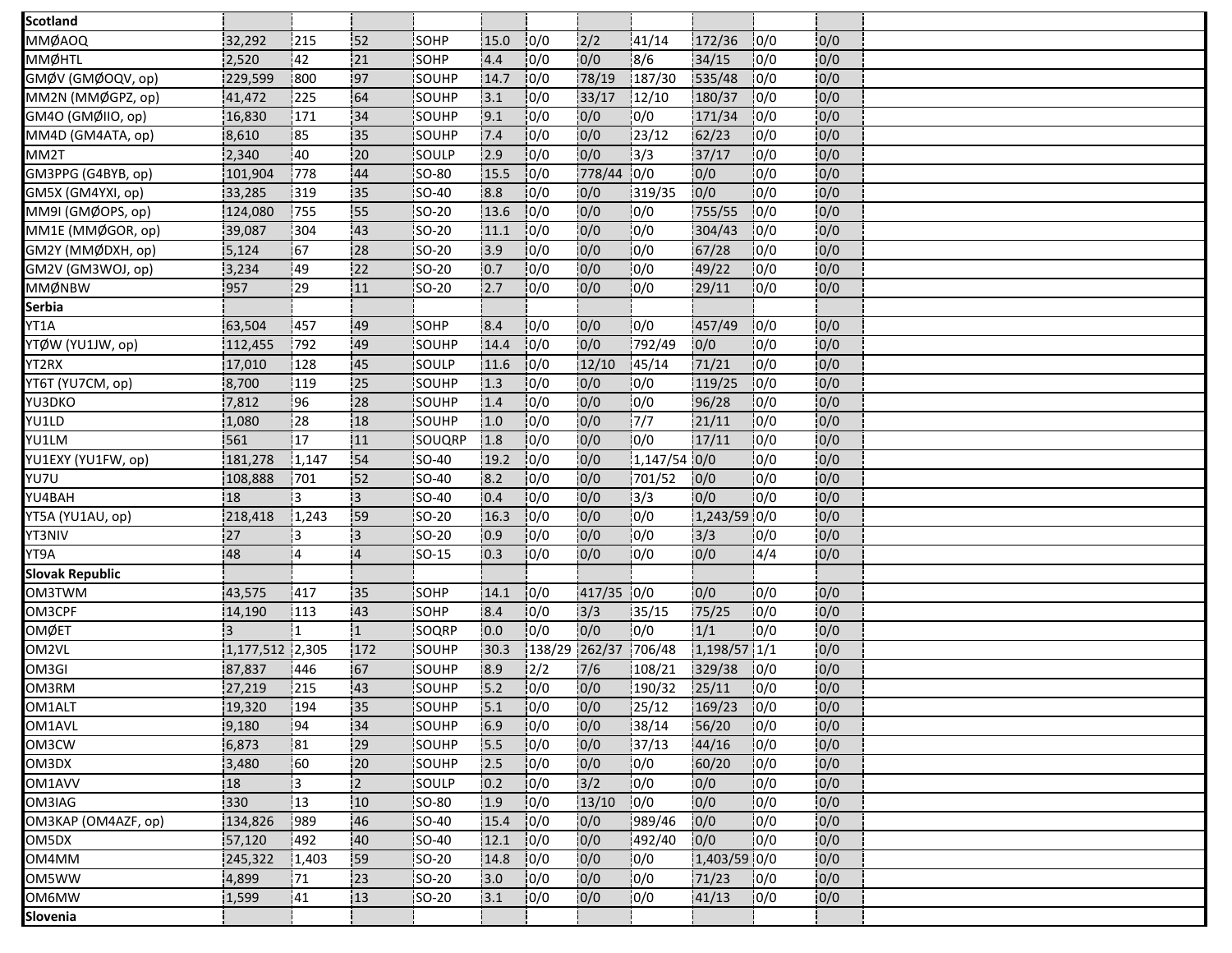| <b>Scotland</b>        |                 |           |                |              |       |               |            |               |              |      |     |  |
|------------------------|-----------------|-----------|----------------|--------------|-------|---------------|------------|---------------|--------------|------|-----|--|
| MMØAOQ                 | 32,292          | 215       | 152            | SOHP         | 15.0  | 0/0           | 2/2        | 41/14         | 172/36       | 0/0  | 0/0 |  |
| <b>MMØHTL</b>          | 2,520           | 42        | 21             | SOHP         | 4.4   | 0/0           | 0/0        | 8/6           | 34/15        | 10/0 | 0/0 |  |
| GMØV (GMØOQV, op)      | 229,599         | 800       | 97             | <b>SOUHP</b> | 14.7  | 10/0          | 78/19      | 187/30        | 535/48       | 10/0 | 0/0 |  |
| MM2N (MMØGPZ, op)      | 41,472          | 225       | 64             | SOUHP        | 3.1   | 10/0          | 33/17      | 12/10         | 180/37       | 10/0 | 0/0 |  |
| GM4O (GMØIIO, op)      | 16,830          | 171       | 34             | SOUHP        | 9.1   | 10/0          | 0/0        | 10/0          | 171/34       | 10/0 | 0/0 |  |
| MM4D (GM4ATA, op)      | 8,610           | 185       | 135            | <b>SOUHP</b> | 7.4   | 0/0           | 0/0        | 23/12         | 62/23        | 10/0 | 0/0 |  |
| MM2T                   | 2,340           | 40        | 20             | SOULP        | 2.9   | 0/0           | 0/0        | 3/3           | 37/17        | 10/0 | 0/0 |  |
| GM3PPG (G4BYB, op)     | 101,904         | 778       | 44             | <b>SO-80</b> | 15.5  | 10/0          | 778/44     | 10/0          | 0/0          | 10/0 | 0/0 |  |
| GM5X (GM4YXI, op)      | 33,285          | 319       | 135            | <b>SO-40</b> | 8.8   | 0/0           | 0/0        | 319/35        | 10/0         | 10/0 | 0/0 |  |
| MM9I (GMØOPS, op)      | 124,080         | 755       | 55             | SO-20        | 13.6  | 10/0          | 0/0        | 0/0           | 755/55       | 0/0  | 0/0 |  |
| MM1E (MMØGOR, op)      | 39,087          | 304       | 43             | <b>SO-20</b> | 11.1  | 10/0          | 0/0        | 10/0          | 304/43       | 10/0 | 0/0 |  |
| GM2Y (MMØDXH, op)      | 5,124           | 67        | 28             | SO-20        | 3.9   | 10/0          | 0/0        | 0/0           | 67/28        | 10/0 | 0/0 |  |
| GM2V (GM3WOJ, op)      | 3,234           | 149       | 22             | $SO-20$      | 0.7   | 10/0          | 0/0        | 0/0           | 49/22        | 10/0 | 0/0 |  |
| MMØNBW                 | 957             | 29        | 11             | <b>SO-20</b> | 2.7   | 0/0           | 0/0        | 10/0          | 29/11        | 0/0  | 0/0 |  |
| Serbia                 |                 |           |                |              |       |               |            |               |              |      |     |  |
| YT1A                   | 63,504          | 457       | 49             | SOHP         | 8.4   | 0/0           | 0/0        | 0/0           | 457/49       | 10/0 | 0/0 |  |
| YTØW (YU1JW, op)       | 112,455         | 792       | 49             | SOUHP        | 14.4  | 10/0          | 0/0        | 792/49        | 0/0          | 10/0 | 0/0 |  |
| YT2RX                  | 17,010          | 128       | 45             | SOULP        | 11.6  | 10/0          | 12/10      | 45/14         | 71/21        | 10/0 | 0/0 |  |
| YT6T (YU7CM, op)       | 8,700           | 119       | .25            | SOUHP        | 1.3   | 0/0           | 0/0        | 0/0           | 119/25       | 10/0 | 0/0 |  |
| YU3DKO                 | 7,812           | 196       | 128            | <b>SOUHP</b> | 1.4   | 10/0          | 0/0        | 10/0          | 96/28        | 10/0 | 0/0 |  |
| YU1LD                  | 1,080           | 28        | 18             | SOUHP        | 1.0   | 10/0          | 0/0        | $\frac{1}{7}$ | 21/11        | 0/0  | 0/0 |  |
| YU1LM                  | 561             | 17        | 11             | SOUQRP       | 1.8   | 10/0          | 0/0        | 10/0          | 17/11        | 10/0 | 0/0 |  |
| YU1EXY (YU1FW, op)     | 181,278         | 1,147     | 54             | SO-40        | 19.2  | 10/0          | 0/0        | 1,147/54 0/0  |              | 10/0 | 0/0 |  |
| YU7U                   | 108,888         | 701       | 152            | SO-40        | 8.2   | 10/0          | 0/0        | 701/52        | 0/0          | 0/0  | 0/0 |  |
| YU4BAH                 | :18             | IЗ        | 13             | <b>SO-40</b> | 0.4   | 0/0           | 0/0        | 13/3          | 0/0          | 10/0 | 0/0 |  |
| YT5A (YU1AU, op)       | 218,418         | 1,243     | 59             | SO-20        | 16.3  | 0/0           | 0/0        | 0/0           | 1,243/59 0/0 |      | 0/0 |  |
| YT3NIV                 | 27              | 13        | :3             | <b>SO-20</b> | 0.9   | 0/0           | 0/0        | 0/0           | 3/3          | 0/0  | 0/0 |  |
| YT9A                   | 48              | 14        | $\overline{4}$ | <b>SO-15</b> | 10.3  | 10/0          | 0/0        | 10/0          | 10/0         | 4/4  | 0/0 |  |
| <b>Slovak Republic</b> |                 |           |                |              |       |               |            |               |              |      |     |  |
| OM3TWM                 | 43,575          | 417       | 35             | SOHP         | 14.1  | 10/0          | 417/35 0/0 |               | 10/0         | 10/0 | 0/0 |  |
| OM3CPF                 | 14,190          | 113       | 43             | SOHP         | 8.4   | 10/0          | 3/3        | 35/15         | 75/25        | 10/0 | 0/0 |  |
| OMØET                  | i3              |           | 11             | SOQRP        | 0.0   | 0/0           | 0/0        | 0/0           | 1/1          | 10/0 | 0/0 |  |
| OM2VL                  | 1,177,512 2,305 |           | 172            | SOUHP        | 30.3  | 138/29 262/37 |            | 706/48        | 1,198/57 1/1 |      | 0/0 |  |
| OM3GI                  | 87,837          | 446       | 67             | <b>SOUHP</b> | 8.9   | $\frac{1}{2}$ | 7/6        | 108/21        | 329/38       | 10/0 | 0/0 |  |
| OM3RM                  | 27,219          | 215       | 43             | SOUHP        | 5.2   | 0/0           | 0/0        | 190/32        | 25/11        | 0/0  | 0/0 |  |
| OM1ALT                 | 19,320          | 194       | 35             | SOUHP        | $5.1$ | 0/0           | 0/0        | 25/12         | $169/23$ 0/0 |      | 0/0 |  |
| OM1AVL                 | 9,180           | 194       | 34             | SOUHP        | 6.9   | 10/0          | 0/0        | 38/14         | 56/20        | 10/0 | 0/0 |  |
| OM3CW                  | 6,873           | 81        | 29             | SOUHP        | 5.5   | 0/0           | 0/0        | 37/13         | 44/16        | 0/0  | 0/0 |  |
| OM3DX                  | 3,480           | <b>60</b> | 20             | SOUHP        | 2.5   | 0/0           | 0/0        | 0/0           | 60/20        | 10/0 | 0/0 |  |
| OM1AVV                 | :18             | i3        | 2              | SOULP        | 0.2   | 0/0           | 3/2        | 0/0           | 0/0          | 0/0  | 0/0 |  |
| OM3IAG                 | 330             | 13        | 10             | SO-80        | 1.9   | 0/0           | 13/10      | 0/0           | 0/0          | 0/0  | 0/0 |  |
| OM3KAP (OM4AZF, op)    | 134,826         | 1989      | 46             | <b>SO-40</b> | 15.4  | 10/0          | 0/0        | 989/46        | 0/0          | 0/0  | 0/0 |  |
| OM5DX                  | 57,120          | 492       | 40             | SO-40        | 12.1  | 0/0           | 0/0        | 492/40        | 0/0          | 0/0  | 0/0 |  |
| OM4MM                  | 245,322         | 1,403     | 59             | SO-20        | 14.8  | 0/0           | 0/0        | 0/0           | 1,403/59 0/0 |      | 0/0 |  |
| OM5WW                  | 4,899           | 71        | 23             | ISO-20       | 3.0   | 0/0           | 0/0        | 10/0          | 71/23        | 10/0 | 0/0 |  |
| OM6MW                  | 1,599           | 41        | 13             | SO-20        | 3.1   | 0/0           | 0/0        | 0/0           | 41/13        | 0/0  | 0/0 |  |
| Slovenia               |                 |           |                |              |       |               |            |               |              |      |     |  |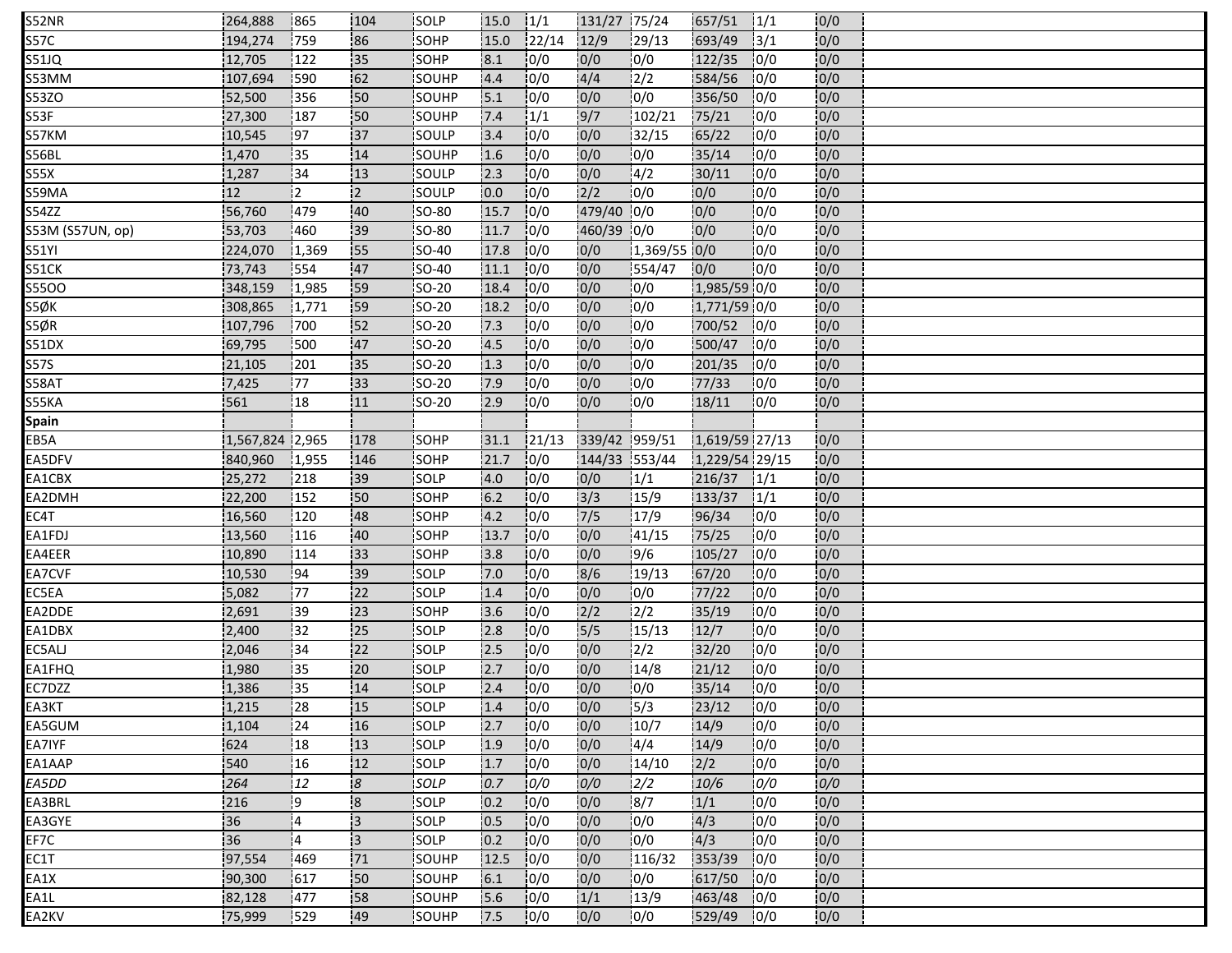| <b>S52NR</b>     | 264,888         | 865        | 104                     | SOLP          | 15.0 | 1/1    | 131/27 75/24   |               | 657/51         | 1/1           | 0/0 |  |
|------------------|-----------------|------------|-------------------------|---------------|------|--------|----------------|---------------|----------------|---------------|-----|--|
| S57C             | 194,274         | 759        | 86                      | SOHP          | 15.0 | 122/14 | 12/9           | 129/13        | 693/49         | $\frac{1}{3}$ | 0/0 |  |
| S51JQ            | 12,705          | 122        | 35                      | SOHP          | 8.1  | 0/0    | 0/0            | 0/0           | 122/35         | 10/0          | 0/0 |  |
| S53MM            | 107,694         | 590        | 62                      | SOUHP         | 4.4  | 10/0   | 4/4            | 2/2           | 584/56         | 10/0          | 0/0 |  |
| S53ZO            | 52,500          | 356        | 50                      | SOUHP         | 5.1  | 10/0   | 0/0            | 0/0           | 356/50         | 0/0           | 0/0 |  |
| S53F             | 27,300          | 187        | 50                      | SOUHP         | 7.4  | 1/1    | 9/7            | 102/21        | 75/21          | 10/0          | 0/0 |  |
| S57KM            | 10,545          | 97         | 137                     | <b>SOULP</b>  | 13.4 | 10/0   | 0/0            | 32/15         | 65/22          | 0/0           | 0/0 |  |
| S56BL            | 1,470           | 35         | 14                      | SOUHP         | 1.6  | 0/0    | 0/0            | 0/0           | 35/14          | 0/0           | 0/0 |  |
| S55X             | 1,287           | 134        | 13                      | <b>SOULP</b>  | 2.3  | 10/0   | 0/0            | 14/2          | 30/11          | 10/0          | 0/0 |  |
| S59MA            | 12              | 12.        | 12                      | SOULP         | 0.0  | 10/0   | 2/2            | 10/0          | 10/0           | 10/0          | 0/0 |  |
| S54ZZ            | 56,760          | 479        | 40                      | <b>SO-80</b>  | 15.7 | 0/0    | 479/40 0/0     |               | 0/0            | 10/0          | 0/0 |  |
| S53M (S57UN, op) | 53,703          | 460        | 39                      | <b>SO-80</b>  | 11.7 | 0/0    | 460/39 0/0     |               | 0/0            | 10/0          | 0/0 |  |
| <b>S51YI</b>     | 224,070         | 1,369      | 155                     | <b>SO-40</b>  | 17.8 | 0/0    | 0/0            | 1,369/55 0/0  |                | 0/0           | 0/0 |  |
| S51CK            | 73,743          | 554        | 47                      | SO-40         | 11.1 | 0/0    | 0/0            | 554/47        | 0/0            | 0/0           | 0/0 |  |
| <b>S55OO</b>     | 348,159         | 1,985      | 59                      | SO-20         | 18.4 | 10/0   | 0/0            | 0/0           | 1,985/59 0/0   |               | 0/0 |  |
| S5ØK             | 308,865         | 1,771      | 59                      | SO-20         | 18.2 | 10/0   | 0/0            | 0/0           | 1,771/59 0/0   |               | 0/0 |  |
| S5ØR             | 107,796         | 700        | 152                     | <b>SO-20</b>  | 7.3  | 0/0    | 0/0            | 0/0           | 700/52         | 10/0          | 0/0 |  |
| S51DX            | 69,795          | 500        | 47                      | <b>ISO-20</b> | 4.5  | 10/0   | 0/0            | 0/0           | 500/47         | 10/0          | 0/0 |  |
| S57S             | 21,105          | 201        | 35                      | <b>SO-20</b>  | 1.3  | 0/0    | 0/0            | 0/0           | 201/35         | 10/0          | 0/0 |  |
| S58AT            | 7,425           | .77        | 33                      | SO-20         | 17.9 | 10/0   | 0/0            | 10/0          | 77/33          | 10/0          | 0/0 |  |
| S55KA            | 561             | 18         | 111                     | <b>SO-20</b>  | 2.9  | 10/0   | 0/0            | 10/0          | 18/11          | 10/0          | 0/0 |  |
| Spain            |                 |            |                         |               |      |        |                |               |                |               |     |  |
| EB5A             | 1,567,824 2,965 |            | 178                     | <b>SOHP</b>   | 31.1 | 21/13  | 339/42 959/51  |               | 1,619/59 27/13 |               | 0/0 |  |
| EA5DFV           | 840,960         | 1,955      | 146                     | <b>SOHP</b>   | 21.7 | 10/0   | 144/33 553/44  |               | 1,229/54 29/15 |               | 0/0 |  |
| EA1CBX           | 25,272          | 218        | 39                      | SOLP          | 4.0  | 0/0    | 0/0            | 1/1           | 216/37         | $\frac{1}{1}$ | 0/0 |  |
| EA2DMH           | 22,200          | 152        | 50                      | SOHP          | 6.2  | 10/0   | 3/3            | 15/9          | 133/37         | 1/1           | 0/0 |  |
| EC4T             | 16,560          | 120        | 48                      | SOHP          | 4.2  | 10/0   | 7/5            | 17/9          | 96/34          | 0/0           | 0/0 |  |
| EA1FDJ           | 13,560          | 116        | 40                      | SOHP          | 13.7 | 10/0   | 0/0            | 41/15         | 75/25          | 0/0           | 0/0 |  |
| EA4EER           | 10,890          | 114        | 33                      | <b>SOHP</b>   | 3.8  | 10/0   | 0/0            | 9/6           | 105/27         | 10/0          | 0/0 |  |
| EA7CVF           | 10,530          | 94         | 39                      | SOLP          | 7.0  | 10/0   | 8/6            | 19/13         | 67/20          | 0/0           | 0/0 |  |
| EC5EA            | 5,082           | 177        | 22                      | SOLP          | 1.4  | 0/0    | 0/0            | 0/0           | 77/22          | 0/0           | 0/0 |  |
| EA2DDE           | 2,691           | 139        | 23                      | SOHP          | 3.6  | 10/0   | 2/2            | $\frac{1}{2}$ | 35/19          | 10/0          | 0/0 |  |
| EA1DBX           | 2,400           | 32         | 25                      | SOLP          | 2.8  | 10/0   | $\frac{15}{5}$ | 15/13         | 12/7           | 0/0           | 0/0 |  |
| EC5ALJ           | 2,046           | 134        | 122                     | SOLP          | 12.5 | 10/0   | 0/0            | 12/2          | 32/20          | 10/0          | 0/0 |  |
| EA1FHQ           | 1,980           | i35        | 120                     | <b>SOLP</b>   | 12.7 | 10/0   | 10/0           | 14/8          | 21/12          | 0/0           | 0/0 |  |
| EC7DZZ           | 1,386           | 35         | 14                      | SOLP          | 2.4  | 0/0    | 0/0            | 0/0           | 35/14          | 0/0           | 0/0 |  |
| EA3KT            | 1,215           | 28         | 15                      | SOLP          | 1.4  | 0/0    | 0/0            | $\frac{1}{3}$ | 23/12          | 0/0           | 0/0 |  |
| EA5GUM           | 1,104           | 24         | 16                      | <b>SOLP</b>   | 2.7  | 10/0   | 0/0            | 10/7          | 14/9           | 0/0           | 0/0 |  |
| EA7IYF           | 624             | 18         | 13                      | SOLP          | 1.9  | 0/0    | 0/0            | 4/4           | 14/9           | 0/0           | 0/0 |  |
| EA1AAP           | 540             | !16        | 12                      | <b>SOLP</b>   | 1.7  | 10/0   | 0/0            | 14/10         | 2/2            | 10/0          | 0/0 |  |
| EA5DD            | 264             | 12         | $\overline{8}$          | SOLP          | 0.7  | 0/0    | 0/0            | 2/2           | 10/6           | 0/0           | 0/0 |  |
| EA3BRL           | 216             | -9         | $\overline{\mathbf{8}}$ | SOLP          | 0.2  | 0/0    | 0/0            | 8/7           | 1/1            | 0/0           | 0/0 |  |
| EA3GYE           | 36              | 14         | ļЗ                      | <b>ISOLP</b>  | 0.5  | 10/0   | 0/0            | 10/0          | 4/3            | 0/0           | 0/0 |  |
| EF7C             | 36              | 14         | Iз.                     | <b>SOLP</b>   | 0.2  | 10/0   | 0/0            | 0/0           | 4/3            | 0/0           | 0/0 |  |
| EC1T             | 97,554          | :469       | 71                      | SOUHP         | 12.5 | 0/0    | 0/0            | 116/32        | 353/39         | 10/0          | 0/0 |  |
| EA1X             | 90,300          | 617        | 50                      | <b>SOUHP</b>  | 6.1  | 10/0   | 0/0            | 0/0           | 617/50         | 10/0          | 0/0 |  |
| EA1L             | 82,128          | <b>477</b> | 58                      | SOUHP         | 5.6  | 0/0    | 1/1            | 13/9          | 463/48         | 10/0          | 0/0 |  |
| EA2KV            | 75,999          | :529       | .49                     | SOUHP         | 7.5  | 10/0   | 0/0            | 10/0          | 529/49         | 10/0          | 0/0 |  |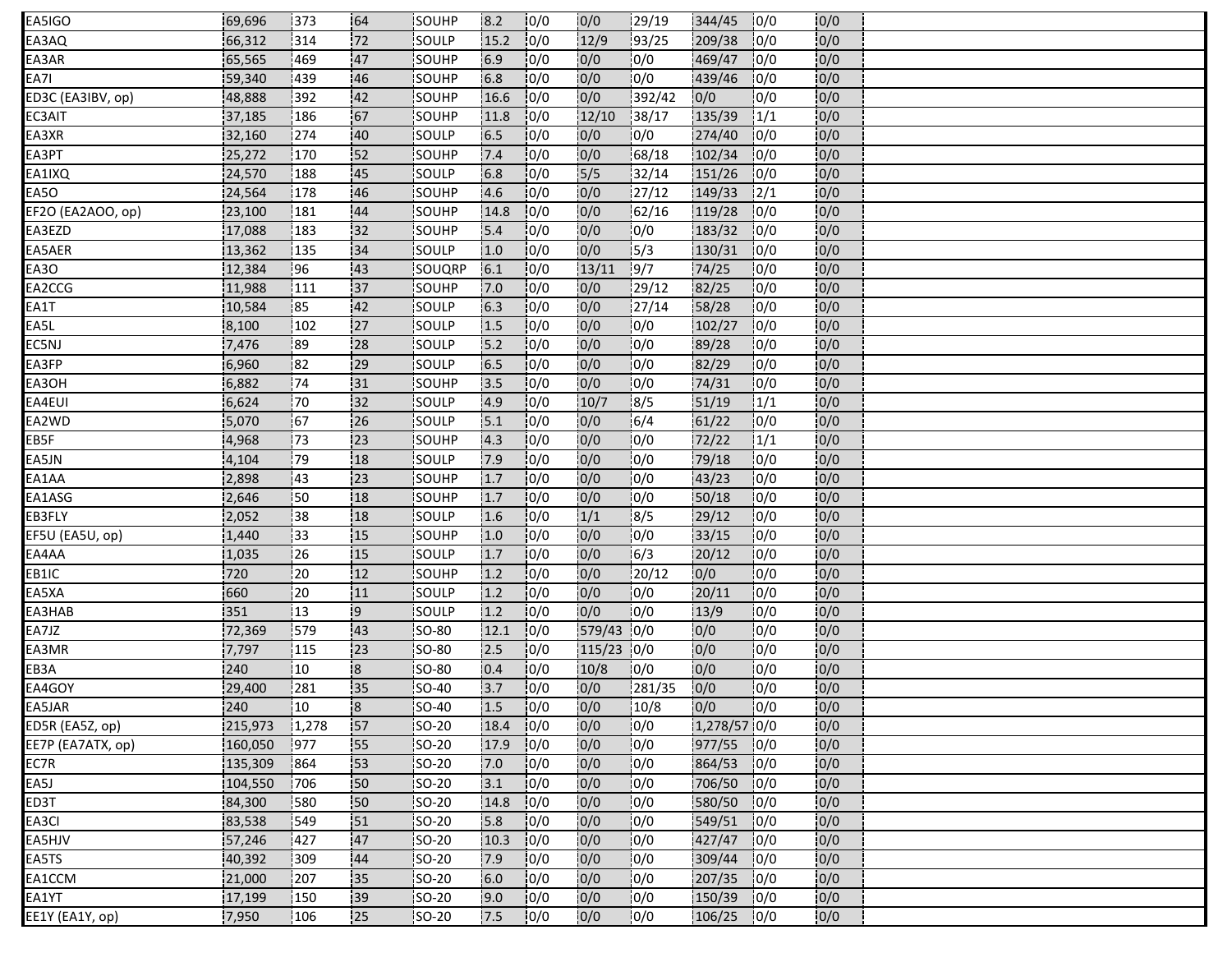| EA5IGO            | 69,696  | 373           | 64             | SOUHP         | 8.2   | 10/0 | 0/0    | 29/19  | 344/45       | 10/0 | 0/0 |  |
|-------------------|---------|---------------|----------------|---------------|-------|------|--------|--------|--------------|------|-----|--|
| EA3AQ             | 66,312  | 314           | 72             | SOULP         | 15.2  | 0/0  | 12/9   | 93/25  | 209/38       | 10/0 | 0/0 |  |
| EA3AR             | 65,565  | 469           | 47             | SOUHP         | 6.9   | 0/0  | 0/0    | 0/0    | 469/47       | 10/0 | 0/0 |  |
| EA7I              | 59,340  | 439           | 46             | <b>ISOUHP</b> | 6.8   | 10/0 | 0/0    | 0/0    | 439/46       | 10/0 | 0/0 |  |
| ED3C (EA3IBV, op) | 48,888  | 392           | 42             | <b>SOUHP</b>  | 16.6  | 0/0  | 0/0    | 392/42 | 0/0          | 0/0  | 0/0 |  |
| EC3AIT            | 37,185  | 186           | 67             | <b>SOUHP</b>  | 11.8  | 10/0 | 12/10  | 138/17 | 135/39       | 1/1  | 0/0 |  |
| EA3XR             | 32,160  | 274           | 40             | <b>SOULP</b>  | 6.5   | 10/0 | 0/0    | 10/0   | 274/40       | 10/0 | 0/0 |  |
| EA3PT             | 25,272  | 170           | 52             | <b>SOUHP</b>  | 7.4   | 10/0 | 0/0    | 68/18  | 102/34       | 0/0  | 0/0 |  |
| EA1IXQ            | 24,570  | 188           | 45             | <b>ISOULP</b> | 6.8   | 10/0 | 5/5    | 32/14  | 151/26       | 10/0 | 0/0 |  |
| EA5O              | 24,564  | 178           | 46             | SOUHP         | 4.6   | 10/0 | 0/0    | 27/12  | 149/33       | 2/1  | 0/0 |  |
| EF2O (EA2AOO, op) | 23,100  | 181           | 44             | SOUHP         | 14.8  | 0/0  | 0/0    | 62/16  | 119/28       | 10/0 | 0/0 |  |
| EA3EZD            | 17,088  | 183           | 32             | SOUHP         | 5.4   | 10/0 | 0/0    | 0/0    | 183/32       | 10/0 | 0/0 |  |
| EA5AER            | 13,362  | 135           | 34             | SOULP         | 1.0   | 10/0 | 0/0    | 15/3   | 130/31       | 10/0 | 0/0 |  |
| EA3O              | 12,384  | 196           | .43            | SOUQRP        | 6.1   | 10/0 | 13/11  | 19/7   | 74/25        | 0/0  | 0/0 |  |
| EA2CCG            | 11,988  | 111           | 37             | SOUHP         | 17.0  | 10/0 | 0/0    | 29/12  | 82/25        | 0/0  | 0/0 |  |
| EA1T              | 10,584  | 85            | 42             | SOULP         | 6.3   | 0/0  | 10/0   | 27/14  | 58/28        | 10/0 | 0/0 |  |
| EA5L              | 8,100   | 102           | 27             | SOULP         | 1.5   | 0/0  | 0/0    | 0/0    | 102/27       | 10/0 | 0/0 |  |
| EC5NJ             | 7,476   | 189           | 28             | <b>SOULP</b>  | 15.2  | 10/0 | 0/0    | 0/0    | 89/28        | 0/0  | 0/0 |  |
| EA3FP             | 6,960   | 82            | 29             | SOULP         | $6.5$ | 10/0 | 0/0    | 0/0    | 82/29        | 0/0  | 0/0 |  |
| EA3OH             | 6,882   | .74           | 31             | <b>SOUHP</b>  | 13.5  | 10/0 | 0/0    | 0/0    | 74/31        | 10/0 | 0/0 |  |
| EA4EUI            | 6,624   | 170           | 32             | <b>SOULP</b>  | 4.9   | 10/0 | 10/7   | 18/5   | 51/19        | 1/1  | 0/0 |  |
| EA2WD             | 5,070   | 167           | 26             | SOULP         | 5.1   | 10/0 | 0/0    | 6/4    | 61/22        | 10/0 | 0/0 |  |
| EB5F              | 4,968   | 173           | 23             | SOUHP         | 4.3   | 10/0 | 10/0   | 10/0   | 72/22        | 1/1  | 0/0 |  |
| EA5JN             | 4,104   | 179           | 18             | SOULP         | 7.9   | 10/0 | 0/0    | 0/0    | 79/18        | 0/0  | 0/0 |  |
| EA1AA             | 2,898   | <sup>43</sup> | 23             | SOUHP         | 1.7   | 0/0  | 0/0    | 0/0    | 43/23        | 0/0  | 0/0 |  |
| EA1ASG            | 2,646   | 50            | 18             | SOUHP         | 1.7   | 10/0 | 0/0    | 10/0   | 50/18        | 10/0 | 0/0 |  |
| EB3FLY            | 2,052   | 38            | 18             | SOULP         | 1.6   | 10/0 | 1/1    | 8/5    | 29/12        | 0/0  | 0/0 |  |
| EF5U (EA5U, op)   | 1,440   | :33           | 15             | SOUHP         | 1.0   | 10/0 | 0/0    | 0/0    | 33/15        | 0/0  | 0/0 |  |
| EA4AA             | 1,035   | 26            | 15             | <b>SOULP</b>  | 1.7   | 10/0 | 0/0    | 6/3    | 20/12        | 10/0 | 0/0 |  |
| EB1IC             | 720     | 20            | 12             | SOUHP         | 1.2   | 10/0 | 0/0    | 20/12  | 0/0          | 10/0 | 0/0 |  |
| EA5XA             | 660     | 20            | 11             | SOULP         | 1.2   | 0/0  | 0/0    | 0/0    | 20/11        | 0/0  | 0/0 |  |
| EA3HAB            | 351     | 13            | 9!             | <b>SOULP</b>  | 1.2   | 10/0 | 0/0    | 0/0    | 13/9         | 0/0  | 0/0 |  |
| EA7JZ             | 72,369  | 1579          | 43             | <b>SO-80</b>  | 12.1  | 10/0 | 579/43 | 10/0   | 0/0          | 10/0 | 0/0 |  |
| EA3MR             | 7,797   | 115           | 123            | <b>SO-80</b>  | 12.5  | 10/0 | 115/23 | 10/0   | 10/0         | 10/0 | 0/0 |  |
| EB3A              | 240     | 110           | 8              | SO-80         | 0.4   | 10/0 | 10/8   | 10/0   | 0/0          | 10/0 | 0/0 |  |
| EA4GOY            | 29,400  | 281           | 35             | SO-40         | 3.7   | 0/0  | 0/0    | 281/35 | 0/0          | 0/0  | 0/0 |  |
| EA5JAR            | 240     | $ 10\rangle$  | $\overline{8}$ | $SO-40$       | 1.5   | 0/0  | 0/0    | 10/8   | 0/0          | 0/0  | 0/0 |  |
| ED5R (EA5Z, op)   | 215,973 | 1,278         | 157            | <b>SO-20</b>  | 18.4  | 10/0 | 0/0    | 10/0   | 1,278/57 0/0 |      | 0/0 |  |
| EE7P (EA7ATX, op) | 160,050 | 977           | 55             | SO-20         | 17.9  | 0/0  | 0/0    | 0/0    | 977/55 0/0   |      | 0/0 |  |
| EC7R              | 135,309 | 864           | 53             | <b>SO-20</b>  | 7.0   | 10/0 | 0/0    | 0/0    | 864/53 0/0   |      | 0/0 |  |
| EA5J              | 104,550 | 706           | 50             | SO-20         | 3.1   | 10/0 | 0/0    | 0/0    | 706/50 0/0   |      | 0/0 |  |
| ED3T              | 84,300  | 580           | 150            | SO-20         | 14.8  | 0/0  | 0/0    | 0/0    | 580/50 0/0   |      | 0/0 |  |
| EA3CI             | 83,538  | :549          | 51             | <b>ISO-20</b> | 5.8   | 10/0 | 0/0    | 0/0    | 549/51 0/0   |      | 0/0 |  |
| EA5HJV            | 57,246  | 427           | 47             | <b>SO-20</b>  | 10.3  | 10/0 | 0/0    | 0/0    | $427/47$ 0/0 |      | 0/0 |  |
| EA5TS             | 40,392  | 309           | .44            | $SO-20$       | 7.9   | 0/0  | 0/0    | 0/0    | 309/44 0/0   |      | 0/0 |  |
| EA1CCM            | 21,000  | 207           | 35             | SO-20         | 6.0   | 10/0 | 0/0    | 0/0    | 207/35       | 10/0 | 0/0 |  |
| EA1YT             | 17,199  | 150           | 39             | <b>SO-20</b>  | 9.0   | 0/0  | 0/0    | 0/0    | 150/39       | 10/0 | 0/0 |  |
| EE1Y (EA1Y, op)   | 7,950   | :106          | 25             | SO-20         | 7.5   | 10/0 | 0/0    | 10/0   | 106/25       | 10/0 | 0/0 |  |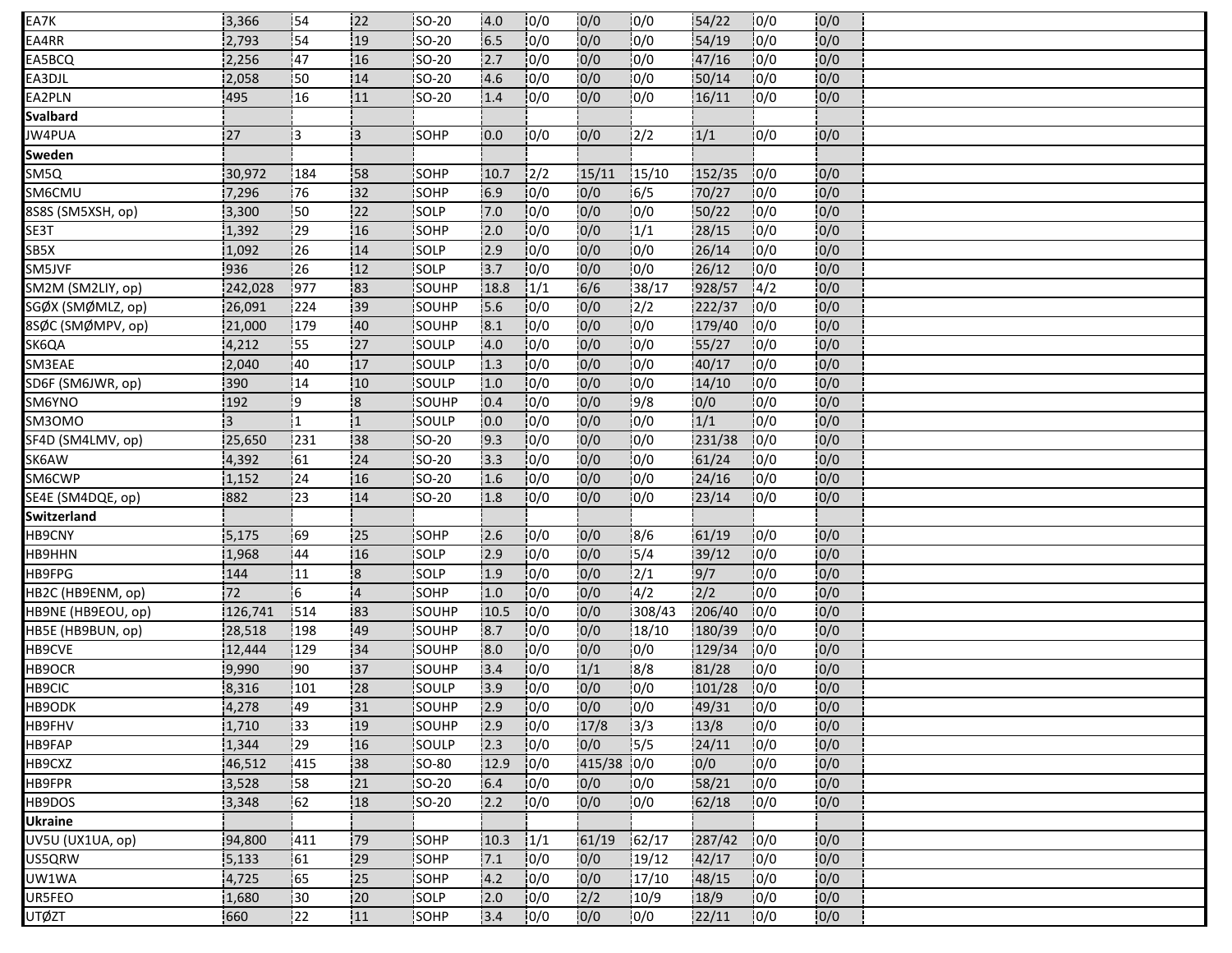| EA7K               | 3,366   | 154 | 22                      | SO-20         | 4.0  | 10/0 | 0/0        | 10/0   | 54/22  | 10/0          | 0/0  |  |
|--------------------|---------|-----|-------------------------|---------------|------|------|------------|--------|--------|---------------|------|--|
| EA4RR              | 2,793   | 54  | 19                      | SO-20         | 6.5  | 0/0  | 0/0        | 0/0    | 54/19  | 0/0           | 0/0  |  |
| EA5BCQ             | 2,256   | 47  | 16                      | SO-20         | 2.7  | 0/0  | 0/0        | 0/0    | 47/16  | 0/0           | 0/0  |  |
| EA3DJL             | 2,058   | 50  | 14                      | <b>SO-20</b>  | 4.6  | 10/0 | 0/0        | 0/0    | 50/14  | 0/0           | 0/0  |  |
| EA2PLN             | 495     | 16  | 11                      | <b>SO-20</b>  | 1.4  | 0/0  | 0/0        | 0/0    | 16/11  | 0/0           | 0/0  |  |
| Svalbard           |         |     |                         |               |      |      |            |        |        |               |      |  |
| JW4PUA             | 27      | 13  | 13                      | <b>SOHP</b>   | 0.0  | 0/0  | 0/0        | 12/2   | 1/1    | 0/0           | 0/0  |  |
| Sweden             |         |     |                         |               |      |      |            |        |        |               |      |  |
| SM5Q               | 30,972  | 184 | <b>58</b>               | <b>SOHP</b>   | 10.7 | 12/2 | 15/11      | 15/10  | 152/35 | 10/0          | 10/0 |  |
| SM6CMU             | 7,296   | 76  | 132                     | SOHP          | 6.9  | 0/0  | 0/0        | 16/5   | 70/27  | 10/0          | 0/0  |  |
| 8S8S (SM5XSH, op)  | 3,300   | 50  | 122                     | SOLP          | 7.0  | 10/0 | 0/0        | 0/0    | 50/22  | 0/0           | 0/0  |  |
| SE3T               | 1,392   | 29  | 16                      | SOHP          | 2.0  | 0/0  | 0/0        | 1/1    | 28/15  | 10/0          | 0/0  |  |
| SB5X               | 1,092   | 26  | 14                      | <b>SOLP</b>   | 2.9  | 10/0 | 0/0        | 0/0    | 26/14  | 10/0          | 0/0  |  |
| SM5JVF             | 936     | 26  | 12                      | SOLP          | 3.7  | 0/0  | 0/0        | 0/0    | 26/12  | 10/0          | 0/0  |  |
| SM2M (SM2LIY, op)  | 242,028 | 977 | 83                      | SOUHP         | 18.8 | 1/1  | 6/6        | 38/17  | 928/57 | $\frac{1}{4}$ | 0/0  |  |
| SGØX (SMØMLZ, op)  | 26,091  | 224 | 39                      | SOUHP         | 5.6  | 10/0 | 0/0        | 12/2   | 222/37 | 0/0           | 0/0  |  |
| 8SØC (SMØMPV, op)  | 21,000  | 179 | 40                      | SOUHP         | 8.1  | 0/0  | 0/0        | 10/0   | 179/40 | 0/0           | 0/0  |  |
| SK6QA              | 4,212   | :55 | 27                      | <b>SOULP</b>  | 4.0  | 10/0 | 0/0        | 10/0   | 55/27  | 10/0          | 0/0  |  |
| SM3EAE             | 2,040   | 40  | 17                      | SOULP         | 1.3  | 0/0  | 0/0        | 0/0    | 40/17  | 0/0           | 0/0  |  |
| SD6F (SM6JWR, op)  | 390     | 14  | 10 <sub>10</sub>        | SOULP         | 1.0  | 0/0  | 0/0        | 10/0   | 14/10  | 10/0          | 0/0  |  |
| SM6YNO             | 192     | 19  | 8                       | <b>SOUHP</b>  | 0.4  | 10/0 | 0/0        | 9/8    | 0/0    | 0/0           | 0/0  |  |
| SM30MO             | 3       | 11  | '1                      | SOULP         | 10.0 | 10/0 | 0/0        | 0/0    | 1/1    | 0/0           | 0/0  |  |
| SF4D (SM4LMV, op)  | 25,650  | 231 | 138                     | SO-20         | 9.3  | 10/0 | 0/0        | 10/0   | 231/38 | 10/0          | 0/0  |  |
| SK6AW              | 4,392   | 61  | 24                      | SO-20         | 13.3 | 10/0 | 0/0        | 10/0   | 61/24  | 10/0          | 0/0  |  |
| SM6CWP             | 1,152   | 24  | 16                      | SO-20         | 1.6  | 0/0  | 0/0        | 0/0    | 24/16  | 10/0          | 0/0  |  |
| SE4E (SM4DQE, op)  | 882     | 23  | 14                      | <b>SO-20</b>  | 1.8  | 10/0 | 0/0        | 0/0    | 23/14  | 10/0          | 0/0  |  |
| Switzerland        |         |     |                         |               |      |      |            |        |        |               |      |  |
| HB9CNY             | 5,175   | 69  | 25                      | SOHP          | 2.6  | 10/0 | 0/0        | 8/6    | 61/19  | 0/0           | 0/0  |  |
| HB9HHN             | 1,968   | 44  | 16                      | <b>ISOLP</b>  | .2.9 | 10/0 | 0/0        | 15/4   | 39/12  | 10/0          | 0/0  |  |
| HB9FPG             | 144     | 11  | $\overline{\mathbf{8}}$ | SOLP          | 1.9  | 0/0  | 0/0        | 2/1    | 9/7    | 10/0          | 0/0  |  |
| HB2C (HB9ENM, op)  | 72      | 16  | $\overline{4}$          | SOHP          | 1.0  | 0/0  | 0/0        | 4/2    | 2/2    | 0/0           | 0/0  |  |
| HB9NE (HB9EOU, op) | 126,741 | 514 | 83                      | <b>ISOUHP</b> | 10.5 | 10/0 | 0/0        | 308/43 | 206/40 | 10/0          | 0/0  |  |
| HB5E (HB9BUN, op)  | 28,518  | 198 | 49                      | SOUHP         | 8.7  | 0/0  | 0/0        | 18/10  | 180/39 | 0/0           | 0/0  |  |
| HB9CVE             | 12,444  | 129 | 34                      | SOUHP         | 8.0  | 10/0 | 0/0        | 10/0   | 129/34 | 10/0          | 0/0  |  |
| HB9OCR             | 9,990   | 90  | 137                     | <b>SOUHP</b>  | 3.4  | 10/0 | 1/1        | 8/8    | 81/28  | 10/0          | 0/0  |  |
| HB9CIC             | 8,316   | 101 | 28                      | SOULP         | 3.9  | 0/0  | 0/0        | 0/0    | 101/28 | 0/0           | 0/0  |  |
| HB9ODK             | 4,278   | 49  | 31                      | SOUHP         | 2.9  | 0/0  | 0/0        | 0/0    | 49/31  | 0/0           | 0/0  |  |
| HB9FHV             | 1,710   | 33  | 19                      | SOUHP         | 2.9  | 0/0  | 17/8       | 13/3   | 13/8   | 0/0           | 0/0  |  |
| HB9FAP             | 1,344   | 29  | 16                      | SOULP         | 2.3  | 0/0  | 0/0        | 15/5   | 24/11  | 0/0           | 0/0  |  |
| HB9CXZ             | 46,512  | 415 | 38                      | <b>SO-80</b>  | 12.9 | 10/0 | 415/38 0/0 |        | 0/0    | 0/0           | 0/0  |  |
| HB9FPR             | 3,528   | 158 | 21                      | <b>SO-20</b>  | 6.4  | 0/0  | 0/0        | 10/0   | 58/21  | 10/0          | 0/0  |  |
| HB9DOS             | 3,348   | 62  | :18                     | <b>SO-20</b>  | 2.2  | 0/0  | 0/0        | 0/0    | 62/18  | 10/0          | 0/0  |  |
| <b>Ukraine</b>     |         |     |                         |               |      |      |            |        |        |               |      |  |
| UV5U (UX1UA, op)   | 94,800  | 411 | 79                      | <b>SOHP</b>   | 10.3 | 1/1  | 61/19      | 62/17  | 287/42 | 10/0          | 0/0  |  |
| US5QRW             | 5,133   | 61  | 29                      | SOHP          | 7.1  | 0/0  | 0/0        | 19/12  | 42/17  | 10/0          | 0/0  |  |
| UW1WA              | 4,725   | 65  | 25                      | SOHP          | 4.2  | 0/0  | 0/0        | 17/10  | 48/15  | 10/0          | 0/0  |  |
| UR5FEO             | 1,680   | 30  | 20                      | SOLP          | 2.0  | 0/0  | 2/2        | 10/9   | 18/9   | 0/0           | 0/0  |  |
| UTØZT              | 660     | 22  | 11                      | SOHP          | 3.4  | 10/0 | 0/0        | 10/0   | 22/11  | 10/0          | 0/0  |  |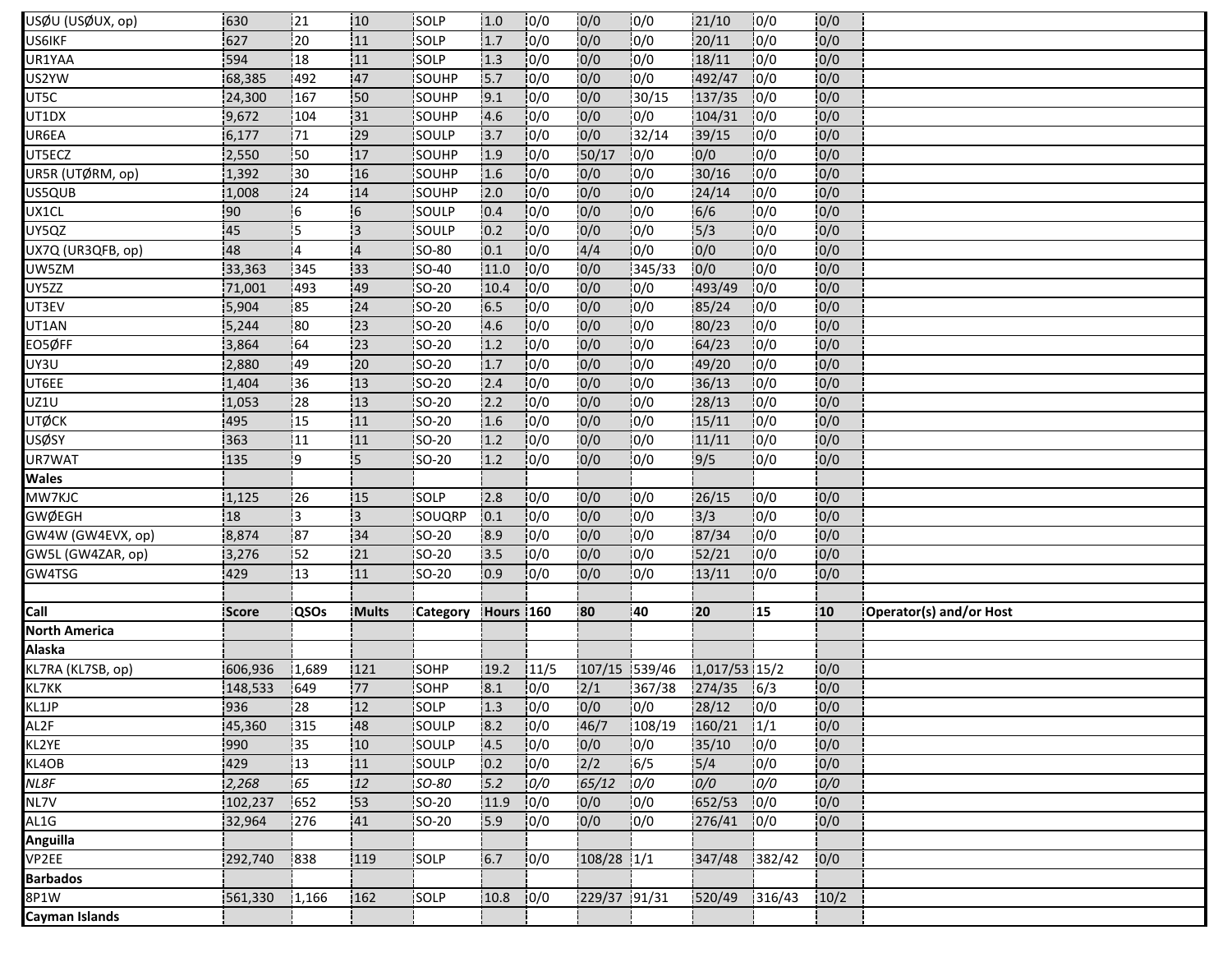| USØU (USØUX, op)     | 630          | 121             | 10             | SOLP            | 1.0       | 10/0 | 0/0           | 0/0    | 21/10            | 10/0          | 0/0              |                         |
|----------------------|--------------|-----------------|----------------|-----------------|-----------|------|---------------|--------|------------------|---------------|------------------|-------------------------|
| US6IKF               | 627          | $\overline{20}$ | 11             | SOLP            | 1.7       | 10/0 | 0/0           | 0/0    | 20/11            | 0/0           | 0/0              |                         |
| UR1YAA               | 594          | 18              | 11             | SOLP            | 1.3       | 0/0  | 0/0           | 0/0    | 18/11            | 0/0           | 0/0              |                         |
| US2YW                | 68,385       | 492             | 47             | SOUHP           | 5.7       | 10/0 | 0/0           | 0/0    | 492/47           | 10/0          | 0/0              |                         |
| UT5C                 | 24,300       | 167             | 50             | SOUHP           | 9.1       | 10/0 | 0/0           | 30/15  | 137/35           | 0/0           | 0/0              |                         |
| UT1DX                | 9,672        | 104             | 31             | SOUHP           | 4.6       | 0/0  | 0/0           | 0/0    | 104/31           | 10/0          | 0/0              |                         |
| UR6EA                | 6,177        | 171             | 129            | <b>SOULP</b>    | 13.7      | 10/0 | 0/0           | 32/14  | 39/15            | 0/0           | 0/0              |                         |
| UT5ECZ               | 2,550        | 50              | 17             | SOUHP           | 1.9       | 10/0 | 50/17         | 10/0   | 0/0              | 0/0           | 0/0              |                         |
| UR5R (UTØRM, op)     | 1,392        | 130             | 16             | <b>SOUHP</b>    | 1.6       | 10/0 | 0/0           | 10/0   | 30/16            | 10/0          | 0/0              |                         |
| US5QUB               | 1,008        | 124             | 14             | SOUHP           | 2.0       | 10/0 | 0/0           | 10/0   | 24/14            | 10/0          | 0/0              |                         |
| UX1CL                | 90           | -6              | $\overline{6}$ | SOULP           | 0.4       | 0/0  | 0/0           | 0/0    | 6/6              | 0/0           | 0/0              |                         |
| UY5QZ                | 45           | 15              | 3              | SOULP           | 0.2       | 10/0 | 0/0           | 10/0   | 15/3             | 0/0           | 0/0              |                         |
| UX7Q (UR3QFB, op)    | 48           | 14              | $\overline{4}$ | <b>SO-80</b>    | 0.1       | 10/0 | 4/4           | 0/0    | 0/0              | 0/0           | 0/0              |                         |
| UW5ZM                | 33,363       | 345             | 133            | SO-40           | 11.0      | 10/0 | 0/0           | 345/33 | 0/0              | 0/0           | 0/0              |                         |
| UY5ZZ                | 71,001       | 493             | 49             | SO-20           | 10.4      | 10/0 | 0/0           | 0/0    | 493/49           | 10/0          | 0/0              |                         |
| UT3EV                | 5,904        | 85              | 24             | SO-20           | 6.5       | 0/0  | 0/0           | 0/0    | 85/24            | 0/0           | 0/0              |                         |
| UT1AN                | 5,244        | 80              | 23             | SO-20           | 4.6       | 0/0  | 0/0           | 10/0   | 80/23            | 10/0          | 0/0              |                         |
| EO5ØFF               | 3,864        | 64              | 23             | <b>SO-20</b>    | 1.2       | 10/0 | 10/0          | 10/0   | 64/23            | 10/0          | 0/0              |                         |
| UY3U                 | 2,880        | 49              | 20             | SO-20           | 1.7       | 0/0  | 0/0           | 0/0    | 49/20            | 0/0           | 0/0              |                         |
| UT6EE                | 1,404        | 36              | 13             | <b>SO-20</b>    | 2.4       | 10/0 | 0/0           | 0/0    | 36/13            | 10/0          | 0/0              |                         |
| UZ1U                 | 1,053        | 128             | 13             | <b>ISO-20</b>   | 2.2       | 10/0 | 0/0           | 10/0   | 28/13            | 10/0          | 0/0              |                         |
| <b>UTØCK</b>         | 495          | 15              | 111            | <b>SO-20</b>    | 1.6       | 10/0 | 0/0           | 0/0    | 15/11            | 10/0          | 0/0              |                         |
| ∪SØSY                | 363          | 11              | 111            | <b>SO-20</b>    | 1.2       | 0/0  | 0/0           | 10/0   | 11/11            | 10/0          | 0/0              |                         |
| UR7WAT               | 135          | i9              | 5              | SO-20           | 1.2       | 10/0 | 0/0           | 10/0   | $\frac{1}{9}{5}$ | 0/0           | 0/0              |                         |
| Wales                |              |                 |                |                 |           |      |               |        |                  |               |                  |                         |
| MW7KJC               | 1,125        | :26             | :15            | SOLP            | 2.8       | 0/0  | 0/0           | 0/0    | 26/15            | 0/0           | 0/0              |                         |
| <b>GWØEGH</b>        | 18           | İ3              | Iз             | SOUQRP          | 0.1       | 10/0 | 0/0           | 0/0    | 3/3              | 0/0           | 0/0              |                         |
| GW4W (GW4EVX, op)    | 8,874        | 187             | 34             | SO-20           | 8.9       | 10/0 | 0/0           | 0/0    | 87/34            | 0/0           | 0/0              |                         |
| GW5L (GW4ZAR, op)    | 3,276        | <u>!</u> 52     | 21             | <b>ISO-20</b>   | 3.5       | 10/0 | 0/0           | 10/0   | 52/21            | 0/0           | 0/0              |                         |
| GW4TSG               | 429          | 13              | 11             | SO-20           | 0.9       | 10/0 | 0/0           | 0/0    | 13/11            | 10/0          | 0/0              |                         |
|                      |              |                 |                |                 |           |      |               |        |                  |               |                  |                         |
| Call                 | <b>Score</b> | <b>QSOs</b>     | <b>Mults</b>   | <b>Category</b> | Hours 160 |      | 180           | 140    | 20               | 15            | 10 <sub>10</sub> | Operator(s) and/or Host |
| <b>North America</b> |              |                 |                |                 |           |      |               |        |                  |               |                  |                         |
| <b>Alaska</b>        |              |                 |                |                 |           |      |               |        |                  |               |                  |                         |
| KL7RA (KL7SB, op)    | 606,936      | 11,689          | 121            | SOHP            | 19.2      | 11/5 | 107/15 539/46 |        | 1,017/53 15/2    |               | 0/0              |                         |
| KL7KK                | 148,533      | 649             | 77             | SOHP            | 8.1       | 0/0  | 2/1           | 367/38 | 274/35           | 16/3          | 0/0              |                         |
| KL1JP                | 936          | 28              | 12             | SOLP            | 1.3       | 0/0  | 0/0           | 0/0    | 28/12            | 0/0           | 0/0              |                         |
| AL2F                 | 45,360       | 315             | 148            | SOULP           | 8.2       | 10/0 | 46/7          | 108/19 | 160/21           | $\frac{1}{1}$ | 0/0              |                         |
| KL2YE                | 990          | 35              | 10             | SOULP           | 4.5       | 0/0  | 0/0           | 0/0    | 35/10            | 0/0           | 0/0              |                         |
| KL4OB                | 429          | 13              | 11             | SOULP           | 0.2       | 10/0 | 2/2           | 6/5    | $5/4$            | 10/0          | 0/0              |                         |
| NL8F                 | 2,268        | 65              | 12             | SO-80           | 5.2       | 0/0  | 65/12         | 0/0    | 0/0              | 0/0           | 0/0              |                         |
| NL7V                 | 102,237      | 652             | 153            | $SO-20$         | 11.9      | 0/0  | 0/0           | 0/0    | 652/53           | 10/0          | 0/0              |                         |
| AL1G                 | 32,964       | 1276            | 41             | <b>ISO-20</b>   | 5.9       | 10/0 | 0/0           | 0/0    | 276/41           | 10/0          | 0/0              |                         |
| Anguilla             |              |                 |                |                 |           |      |               |        |                  |               |                  |                         |
| VP2EE                | 292,740      | 838             | 119            | SOLP            | 6.7       | 0/0  | $108/28$ 1/1  |        | 347/48           | 1382/42       | 0/0              |                         |
| <b>Barbados</b>      |              |                 |                |                 |           |      |               |        |                  |               |                  |                         |
| 8P1W                 | 561,330      | 1,166           | 162            | SOLP            | 10.8      | 0/0  | 229/37 91/31  |        | 520/49           | 316/43        | 10/2             |                         |
|                      |              |                 |                |                 |           |      |               |        |                  |               |                  |                         |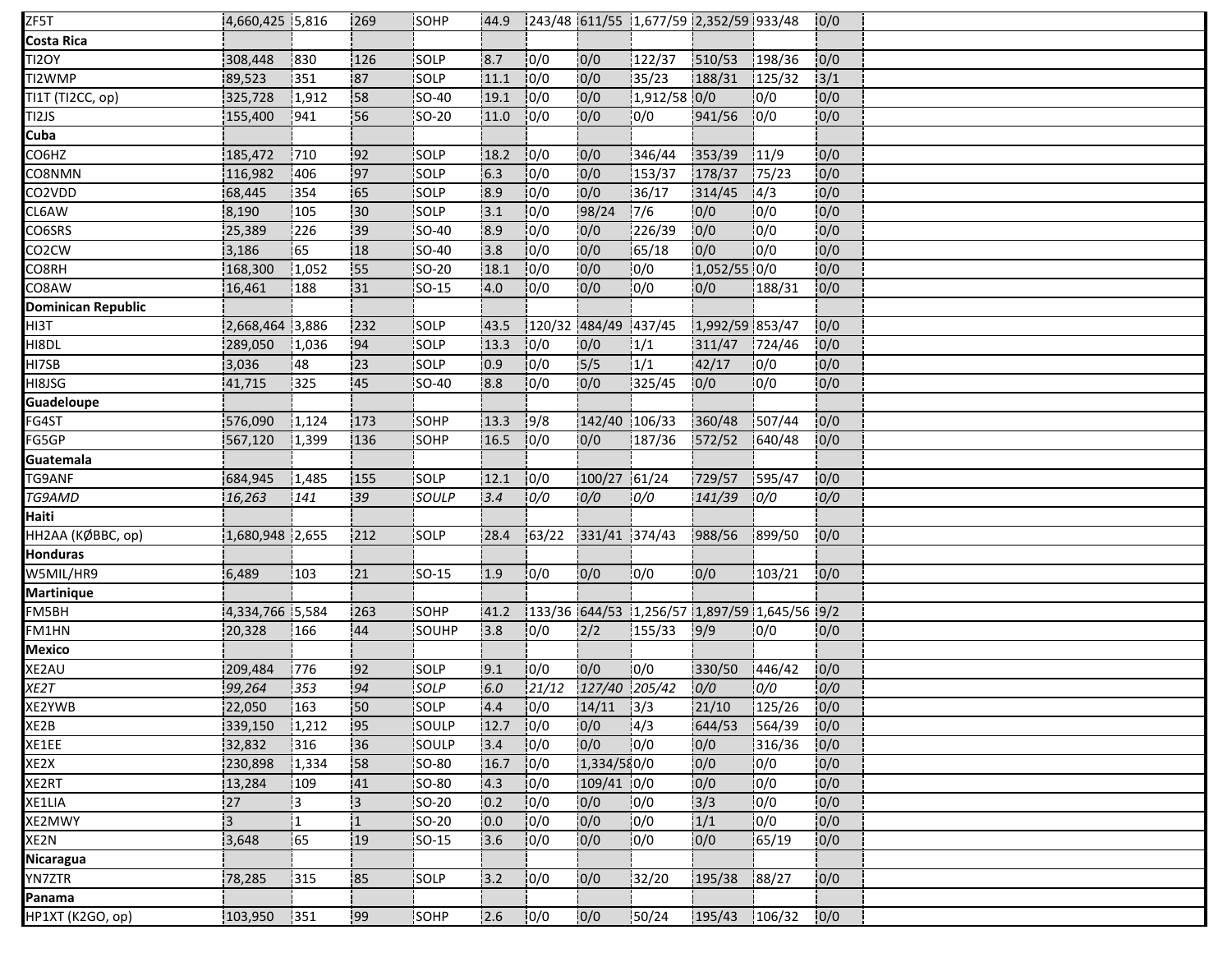| ZF5T                      | 4,660,425 5,816 |       | 269            | SOHP         | :44.9 |       |                      | 243/48 611/55 1,677/59 2,352/59 933/48 |                 |                                              | 0/0  |  |
|---------------------------|-----------------|-------|----------------|--------------|-------|-------|----------------------|----------------------------------------|-----------------|----------------------------------------------|------|--|
| Costa Rica                |                 |       |                |              |       |       |                      |                                        |                 |                                              |      |  |
| TI2OY                     | 308,448         | 830   | 126            | SOLP         | 8.7   | 0/0   | 0/0                  | 122/37                                 | 510/53          | 198/36                                       | 0/0  |  |
| TI2WMP                    | 89,523          | 351   | 87             | SOLP         | 11.1  | 10/0  | 0/0                  | 35/23                                  | 188/31          | 125/32                                       | 3/1  |  |
| TI1T (TI2CC, op)          | 325,728         | 1,912 | 58             | SO-40        | 19.1  | 0/0   | 0/0                  | 1,912/58 0/0                           |                 | 0/0                                          | 0/0  |  |
| TI2JS                     | 155,400         | 941   | 56             | <b>SO-20</b> | 11.0  | 0/0   | 0/0                  | 0/0                                    | 941/56          | 10/0                                         | 0/0  |  |
| Cuba                      |                 |       |                |              |       |       |                      |                                        |                 |                                              |      |  |
| CO6HZ                     | 185,472         | 710   | 92             | SOLP         | 18.2  | 10/0  | 0/0                  | 346/44                                 | 353/39          | 11/9                                         | 0/0  |  |
| CO8NMN                    | 116,982         | 406   | 197            | SOLP         | 16.3  | 0/0   | 0/0                  | 153/37                                 | 178/37          | 175/23                                       | 0/0  |  |
| CO2VDD                    | 68,445          | 354   | 65             | <b>SOLP</b>  | 18.9  | 10/0  | 0/0                  | 36/17                                  | 314/45          | 14/3                                         | 0/0  |  |
| CL6AW                     | 8,190           | 105   | 30             | SOLP         | 3.1   | 10/0  | 98/24                | 7/6                                    | 0/0             | 10/0                                         | 0/0  |  |
| CO6SRS                    | 25,389          | 226   | 39             | <b>SO-40</b> | 8.9   | 10/0  | 0/0                  | 226/39                                 | 10/0            | 10/0                                         | 0/0  |  |
| CO <sub>2</sub> CW        | 3,186           | 65    | 18             | SO-40        | 3.8   | 10/0  | 0/0                  | 65/18                                  | 0/0             | 0/0                                          | 0/0  |  |
| CO8RH                     | 168,300         | 1,052 | 55             | SO-20        | 18.1  | 0/0   | 0/0                  | 0/0                                    | 1,052/55 0/0    |                                              | 0/0  |  |
| CO8AW                     | 16,461          | 188   | 31             | <b>SO-15</b> | 4.0   | 10/0  | 0/0                  | 0/0                                    | 10/0            | 188/31                                       | 0/0  |  |
| <b>Dominican Republic</b> |                 |       |                |              |       |       |                      |                                        |                 |                                              |      |  |
| HI3T                      | 2,668,464 3,886 |       | 232            | SOLP         | 43.5  |       | 120/32 484/49 437/45 |                                        | 1,992/59 853/47 |                                              | 0/0  |  |
| HI8DL                     | 289,050         | 1,036 | 94             | SOLP         | 13.3  | 10/0  | 0/0                  | 1/1                                    | 311/47          | 1724/46                                      | 0/0  |  |
| HI7SB                     | 3,036           | 48    | 23             | SOLP         | 0.9   | 10/0  | $\frac{1}{5}{5}$     | 1/1                                    | 42/17           | 0/0                                          | 0/0  |  |
| HI8JSG                    | 41,715          | 325   | 45             | SO-40        | 8.8   | 10/0  | 0/0                  | 325/45                                 | 0/0             | 10/0                                         | 0/0  |  |
| Guadeloupe                |                 |       |                |              |       |       |                      |                                        |                 |                                              |      |  |
| FG4ST                     | 576,090         | 1,124 | 173            | SOHP         | 13.3  | 9/8   | 142/40 106/33        |                                        | 360/48          | 1507/44                                      | 0/0  |  |
| FG5GP                     | 567,120         | 1,399 | 136            | <b>SOHP</b>  | 16.5  | 10/0  | 0/0                  | 187/36                                 | 572/52          | 640/48                                       | 0/0  |  |
| Guatemala                 |                 |       |                |              |       |       |                      |                                        |                 |                                              |      |  |
| TG9ANF                    | 684,945         | 1,485 | 155            | SOLP         | 12.1  | 0/0   | 100/27 61/24         |                                        | 729/57          | 595/47                                       | 0/0  |  |
| TG9AMD                    | 16,263          | 141   | 39             | SOULP        | 3.4   | 0/0   | 0/0                  | 0/0                                    | 141/39          | 0/0                                          | 0/0  |  |
| Haiti                     |                 |       |                |              |       |       |                      |                                        |                 |                                              |      |  |
| НН2АА (КØВВС, ор)         | 1,680,948 2,655 |       | 212            | SOLP         | 28.4  | 63/22 | 331/41 374/43        |                                        | 988/56          | 899/50                                       | 0/0  |  |
| <b>Honduras</b>           |                 |       |                |              |       |       |                      |                                        |                 |                                              |      |  |
| W5MIL/HR9                 | 6,489           | 103   | 21             | SO-15        | 1.9   | 10/0  | 0/0                  | 0/0                                    | 0/0             | 103/21                                       | 0/0  |  |
| <b>Martinique</b>         |                 |       |                |              |       |       |                      |                                        |                 |                                              |      |  |
| FM5BH                     | 4,334,766 5,584 |       | 263            | <b>SOHP</b>  | 41.2  |       |                      |                                        |                 | 133/36 644/53 1,256/57 1,897/59 1,645/56 9/2 |      |  |
| FM1HN                     | 20,328          | 166   | 44             | SOUHP        | 3.8   | 0/0   | 2/2                  | 155/33                                 | 9/9             | 0/0                                          | 0/0  |  |
| <b>Mexico</b>             |                 |       |                |              |       |       |                      |                                        |                 |                                              |      |  |
| XE2AU                     | 209,484         | 776   | 192            | <b>SOLP</b>  | 9.1   | 0/0   | 0/0                  | 10/0                                   | 330/50          | 1446/42                                      | 0/0  |  |
| XE2T                      | 99,264          | 353   | 94             | SOLP         | 6.0   | 21/12 | 127/40 205/42        |                                        | 0/0             | 0/0                                          | 0/0  |  |
| XE2YWB                    | 22,050          | 163   | 50             | SOLP         | 4.4   | 0/0   | $14/11$ $3/3$        |                                        | 21/10           | 125/26                                       | 0/0  |  |
| XE2B                      | 339,150         | 1,212 | 95             | SOULP        | 12.7  | 0/0   | 0/0                  | 14/3                                   | 644/53          | 1564/39                                      | 0/0  |  |
| XE1EE                     | 32,832          | 316   | 36             | SOULP        | 3.4   | 0/0   | 0/0                  | 10/0                                   | 0/0             | 316/36                                       | 0/0  |  |
| XE2X                      | 230,898         | 1,334 | 58             | <b>SO-80</b> | 16.7  | 0/0   | 1,334/580/0          |                                        | 0/0             | 10/0                                         | 0/0  |  |
| XE2RT                     | 13,284          | 109   | 41             | <b>SO-80</b> | 4.3   | 0/0   | 109/41 0/0           |                                        | 0/0             | 0/0                                          | 0/0  |  |
| XE1LIA                    | 27              | ļЗ    | <sup>1</sup> 3 | SO-20        | 0.2   | 0/0   | 0/0                  | 10/0                                   | 3/3             | 0/0                                          | 0/0  |  |
| XE2MWY                    | İЗ.             | 11    | $\overline{1}$ | <b>SO-20</b> | 0.0   | 10/0  | 0/0                  | 10/0                                   | 1/1             | 0/0                                          | 0/0  |  |
| XE2N                      | 3,648           | 65    | 19             | SO-15        | 3.6   | 10/0  | 0/0                  | 0/0                                    | 0/0             | 65/19                                        | 0/0  |  |
| Nicaragua                 |                 |       |                |              |       |       |                      |                                        |                 |                                              |      |  |
| YN7ZTR                    | 78,285          | 1315  | 85             | <b>SOLP</b>  | 3.2   | 10/0  | 10/0                 | 32/20                                  | 195/38          | 188/27                                       | 10/0 |  |
| Panama                    |                 |       |                |              |       |       |                      |                                        |                 |                                              |      |  |
| HP1XT (K2GO, op)          | 103,950         | 351   | :99            | SOHP         | 2.6   | 10/0  | 0/0                  | 50/24                                  | 195/43 106/32   |                                              | 0/0  |  |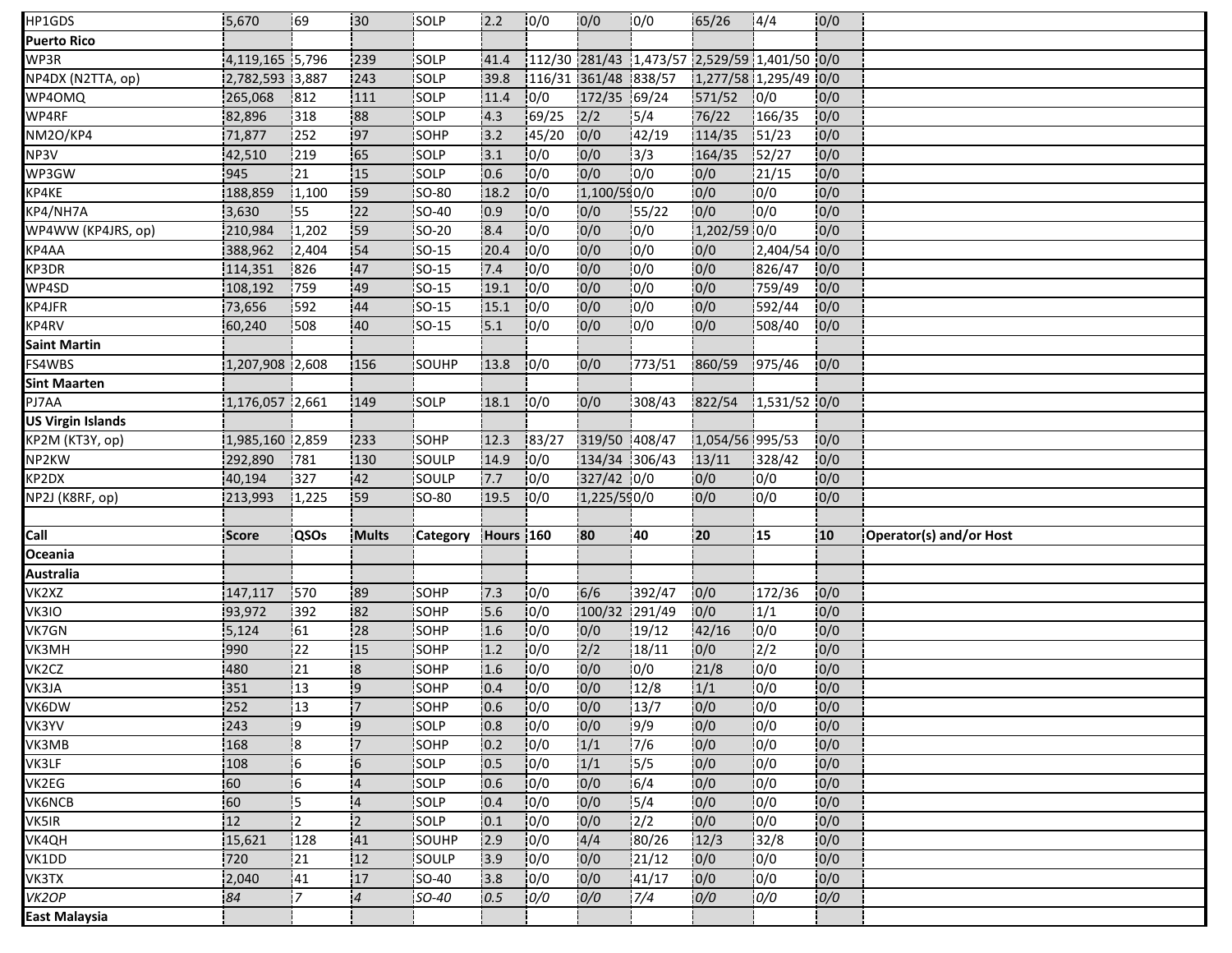| HP1GDS                   | 5,670           | <b>69</b>        | 130            | SOLP         | 2.2       | 10/0  | 0/0                  | 10/0            | 65/26           | 4/4                                          | 0/0              |                         |
|--------------------------|-----------------|------------------|----------------|--------------|-----------|-------|----------------------|-----------------|-----------------|----------------------------------------------|------------------|-------------------------|
| <b>Puerto Rico</b>       |                 |                  |                |              |           |       |                      |                 |                 |                                              |                  |                         |
| WP3R                     | 4,119,165 5,796 |                  | 239            | SOLP         | 41.4      |       |                      |                 |                 | 112/30 281/43 1,473/57 2,529/59 1,401/50 0/0 |                  |                         |
| NP4DX (N2TTA, op)        | 2,782,593 3,887 |                  | 243            | SOLP         | 39.8      |       | 116/31 361/48 838/57 |                 |                 | 1,277/58 1,295/49 0/0                        |                  |                         |
| WP4OMQ                   | 265,068         | 812              | 111            | SOLP         | 11.4      | 0/0   | 172/35 69/24         |                 | 571/52          | 0/0                                          | 0/0              |                         |
| WP4RF                    | 82,896          | 318              | 88             | SOLP         | 4.3       | 69/25 | 2/2                  | 5/4             | 76/22           | 166/35                                       | 0/0              |                         |
| NM2O/KP4                 | 71,877          | 252              | 97             | SOHP         | 3.2       | 45/20 | 0/0                  | 42/19           | 114/35          | 151/23                                       | 0/0              |                         |
| NP3V                     | 42,510          | 219              | 65             | SOLP         | 3.1       | 0/0   | 0/0                  | 3/3             | 164/35          | 52/27                                        | 0/0              |                         |
| WP3GW                    | 945             | 21               | 15             | <b>SOLP</b>  | 10.6      | 0/0   | 0/0                  | 10/0            | 0/0             | 121/15                                       | 0/0              |                         |
| KP4KE                    | 188,859         | 1,100            | 59             | <b>SO-80</b> | 18.2      | 0/0   | 1,100/590/0          |                 | 0/0             | 0/0                                          | 0/0              |                         |
| KP4/NH7A                 | 3,630           | 55               | 22             | SO-40        | 0.9       | 0/0   | 0/0                  | 55/22           | 0/0             | 0/0                                          | 0/0              |                         |
| WP4WW (KP4JRS, op)       | 210,984         | 1,202            | 59             | SO-20        | 8.4       | 0/0   | 0/0                  | 0/0             | 1,202/59 0/0    |                                              | 0/0              |                         |
| KP4AA                    | 388,962         | 12,404           | 54             | SO-15        | 20.4      | 0/0   | 0/0                  | 0/0             | 0/0             | 2,404/54 0/0                                 |                  |                         |
| KP3DR                    | 114,351         | 826              | 47             | $ SO-15 $    | 7.4       | 0/0   | 0/0                  | 0/0             | 10/0            | 826/47                                       | 0/0              |                         |
| WP4SD                    | 108,192         | 759              | 49             | <b>SO-15</b> | 19.1      | 10/0  | 0/0                  | 10/0            | 0/0             | 759/49                                       | 0/0              |                         |
| KP4JFR                   | 73,656          | 592              | 44             | <b>SO-15</b> | 15.1      | 0/0   | 0/0                  | 0/0             | 0/0             | 592/44                                       | 0/0              |                         |
| KP4RV                    | 60,240          | 508              | :40            | SO-15        | 5.1       | 0/0   | 0/0                  | 10/0            | 0/0             | 508/40                                       | 0/0              |                         |
| <b>Saint Martin</b>      |                 |                  |                |              |           |       |                      |                 |                 |                                              |                  |                         |
| FS4WBS                   | 1,207,908 2,608 |                  | 156            | SOUHP        | 13.8      | 0/0   | 0/0                  | 773/51          | 860/59          | 975/46                                       | 0/0              |                         |
| <b>Sint Maarten</b>      |                 |                  |                |              |           |       |                      |                 |                 |                                              |                  |                         |
| PJ7AA                    | 1,176,057 2,661 |                  | 149            | <b>SOLP</b>  | 18.1      | 0/0   | 0/0                  | 308/43          | 822/54          | $1,531/52$ 0/0                               |                  |                         |
| <b>US Virgin Islands</b> |                 |                  |                |              |           |       |                      |                 |                 |                                              |                  |                         |
| KP2M (KT3Y, op)          | 1,985,160 2,859 |                  | 233            | <b>SOHP</b>  | 12.3      | 83/27 | 319/50 408/47        |                 | 1,054/56 995/53 |                                              | 0/0              |                         |
| NP2KW                    | 292,890         | 781              | 130            | SOULP        | 14.9      | 10/0  | 134/34 306/43        |                 | 13/11           | 328/42                                       | 0/0              |                         |
|                          |                 |                  |                |              |           |       |                      |                 |                 |                                              |                  |                         |
| KP2DX                    | 40,194          | 327              | 42             | SOULP        | 7.7       | 10/0  | 327/42 0/0           |                 | 0/0             | 0/0                                          | 0/0              |                         |
| NP2J (K8RF, op)          | 213,993         | 1,225            | 59             | SO-80        | 19.5      | 10/0  | 1,225/590/0          |                 | 0/0             | 0/0                                          | 0/0              |                         |
|                          |                 |                  |                |              |           |       |                      |                 |                 |                                              |                  |                         |
| Call                     | Score           | <b>QSOs</b>      | Mults          | Category     | Hours 160 |       | 80                   | 40              | 20              | 15                                           | 10 <sub>10</sub> | Operator(s) and/or Host |
| Oceania                  |                 |                  |                |              |           |       |                      |                 |                 |                                              |                  |                         |
| Australia                |                 |                  |                |              |           |       |                      |                 |                 |                                              |                  |                         |
| VK2XZ                    | 147,117         | 570              | 89             | SOHP         | 7.3       | 0/0   | 6/6                  | 392/47          | 0/0             | 172/36                                       | 0/0              |                         |
| VK3IO                    | 93,972          | 392              | 82             | SOHP         | 5.6       | 10/0  | 100/32 291/49        |                 | 0/0             | 1/1                                          | 0/0              |                         |
| VK7GN                    | 5,124           | 61               | 28             | SOHP         | 1.6       | 0/0   | 0/0                  | 19/12           | 42/16           | 10/0                                         | 0/0              |                         |
| VK3MH                    | 990             | 22               | 15             | SOHP         | 1.2       | 0/0   | 2/2                  | 18/11           | 0/0             | 12/2                                         | 0/0              |                         |
| VK2CZ                    | 480             | 121              | $\overline{8}$ | SOHP         | 1.6       | 10/0  | 0/0                  | 0/0             | 21/8            | 0/0                                          | 0/0              |                         |
| VK3JA                    | 351             | 13               | وا             | SOHP         | 0.4       | 0/0   | 0/0                  | 12/8            | 1/1             | 0/0                                          | 0/0              |                         |
| VK6DW                    | 252             | $\overline{113}$ | $\overline{7}$ | SOHP         | 0.6       | 0/0   | 0/0                  | 13/7            | 0/0             | 0/0                                          | 0/0              |                         |
| VK3YV                    | 243             | 19               | i9             | SOLP         | 0.8       | 0/0   | 0/0                  | 9/9             | 0/0             | 0/0                                          | 0/0              |                         |
| VK3MB                    | 168             | :8               | !7             | SOHP         | 0.2       | 0/0   | 1/1                  | 7/6             | 0/0             | 0/0                                          | 0/0              |                         |
| VK3LF                    | 108             | 16               | 6              | SOLP         | 0.5       | 0/0   | 1/1                  | 5/5             | 0/0             | 0/0                                          | 0/0              |                         |
| VK2EG                    | 60              | 16               | $\overline{4}$ | <b>SOLP</b>  | 0.6       | 10/0  | 0/0                  | 6/4             | 0/0             | 0/0                                          | 0/0              |                         |
| <b>VK6NCB</b>            | 60              | 15               | $\overline{4}$ | SOLP         | 0.4       | 0/0   | 0/0                  | 15/4            | 0/0             | 0/0                                          | 0/0              |                         |
| VK5IR                    | 12              | i2.              | $\overline{2}$ | SOLP         | 0.1       | 10/0  | 0/0                  | 12/2            | 0/0             | 10/0                                         | 0/0              |                         |
| VK4QH                    | 15,621          | 128              | 41             | SOUHP        | 2.9       | 10/0  | 4/4                  | 80/26           | 12/3            | 32/8                                         | 0/0              |                         |
| VK1DD                    | 720             | 21               | 12             | SOULP        | 3.9       | 0/0   | 0/0                  | 21/12           | 0/0             | 0/0                                          | 0/0              |                         |
| VK3TX                    | 2,040           | 41               | 17             | <b>SO-40</b> | 3.8       | 10/0  | 0/0                  | 141/17          | 10/0            | 0/0                                          | 0/0              |                         |
| VK2OP                    | 84              | !7               | $\overline{4}$ | SO-40        | 0.5       | 0/0   | 0/0                  | $\frac{1}{7}/4$ | 0/0             | 0/0                                          | 0/0              |                         |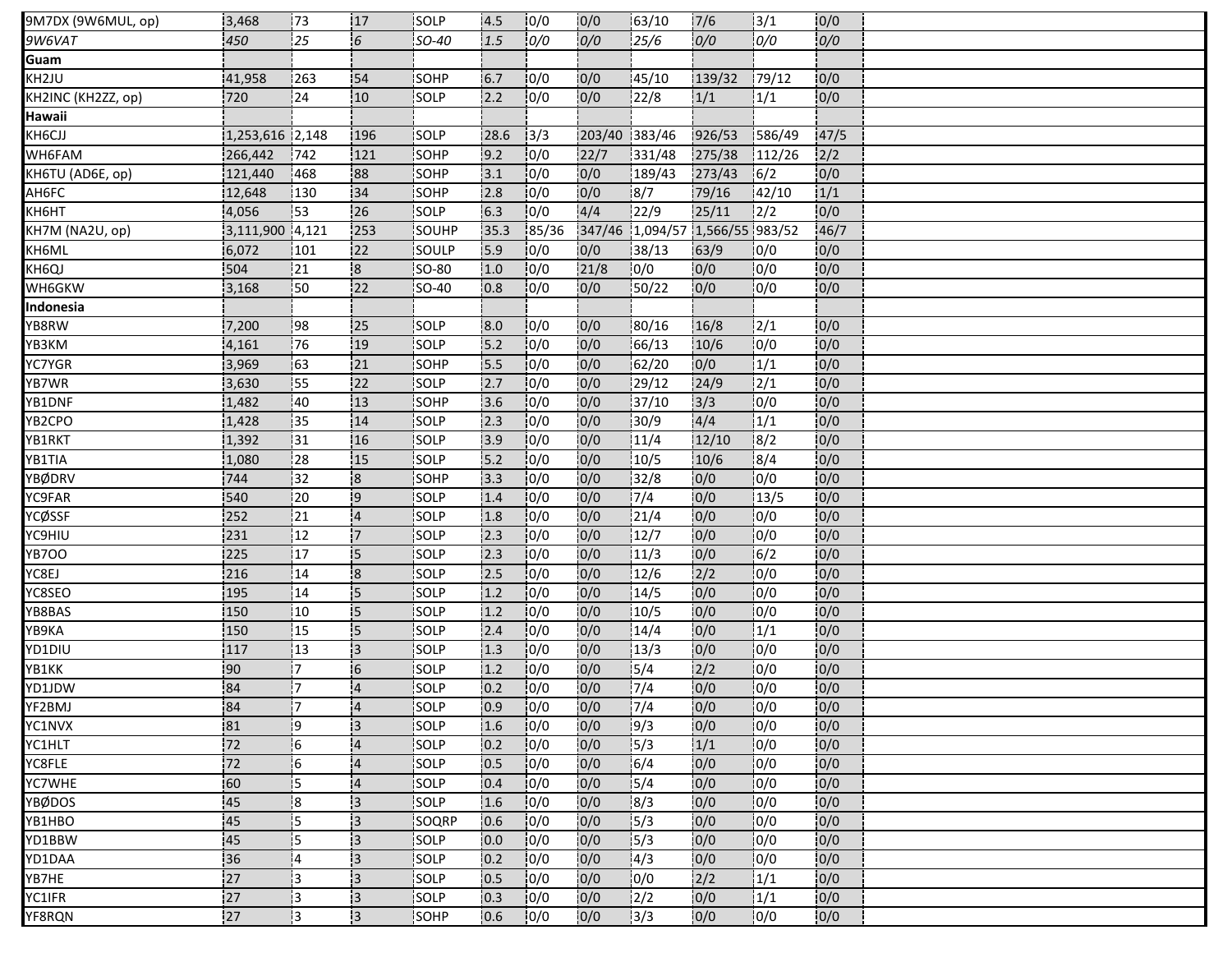| 9M7DX (9W6MUL, op) | 3,468           | 73              | 17                      | SOLP         | 4.5  | 10/0             | 0/0           | 63/10                           | 7/6    | 13/1             | 0/0  |  |
|--------------------|-----------------|-----------------|-------------------------|--------------|------|------------------|---------------|---------------------------------|--------|------------------|------|--|
| 9W6VAT             | 450             | $\overline{25}$ | $6 \overline{6}$        | SO-40        | 1.5  | $\overline{0/0}$ | 0/0           | 25/6                            | 0/0    | 0/0              | 0/0  |  |
| Guam               |                 |                 |                         |              |      |                  |               |                                 |        |                  |      |  |
| KH2JU              | 41,958          | 263             | 54                      | SOHP         | 6.7  | 10/0             | 0/0           | 45/10                           | 139/32 | 179/12           | 0/0  |  |
| KH2INC (KH2ZZ, op) | 720             | 24              | 10                      | SOLP         | 2.2  | 0/0              | 0/0           | 22/8                            | 1/1    | 1/1              | 0/0  |  |
| Hawaii             |                 |                 |                         |              |      |                  |               |                                 |        |                  |      |  |
| KH6CJJ             | 1,253,616 2,148 |                 | 196                     | <b>SOLP</b>  | 28.6 | 13/3             | 203/40 383/46 |                                 | 926/53 | 586/49           | 47/5 |  |
| WH6FAM             | 266,442         | 742             | 121                     | SOHP         | 9.2  | 0/0              | 22/7          | 331/48                          | 275/38 | 112/26           | 2/2  |  |
| KH6TU (AD6E, op)   | 121,440         | 468             | 88                      | <b>SOHP</b>  | 13.1 | 10/0             | 0/0           | 189/43                          | 273/43 | 16/2             | 0/0  |  |
| AH6FC              | 12,648          | 130             | 34                      | <b>SOHP</b>  | 2.8  | 10/0             | 0/0           | 8/7                             | 79/16  | 142/10           | 1/1  |  |
| <b>КН6НТ</b>       | 4,056           | 53              | 26                      | SOLP         | 6.3  | 10/0             | 4/4           | 122/9                           | 25/11  | 12/2             | 0/0  |  |
| KH7M (NA2U, op)    | 3,111,900 4,121 |                 | 253                     | SOUHP        | 35.3 | 85/36            |               | 347/46 1,094/57 1,566/55 983/52 |        |                  | 46/7 |  |
| KH6ML              | 6,072           | 101             | 22                      | SOULP        | 5.9  | 10/0             | 0/0           | 38/13                           | 63/9   | 10/0             | 0/0  |  |
| KH6QJ              | 504             | 21              | $\overline{\mathbf{8}}$ | SO-80        | 1.0  | 10/0             | 21/8          | 0/0                             | 0/0    | 0/0              | 0/0  |  |
| WH6GKW             | 3,168           | :50             | 22                      | <b>SO-40</b> | 0.8  | 10/0             | 0/0           | 50/22                           | 0/0    | 0/0              | 0/0  |  |
| Indonesia          |                 |                 |                         |              |      |                  |               |                                 |        |                  |      |  |
| YB8RW              | 7,200           | 98              | 25                      | SOLP         | 8.0  | 0/0              | 0/0           | 80/16                           | 16/8   | 12/1             | 0/0  |  |
| YB3KM              | 4,161           | 76              | 19                      | SOLP         | 5.2  | 10/0             | 10/0          | 66/13                           | 10/6   | 10/0             | 0/0  |  |
| YC7YGR             | 3,969           | 63              | 21                      | SOHP         | 5.5  | 0/0              | 0/0           | 62/20                           | 0/0    | 1/1              | 0/0  |  |
| YB7WR              | 3,630           | :55             | 22                      | SOLP         | 2.7  | 10/0             | 0/0           | 129/12                          | 24/9   | $\frac{1}{2}$ /1 | 0/0  |  |
| YB1DNF             | 1,482           | 140             | 113                     | <b>SOHP</b>  | 3.6  | 10/0             | 0/0           | 37/10                           | 3/3    | 0/0              | 0/0  |  |
| YB2CPO             | 1,428           | 35              | 14                      | SOLP         | 2.3  | 0/0              | 0/0           | 130/9                           | 4/4    | 1/1              | 0/0  |  |
| YB1RKT             | 1,392           | 131             | 16                      | SOLP         | 13.9 | 10/0             | 0/0           | 11/4                            | 12/10  | 18/2             | 0/0  |  |
| YB1TIA             | 1,080           | $\overline{28}$ | 115                     | SOLP         | 15.2 | 10/0             | 0/0           | $\frac{1}{10/5}$                | 10/6   | $\sqrt{8/4}$     | 0/0  |  |
| YBØDRV             | 744             | 32              | $\overline{\mathbf{8}}$ | SOHP         | 3.3  | 0/0              | 10/0          | 32/8                            | 0/0    | 10/0             | 0/0  |  |
| YC9FAR             | 540             | 20              | $\overline{9}$          | SOLP         | 1.4  | 10/0             | 0/0           | 7/4                             | 0/0    | 13/5             | 0/0  |  |
| YCØSSF             | 252             | 21              | $\overline{4}$          | SOLP         | 1.8  | 10/0             | 0/0           | 21/4                            | 0/0    | 0/0              | 0/0  |  |
| YC9HIU             | 231             | 12              | !7                      | SOLP         | 2.3  | 0/0              | 0/0           | 12/7                            | 0/0    | 0/0              | 0/0  |  |
| YB7OO              | 225             | 17              | 15                      | SOLP         | 2.3  | 10/0             | 0/0           | 11/3                            | 0/0    | 6/2              | 0/0  |  |
| YC8EJ              | 216             | 14              | $\overline{\mathbf{8}}$ | SOLP         | 2.5  | 10/0             | 0/0           | 12/6                            | 2/2    | 10/0             | 0/0  |  |
| YC8SEO             | 195             | 14              | $\overline{5}$          | SOLP         | 1.2  | 0/0              | 0/0           | 14/5                            | 0/0    | 0/0              | 0/0  |  |
| YB8BAS             | 150             | 10              | 15                      | SOLP         | 1.2  | 10/0             | 0/0           | 10/5                            | 0/0    | 0/0              | 0/0  |  |
| ҮВ9КА              | 150             | 15              | 15                      | SOLP         | 2.4  | 0/0              | 0/0           | 14/4                            | 0/0    | 1/1              | 0/0  |  |
| YD1DIU             | 117             | 13              | $\overline{3}$          | SOLP         | 1.3  | 10/0             | 0/0           | 13/3                            | 10/0   | 10/0             | 0/0  |  |
| YB1KK              | :90             | İ7              | 16                      | <b>SOLP</b>  | 1.2  | 10/0             | 0/0           | 15/4                            | 2/2    | 10/0             | 0/0  |  |
| YD1JDW             | 84              | !7              | $\overline{4}$          | SOLP         | 0.2  | 0/0              | 0/0           | 7/4                             | 0/0    | 0/0              | 0/0  |  |
| YF2BMJ             | 84              | 17              | $\overline{4}$          | SOLP         | 0.9  | 0/0              | 0/0           | $\frac{1}{7}/4$                 | 0/0    | 0/0              | 0/0  |  |
| YC1NVX             | 81              | ļ9              | 3                       | SOLP         | 1.6  | 0/0              | 0/0           | 19/3                            | 0/0    | 0/0              | 0/0  |  |
| YC1HLT             | 72              | -6              | $\overline{4}$          | SOLP         | 0.2  | 0/0              | 0/0           | 5/3                             | 1/1    | 0/0              | 0/0  |  |
| YC8FLE             | 72              | 6               | $\overline{4}$          | SOLP         | 0.5  | 10/0             | 10/0          | 6/4                             | 0/0    | 10/0             | 0/0  |  |
| YC7WHE             | 60              | i5              | $\overline{4}$          | <b>SOLP</b>  | 0.4  | 10/0             | 0/0           | 5/4                             | 0/0    | 10/0             | 0/0  |  |
| YBØDOS             | 45              | 8               | 13                      | SOLP         | 1.6  | 0/0              | 0/0           | 8/3                             | 0/0    | 0/0              | 0/0  |  |
| YB1HBO             | 45              | 15              | 13                      | <b>SOQRP</b> | 0.6  | 10/0             | 0/0           | 15/3                            | 0/0    | 0/0              | 0/0  |  |
| YD1BBW             | 45              | 15              | 13                      | SOLP         | 0.0  | 10/0             | 0/0           | 15/3                            | 0/0    | 0/0              | 0/0  |  |
| YD1DAA             | 36              | 14              | 3                       | SOLP         | 0.2  | 0/0              | 0/0           | 14/3                            | 0/0    | 10/0             | 0/0  |  |
| YB7HE              | 27              | ļЗ              | 13                      | SOLP         | 10.5 | 10/0             | 0/0           | 0/0                             | 2/2    | 1/1              | 0/0  |  |
| YC1IFR             | 27              | Iз              | $\overline{3}$          | SOLP         | 0.3  | 0/0              | 0/0           | 2/2                             | 0/0    | 1/1              | 0/0  |  |
| YF8RQN             | 27              | Ι3              | ΙЗ                      | SOHP         | 0.6  | 10/0             | 0/0           | 13/3                            | 0/0    | 10/0             | 0/0  |  |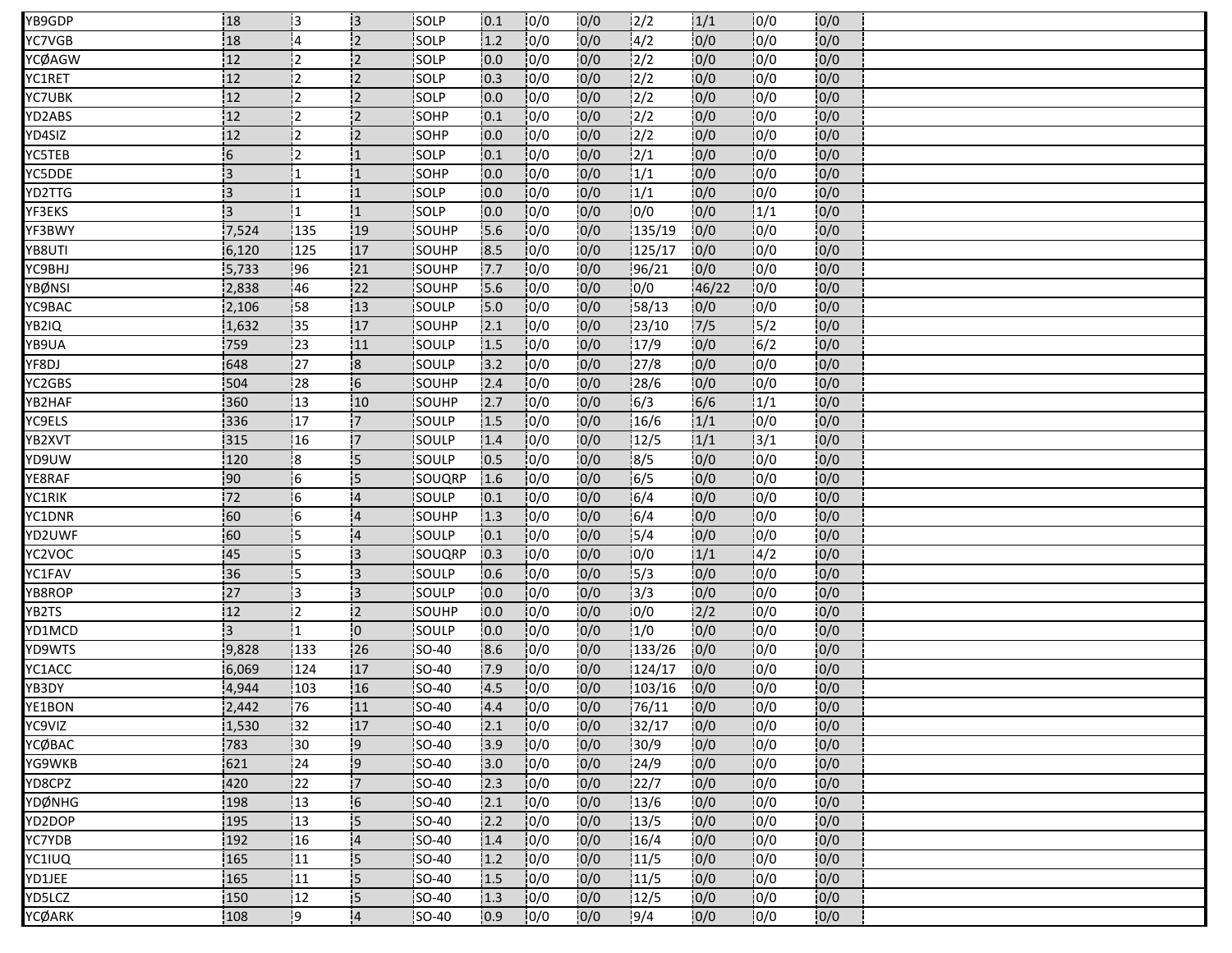| YB9GDP | 18             | 13            | 13                       | <b>ISOLP</b>  | 10.1 | 10/0 | 0/0  | 12/2          | 1/1   | 10/0 | 10/0 |  |
|--------|----------------|---------------|--------------------------|---------------|------|------|------|---------------|-------|------|------|--|
| YC7VGB | 18             | 14            | $\overline{2}$           | SOLP          | 1.2  | 0/0  | 0/0  | 4/2           | 0/0   | 10/0 | 0/0  |  |
| YCØAGW | 12             | 12            | $\overline{2}$           | SOLP          | 0.0  | 0/0  | 0/0  | 2/2           | 0/0   | 0/0  | 0/0  |  |
| YC1RET | 12             | 12            | $\overline{2}$           | SOLP          | 10.3 | 10/0 | 0/0  | 2/2           | 0/0   | 10/0 | 0/0  |  |
| YC7UBK | 12             | 12            | 2                        | SOLP          | 0.0  | 0/0  | 0/0  | 2/2           | 0/0   | 0/0  | 0/0  |  |
| YD2ABS | 12             | 12            | $\overline{2}$           | <b>SOHP</b>   | 10.1 | 0/0  | 0/0  | $\frac{1}{2}$ | 0/0   | 10/0 | 0/0  |  |
| YD4SIZ | 12             | İ2            | 12                       | <b>SOHP</b>   | 0.0  | 10/0 | 0/0  | $\frac{1}{2}$ | 0/0   | 10/0 | 0/0  |  |
| YC5TEB | 6              | 12            | :1                       | SOLP          | 0.1  | 0/0  | 0/0  | $\frac{2}{1}$ | 0/0   | 10/0 | 0/0  |  |
| YC5DDE | 13             | 11            | '1                       | <b>SOHP</b>   | 10.0 | 10/0 | 10/0 | 1/1           | 0/0   | 10/0 | 0/0  |  |
| YD2TTG | $\overline{3}$ |               |                          | <b>SOLP</b>   | 10.0 | 10/0 | 0/0  | 1/1           | 10/0  | 10/0 | 0/0  |  |
| YF3EKS | IЗ.            | i1            | :1                       | SOLP          | 0.0  | 0/0  | 0/0  | 10/0          | 0/0   | 1/1  | 0/0  |  |
| YF3BWY | 7,524          | 135           | 19                       | SOUHP         | 5.6  | 10/0 | 0/0  | 135/19        | 10/0  | 10/0 | 0/0  |  |
| YB8UTI | 6,120          | 125           | 17                       | SOUHP         | 8.5  | 10/0 | 0/0  | 125/17        | 0/0   | 10/0 | 0/0  |  |
| YC9BHJ | 5,733          | 196           | 21                       | SOUHP         | 7.7  | 0/0  | 0/0  | 96/21         | 0/0   | 0/0  | 0/0  |  |
| YBØNSI | 2,838          | 46            | 22                       | SOUHP         | 5.6  | 0/0  | 0/0  | 0/0           | 46/22 | 10/0 | 0/0  |  |
| YC9BAC | 2,106          | 58            | 13                       | SOULP         | 15.0 | 0/0  | 0/0  | 58/13         | 0/0   | 0/0  | 0/0  |  |
| YB2IQ  | 1,632          | 35            | 17                       | SOUHP         | 2.1  | 0/0  | 0/0  | 123/10        | $7/5$ | 5/2  | 0/0  |  |
| YB9UA  | 759            | 123           | 11                       | <b>ISOULP</b> | 1.5  | 10/0 | 0/0  | 17/9          | 0/0   | 16/2 | 0/0  |  |
| YF8DJ  | 648            | 127           | $\overline{\mathbf{8}}$  | SOULP         | 3.2  | 0/0  | 0/0  | 27/8          | 0/0   | 0/0  | 0/0  |  |
| YC2GBS | 504            | .28           | $6 \frac{1}{2}$          | <b>SOUHP</b>  | 2.4  | 0/0  | 0/0  | 28/6          | 0/0   | 10/0 | 0/0  |  |
| YB2HAF | 360            | 13            | 110                      | <b>SOUHP</b>  | 12.7 | 10/0 | 0/0  | 16/3          | 6/6   | 1/1  | 0/0  |  |
| YC9ELS | 336            | 17            | '7                       | SOULP         | 1.5  | 10/0 | 0/0  | 16/6          | 1/1   | 10/0 | 0/0  |  |
| YB2XVT | 315            | 16            | 7                        | SOULP         | 1.4  | 0/0  | 0/0  | 12/5          | 1/1   | 13/1 | 10/0 |  |
| YD9UW  | 120            | l8            | 5                        | <b>SOULP</b>  | 10.5 | 10/0 | 0/0  | 18/5          | 0/0   | 10/0 | 0/0  |  |
| YE8RAF | 90             | $\frac{1}{6}$ | 5                        | SOUQRP        | 1.6  | 0/0  | 0/0  | 6/5           | 0/0   | 10/0 | 0/0  |  |
| YC1RIK | 72             | l6            | $\overline{4}$           | SOULP         | 0.1  | 10/0 | 0/0  | 6/4           | 0/0   | 0/0  | 0/0  |  |
| YC1DNR | 60             | i6            | $\overline{4}$           | SOUHP         | 1.3  | 0/0  | 0/0  | 6/4           | 0/0   | 0/0  | 0/0  |  |
| YD2UWF | 60             | 15            | $\overline{4}$           | SOULP         | 10.1 | 0/0  | 0/0  | 5/4           | 0/0   | 0/0  | 0/0  |  |
| YC2VOC | 45             | 15            | ΙЗ                       | <b>SOUQRP</b> | 10.3 | 0/0  | 0/0  | 10/0          | 1/1   | 4/2  | 0/0  |  |
| YC1FAV | 36             | İ5            | iз                       | SOULP         | 0.6  | 0/0  | 0/0  | 15/3          | 0/0   | 10/0 | 0/0  |  |
| YB8ROP | 27             | 13            | <b>3</b>                 | SOULP         | 0.0  | 0/0  | 0/0  | 13/3          | 0/0   | 10/0 | 0/0  |  |
| YB2TS  | 12             | İ2            | $\overline{2}$           | <b>ISOUHP</b> | 10.0 | 10/0 | 0/0  | 10/0          | 2/2   | 10/0 | 0/0  |  |
| YD1MCD | $\overline{3}$ | i1            | $\overline{0}$           | SOULP         | 0.0  | 10/0 | 0/0  | 1/0           | 0/0   | 0/0  | 0/0  |  |
| YD9WTS | 9,828          | 133           | 26                       | <b>SO-40</b>  | 8.6  | 10/0 | 0/0  | 133/26        | 0/0   | 10/0 | 0/0  |  |
| YC1ACC | 6,069          | 124           | 17                       | <b>ISO-40</b> | 7.9  | 10/0 | 0/0  | 124/17        | 10/0  | 10/0 | 0/0  |  |
| YB3DY  | 4,944          | 103           | 16                       | <b>SO-40</b>  | 4.5  | 0/0  | 0/0  | 103/16        | 0/0   | 0/0  | 0/0  |  |
| YE1BON | 2,442          | 76            | 11                       | SO-40         | 4.4  | 0/0  | 0/0  | 76/11         | 0/0   | 0/0  | 0/0  |  |
| YC9VIZ | 1,530          | 32            | 17                       | <b>SO-40</b>  | 2.1  | 10/0 | 0/0  | 32/17         | 0/0   | 10/0 | 0/0  |  |
| YCØBAC | 783            | 30            | 9                        | SO-40         | 3.9  | 0/0  | 0/0  | 30/9          | 0/0   | 10/0 | 0/0  |  |
| YG9WKB | 621            | 24            | 19                       | <b>SO-40</b>  | 3.0  | 10/0 | 0/0  | 24/9          | 0/0   | 10/0 | 0/0  |  |
| YD8CPZ | 420            | 122           | '7                       | <b>SO-40</b>  | 2.3  | 0/0  | 0/0  | 122/7         | 0/0   | 10/0 | 0/0  |  |
| YDØNHG | 198            | 13            | $\overline{\phantom{0}}$ | <b>SO-40</b>  | 2.1  | 0/0  | 0/0  | 13/6          | 0/0   | 10/0 | 0/0  |  |
| YD2DOP | :195           | :13           | 5                        | <b>ISO-40</b> | 2.2  | 10/0 | 0/0  | 13/5          | 0/0   | 10/0 | 0/0  |  |
| YC7YDB | 192            | 16            | $\overline{4}$           | <b>SO-40</b>  | 1.4  | 10/0 | 0/0  | 16/4          | 0/0   | 0/0  | 0/0  |  |
| YC1IUQ | 165            | 11            | 5                        | <b>SO-40</b>  | 1.2  | 10/0 | 0/0  | 11/5          | 0/0   | 10/0 | 0/0  |  |
| YD1JEE | 165            | 11            | 5                        | <b>SO-40</b>  | 1.5  | 10/0 | 0/0  | 11/5          | 0/0   | 0/0  | 0/0  |  |
| YD5LCZ | 150            | 12            | 5                        | SO-40         | 1.3  | 0/0  | 0/0  | 12/5          | 0/0   | 10/0 | 0/0  |  |
| YCØARK | 108            | و!            | $\overline{4}$           | <b>SO-40</b>  | 10.9 | 10/0 | 0/0  | 19/4          | 0/0   | 10/0 | 0/0  |  |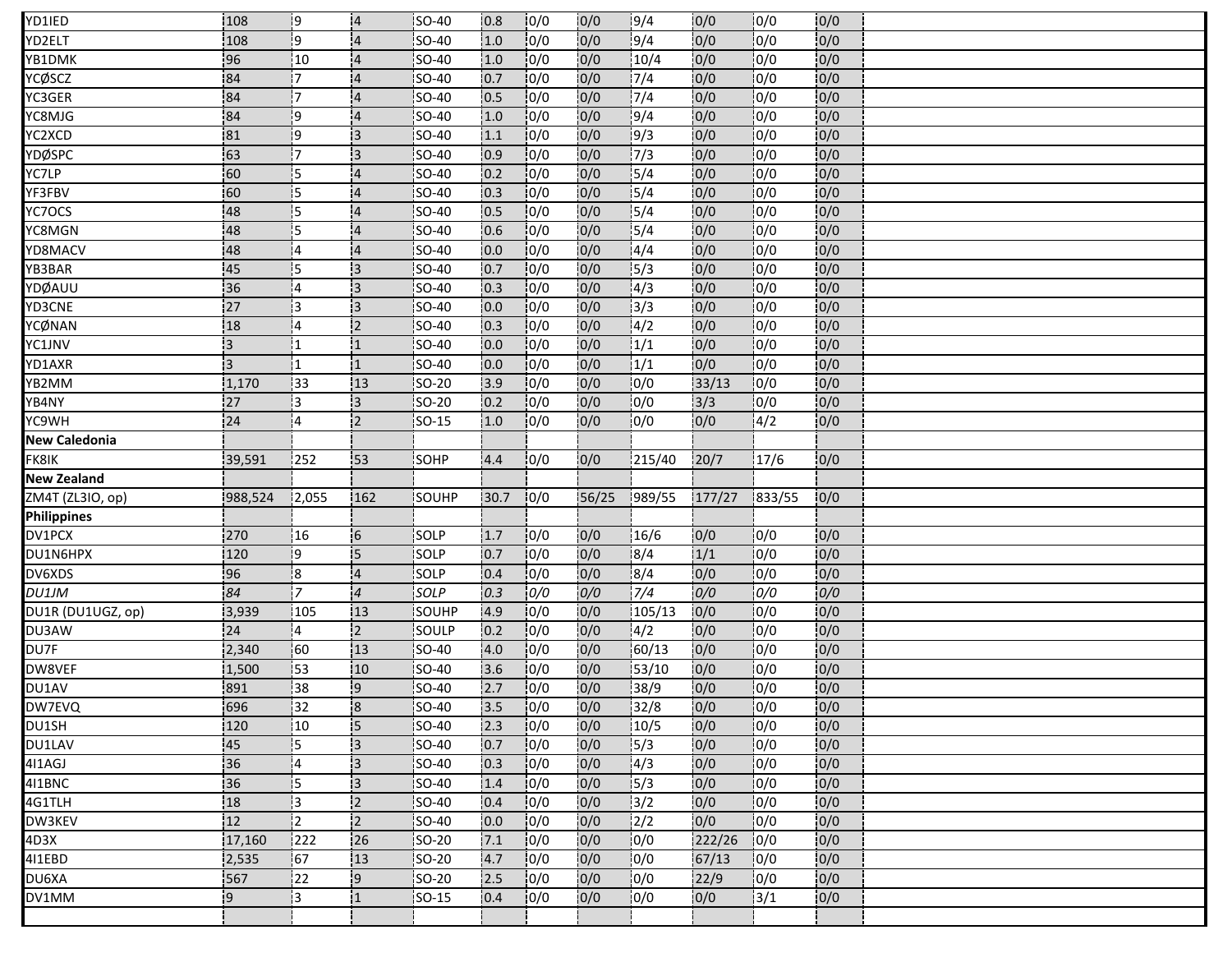| YD1IED               | 108                     | 19              | $\overline{4}$ | <b>SO-40</b>  | 10.8 | 10/0 | 0/0   | 19/4          | 0/0    | 10/0         | 10/0 |  |  |  |
|----------------------|-------------------------|-----------------|----------------|---------------|------|------|-------|---------------|--------|--------------|------|--|--|--|
| YD2ELT               | 108                     | l9              | $\overline{4}$ | SO-40         | 1.0  | 0/0  | 0/0   | 9/4           | 0/0    | 10/0         | 0/0  |  |  |  |
| YB1DMK               | 96                      | 10              | $\overline{4}$ | <b>SO-40</b>  | 1.0  | 0/0  | 0/0   | 10/4          | 0/0    | 10/0         | 0/0  |  |  |  |
| YCØSCZ               | 84                      | 17              | 14             | <b>SO-40</b>  | 0.7  | 0/0  | 0/0   | 7/4           | 0/0    | 0/0          | 0/0  |  |  |  |
| YC3GER               | 84                      | 17              | $\overline{4}$ | <b>SO-40</b>  | 0.5  | 0/0  | 0/0   | 7/4           | 0/0    | 0/0          | 0/0  |  |  |  |
| YC8MJG               | 84                      | $\overline{.9}$ | <b>4</b>       | SO-40         | 1.0  | 0/0  | 0/0   | 9/4           | 0/0    | 0/0          | 0/0  |  |  |  |
| YC2XCD               | 81                      | 19              | 13             | <b>SO-40</b>  | 1.1  | 0/0  | 0/0   | 19/3          | 0/0    | 10/0         | 0/0  |  |  |  |
| YDØSPC               | 163                     | 17              | 3              | <b>SO-40</b>  | 0.9  | 0/0  | 0/0   | 7/3           | 0/0    | 10/0         | 0/0  |  |  |  |
| YC7LP                | 160                     | 15              | 14             | <b>SO-40</b>  | 10.2 | 0/0  | 0/0   | 15/4          | 0/0    | 10/0         | 0/0  |  |  |  |
| YF3FBV               | 60                      | is              | 4              | <b>SO-40</b>  | 10.3 | 10/0 | 0/0   | 15/4          | 0/0    | 0/0          | 0/0  |  |  |  |
| YC7OCS               | 48                      | 15              | $\overline{4}$ | <b>SO-40</b>  | 0.5  | 0/0  | 0/0   | 15/4          | 0/0    | 10/0         | 0/0  |  |  |  |
| YC8MGN               | 48                      | 15              | $\overline{4}$ | <b>SO-40</b>  | 0.6  | 0/0  | 0/0   | 5/4           | 0/0    | 0/0          | 0/0  |  |  |  |
| YD8MACV              | 48                      | 14              | $\overline{4}$ | <b>SO-40</b>  | 0.0  | 0/0  | 0/0   | 4/4           | 0/0    | 0/0          | 0/0  |  |  |  |
| YB3BAR               | 45                      | 15              | :3             | <b>SO-40</b>  | 0.7  | 0/0  | 0/0   | 15/3          | 0/0    | 0/0          | 0/0  |  |  |  |
| YDØAUU               | 136                     | 14              | 13             | <b>ISO-40</b> | 10.3 | 10/0 | 0/0   | 14/3          | 0/0    | 0/0          | 0/0  |  |  |  |
| YD3CNE               | 27                      |                 | 3              | SO-40         | 0.0  | 0/0  | 0/0   | 13/3          | 0/0    | 0/0          | 0/0  |  |  |  |
| YCØNAN               | 18                      | 14              | $\overline{2}$ | SO-40         | 0.3  | 0/0  | 0/0   | 4/2           | 0/0    | 10/0         | 0/0  |  |  |  |
| YC1JNV               | 13                      |                 | $\mathbf{1}$   | <b>SO-40</b>  | 10.0 | 10/0 | 0/0   | 1/1           | 0/0    | 0/0          | 0/0  |  |  |  |
| YD1AXR               | $\overline{\mathbf{3}}$ |                 | $\mathbf{1}$   | <b>SO-40</b>  | 0.0  | 0/0  | 0/0   | 1/1           | 0/0    | 0/0          | 0/0  |  |  |  |
| YB2MM                | 1,170                   | 133             | :13            | SO-20         | 13.9 | 10/0 | 0/0   | 10/0          | 33/13  | 10/0         | 0/0  |  |  |  |
| YB4NY                | 27                      | i3              | 3              | SO-20         | 0.2  | 10/0 | 0/0   | 10/0          | 13/3   | 10/0         | 0/0  |  |  |  |
| YC9WH                | 24                      | :4              | 2              | <b>SO-15</b>  | 1.0  | 0/0  | 0/0   | 0/0           | 0/0    | 4/2          | 0/0  |  |  |  |
| <b>New Caledonia</b> |                         |                 |                |               |      |      |       |               |        |              |      |  |  |  |
| FK8IK                |                         | 252             | 53             | SOHP          | 14.4 | 0/0  | 10/0  | 215/40        | 20/7   | 17/6         |      |  |  |  |
|                      | 39,591                  |                 |                |               |      |      |       |               |        |              | 0/0  |  |  |  |
| <b>New Zealand</b>   |                         |                 |                |               |      |      |       |               |        |              |      |  |  |  |
| ZM4T (ZL3IO, op)     | 988,524                 | 12,055          | 162            | SOUHP         | 30.7 | 10/0 | 56/25 | 989/55        | 177/27 | 833/55       | 0/0  |  |  |  |
| <b>Philippines</b>   |                         |                 |                |               |      |      |       |               |        |              |      |  |  |  |
| DV1PCX               | 270                     | 16              | -6             | SOLP          | 1.7  | 0/0  | 0/0   | 16/6          | 0/0    | 0/0          | 0/0  |  |  |  |
| DU1N6HPX             | 120                     | <b>!9</b>       | 5              | SOLP          | 10.7 | 10/0 | 0/0   | 8/4           | 1/1    | 0/0          | 0/0  |  |  |  |
| DV6XDS               | 96                      | l8              | $\sqrt{4}$     | SOLP          | 0.4  | 0/0  | 0/0   | 8/4           | 0/0    | 0/0          | 0/0  |  |  |  |
| <b>DU1JM</b>         | 84                      | 17              | $\overline{4}$ | SOLP          | 0.3  | 0/0  | 0/0   | 7/4           | 0/0    | 0/0          | 0/0  |  |  |  |
| DU1R (DU1UGZ, op)    | 3,939                   | 105             | 13             | SOUHP         | 4.9  | 10/0 | 0/0   | 105/13        | 0/0    | 0/0          | 0/0  |  |  |  |
| DU3AW                | 24                      | 14              | $\overline{2}$ | SOULP         | 0.2  | 0/0  | 0/0   | 4/2           | 0/0    | 10/0         | 0/0  |  |  |  |
| DU7F                 | 2,340                   | 160             | 13             | <b>SO-40</b>  | 4.0  | 0/0  | 0/0   | 60/13         | 0/0    | 10/0         | 0/0  |  |  |  |
| DW8VEF               | 1,500                   | 53              | 10             | <b>SO-40</b>  | 13.6 | 10/0 | 0/0   | 53/10         | 0/0    | 10/0         | 0/0  |  |  |  |
| DU1AV                | 891                     | 38              | 9              | SO-40         | 12.7 | 0/0  | 0/0   | 38/9          | 0/0    | 0/0          | 0/0  |  |  |  |
| DW7EVQ               | 696                     | $\overline{32}$ | lЯ.            | SO-40         | 3.5  | 0/0  | 0/0   | 32/8          | 0/0    | 0/0          | 0/0  |  |  |  |
| DU1SH                | 120                     | 10              | 5              | <b>SO-40</b>  | 12.3 | 0/0  | 0/0   | 10/5          | 0/0    | 0/0          | 0/0  |  |  |  |
| DU1LAV               | 45                      | 15              | ļЗ.            | SO-40         | 0.7  | 0/0  | 0/0   | 15/3          | 0/0    | 0/0          | 0/0  |  |  |  |
| 411AGJ               | 36                      | 14              | Ι3             | <b>SO-40</b>  | 10.3 | 10/0 | 0/0   | 14/3          | 0/0    | 10/0         | 0/0  |  |  |  |
| 411BNC               | 36                      | İ5.             | iз             | <b>SO-40</b>  | 1.4  | 0/0  | 0/0   | 15/3          | 0/0    | 10/0         | 0/0  |  |  |  |
| 4G1TLH               | 18                      | $\mathbf{1}$    | $\overline{2}$ | <b>SO-40</b>  | 0.4  | 10/0 | 0/0   | 13/2          | 0/0    | 0/0          | 0/0  |  |  |  |
| DW3KEV               | 12                      | 12              | i <sub>2</sub> | <b>ISO-40</b> | 0.0  | 10/0 | 0/0   | $\frac{1}{2}$ | 0/0    | 10/0         | 0/0  |  |  |  |
| 4D3X                 | 17,160                  | 222             | 26             | <b>SO-20</b>  | 7.1  | 10/0 | 0/0   | 10/0          | 222/26 | 10/0         | 0/0  |  |  |  |
| 411EBD               | 2,535                   | 67              | 13             | <b>SO-20</b>  | 4.7  | 10/0 | 0/0   | 10/0          | 67/13  | 10/0         | 0/0  |  |  |  |
| DU6XA                | 567                     | $\frac{1}{2}$   | 19             | <b>SO-20</b>  | 12.5 | 10/0 | 0/0   | 10/0          | 22/9   | 10/0         | 0/0  |  |  |  |
| DV1MM                | -9                      | i3              | $\mathbf{1}$   | $SO-15$       | 0.4  | 0/0  | 0/0   | 0/0           | 0/0    | $\sqrt{3}/1$ | 0/0  |  |  |  |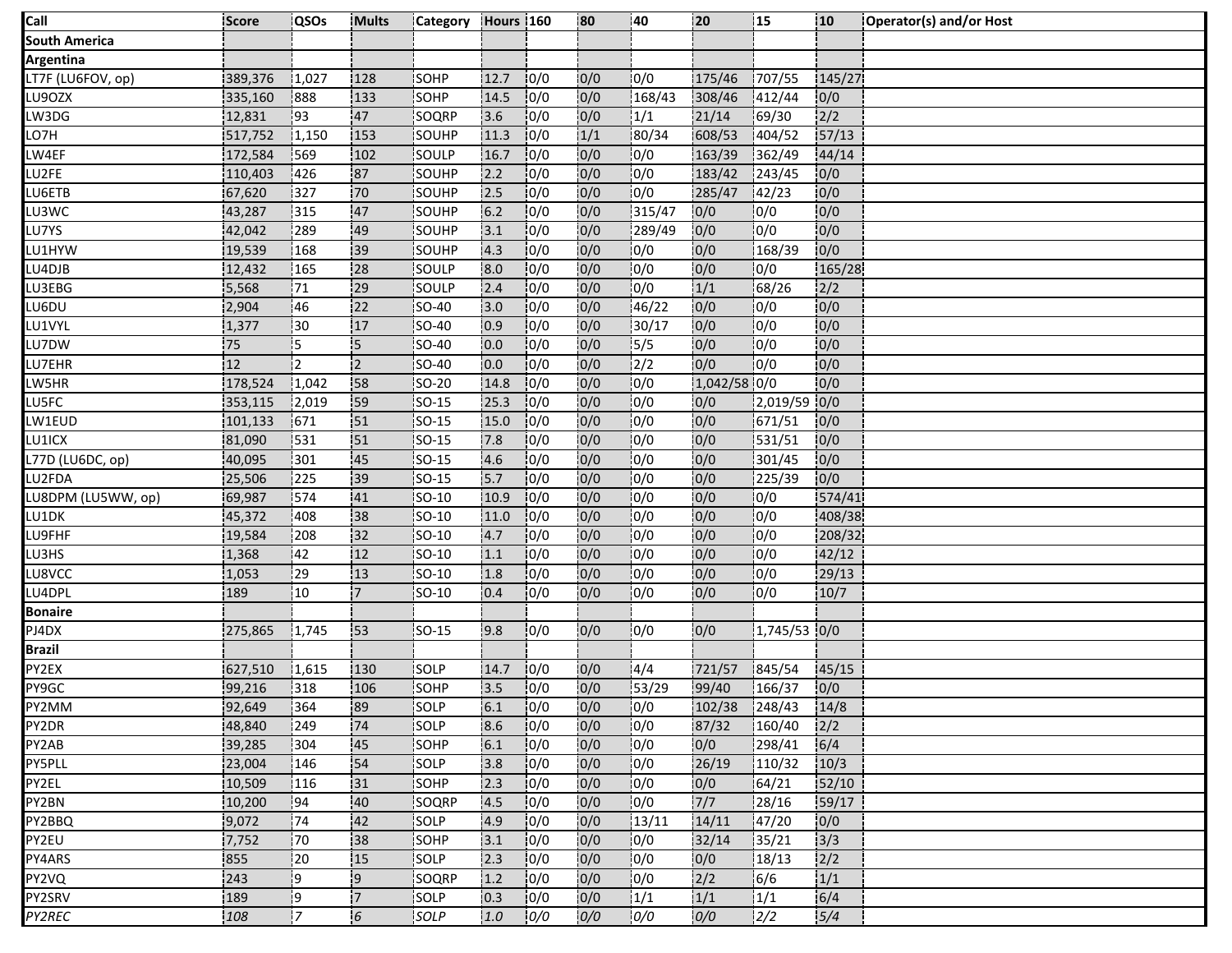| Call               | Score   | <b>QSOs</b> | <b>Mults</b>   | Category Hours 160 |      |      | 80   | 140           | 20           | ļ15             | 10     | Operator(s) and/or Host |
|--------------------|---------|-------------|----------------|--------------------|------|------|------|---------------|--------------|-----------------|--------|-------------------------|
| South America      |         |             |                |                    |      |      |      |               |              |                 |        |                         |
| Argentina          |         |             |                |                    |      |      |      |               |              |                 |        |                         |
| LT7F (LU6FOV, op)  | 389,376 | 1,027       | 128            | SOHP               | 12.7 | 10/0 | 0/0  | 0/0           | 175/46       | 707/55          | 145/27 |                         |
| LU9OZX             | 335,160 | 888         | 133            | SOHP               | 14.5 | 0/0  | 0/0  | 168/43        | 308/46       | 412/44          | 0/0    |                         |
| LW3DG              | 12,831  | 193         | 47             | SOQRP              | 3.6  | 0/0  | 0/0  | 1/1           | 21/14        | 69/30           | 2/2    |                         |
| LO7H               | 517,752 | 1,150       | 153            | SOUHP              | 11.3 | 10/0 | 1/1  | 80/34         | 608/53       | 404/52          | 57/13  |                         |
| LW4EF              | 172,584 | 569         | 102            | SOULP              | 16.7 | 0/0  | 0/0  | 0/0           | 163/39       | 362/49          | 44/14  |                         |
| LU2FE              | 110,403 | 1426        | 87             | <b>SOUHP</b>       | 2.2  | 0/0  | 0/0  | 10/0          | 183/42       | 1243/45         | 0/0    |                         |
| LU6ETB             | 67,620  | 327         | 70             | <b>SOUHP</b>       | 2.5  | 0/0  | 0/0  | 10/0          | 285/47       | 142/23          | 0/0    |                         |
| LU3WC              | 43,287  | 315         | 47             | SOUHP              | 6.2  | 0/0  | 0/0  | 315/47        | 0/0          | 0/0             | 0/0    |                         |
| LU7YS              | 42,042  | 289         | 49             | SOUHP              | 3.1  | 10/0 | 0/0  | 289/49        | 0/0          | 10/0            | 0/0    |                         |
| LU1HYW             | 19,539  | 168         | 39             | SOUHP              | 4.3  | 0/0  | 0/0  | 10/0          | 0/0          | $\sqrt{168/39}$ | 0/0    |                         |
| LU4DJB             | 12,432  | 165         | 28             | SOULP              | 8.0  | 10/0 | 0/0  | 0/0           | 0/0          | 0/0             | 165/28 |                         |
| LU3EBG             | 5,568   | 171         | 29             | SOULP              | 2.4  | 10/0 | 0/0  | 10/0          | 1/1          | 68/26           | 2/2    |                         |
| LU6DU              | 2,904   | 46          | 22             | <b>SO-40</b>       | 3.0  | 0/0  | 0/0  | 46/22         | 0/0          | 10/0            | 0/0    |                         |
| LU1VYL             | 1,377   | 30          | 17             | <b>SO-40</b>       | 0.9  | 0/0  | 0/0  | 30/17         | 0/0          | 0/0             | 0/0    |                         |
| LU7DW              | 75      | 15          | 15             | <b>SO-40</b>       | 10.0 | 10/0 | 0/0  | 15/5          | 0/0          | 0/0             | 0/0    |                         |
| LU7EHR             | 12      | İ2          | $\overline{2}$ | SO-40              | 0.0  | 0/0  | 0/0  | $\frac{1}{2}$ | 0/0          | 0/0             | 0/0    |                         |
| LW5HR              | 178,524 | 1,042       | 58             | SO-20              | 14.8 | 0/0  | 0/0  | 0/0           | 1,042/58 0/0 |                 | 0/0    |                         |
| LU5FC              | 353,115 | 2,019       | 59             | <b>ISO-15</b>      | 25.3 | 10/0 | 0/0  | 10/0          | 0/0          | 2,019/59 0/0    |        |                         |
| LW1EUD             | 101,133 | 671         | 51             | $SO-15$            | 15.0 | 0/0  | 0/0  | 10/0          | 0/0          | 671/51          | 0/0    |                         |
| LU1ICX             | 81,090  | 1531        | 51             | <b>SO-15</b>       | 7.8  | 10/0 | 0/0  | 10/0          | 0/0          | 531/51          | 0/0    |                         |
| L77D (LU6DC, op)   | 40,095  | 301         | 45             | <b>SO-15</b>       | 4.6  | 10/0 | 0/0  | 10/0          | 0/0          | 301/45          | 0/0    |                         |
| LU2FDA             | 25,506  | 225         | :39            | $ SO-15 $          | 15.7 | 10/0 | 0/0  | 10/0          | 0/0          | 225/39          | 0/0    |                         |
| LU8DPM (LU5WW, op) | 69,987  | 574         | 41             | SO-10              | 10.9 | 10/0 | 0/0  | 10/0          | 0/0          | 0/0             | 574/41 |                         |
| LU1DK              | 45,372  | 408         | 38             | SO-10              | 11.0 | 10/0 | 0/0  | 0/0           | 0/0          | 0/0             | 408/38 |                         |
| LU9FHF             | 19,584  | 208         | 132            | $SO-10$            | 4.7  | 0/0  | 0/0  | 10/0          | 0/0          | 10/0            | 208/32 |                         |
| LU3HS              | 1,368   | 42          | 12             | SO-10              | 1.1  | 10/0 | 0/0  | 10/0          | 0/0          | 10/0            | 42/12  |                         |
| LU8VCC             | 1,053   | 129         | 13             | SO-10              | 1.8  | 0/0  | 0/0  | 0/0           | 0/0          | 10/0            | 29/13  |                         |
| LU4DPL             | 189     | 10          | '7             | SO-10              | 0.4  | 0/0  | 0/0  | 10/0          | 0/0          | 0/0             | 10/7   |                         |
| Bonaire            |         |             |                |                    |      |      |      |               |              |                 |        |                         |
| PJ4DX              | 275,865 | 1,745       | 53             | SO-15              | 9.8  | 0/0  | 0/0  | 0/0           | 0/0          | 1,745/53 0/0    |        |                         |
| Brazil             |         |             |                |                    |      |      |      |               |              |                 |        |                         |
| PY2EX              | 627,510 | 1,615       | 130            | <b>SOLP</b>        | 14.7 | 10/0 | 0/0  | 4/4           | 721/57       | 845/54          | 45/15  |                         |
| PY9GC              | 99,216  | 318         | 106            | SOHP               | 3.5  | 0/0  | 0/0  | 53/29         | 99/40        | 166/37          | 0/0    |                         |
| PY2MM              | 92,649  | 364         | 89             | SOLP               | 6.1  | 0/0  | 0/0  | 10/0          | 102/38       | 248/43          | 14/8   |                         |
| PY2DR              | 48,840  | 249         | 74             | SOLP               | 8.6  | 10/0 | 0/0  | 10/0          | 87/32        | 160/40          | 2/2    |                         |
| PY2AB              | 39,285  | 304         | 45             | SOHP               | 6.1  | 0/0  | 0/0  | 0/0           | 0/0          | 298/41          | 6/4    |                         |
| PY5PLL             | 23,004  | 146         | 54             | <b>SOLP</b>        | 3.8  | 10/0 | 0/0  | 0/0           | 26/19        | 110/32          | 10/3   |                         |
| PY2EL              | 10,509  | 116         | 31             | SOHP               | 2.3  | 0/0  | 0/0  | 0/0           | 0/0          | 64/21           | 52/10  |                         |
| PY2BN              | 10,200  | 194         | 40             | SOQRP              | 14.5 | 0/0  | 0/0  | 10/0          | 7/7          | 28/16           | 59/17  |                         |
| PY2BBQ             | 19,072  | .74         | 42             | <b>ISOLP</b>       | 4.9  | 10/0 | 0/0  | 13/11         | 14/11        | 147/20          | 0/0    |                         |
| PY2EU              | 7,752   | 170         | 38             | SOHP               | 3.1  | 0/0  | 0/0  | 0/0           | 32/14        | 135/21          | 3/3    |                         |
| PY4ARS             | 855     | 20          | 15             | SOLP               | 2.3  | 0/0  | 0/0  | 10/0          | 0/0          | 18/13           | 2/2    |                         |
| PY2VQ              | 243     | ļ9          | 19             | <b>SOORP</b>       | 1.2  | 0/0  | 10/0 | 10/0          | 2/2          | 16/6            | 1/1    |                         |
| PY2SRV             | 189     | -9          | !7             | SOLP               | 0.3  | 0/0  | 0/0  | 1/1           | 1/1          | 1/1             | 6/4    |                         |
| PY2REC             | 108     | 17          | 6              | <b>SOLP</b>        | 1.0  | 0/0  | 0/0  | 10/0          | 0/0          | 12/2            | 5/4    |                         |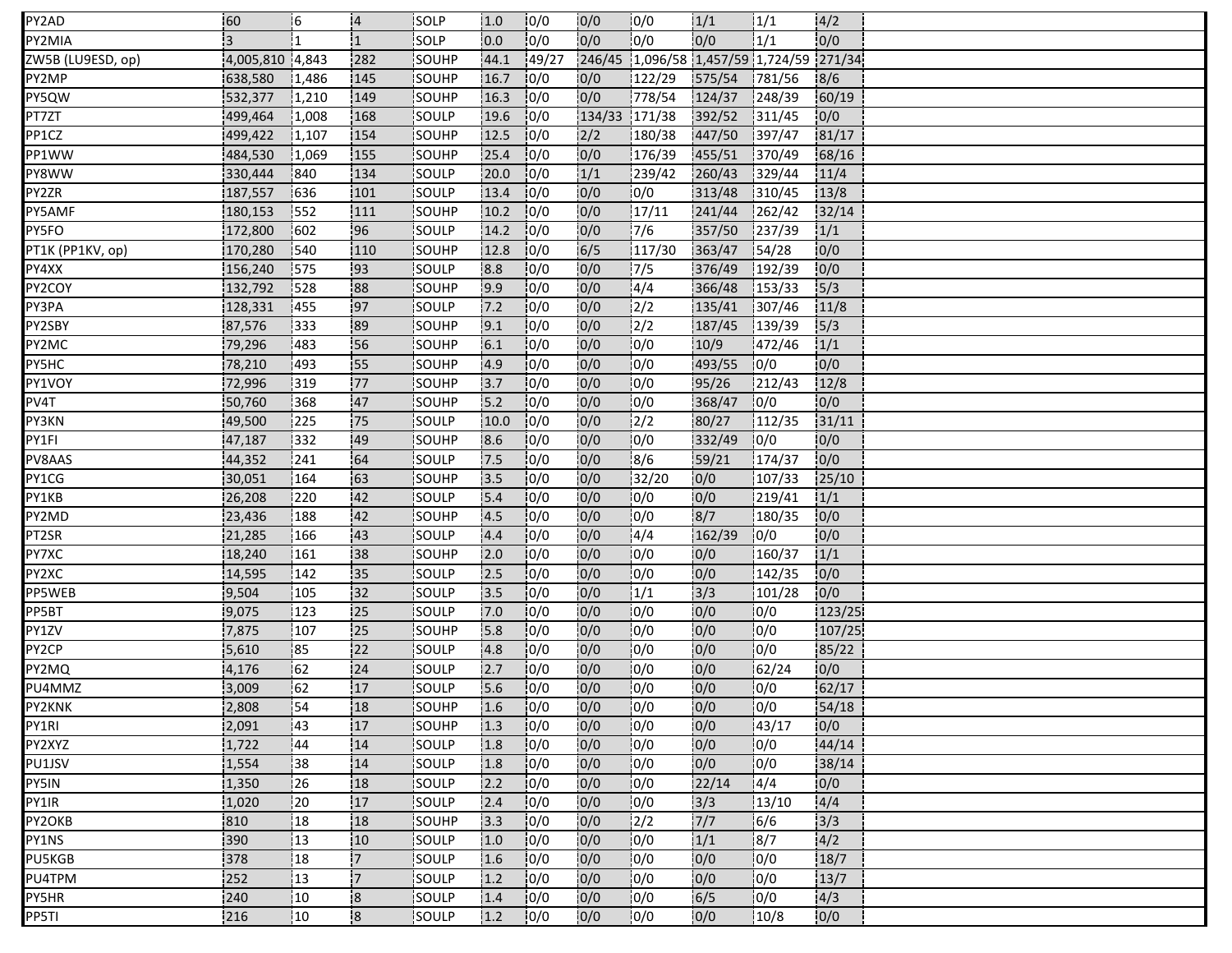| PY2AD             | 160                     | 16           | $\overline{4}$          | <b>ISOLP</b>  | 1.0  | 10/0   | 0/0           | 10/0          | 1/1    | 1/1                                      | 4/2    |  |
|-------------------|-------------------------|--------------|-------------------------|---------------|------|--------|---------------|---------------|--------|------------------------------------------|--------|--|
| PY2MIA            | $\overline{\mathbf{3}}$ |              | $\overline{1}$          | SOLP          | 0.0  | 0/0    | 0/0           | 10/0          | 0/0    | 1/1                                      | 0/0    |  |
| ZW5B (LU9ESD, op) | 4,005,810 4,843         |              | 282                     | SOUHP         | 44.1 | 149/27 |               |               |        | 246/45 1,096/58 1,457/59 1,724/59 271/34 |        |  |
| PY2MP             | 638,580                 | 1,486        | 145                     | <b>ISOUHP</b> | 16.7 | 10/0   | 0/0           | 122/29        | 575/54 | 781/56                                   | 8/6    |  |
| PY5QW             | 532,377                 | 1,210        | 149                     | SOUHP         | 16.3 | 0/0    | 0/0           | 778/54        | 124/37 | 248/39                                   | 60/19  |  |
| PT7ZT             | 499,464                 | 1,008        | 168                     | SOULP         | 19.6 | 0/0    | 134/33 171/38 |               | 392/52 | 1311/45                                  | 0/0    |  |
| PP1CZ             | 499,422                 | 1,107        | 154                     | <b>ISOUHP</b> | 12.5 | 10/0   | 2/2           | 180/38        | 447/50 | 397/47                                   | 81/17  |  |
| PP1WW             | 484,530                 | 1,069        | 155                     | SOUHP         | 25.4 | 0/0    | 0/0           | 176/39        | 455/51 | 370/49                                   | 68/16  |  |
| PY8WW             | 330,444                 | 1840         | 134                     | <b>SOULP</b>  | 20.0 | 10/0   | 1/1           | 239/42        | 260/43 | 329/44                                   | 11/4   |  |
| PY2ZR             | 187,557                 | 636          | 101                     | SOULP         | 13.4 | 10/0   | 0/0           | 10/0          | 313/48 | 310/45                                   | 13/8   |  |
| PY5AMF            | 180,153                 | 1552         | 111                     | SOUHP         | 10.2 | 0/0    | 0/0           | 17/11         | 241/44 | 262/42                                   | 32/14  |  |
| PY5FO             | 172,800                 | 1602         | 96                      | SOULP         | 14.2 | 10/0   | 0/0           | 17/6          | 357/50 | 237/39                                   | 1/1    |  |
| PT1K (PP1KV, op)  | 170,280                 | 540          | 110                     | SOUHP         | 12.8 | 10/0   | 6/5           | 117/30        | 363/47 | 54/28                                    | 0/0    |  |
| PY4XX             | 156,240                 | 1575         | 93                      | SOULP         | 8.8  | 0/0    | 0/0           | 7/5           | 376/49 | 192/39                                   | 0/0    |  |
| PY2COY            | 132,792                 | 528          | 88                      | SOUHP         | 9.9  | 0/0    | 0/0           | 4/4           | 366/48 | 153/33                                   | 5/3    |  |
| PY3PA             | 128,331                 | 455          | 97                      | SOULP         | 7.2  | 0/0    | 0/0           | 12/2          | 135/41 | 307/46                                   | 11/8   |  |
| PY2SBY            | 87,576                  | 333          | 89                      | SOUHP         | 9.1  | 0/0    | 0/0           | $\frac{2}{2}$ | 187/45 | 139/39                                   | 5/3    |  |
| PY2MC             | 79,296                  | 483          | 56                      | <b>ISOUHP</b> | 6.1  | 10/0   | 0/0           | 10/0          | 10/9   | 472/46                                   | 1/1    |  |
| PY5HC             | 78,210                  | 493          | 55                      | <b>SOUHP</b>  | 4.9  | 0/0    | 0/0           | 10/0          | 493/55 | 10/0                                     | 0/0    |  |
| PY1VOY            | 72,996                  | 319          | 77                      | SOUHP         | 13.7 | 10/0   | 0/0           | 10/0          | 95/26  | 1212/43                                  | 12/8   |  |
| PV4T              | 50,760                  | 368          | 47                      | <b>SOUHP</b>  | 15.2 | 10/0   | 10/0          | 10/0          | 368/47 | 10/0                                     | 0/0    |  |
| PY3KN             | 49,500                  | 225          | 75                      | SOULP         | 10.0 | 10/0   | 0/0           | $\frac{1}{2}$ | 80/27  | 112/35                                   | 31/11  |  |
| PY1FI             | 47,187                  | 332          | 149                     | SOUHP         | 8.6  | 0/0    | 10/0          | 10/0          | 332/49 | 10/0                                     | 0/0    |  |
| PV8AAS            | 44,352                  | 241          | 64                      | <b>SOULP</b>  | 7.5  | 10/0   | 0/0           | 18/6          | 59/21  | 174/37                                   | 0/0    |  |
| PY1CG             | 30,051                  | 164          | 163                     | SOUHP         | 3.5  | 0/0    | 0/0           | 32/20         | 0/0    | 107/33                                   | 25/10  |  |
| PY1KB             | 26,208                  | 220          | 42                      | SOULP         | 5.4  | 10/0   | 0/0           | 0/0           | 0/0    | 219/41                                   | 1/1    |  |
| PY2MD             | 23,436                  | 188          | 42                      | SOUHP         | 4.5  | 10/0   | 0/0           | 0/0           | 8/7    | 180/35                                   | 0/0    |  |
| PT2SR             | 21,285                  | 166          | 43                      | SOULP         | 4.4  | 10/0   | 0/0           | 4/4           | 162/39 | 0/0                                      | 0/0    |  |
| PY7XC             | 18,240                  | 161          | 38                      | <b>ISOUHP</b> | 2.0  | 10/0   | 0/0           | 0/0           | 0/0    | 160/37                                   | 1/1    |  |
| PY2XC             | 14,595                  | 142          | 35                      | SOULP         | 2.5  | 0/0    | 0/0           | 10/0          | 0/0    | 142/35                                   | 0/0    |  |
| PP5WEB            | 9,504                   | 105          | 132                     | SOULP         | 13.5 | 0/0    | 0/0           | 1/1           | 3/3    | 101/28                                   | 0/0    |  |
| PP5BT             | 9,075                   | 123          | 25                      | <b>SOULP</b>  | 17.0 | 10/0   | 0/0           | 10/0          | 0/0    | 0/0                                      | 123/25 |  |
| PY1ZV             | 7,875                   | 107          | 25                      | <b>SOUHP</b>  | 5.8  | 10/0   | 0/0           | 0/0           | 0/0    | 10/0                                     | 107/25 |  |
| PY2CP             | 5,610                   | 85           | 122                     | SOULP         | 4.8  | 0/0    | 0/0           | 10/0          | 10/0   | 10/0                                     | 85/22  |  |
| PY2MQ             | 4,176                   | 162          | 24                      | <b>SOULP</b>  | 12.7 | 10/0   | 0/0           | 10/0          | 0/0    | 62/24                                    | 0/0    |  |
| PU4MMZ            | 3,009                   | 162          | 17                      | SOULP         | 15.6 | 0/0    | 0/0           | 0/0           | 0/0    | 0/0                                      | 62/17  |  |
| PY2KNK            | 2,808                   | 54           | 18                      | SOUHP         | 1.6  | 0/0    | 0/0           | 0/0           | 0/0    | 0/0                                      | 54/18  |  |
| PY1RI             | 2,091                   | 43           | 17                      | SOUHP         | 1.3  | 10/0   | 0/0           | 10/0          | 0/0    | 43/17                                    | 0/0    |  |
| PY2XYZ            | 1,722                   | 44           | 14                      | SOULP         | 1.8  | 0/0    | 0/0           | 10/0          | 0/0    | 0/0                                      | 44/14  |  |
| PU1JSV            | 1,554                   | 38           | 14                      | <b>SOULP</b>  | 1.8  | 10/0   | 0/0           | 10/0          | 0/0    | 10/0                                     | 38/14  |  |
| PY5IN             | 1,350                   | 26           | 18                      | SOULP         | 2.2  | 0/0    | 0/0           | 10/0          | 22/14  | 14/4                                     | 0/0    |  |
| PY1IR             | 1,020                   | 20           | 17                      | SOULP         | 2.4  | 0/0    | 0/0           | 0/0           | 3/3    | 13/10                                    | 4/4    |  |
| PY2OKB            | 810                     | !18          | 18                      | <b>ISOUHP</b> | 3.3  | 10/0   | 0/0           | $\frac{1}{2}$ | 7/7    | 6/6                                      | 3/3    |  |
| PY1NS             | 390                     | 13           | 10                      | SOULP         | 1.0  | 0/0    | 0/0           | 10/0          | 1/1    | 8/7                                      | 4/2    |  |
| PU5KGB            | 378                     | 18           | !7                      | SOULP         | 1.6  | 0/0    | 0/0           | 10/0          | 0/0    | 10/0                                     | 18/7   |  |
| PU4TPM            | 252                     | 13           | 17                      | SOULP         | 1.2  | 10/0   | 0/0           | 10/0          | 0/0    | 10/0                                     | 13/7   |  |
| PY5HR             | 240                     | $ 10\rangle$ | $\overline{\mathbf{8}}$ | SOULP         | 1.4  | 0/0    | 0/0           | 0/0           | 6/5    | 0/0                                      | 4/3    |  |
| PP5TI             | 216                     | $ 10\rangle$ | $\overline{\mathbf{8}}$ | SOULP         | 1.2  | 10/0   | 0/0           | 10/0          | 0/0    | 10/8                                     | 0/0    |  |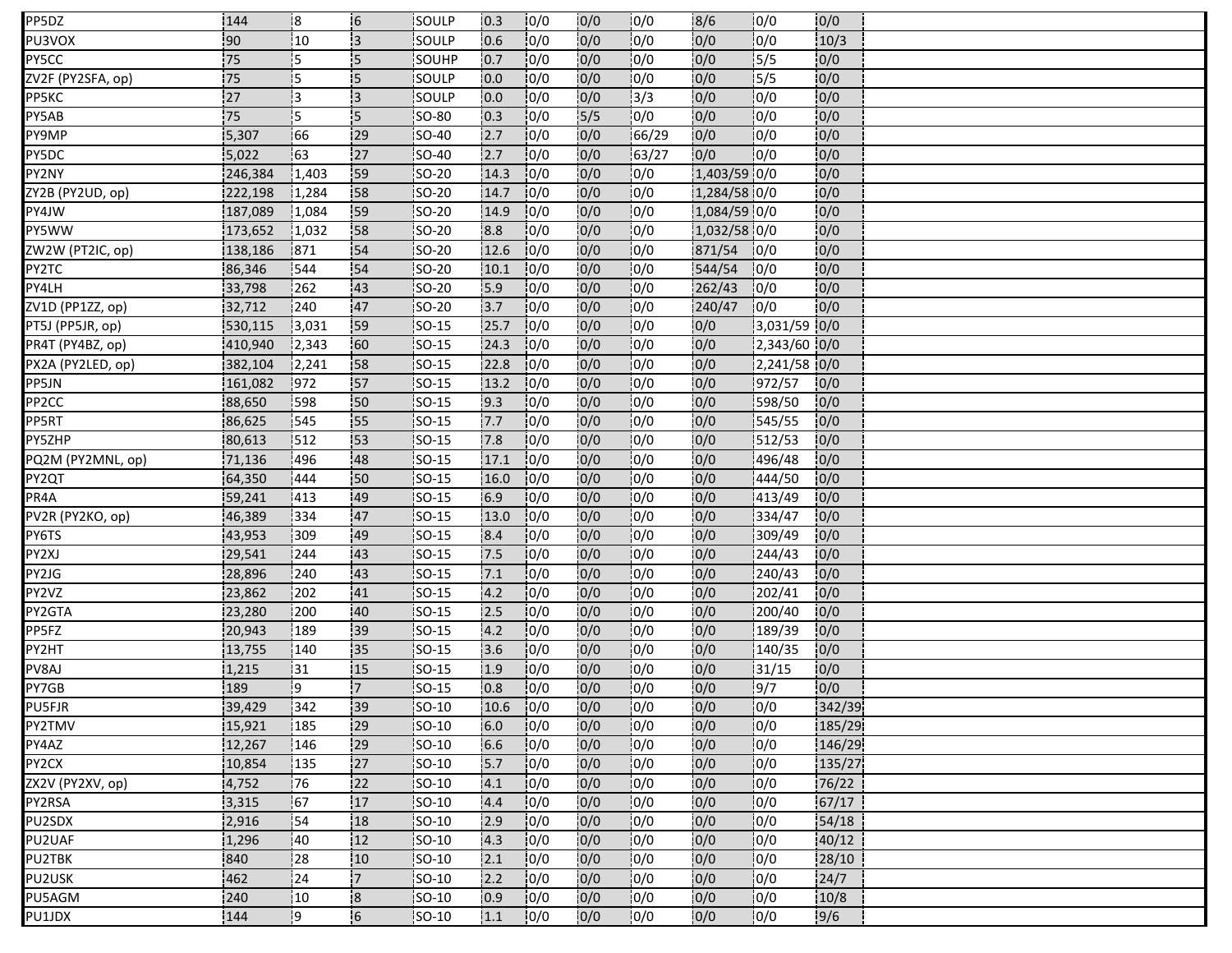| PP5DZ                    | 144     | :8        | $\overline{6}$             | <b>ISOULP</b>  | 10.3 | 10/0 | 0/0              | 10/0  | 18/6         | 10/0         | 0/0    |  |
|--------------------------|---------|-----------|----------------------------|----------------|------|------|------------------|-------|--------------|--------------|--------|--|
| PU3VOX                   | 90      | 10        | 3                          | SOULP          | 0.6  | 10/0 | 0/0              | 0/0   | 0/0          | 0/0          | 10/3   |  |
| PY5CC                    | 75      | $\vert$ 5 | 5                          | SOUHP          | 0.7  | 0/0  | 0/0              | 0/0   | 0/0          | 5/5          | 0/0    |  |
| ZV2F (PY2SFA, op)        | 75      | İ5        | <b>5</b>                   | <b>ISOULP</b>  | 10.0 | 0/0  | 0/0              | 0/0   | 0/0          | 15/5         | 0/0    |  |
| PP5KC                    | 27      | iз        | i3                         | SOULP          | 0.0  | 0/0  | 0/0              | 3/3   | 0/0          | 0/0          | 0/0    |  |
| PY5AB                    | 75      | İ5.       | 5                          | <b>SO-80</b>   | 10.3 | 0/0  | $\frac{1}{5}{5}$ | 0/0   | 10/0         | 0/0          | 0/0    |  |
| PY9MP                    | 5,307   | 166       | 29                         | <b>SO-40</b>   | 12.7 | 10/0 | 0/0              | 66/29 | 0/0          | 0/0          | 0/0    |  |
| PY5DC                    | 5,022   | 163       | 27                         | $SO-40$        | 2.7  | 0/0  | 0/0              | 63/27 | 0/0          | 10/0         | 0/0    |  |
| PY2NY                    | 246,384 | 1,403     | 159                        | <b>SO-20</b>   | 14.3 | 10/0 | 0/0              | 10/0  | 1,403/59 0/0 |              | 0/0    |  |
| ZY2B (PY2UD, op <u>)</u> | 222,198 | 1,284     | 58                         | SO-20          | 14.7 | 0/0  | 0/0              | 10/0  | 1,284/58 0/0 |              | 0/0    |  |
| PY4JW                    | 187,089 | 1,084     | 59                         | SO-20          | 14.9 | 10/0 | 0/0              | 0/0   | 1,084/59 0/0 |              | 0/0    |  |
| PY5WW                    | 173,652 | 1,032     | 58                         | SO-20          | 8.8  | 0/0  | 0/0              | 0/0   | 1,032/58 0/0 |              | 0/0    |  |
| ZW2W (PT2IC, op)         | 138,186 | 871       | 54                         | <b>SO-20</b>   | 12.6 | 10/0 | 0/0              | 0/0   | 871/54       | 10/0         | 0/0    |  |
| PY2TC                    | 86,346  | 544       | 54                         | SO-20          | 10.1 | 0/0  | 0/0              | 0/0   | 544/54       | 10/0         | 0/0    |  |
| PY4LH                    | 33,798  | 262       | 43                         | SO-20          | 15.9 | 0/0  | 0/0              | 0/0   | 262/43       | 10/0         | 0/0    |  |
| ZV1D (PP1ZZ, op)         | 32,712  | 240       | 47                         | SO-20          | 3.7  | 0/0  | 0/0              | 0/0   | 240/47       | 0/0          | 0/0    |  |
| PT5J (PP5JR, op)         | 530,115 | 3,031     | 59                         | $SO-15$        | 25.7 | 0/0  | 0/0              | 10/0  | 0/0          | 3,031/59 0/0 |        |  |
| PR4T (PY4BZ, op)         | 410,940 | 12,343    | 60                         | <b>ISO-15</b>  | 24.3 | 10/0 | 0/0              | 10/0  | 0/0          | 2,343/60 0/0 |        |  |
| PX2A (PY2LED, op)        | 382,104 | 12,241    | 58                         | SO-15          | 22.8 | 0/0  | 0/0              | 10/0  | 0/0          | 2,241/58 0/0 |        |  |
| PP5JN                    | 161,082 | 1972      | 57                         | $SO-15$        | 13.2 | 10/0 | 0/0              | 0/0   | 0/0          | 972/57       | 0/0    |  |
| PP2CC                    | 88,650  | 1598      | 50                         | <b>ISO-15</b>  | 19.3 | 10/0 | 0/0              | 10/0  | 10/0         | 598/50       | 0/0    |  |
| PP5RT                    | 86,625  | 545       | 55                         | $ SO-15 $      | 7.7  | 10/0 | 0/0              | 0/0   | 0/0          | 545/55       | 0/0    |  |
| PY5ZHP                   | 80,613  | 1512      | 153                        | <b>SO-15</b>   | 7.8  | 0/0  | 0/0              | 10/0  | 10/0         | 512/53       | 0/0    |  |
| PQ2M (PY2MNL, op)        | 71,136  | 496       | 48                         | SO-15          | 17.1 | 10/0 | 0/0              | 10/0  | 0/0          | 496/48       | 0/0    |  |
| PY2QT                    | 64,350  | 444       | 150                        | SO-15          | 16.0 | 0/0  | 0/0              | 10/0  | 0/0          | 444/50       | 0/0    |  |
| PR4A                     | 59,241  | 413       | 49                         | <b>SO-15</b>   | 6.9  | 10/0 | 0/0              | 0/0   | 10/0         | 413/49       | 0/0    |  |
| PV2R (PY2KO, op)         | 46,389  | 334       | 47                         | SO-15          | 13.0 | 0/0  | 0/0              | 0/0   | 0/0          | 334/47       | 0/0    |  |
| PY6TS                    | 43,953  | 309       | 49                         | $ SO-15 $      | 8.4  | 0/0  | 0/0              | 0/0   | 0/0          | 309/49       | 0/0    |  |
| PY2XJ                    | 29,541  | 244       | 43                         | <b>SO-15</b>   | 17.5 | 0/0  | 0/0              | 0/0   | 10/0         | 244/43       | 0/0    |  |
| PY2JG                    | 28,896  | 240       | 43                         | $SO-15$        | 7.1  | 0/0  | 0/0              | 0/0   | 0/0          | 240/43       | 0/0    |  |
| PY2VZ                    | 23,862  | 202       | 41                         | $SO-15$        | 4.2  | 0/0  | 0/0              | 0/0   | 0/0          | 202/41       | 0/0    |  |
| PY2GTA                   | 23,280  | 1200      | 40                         | <b>SO-15</b>   | 2.5  | 10/0 | 0/0              | 10/0  | 0/0          | 200/40       | 10/0   |  |
| PP5FZ                    | 20,943  | 189       | 39                         | SO-15          | 4.2  | 0/0  | 0/0              | 0/0   | 0/0          | 189/39       | 0/0    |  |
| PY2HT                    | 13,755  | 140       | '35                        | <b>SO-15</b>   | 3.6  | 0/0  | 10/0             | 10/0  | 0/0          | 140/35       | 0/0    |  |
| PV8AJ                    | 1,215   | 131       | 15                         | <b>SO-15</b>   | 1.9  | 10/0 | 0/0              | 10/0  | 0/0          | 31/15        | 0/0    |  |
| PY7GB                    | 189     | ļ9        | $\overline{7}$             | SO-15          | 0.8  | 0/0  | 0/0              | 0/0   | 0/0          | 9/7          | 0/0    |  |
| <b>PU5FJR</b>            | 39,429  | 342       | 39                         | $\left $ SO-10 | 10.6 | 0/0  | 0/0              | 0/0   | 0/0          | 0/0          | 342/39 |  |
| PY2TMV                   | 15,921  | 185       | 29                         | SO-10          | 6.0  | 10/0 | 0/0              | 0/0   | 0/0          | 10/0         | 185/29 |  |
| PY4AZ                    | 12,267  | 146       | 29                         | $SO-10$        | 6.6  | 0/0  | 0/0              | 0/0   | 0/0          | 0/0          | 146/29 |  |
| PY2CX                    | 10,854  | 135       | 27                         | <b>SO-10</b>   | 5.7  | 10/0 | 0/0              | 0/0   | 0/0          | 10/0         | 135/27 |  |
| ZX2V (PY2XV, op)         | 4,752   | 76        | 22                         | SO-10          | 4.1  | 0/0  | 0/0              | 10/0  | 0/0          | 0/0          | 76/22  |  |
| PY2RSA                   | 3,315   | 67        | 17                         | $SO-10$        | 4.4  | 0/0  | 0/0              | 10/0  | 0/0          | 0/0          | 67/17  |  |
| PU2SDX                   | 2,916   | !54       | 18                         | <b>ISO-10</b>  | 2.9  | 10/0 | 0/0              | 10/0  | 10/0         | 0/0          | 54/18  |  |
| PU2UAF                   | 1,296   | 140       | 12                         | <b>SO-10</b>   | 4.3  | 10/0 | 0/0              | 10/0  | 0/0          | 0/0          | 40/12  |  |
| PU2TBK                   | 840     | 28        | 10                         | $SO-10$        | 2.1  | 0/0  | 0/0              | 10/0  | 10/0         | 10/0         | 28/10  |  |
| PU2USK                   | 462     | 24        | 17                         | SO-10          | 2.2  | 10/0 | 0/0              | 10/0  | 10/0         | 0/0          | 24/7   |  |
| PU5AGM                   | 240     | 10        | $\overline{\phantom{a}}$ 8 | SO-10          | 0.9  | 10/0 | 0/0              | 10/0  | 0/0          | 0/0          | 10/8   |  |
| PU1JDX                   | 144     | و!        | 6                          | SO-10          | 1.1  | 10/0 | 0/0              | 10/0  | 0/0          | 0/0          | 9/6    |  |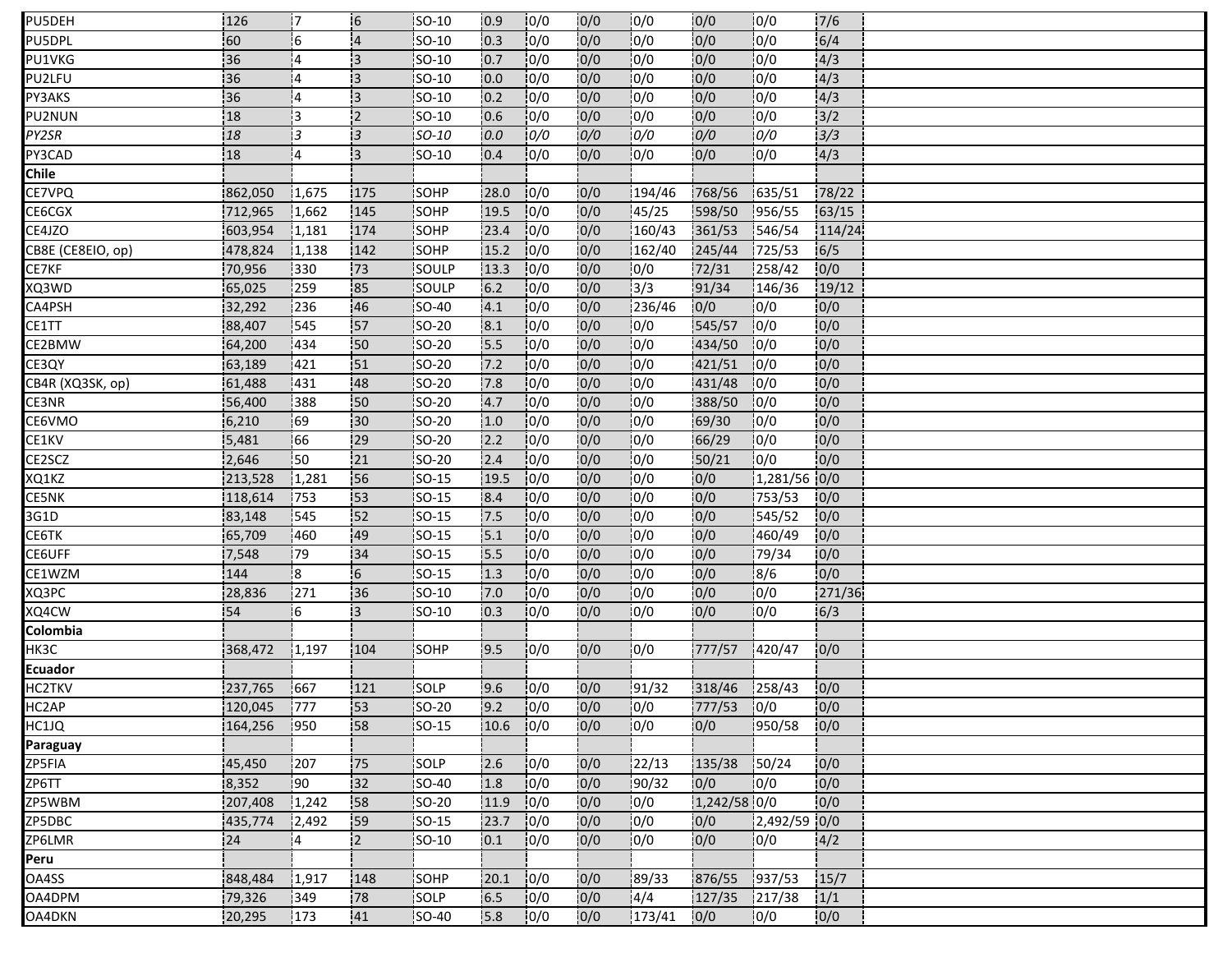| PU5DEH            | 126         | 17         | 6               | SO-10         | 10.9 | 10/0 | 0/0 | 10/0   | 10/0          | 10/0            | 7/6    |  |
|-------------------|-------------|------------|-----------------|---------------|------|------|-----|--------|---------------|-----------------|--------|--|
| PU5DPL            | 60          | 16         | $\overline{4}$  | SO-10         | 0.3  | 10/0 | 0/0 | 10/0   | 0/0           | 10/0            | 6/4    |  |
| PU1VKG            | 36          | 14         | 3               | SO-10         | 0.7  | 0/0  | 0/0 | 0/0    | 0/0           | 0/0             | 4/3    |  |
| PU2LFU            | 36          | 14         | $\overline{3}$  | <b>SO-10</b>  | 10.0 | 10/0 | 0/0 | 10/0   | 0/0           | 10/0            | 4/3    |  |
| PY3AKS            | 36          | 14         | i3              | SO-10         | 0.2  | 0/0  | 0/0 | 0/0    | 0/0           | 0/0             | 4/3    |  |
| PU2NUN            | 18          | l3         | $\overline{2}$  | <b>SO-10</b>  | 10.6 | 0/0  | 0/0 | 0/0    | 0/0           | 10/0            | 3/2    |  |
| PY2SR             | 18          | i3         | 13              | <b>SO-10</b>  | 0.0  | 0/0  | 0/0 | 0/0    | 0/0           | 0/0             | 3/3    |  |
| PY3CAD            | 18          | 14         | :3              | SO-10         | 0.4  | 10/0 | 0/0 | 0/0    | 0/0           | 10/0            | 4/3    |  |
| Chile             |             |            |                 |               |      |      |     |        |               |                 |        |  |
| CE7VPQ            | 862,050     | 1,675      | 175             | <b>SOHP</b>   | 28.0 | 10/0 | 0/0 | 194/46 | 768/56        | 635/51          | 78/22  |  |
| CE6CGX            | 712,965     | 1,662      | 145             | SOHP          | 19.5 | 0/0  | 0/0 | 45/25  | 598/50        | 956/55          | 63/15  |  |
| CE4JZO            | 603,954     | 1,181      | 174             | SOHP          | 23.4 | 10/0 | 0/0 | 160/43 | 361/53        | 546/54          | 114/24 |  |
| CB8E (CE8EIO, op) | 478,824     | 1,138      | 142             | SOHP          | 15.2 | 10/0 | 0/0 | 162/40 | 245/44        | 725/53          | 6/5    |  |
| CE7KF             | 70,956      | 330        | 73              | SOULP         | 13.3 | 0/0  | 0/0 | 0/0    | 72/31         | 258/42          | 0/0    |  |
| XQ3WD             | 65,025      | 259        | 85              | SOULP         | 6.2  | 10/0 | 0/0 | 13/3   | 91/34         | 146/36          | 19/12  |  |
| CA4PSH            | 32,292      | 236        | 46              | SO-40         | 4.1  | 0/0  | 0/0 | 236/46 | 0/0           | 0/0             | 0/0    |  |
| CE1TT             | 88,407      | 545        | 57              | SO-20         | 8.1  | 0/0  | 0/0 | 10/0   | 545/57        | 10/0            | 0/0    |  |
| CE2BMW            | 64,200      | 434        | 50              | <b>SO-20</b>  | 15.5 | 10/0 | 0/0 | 10/0   | 434/50        | 10/0            | 0/0    |  |
| CE3QY             | 63,189      | 421        | 151             | <b>SO-20</b>  | 7.2  | 0/0  | 0/0 | 10/0   | 421/51        | 10/0            | 0/0    |  |
| CB4R (XQ3SK, op)  | 61,488      | 431        | 48              | SO-20         | 17.8 | 0/0  | 0/0 | 10/0   | 431/48        | 10/0            | 0/0    |  |
| CE3NR             | 56,400      | 388        | :50             | <b>SO-20</b>  | 4.7  | 10/0 | 0/0 | 10/0   | 388/50        | 10/0            | 0/0    |  |
| CE6VMO            | 6,210       | 69         | 30 <sub>1</sub> | <b>SO-20</b>  | 1.0  | 10/0 | 0/0 | 10/0   | 69/30         | 10/0            | 0/0    |  |
| CE1KV             | 5,481       | 166        | .29             | <b>SO-20</b>  | 12.2 | 0/0  | 0/0 | 10/0   | 66/29         | 10/0            | 0/0    |  |
| CE2SCZ            | 2,646       | <b>S</b> 0 | $\overline{21}$ | <b>SO-20</b>  | 2.4  | 10/0 | 0/0 | 10/0   | 150/21        | 10/0            | 0/0    |  |
| XQ1KZ             | 213,528     | 1,281      | 56              | SO-15         | 19.5 | 10/0 | 0/0 | 10/0   | 0/0           | $1,281/56$ 0/0  |        |  |
| CE5NK             | 118,614     | 753        | 53              | SO-15         | 8.4  | 10/0 | 0/0 | 0/0    | 0/0           | 753/53          | 0/0    |  |
| 3G1D              | 83,148      | 545        | 152             | SO-15         | 7.5  | 10/0 | 0/0 | 0/0    | 0/0           | 545/52          | 0/0    |  |
| CE6TK             | 65,709      | 460        | 49              | $ SO-15 $     | 15.1 | 0/0  | 0/0 | 0/0    | 0/0           | 460/49          | 0/0    |  |
| CE6UFF            | 7,548       | .79        | 34              | <b>SO-15</b>  | 5.5  | 10/0 | 0/0 | 0/0    | 0/0           | 79/34           | 0/0    |  |
| CE1WZM            | 144         | l8         | 6               | SO-15         | 1.3  | 0/0  | 0/0 | 10/0   | 0/0           | 8/6             | 0/0    |  |
| XQ3PC             | 28,836      | 271        | 36              | SO-10         | 7.0  | 0/0  | 0/0 | 0/0    | 0/0           | 10/0            | 271/36 |  |
| XQ4CW             | 54          | 16         | ΙЗ.             | SO-10         | 10.3 | 10/0 | 0/0 | 10/0   | 0/0           | 10/0            | 6/3    |  |
| Colombia          |             |            |                 |               |      |      |     |        |               |                 |        |  |
| НКЗС              | 368,472     | 1,197      | 104             | SOHP          | .9.5 | 0/0  | 0/0 | 10/0   | 777/57        | 1420/47         | 0/0    |  |
| Ecuador           |             |            |                 |               |      |      |     |        |               |                 |        |  |
| <b>HC2TKV</b>     | 237,765     | 667        | 121             | SOLP          | 9.6  | 0/0  | 0/0 | 191/32 | 318/46        | 1258/43         | 0/0    |  |
| HC2AP             | 120,045 777 |            | $\frac{1}{3}$   | SO-20         | 9.2  | 0/0  | 0/0 | 0/0    | 777/53 0/0    |                 | 0/0    |  |
| HC1JQ             | 164,256     | 1950       | 58              | <b>SO-15</b>  | 10.6 | 10/0 | 0/0 | 10/0   | 0/0           | $\sqrt{950}/58$ | 0/0    |  |
| Paraguay          |             |            |                 |               |      |      |     |        |               |                 |        |  |
| ZP5FIA            | 45,450      | 1207       | 75              | <b>SOLP</b>   | 2.6  | 10/0 | 0/0 | 22/13  | 135/38 50/24  |                 | 0/0    |  |
| ZP6TT             | 8,352       | 190        | 32              | <b>SO-40</b>  | 1.8  | 10/0 | 0/0 | 90/32  | 0/0           | 0/0             | 0/0    |  |
| ZP5WBM            | 207,408     | 1,242      | 58              | $SO-20$       | 11.9 | 0/0  | 0/0 | 0/0    | 1,242/58 0/0  |                 | 0/0    |  |
| ZP5DBC            | 435,774     | 12,492     | 59              | <b>ISO-15</b> | 23.7 | 10/0 | 0/0 | 10/0   | 0/0           | 2,492/59 0/0    |        |  |
| ZP6LMR            | 24          | i4         | 2               | $SO-10$       | 0.1  | 0/0  | 0/0 | 10/0   | 0/0           | 0/0             | 4/2    |  |
| Peru              |             |            |                 |               |      |      |     |        |               |                 |        |  |
| OA4SS             | 848,484     | 1,917      | 148             | <b>SOHP</b>   | 20.1 | 10/0 | 0/0 | 189/33 | 876/55        | 1937/53         | 15/7   |  |
| OA4DPM            | 79,326      | 349        | 78              | SOLP          | 6.5  | 0/0  | 0/0 | 4/4    | 127/35 217/38 |                 | 1/1    |  |
| OA4DKN            | 20,295      | 173        | 41              | <b>SO-40</b>  | 15.8 | 10/0 | 0/0 | 173/41 | 0/0           | 10/0            | 0/0    |  |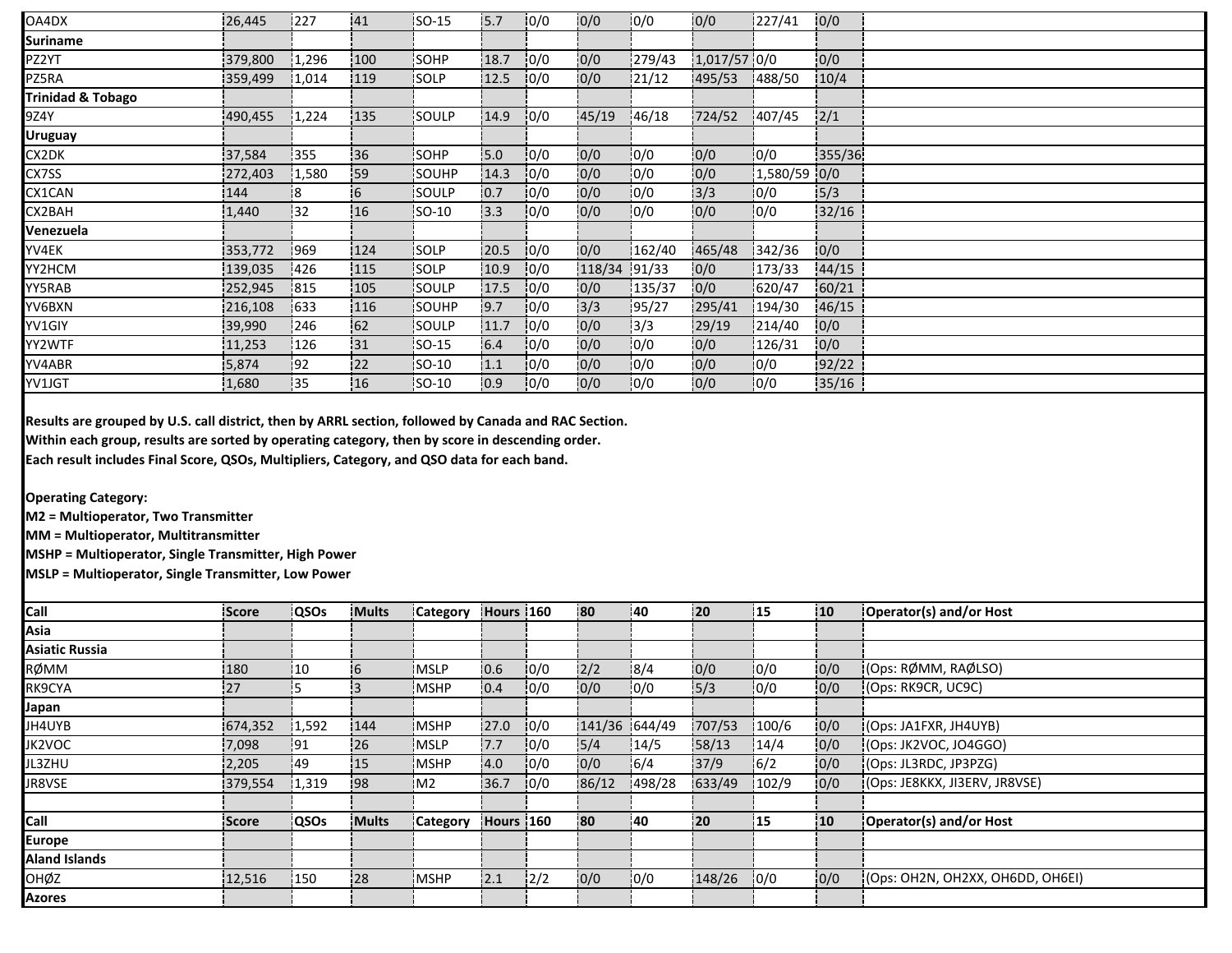| OA4DX                        | 26,445  | 1227  | 41        | ISO-15       | 15.7 | 10/0 | 0/0    | 0/0     | 10/0         | 227/41       | 0/0    |  |
|------------------------------|---------|-------|-----------|--------------|------|------|--------|---------|--------------|--------------|--------|--|
| <b>Suriname</b>              |         |       |           |              |      |      |        |         |              |              |        |  |
| PZ2YT                        | 379,800 | 1,296 | 100       | SOHP         | 18.7 | 0/0  | 0/0    | 1279/43 | 1,017/57 0/0 |              | 0/0    |  |
| PZ5RA                        | 359,499 | 1,014 | 119       | <b>SOLP</b>  | 12.5 | 10/0 | 0/0    | 121/12  | 495/53       | 488/50       | 10/4   |  |
| <b>Trinidad &amp; Tobago</b> |         |       |           |              |      |      |        |         |              |              |        |  |
| 9Z4Y                         | 490,455 | 1,224 | 135       | SOULP        | 14.9 | 10/0 | 45/19  | 146/18  | 724/52       | 407/45       | 2/1    |  |
| <b>Uruguay</b>               |         |       |           |              |      |      |        |         |              |              |        |  |
| CX2DK                        | 37,584  | 355   | 36        | SOHP         | 5.0  | 0/0  | 0/0    | 0/0     | 0/0          | 0/0          | 355/36 |  |
| CX7SS                        | 272,403 | 1,580 | <b>59</b> | SOUHP        | 14.3 | 0/0  | 0/0    | 0/0     | 10/0         | 1,580/59 0/0 |        |  |
| CX1CAN                       | 144     | 18    | 16        | <b>SOULP</b> | 10.7 | 10/0 | 0/0    | 0/0     | 13/3         | 10/0         | 5/3    |  |
| CX2BAH                       | 1,440   | 132   | :16       | <b>SO-10</b> | 3.3  | 0/0  | 0/0    | 0/0     | 0/0          | 10/0         | 32/16  |  |
| Venezuela                    |         |       |           |              |      |      |        |         |              |              |        |  |
| YV4EK                        | 353,772 | 969   | 124       | SOLP         | 20.5 | 10/0 | 0/0    | 162/40  | 465/48       | 342/36       | 0/0    |  |
| YY2HCM                       | 139,035 | 426   | 115       | SOLP         | 10.9 | 0/0  | 118/34 | 91/33   | 0/0          | 173/33       | 44/15  |  |
| YY5RAB                       | 252,945 | 1815  | 105       | <b>SOULP</b> | 17.5 | 10/0 | 0/0    | 135/37  | 0/0          | 620/47       | 60/21  |  |
| YV6BXN                       | 216,108 | 633   | 116       | SOUHP        | 9.7  | 0/0  | 3/3    | 195/27  | 295/41       | 194/30       | 46/15  |  |
| YV1GIY                       | 39,990  | 246   | 62        | SOULP        | 11.7 | 10/0 | 0/0    | 3/3     | 29/19        | 1214/40      | 0/0    |  |
| YY2WTF                       | 11,253  | 126   | 131       | ISO-15       | 6.4  | 10/0 | 0/0    | 10/0    | 0/0          | 126/31       | 0/0    |  |
| YV4ABR                       | 5,874   | 92    | 122       | SO-10        | 1.1  | 0/0  | 0/0    | 0/0     | 0/0          | 0/0          | 92/22  |  |
| YV1JGT                       | 1,680   | '35   | 16        | SO-10        | 0.9  | 0/0  | 10/0   | 0/0     | 0/0          | 10/0         | 35/16  |  |

**Results are grouped by U.S. call district, then by ARRL section, followed by Canada and RAC Section.**

**Within each group, results are sorted by operating category, then by score in descending order.**

**Each result includes Final Score, QSOs, Multipliers, Category, and QSO data for each band.**

**Operating Category:**

**M2 = Multioperator, Two Transmitter**

**MM = Multioperator, Multitransmitter**

**MSHP = Multioperator, Single Transmitter, High Power**

**MSLP = Multioperator, Single Transmitter, Low Power**

| <b>Call</b>           | Score        | <b>QSOs</b> | <b>Mults</b> | <b>Category</b> | Hours 160 |      | 180           | 140    | 20     | 115   | 10  | Operator(s) and/or Host           |
|-----------------------|--------------|-------------|--------------|-----------------|-----------|------|---------------|--------|--------|-------|-----|-----------------------------------|
| Asia                  |              |             |              |                 |           |      |               |        |        |       |     |                                   |
| <b>Asiatic Russia</b> |              |             |              |                 |           |      |               |        |        |       |     |                                   |
| RØMM                  | 180          | 110         | 16           | <b>IMSLP</b>    | 10.6      | 10/0 | 2/2           | 18/4   | 10/0   | 10/0  | 0/0 | (Ops: RØMM, RAØLSO)               |
| RK9CYA                | 127          |             |              | <b>MSHP</b>     | 10.4      | 0/0  | 0/0           | 0/0    | 5/3    | 10/0  | 0/0 | (Ops: RK9CR, UC9C)                |
| Japan                 |              |             |              |                 |           |      |               |        |        |       |     |                                   |
| JH4UYB                | 674,352      | 1,592       | 144          | <b>MSHP</b>     | 27.0      | 10/0 | 141/36 644/49 |        | 707/53 | 100/6 | 0/0 | (Ops: JAIFXR, JHAUYB)             |
| JK2VOC                | 7,098        | 191         | .26          | <b>MSLP</b>     | .7.7      | 0/0  | 5/4           | 14/5   | 58/13  | 14/4  | 0/0 | (Ops: JK2VOC, JO4GGO)             |
| JL3ZHU                | 2,205        | 149         | 15           | <b>MSHP</b>     | 4.0       | 10/0 | 0/0           | 16/4   | 37/9   | 16/2  | 0/0 | (Ops: JL3RDC, JP3PZG)             |
| JR8VSE                | 379,554      | 1,319       | i98          | IM <sub>2</sub> | 36.7      | 10/0 | 86/12         | 498/28 | 633/49 | 102/9 | 0/0 | (Ops: JE8KKX, JI3ERV, JR8VSE)     |
|                       |              |             |              |                 |           |      |               |        |        |       |     |                                   |
| Call                  | <b>Score</b> | <b>QSOs</b> | <b>Mults</b> | <b>Category</b> | Hours 160 |      | 180           | 140    | 120    | 115   | 110 | Operator(s) and/or Host           |
| <b>Europe</b>         |              |             |              |                 |           |      |               |        |        |       |     |                                   |
| <b>Aland Islands</b>  |              |             |              |                 |           |      |               |        |        |       |     |                                   |
| <b>OHØZ</b>           | 12,516       | 150         | 128          | <b>IMSHP</b>    | 12.1      | 12/2 | 0/0           | 10/0   | 148/26 | 10/0  | 0/0 | I(Ops: OH2N, OH2XX, OH6DD, OH6EI) |
| <b>Azores</b>         |              |             |              |                 |           |      |               |        |        |       |     |                                   |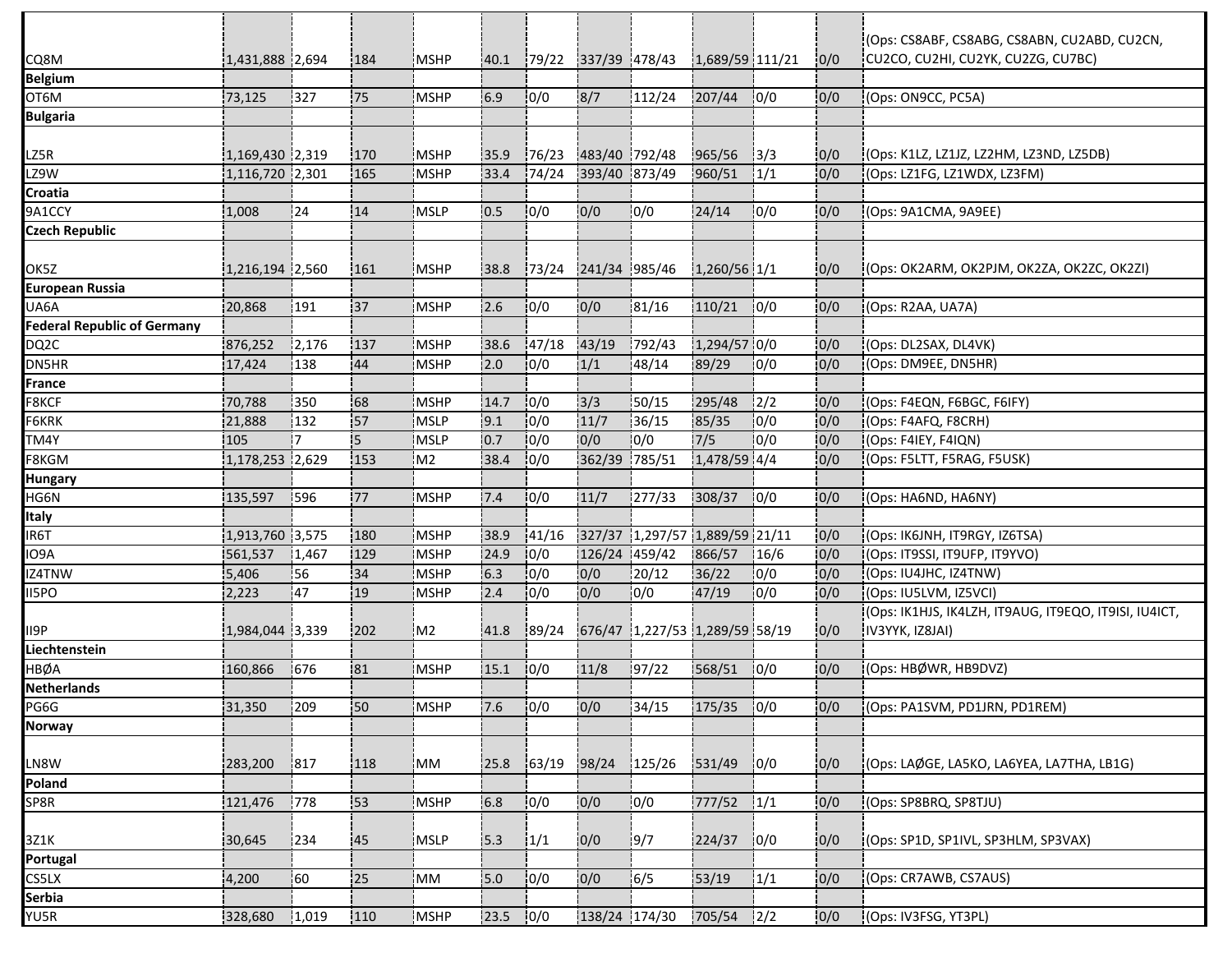|                                    |                 |           |     |                |      |        |               |                                     |              |               |      | (Ops: CS8ABF, CS8ABG, CS8ABN, CU2ABD, CU2CN,          |
|------------------------------------|-----------------|-----------|-----|----------------|------|--------|---------------|-------------------------------------|--------------|---------------|------|-------------------------------------------------------|
| CQ8M                               | 1,431,888 2,694 |           | 184 | MSHP           | 40.1 |        |               | 79/22 337/39 478/43 1,689/59 111/21 |              |               | 0/0  | CU2CO, CU2HI, CU2YK, CU2ZG, CU7BC)                    |
| <b>Belgium</b>                     |                 |           |     |                |      |        |               |                                     | 207/44       |               |      |                                                       |
| OT6M                               | 73,125          | 327       | 75  | MSHP           | 6.9  | 0/0    | 8/7           | 112/24                              |              | 0/0           | 0/0  | (Ops: ON9CC, PC5A)                                    |
| <b>Bulgaria</b>                    |                 |           |     |                |      |        |               |                                     |              |               |      |                                                       |
| LZ5R                               | 1,169,430 2,319 |           | 170 | <b>MSHP</b>    | 35.9 | 76/23  | 483/40 792/48 |                                     | 965/56       | 3/3           | 0/0  | (Ops: K1LZ, LZ1JZ, LZ2HM, LZ3ND, LZ5DB)               |
| LZ9W                               | 1,116,720 2,301 |           | 165 | <b>MSHP</b>    | 33.4 | 174/24 | 393/40 873/49 |                                     | 960/51       | $\frac{1}{1}$ | 10/0 | (Ops: LZ1FG, LZ1WDX, LZ3FM)                           |
| Croatia                            |                 |           |     |                |      |        |               |                                     |              |               |      |                                                       |
| 9A1CCY                             | 1,008           | 124       | 14  | MSLP           | 0.5  | 10/0   | 0/0           | 10/0                                | 24/14        | 10/0          | 0/0  | (Ops: 9A1CMA, 9A9EE)                                  |
| <b>Czech Republic</b>              |                 |           |     |                |      |        |               |                                     |              |               |      |                                                       |
|                                    |                 |           |     |                |      |        |               |                                     |              |               |      |                                                       |
| OK5Z                               | 1,216,194 2,560 |           | 161 | <b>MSHP</b>    | 38.8 | 173/24 | 241/34 985/46 |                                     | 1,260/56 1/1 |               | 10/0 | (Ops: OK2ARM, OK2PJM, OK2ZA, OK2ZC, OK2ZI)            |
| European Russia                    |                 |           |     |                |      |        |               |                                     |              |               |      |                                                       |
| UA6A                               | 20,868          | 191       | 37  | <b>MSHP</b>    | 2.6  | 0/0    | 0/0           | 81/16                               | 110/21       | 10/0          | 0/0  | (Ops: R2AA, UA7A)                                     |
| <b>Federal Republic of Germany</b> |                 |           |     |                |      |        |               |                                     |              |               |      |                                                       |
| DQ2C                               | 876,252         | 12,176    | 137 | <b>MSHP</b>    | 38.6 | 147/18 | 43/19         | 792/43                              | 1,294/57 0/0 |               | 0/0  | (Ops: DL2SAX, DL4VK)                                  |
| DN5HR                              | 17,424          | 138       | 44  | MSHP           | 2.0  | 0/0    | 1/1           | 48/14                               | 89/29        | 10/0          | 0/0  | (Ops: DM9EE, DN5HR)                                   |
| France                             |                 |           |     |                |      |        |               |                                     |              |               |      |                                                       |
| F8KCF                              | 70,788          | 350       | 68  | <b>IMSHP</b>   | 14.7 | 10/0   | 3/3           | 50/15                               | 295/48       | $\frac{1}{2}$ | 0/0  | (Ops: F4EQN, F6BGC, F6IFY)                            |
| F6KRK                              | 21,888          | 132       | 57  | MSLP           | 9.1  | 10/0   | 11/7          | 136/15                              | 85/35        | 0/0           | 0/0  | (Ops: F4AFQ, F8CRH)                                   |
| TM4Y                               | 105             | 17        | 5   | <b>MSLP</b>    | 10.7 | 10/0   | 0/0           | 10/0                                | 7/5          | 10/0          | 0/0  | (Ops: F4IEY, F4IQN)                                   |
| F8KGM                              | 1,178,253 2,629 |           | 153 | M <sub>2</sub> | 38.4 | 10/0   | 362/39 785/51 |                                     | 1,478/59 4/4 |               | 0/0  | (Ops: F5LTT, F5RAG, F5USK)                            |
| <b>Hungary</b>                     |                 |           |     |                |      |        |               |                                     |              |               |      |                                                       |
| HG6N                               | 135,597         | 1596      | 77  | <b>MSHP</b>    | 7.4  | 10/0   | 11/7          | 277/33                              | 308/37       | 10/0          | 0/0  | (Ops: HA6ND, HA6NY)                                   |
| Italy                              |                 |           |     |                |      |        |               |                                     |              |               |      |                                                       |
| IR6T                               | 1,913,760 3,575 |           | 180 | <b>MSHP</b>    | 38.9 | 41/16  |               | 327/37 1,297/57 1,889/59 21/11      |              |               | 0/0  | (Ops: IK6JNH, IT9RGY, IZ6TSA)                         |
| IO9A                               | 561,537         | 1,467     | 129 | <b>MSHP</b>    | 24.9 | 10/0   | 126/24 459/42 |                                     | 866/57       | 16/6          | 0/0  | (Ops: IT9SSI, IT9UFP, IT9YVO)                         |
| IZ4TNW                             | 5,406           | 56        | 34  | MSHP           | 6.3  | 0/0    | 0/0           | 20/12                               | 36/22        | 0/0           | 0/0  | (Ops: IU4JHC, IZ4TNW)                                 |
| II5PO                              | 2,223           | <b>47</b> | 19  | MSHP           | 2.4  | 10/0   | 0/0           | 10/0                                | 47/19        | 10/0          | 0/0  | (Ops: IU5LVM, IZ5VCI)                                 |
|                                    |                 |           |     |                |      |        |               |                                     |              |               |      | (Ops: IK1HJS, IK4LZH, IT9AUG, IT9EQO, IT9ISI, IU4ICT, |
| II9P                               | 1,984,044 3,339 |           | 202 | M <sub>2</sub> | 41.8 | 89/24  |               | 676/47 1,227/53 1,289/59 58/19      |              |               | 0/0  | [IV3YYK, IZ8JAI]                                      |
| Liechtenstein                      |                 |           |     |                |      |        |               |                                     |              |               |      |                                                       |
| HBØA                               | 160,866         | 676       | 81  | <b>MSHP</b>    | 15.1 | 10/0   | 11/8          | 97/22                               | 568/51       | 0/0           | 0/0  | (Ops: HBØWR, HB9DVZ)                                  |
| <b>Netherlands</b>                 |                 |           |     |                |      |        |               |                                     |              |               |      |                                                       |
| PG6G                               | 31,350          | 1209      | :50 | <b>MSHP</b>    | 7.6  | 10/0   | 0/0           | 134/15                              | $175/35$ 0/0 |               | 0/0  | (Ops: PA1SVM, PD1JRN, PD1REM)                         |
| <b>Norway</b>                      |                 |           |     |                |      |        |               |                                     |              |               |      |                                                       |
|                                    |                 |           |     |                |      |        |               |                                     |              |               |      |                                                       |
| LN8W                               | 283,200         | 817       | 118 | <b>MM</b>      | 25.8 | 163/19 | 98/24         | 125/26                              | 531/49       | 10/0          | 0/0  | (Ops: LAØGE, LA5KO, LA6YEA, LA7THA, LB1G)             |
| Poland                             |                 |           |     |                |      |        |               |                                     |              |               |      |                                                       |
| SP8R                               | 121,476         | 778       | 53  | MSHP           | 6.8  | 0/0    | 0/0           | 0/0                                 | 777/52       | 1/1           | 0/0  | (Ops: SP8BRQ, SP8TJU)                                 |
|                                    |                 |           |     |                |      |        |               |                                     |              |               |      |                                                       |
| 3Z1K                               | 30,645          | 234       | 45  | <b>MSLP</b>    | 15.3 | 1/1    | 0/0           | 19/7                                | 224/37       | 10/0          | 0/0  | (Ops: SP1D, SP1IVL, SP3HLM, SP3VAX)                   |
| Portugal                           |                 |           |     |                |      |        |               |                                     |              |               |      |                                                       |
| CS5LX                              | 4,200           | 160       | 25  | MM             | 15.0 | 0/0    | 0/0           | 6/5                                 | 53/19        | 1/1           | 0/0  | (Ops: CR7AWB, CS7AUS)                                 |
| Serbia                             |                 |           |     |                |      |        |               |                                     |              |               |      |                                                       |
| YU5R                               | 328,680         | 1,019     | 110 | MSHP           | 23.5 | 0/0    | 138/24 174/30 |                                     | 705/54       | $\frac{1}{2}$ | 0/0  | (Ops: IV3FSG, YT3PL)                                  |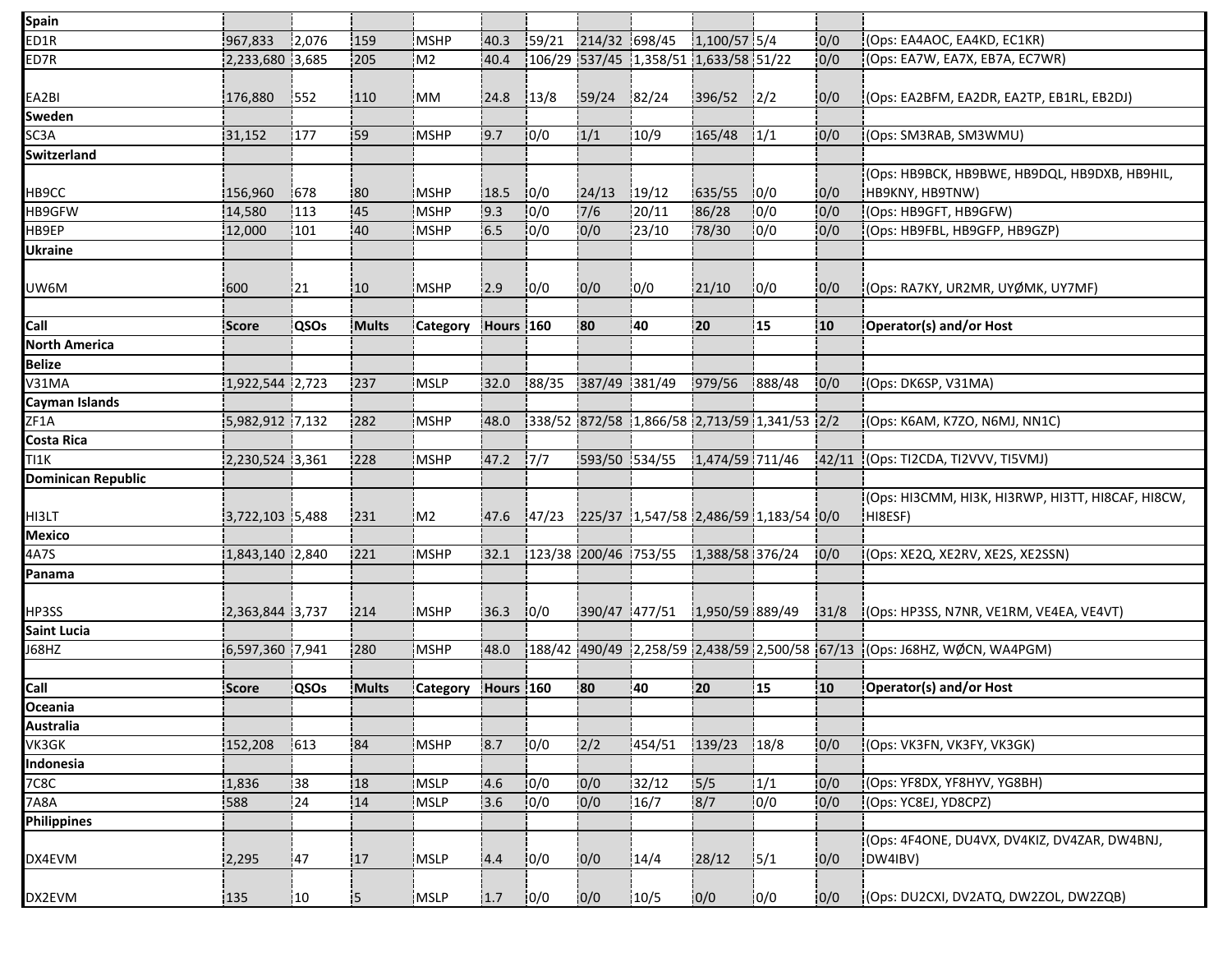| <b>Spain</b>              |                 |             |              |                 |           |        |                      |                                       |                 |                                                    |                  |                                                         |
|---------------------------|-----------------|-------------|--------------|-----------------|-----------|--------|----------------------|---------------------------------------|-----------------|----------------------------------------------------|------------------|---------------------------------------------------------|
| ED1R                      | 967,833         | 12,076      | 159          | MSHP            | 40.3      | 159/21 | 214/32 698/45        |                                       | $1,100/57$ 5/4  |                                                    | 0/0              | (Ops: EA4AOC, EA4KD, EC1KR)                             |
| ED7R                      | 2,233,680 3,685 |             | 205          | M <sub>2</sub>  | 40.4      |        |                      | 106/29 537/45 1,358/51 1,633/58 51/22 |                 |                                                    | 0/0              | (Ops: EA7W, EA7X, EB7A, EC7WR)                          |
|                           |                 |             |              |                 |           |        |                      |                                       |                 |                                                    |                  |                                                         |
| EA2BI                     | 176,880         | 552         | 110          | IMM             | 24.8      | 13/8   | 59/24                | 82/24                                 | 396/52          | 12/2                                               | 0/0              | (Ops: EA2BFM, EA2DR, EA2TP, EB1RL, EB2DJ)               |
| Sweden                    |                 |             |              |                 |           |        |                      |                                       |                 |                                                    |                  |                                                         |
| SC3A                      | 31,152          | 177         | 59           | <b>MSHP</b>     | 9.7       | 10/0   | 1/1                  | 10/9                                  | 165/48          | 1/1                                                | 0/0              | (Ops: SM3RAB, SM3WMU)                                   |
| Switzerland               |                 |             |              |                 |           |        |                      |                                       |                 |                                                    |                  |                                                         |
|                           |                 |             |              |                 |           |        |                      |                                       |                 |                                                    |                  | (Ops: HB9BCK, HB9BWE, HB9DQL, HB9DXB, HB9HIL,           |
| HB9CC                     | 156,960         | 1678        | :80          | <b>MSHP</b>     | 18.5      | 10/0   | 124/13               | 19/12                                 | 635/55          | 10/0                                               | 10/0             | HB9KNY, HB9TNW)                                         |
| HB9GFW                    | 14,580          | 113         | 45           | MSHP            | 9.3       | 10/0   | 7/6                  | 20/11                                 | 86/28           | 10/0                                               | 0/0              | (Ops: HB9GFT, HB9GFW)                                   |
| HB9EP                     | 12,000          | 101         | 40           | MSHP            | 6.5       | 10/0   | 0/0                  | 23/10                                 | 78/30           | 10/0                                               | 0/0              | (Ops: HB9FBL, HB9GFP, HB9GZP)                           |
| <b>Ukraine</b>            |                 |             |              |                 |           |        |                      |                                       |                 |                                                    |                  |                                                         |
| UW6M                      | 600             | 21          | :10          | <b>MSHP</b>     | 2.9       | 0/0    | 0/0                  | 10/0                                  | 21/10           | 10/0                                               | 0/0              | :(Ops: RA7KY, UR2MR, UYØMK, UY7MF)                      |
|                           |                 |             |              |                 |           |        |                      |                                       |                 |                                                    |                  |                                                         |
| Call                      | Score           | <b>QSOs</b> | Mults        | Category        | Hours 160 |        | :80                  | 40                                    | 20              | 15                                                 | 10               | Operator(s) and/or Host                                 |
| <b>North America</b>      |                 |             |              |                 |           |        |                      |                                       |                 |                                                    |                  |                                                         |
| <b>Belize</b>             |                 |             |              |                 |           |        |                      |                                       |                 |                                                    |                  |                                                         |
| V31MA                     | 1,922,544 2,723 |             | 237          | MSLP            | 32.0      | 88/35  | 387/49 381/49        |                                       | 979/56          | 888/48                                             | 0/0              | (Ops: DK6SP, V31MA)                                     |
| Cayman Islands            |                 |             |              |                 |           |        |                      |                                       |                 |                                                    |                  |                                                         |
| ZF1A                      | 5,982,912 7,132 |             | 282          | <b>MSHP</b>     | 48.0      |        |                      |                                       |                 | 338/52 872/58 1,866/58 2,713/59 1,341/53 2/2       |                  | (Ops: K6AM, K7ZO, N6MJ, NN1C)                           |
| Costa Rica                |                 |             |              |                 |           |        |                      |                                       |                 |                                                    |                  |                                                         |
| TI1K                      | 2,230,524 3,361 |             | 228          | MSHP            | 47.2      | 17/7   | 593/50 534/55        |                                       | 1,474/59 711/46 |                                                    | 42/11            | (Ops: TI2CDA, TI2VVV, TI5VMJ)                           |
| <b>Dominican Republic</b> |                 |             |              |                 |           |        |                      |                                       |                 |                                                    |                  |                                                         |
|                           |                 |             |              |                 |           |        |                      |                                       |                 |                                                    |                  | (Ops: HI3CMM, HI3K, HI3RWP, HI3TT, HI8CAF, HI8CW,       |
| HI3LT                     | 3,722,103 5,488 |             | 231          | M <sub>2</sub>  | 47.6      |        |                      |                                       |                 | 47/23  225/37  1,547/58  2,486/59   1,183/54   0/0 |                  | HI8ESF)                                                 |
| <b>Mexico</b>             |                 |             |              |                 |           |        |                      |                                       |                 |                                                    |                  |                                                         |
| 4A7S                      | 1,843,140 2,840 |             | 221          | MSHP            | 32.1      |        | 123/38 200/46 753/55 |                                       | 1,388/58 376/24 |                                                    | 10/0             | (Ops: XE2Q, XE2RV, XE2S, XE2SSN)                        |
| Panama                    |                 |             |              |                 |           |        |                      |                                       |                 |                                                    |                  |                                                         |
| HP3SS                     | 2,363,844 3,737 |             | 214          | <b>MSHP</b>     | 36.3      | 10/0   | 390/47 477/51        |                                       | 1,950/59 889/49 |                                                    | 31/8             | (Ops: HP3SS, N7NR, VE1RM, VE4EA, VE4VT)                 |
| Saint Lucia               |                 |             |              |                 |           |        |                      |                                       |                 |                                                    |                  |                                                         |
| J68HZ                     | 6,597,360 7,941 |             | 280          | <b>MSHP</b>     | 48.0      |        |                      |                                       |                 | 188/42 490/49 2,258/59 2,438/59 2,500/58 67/13     |                  | (Ops: J68HZ, WØCN, WA4PGM)                              |
|                           |                 |             |              |                 |           |        |                      |                                       |                 |                                                    |                  |                                                         |
| Call                      | <b>Score</b>    | <b>QSOs</b> | <b>Mults</b> | <b>Category</b> | Hours 160 |        | 80                   | 40                                    | 20              | 15                                                 | 10 <sub>10</sub> | Operator(s) and/or Host                                 |
| Oceania                   |                 |             |              |                 |           |        |                      |                                       |                 |                                                    |                  |                                                         |
| <b>Australia</b>          |                 |             |              |                 |           |        |                      |                                       |                 |                                                    |                  |                                                         |
| VK3GK                     | 152,208         | 613         | 84           | MSHP            | 8.7       | 10/0   | 2/2                  | 454/51                                | 139/23          | 18/8                                               | 0/0              | (Ops: VK3FN, VK3FY, VK3GK)                              |
| Indonesia                 |                 |             |              |                 |           |        |                      |                                       |                 |                                                    |                  |                                                         |
| <b>7C8C</b>               | 1,836           | 38          | 18           | MSLP            | 4.6       | 10/0   | 0/0                  | 32/12                                 | 15/5            | 1/1                                                | 0/0              | (Ops: YF8DX, YF8HYV, YG8BH)                             |
| 7A8A                      | 588             | 124         | 14           | MSLP            | 3.6       | 0/0    | 0/0                  | 16/7                                  | 8/7             | 0/0                                                | 0/0              | (Ops: YC8EJ, YD8CPZ)                                    |
| <b>Philippines</b>        |                 |             |              |                 |           |        |                      |                                       |                 |                                                    |                  |                                                         |
| DX4EVM                    | 2,295           | 47          | 17           | MSLP            | 4.4       | 0/0    | 0/0                  | 14/4                                  | 28/12           | 5/1                                                | 0/0              | (Ops: 4F4ONE, DU4VX, DV4KIZ, DV4ZAR, DW4BNJ,<br>DW4IBV) |
|                           |                 |             |              |                 |           |        |                      |                                       |                 |                                                    |                  |                                                         |
| DX2EVM                    | 135             | 10          | 15           | MSLP            | 1.7       | 0/0    | 0/0                  | 10/5                                  | 0/0             | 10/0                                               | 0/0              | (Ops: DU2CXI, DV2ATQ, DW2ZOL, DW2ZQB)                   |